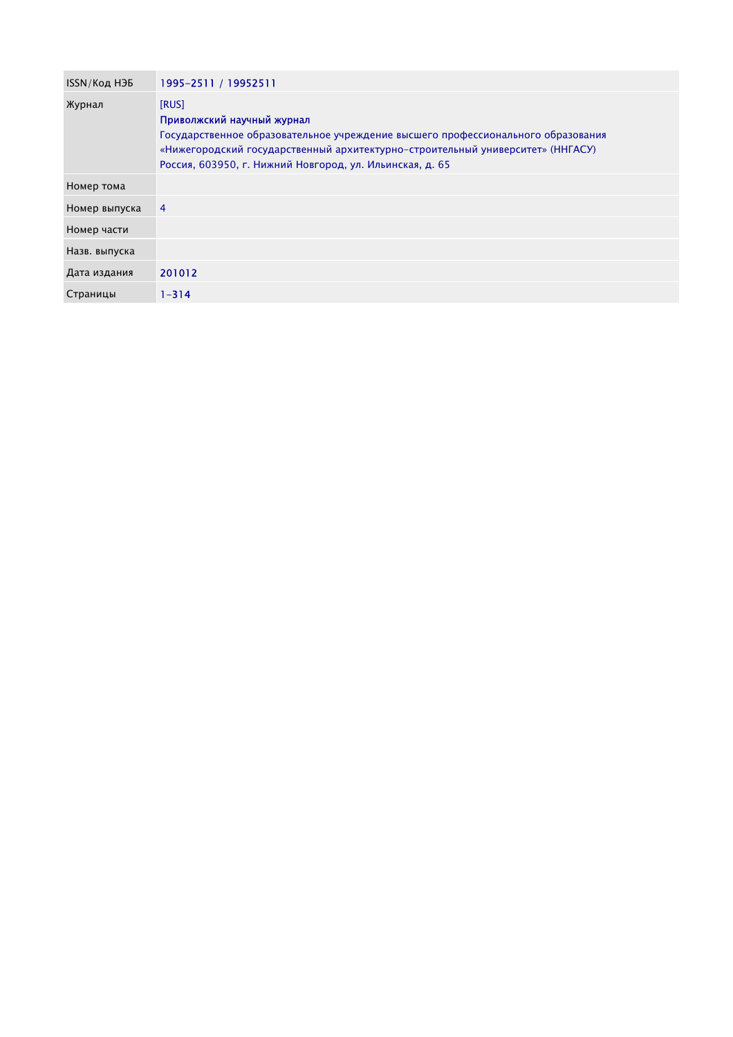| ISSN/Код НЭБ  | 1995-2511 / 19952511                                                                                                                                                                                                                                                  |
|---------------|-----------------------------------------------------------------------------------------------------------------------------------------------------------------------------------------------------------------------------------------------------------------------|
| Журнал        | [RUS]<br>Приволжский научный журнал<br>Государственное образовательное учреждение высшего профессионального образования<br>«Нижегородский государственный архитектурно-строительный университет» (ННГАСУ)<br>Россия, 603950, г. Нижний Новгород, ул. Ильинская, д. 65 |
| Номер тома    |                                                                                                                                                                                                                                                                       |
| Номер выпуска | $\overline{4}$                                                                                                                                                                                                                                                        |
| Номер части   |                                                                                                                                                                                                                                                                       |
| Назв. выпуска |                                                                                                                                                                                                                                                                       |
| Дата издания  | 201012                                                                                                                                                                                                                                                                |
| Страницы      | $1 - 314$                                                                                                                                                                                                                                                             |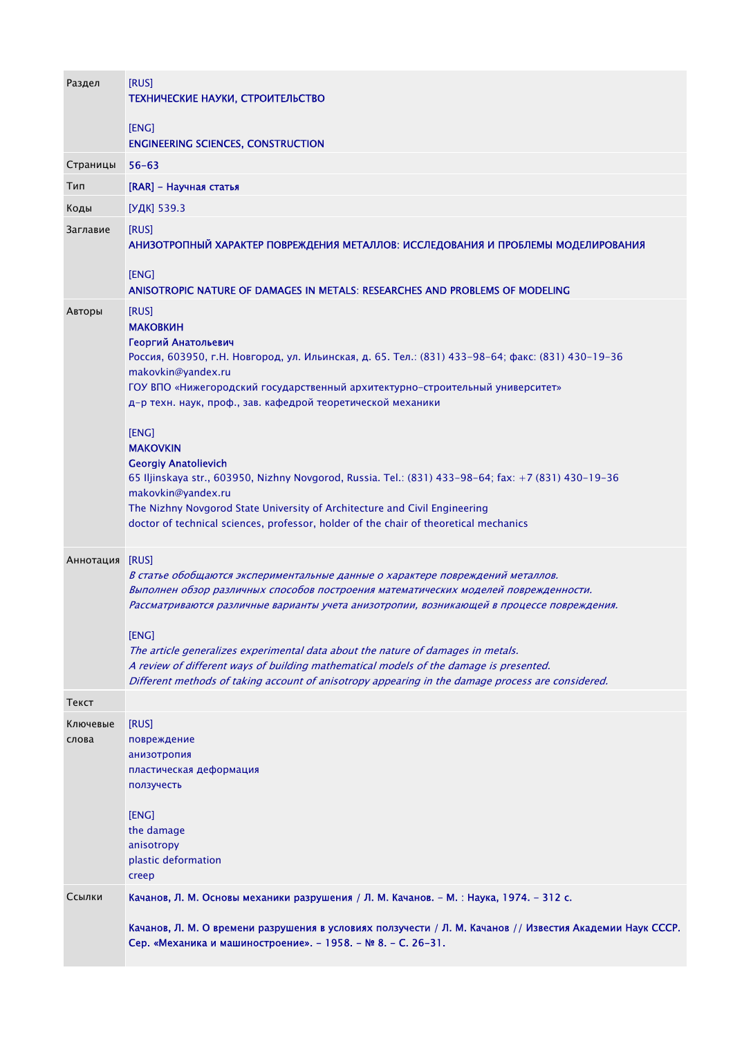| Раздел            | [RUS]<br>ТЕХНИЧЕСКИЕ НАУКИ, СТРОИТЕЛЬСТВО                                                                                                                                                                                                                                                                                                                                                                                                                                                                                                                               |
|-------------------|-------------------------------------------------------------------------------------------------------------------------------------------------------------------------------------------------------------------------------------------------------------------------------------------------------------------------------------------------------------------------------------------------------------------------------------------------------------------------------------------------------------------------------------------------------------------------|
|                   | [ENG]<br><b>ENGINEERING SCIENCES, CONSTRUCTION</b>                                                                                                                                                                                                                                                                                                                                                                                                                                                                                                                      |
| Страницы          | $56 - 63$                                                                                                                                                                                                                                                                                                                                                                                                                                                                                                                                                               |
| Тип               | [RAR] - Научная статья                                                                                                                                                                                                                                                                                                                                                                                                                                                                                                                                                  |
| Коды              | [УДК] 539.3                                                                                                                                                                                                                                                                                                                                                                                                                                                                                                                                                             |
| Заглавие          | [RUS]<br>АНИЗОТРОПНЫЙ ХАРАКТЕР ПОВРЕЖДЕНИЯ МЕТАЛЛОВ: ИССЛЕДОВАНИЯ И ПРОБЛЕМЫ МОДЕЛИРОВАНИЯ                                                                                                                                                                                                                                                                                                                                                                                                                                                                              |
|                   | [ENG]<br>ANISOTROPIC NATURE OF DAMAGES IN METALS: RESEARCHES AND PROBLEMS OF MODELING                                                                                                                                                                                                                                                                                                                                                                                                                                                                                   |
| Авторы            | [RUS]<br><b>МАКОВКИН</b><br>Георгий Анатольевич<br>Россия, 603950, г.Н. Новгород, ул. Ильинская, д. 65. Тел.: (831) 433-98-64; факс: (831) 430-19-36<br>makovkin@yandex.ru<br>ГОУ ВПО «Нижегородский государственный архитектурно-строительный университет»<br>д-р техн. наук, проф., зав. кафедрой теоретической механики                                                                                                                                                                                                                                              |
|                   | [ENG]<br><b>MAKOVKIN</b><br><b>Georgiy Anatolievich</b><br>65 Iljinskaya str., 603950, Nizhny Novgorod, Russia. Tel.: (831) 433-98-64; fax: +7 (831) 430-19-36<br>makovkin@yandex.ru<br>The Nizhny Novgorod State University of Architecture and Civil Engineering<br>doctor of technical sciences, professor, holder of the chair of theoretical mechanics                                                                                                                                                                                                             |
| Аннотация         | [RUS]<br>В статье обобщаются экспериментальные данные о характере повреждений металлов.<br>Выполнен обзор различных способов построения математических моделей поврежденности.<br>Рассматриваются различные варианты учета анизотропии, возникающей в процессе повреждения.<br>[ENG]<br>The article generalizes experimental data about the nature of damages in metals.<br>A review of different ways of building mathematical models of the damage is presented.<br>Different methods of taking account of anisotropy appearing in the damage process are considered. |
| Текст             |                                                                                                                                                                                                                                                                                                                                                                                                                                                                                                                                                                         |
| Ключевые<br>слова | [RUS]<br>повреждение<br>анизотропия<br>пластическая деформация<br>ползучесть<br>[ENG]<br>the damage<br>anisotropy                                                                                                                                                                                                                                                                                                                                                                                                                                                       |
|                   | plastic deformation<br>creep                                                                                                                                                                                                                                                                                                                                                                                                                                                                                                                                            |
| Ссылки            | Качанов, Л. М. Основы механики разрушения / Л. М. Качанов. - М. : Наука, 1974. - 312 с.                                                                                                                                                                                                                                                                                                                                                                                                                                                                                 |
|                   | Качанов, Л. М. О времени разрушения в условиях ползучести / Л. М. Качанов // Известия Академии Наук СССР.<br>Сер. «Механика и машиностроение». - 1958. - № 8. - С. 26-31.                                                                                                                                                                                                                                                                                                                                                                                               |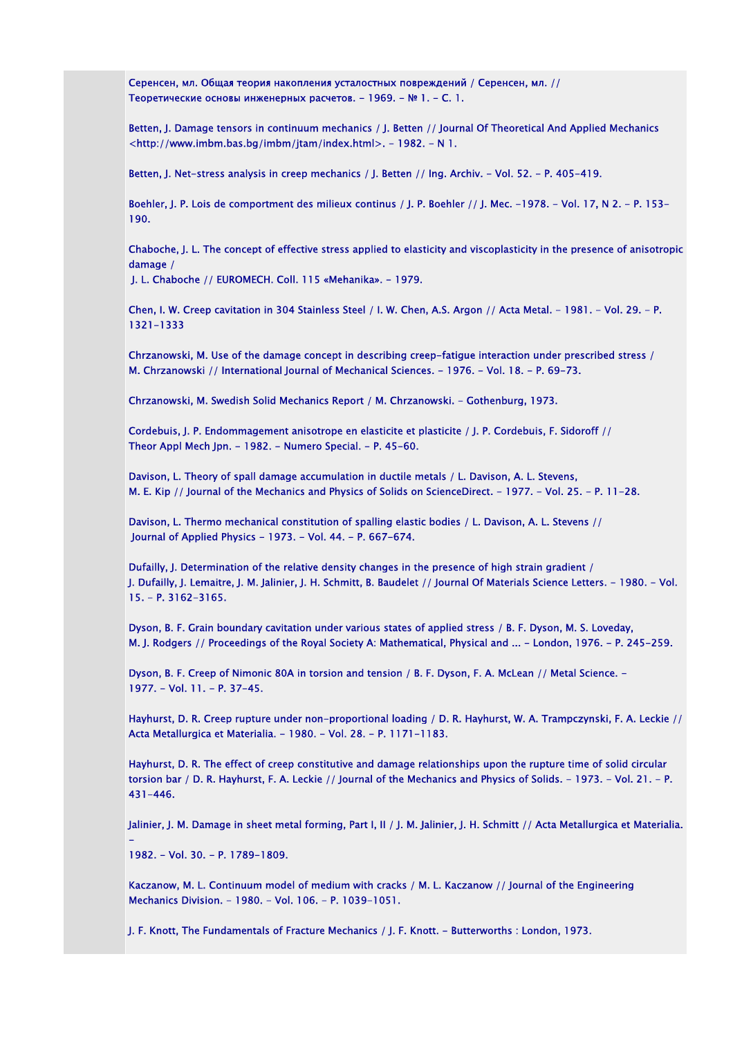Серенсен, мл. Общая теория накопления усталостных повреждений / Серенсен, мл. // Теоретические основы инженерных расчетов. - 1969. - № 1. - С. 1.

Betten, J. Damage tensors in continuum mechanics / J. Betten // Journal Of Theoretical And Applied Mechanics <http://www.imbm.bas.bg/imbm/jtam/index.html>. - 1982. - N 1.

Betten, J. Net-stress analysis in creep mechanics / J. Betten // Ing. Archiv. - Vol. 52. - P. 405-419.

Boehler, J. P. Lois de comportment des milieux continus / J. P. Boehler // J. Mec. -1978. - Vol. 17, N 2. - P. 153-190.

Chaboche, J. L. The concept of effective stress applied to elasticity and viscoplasticity in the presence of anisotropic damage /

J. L. Chaboche // EUROMECH. Coll. 115 «Mehanika». - 1979.

Chen, I. W. Creep cavitation in 304 Stainless Steel / I. W. Chen, A.S. Argon // Acta Metal. - 1981. - Vol. 29. - P. 1321-1333

Chrzanowski, M. Use of the damage concept in describing creep-fatigue interaction under prescribed stress / М. Chrzanowski // International Journal of Mechanical Sciences. - 1976. - Vol. 18. - P. 69-73.

Chrzanowski, M. Swedish Solid Mechanics Report / М. Chrzanowski. - Gothenburg, 1973.

Cordebuis, J. P. Endommagement anisotrope en elasticite et plasticite / J. P. Cordebuis, F. Sidoroff // Theor Appl Mech Jpn. - 1982. - Numero Special. - P. 45-60.

Davison, L. Theory of spall damage accumulation in ductile metals / L. Davison, A. L. Stevens, М. Е. Kip // Journal of the Mechanics and Physics of Solids on ScienceDirect. - 1977. - Vol. 25. - P. 11-28.

Davison, L. Thermo mechanical constitution of spalling elastic bodies / L. Davison, A. L. Stevens // Journal of Applied Physics - 1973. - Vol. 44. - P. 667-674.

Dufailly, J. Determination of the relative density changes in the presence of high strain gradient / J. Dufailly, J. Lemaitre, J. М. Jalinier, J. Н. Schmitt, В. Baudelet // Journal Of Materials Science Letters. - 1980. - Vol. 15. - P. 3162-3165.

Dyson, B. F. Grain boundary cavitation under various states of applied stress / B. F. Dyson, M. S. Loveday, M. J. Rodgers // Proceedings of the Royal Society A: Mathematical, Physical and ... - London, 1976. - P. 245-259.

Dyson, B. F. Creep of Nimonic 80A in torsion and tension / B. F. Dyson, F. A. McLean // Metal Science. -1977. - Vol. 11. - P. 37-45.

Hayhurst, D. R. Creep rupture under non-proportional loading / D. R. Hayhurst, W. A. Trampczynski, F. A. Leckie // Acta Metallurgica et Materialia. - 1980. - Vol. 28. - P. 1171-1183.

Hayhurst, D. R. The effect of creep constitutive and damage relationships upon the rupture time of solid circular torsion bar / D. R. Hayhurst, F. A. Leckie // Journal of the Mechanics and Physics of Solids. - 1973. - Vol. 21. - P. 431-446.

Jalinier, J. M. Damage in sheet metal forming, Part I, II / J. M. Jalinier, J. H. Schmitt // Acta Metallurgica et Materialia.

1982. - Vol. 30. - P. 1789-1809.

-

Kaczanow, M. L. Continuum model of medium with cracks / M. L. Kaczanow // Journal of the Engineering Mechanics Division. - 1980. - Vol. 106. - Р. 1039-1051.

J. F. Knott, The Fundamentals of Fracture Mechanics / J. F. Knott. - Butterworths : London, 1973.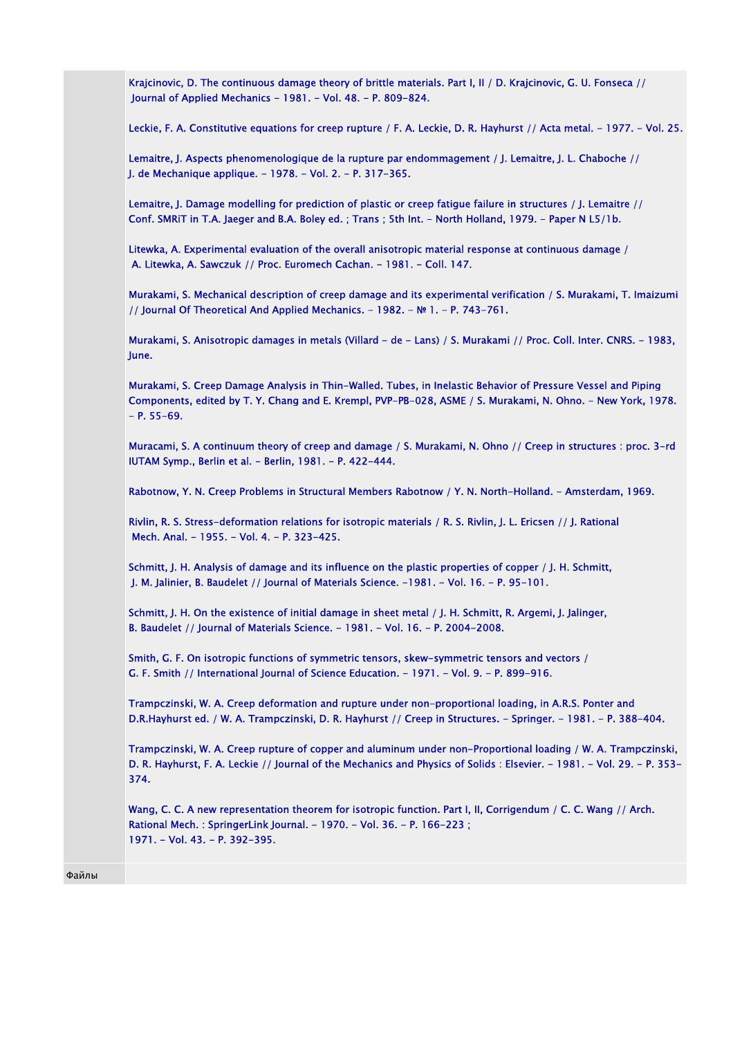Krajcinovic, D. The continuous damage theory of brittle materials. Part I, II / D. Krajcinovic, G. U. Fonseca // Journal of Applied Mechanics - 1981. - Vol. 48. - P. 809-824.

Leckie, F. A. Constitutive equations for creep rupture / F. A. Leckie, D. R. Hayhurst // Acta metal. - 1977. - Vol. 25.

Lemaitre, J. Aspects phenomenologique de la rupture par endommagement / J. Lemaitre, J. L. Chaboche // J. de Mechanique applique. - 1978. - Vol. 2. - P. 317-365.

Lemaitre, J. Damage modelling for prediction of plastic or creep fatigue failure in structures / J. Lemaitre // Conf. SMRiT in T.A. Jaeger and B.A. Boley ed. ; Trans ; 5th Int. - North Holland, 1979. - Рaper N L5/1b.

Litewka, A. Experimental evaluation of the overall anisotropic material response at continuous damage / А. Litewka, А. Sawczuk // Proc. Euromech Cachan. - 1981. - Coll. 147.

Murakami, S. Mechanical description of creep damage and its experimental verification / S. Murakami, Т. Imaizumi // Journal Of Theoretical And Applied Mechanics. - 1982. - № 1. - P. 743-761.

Murakami, S. Anisotropic damages in metals (Villard - de - Lans) / S. Murakami // Proc. Coll. Inter. CNRS. - 1983, June.

Murakami, S. Creep Damage Analysis in Thin-Walled. Tubes, in Inelastic Behavior of Pressure Vessel and Piping Components, edited by T. Y. Chang and E. Krempl, PVP-PB-028, ASME / S. Murakami, N. Ohno. - New York, 1978.  $- P. 55-69.$ 

Muracami, S. A continuum theory of creep and damage / S. Murakami, N. Ohno // Creep in structures : рroc. 3-rd IUTAM Symp., Berlin et al. - Berlin, 1981. - P. 422-444.

Rabotnow, Y. N. Creep Problems in Structural Members Rabotnow / Y. N. North-Holland. - Amsterdam, 1969.

Rivlin, R. S. Stress-deformation relations for isotropic materials / R. S. Rivlin, J. L. Ericsen // J. Rational Mech. Anal. - 1955. - Vol. 4. - P. 323-425.

Schmitt, J. H. Analysis of damage and its influence on the plastic properties of copper / J. H. Schmitt, J. M. Jalinier, В. Baudelet // Journal of Materials Science. -1981. - Vol. 16. - P. 95-101.

Schmitt, J. H. On the existence of initial damage in sheet metal / J. H. Schmitt, R. Argemi, J. Jalinger, В. Baudelet // Journal of Materials Science. - 1981. - Vol. 16. - P. 2004-2008.

Smith, G. F. On isotropic functions of symmetric tensors, skew-symmetric tensors and vectors / G. F. Smith // International Journal of Science Education. - 1971. - Vol. 9. - Р. 899-916.

Trampczinski, W. A. Creep deformation and rupture under non-proportional loading, in A.R.S. Ponter and D.R.Hayhurst ed. / W. A. Trampczinski, D. R. Hayhurst // Creep in Structures. - Springer. - 1981. - P. 388-404.

Trampczinski, W. A. Creep rupture of copper and aluminum under non-Proportional loading / W. A. Trampczinski, D. R. Hayhurst, F. A. Leckie // Journal of the Mechanics and Physics of Solids : Elsevier. - 1981. - Vol. 29. - P. 353- 374.

Wang, C. C. A new representation theorem for isotropic function. Part I, II, Corrigendum / С. С. Wang // Arch. Rational Mech. : SpringerLink Journal. - 1970. - Vol. 36. - P. 166-223 ; 1971. - Vol. 43. - P. 392-395.

Файлы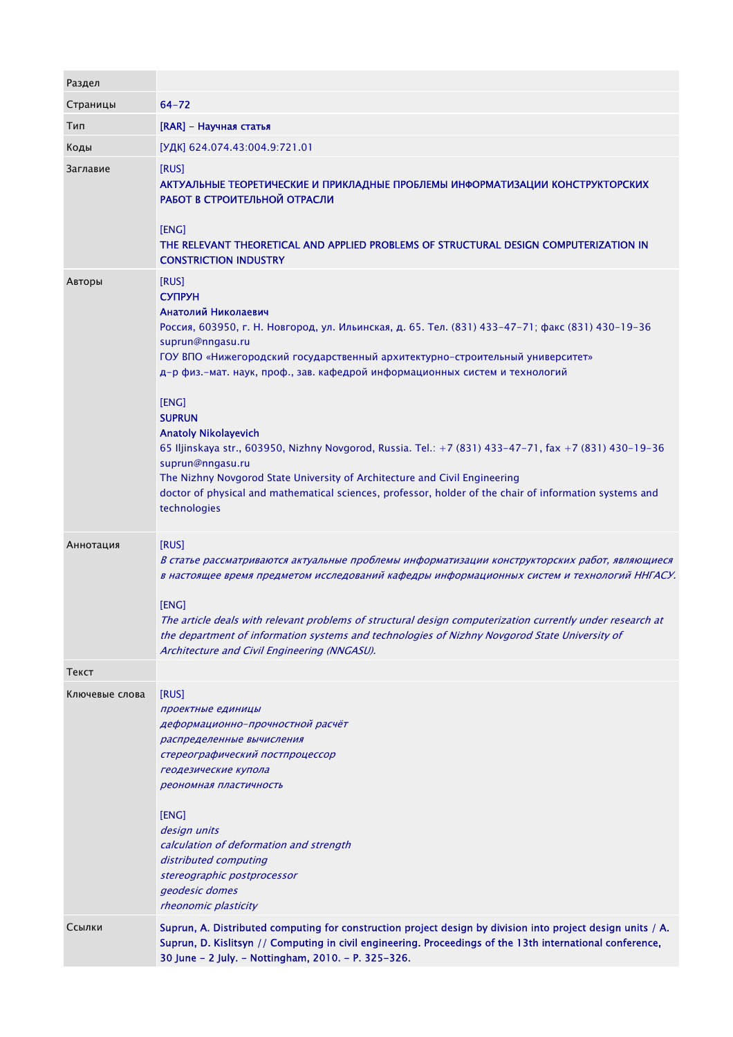| Раздел         |                                                                                                                                                                                                                                                                                                                                                                                                                                                                                                                                                                                                                                                                                                                                      |
|----------------|--------------------------------------------------------------------------------------------------------------------------------------------------------------------------------------------------------------------------------------------------------------------------------------------------------------------------------------------------------------------------------------------------------------------------------------------------------------------------------------------------------------------------------------------------------------------------------------------------------------------------------------------------------------------------------------------------------------------------------------|
| Страницы       | $64 - 72$                                                                                                                                                                                                                                                                                                                                                                                                                                                                                                                                                                                                                                                                                                                            |
| Тип            | [RAR] - Научная статья                                                                                                                                                                                                                                                                                                                                                                                                                                                                                                                                                                                                                                                                                                               |
| Коды           | [УДК] 624.074.43:004.9:721.01                                                                                                                                                                                                                                                                                                                                                                                                                                                                                                                                                                                                                                                                                                        |
| Заглавие       | [RUS]<br>АКТУАЛЬНЫЕ ТЕОРЕТИЧЕСКИЕ И ПРИКЛАДНЫЕ ПРОБЛЕМЫ ИНФОРМАТИЗАЦИИ КОНСТРУКТОРСКИХ<br>РАБОТ В СТРОИТЕЛЬНОЙ ОТРАСЛИ<br>[ENG]<br>THE RELEVANT THEORETICAL AND APPLIED PROBLEMS OF STRUCTURAL DESIGN COMPUTERIZATION IN<br><b>CONSTRICTION INDUSTRY</b>                                                                                                                                                                                                                                                                                                                                                                                                                                                                             |
| Авторы         | [RUS]<br><b>СУПРУН</b><br>Анатолий Николаевич<br>Россия, 603950, г. Н. Новгород, ул. Ильинская, д. 65. Тел. (831) 433-47-71; факс (831) 430-19-36<br>suprun@nngasu.ru<br>ГОУ ВПО «Нижегородский государственный архитектурно-строительный университет»<br>д-р физ.-мат. наук, проф., зав. кафедрой информационных систем и технологий<br>[ENG]<br><b>SUPRUN</b><br><b>Anatoly Nikolayevich</b><br>65 Iljinskaya str., 603950, Nizhny Novgorod, Russia. Tel.: +7 (831) 433-47-71, fax +7 (831) 430-19-36<br>suprun@nngasu.ru<br>The Nizhny Novgorod State University of Architecture and Civil Engineering<br>doctor of physical and mathematical sciences, professor, holder of the chair of information systems and<br>technologies |
| Аннотация      | [RUS]<br>В статье рассматриваются актуальные проблемы информатизации конструкторских работ, являющиеся<br>в настоящее время предметом исследований кафедры информационных систем и технологий ННГАСУ.<br>[ENG]<br>The article deals with relevant problems of structural design computerization currently under research at<br>the department of information systems and technologies of Nizhny Novgorod State University of<br>Architecture and Civil Engineering (NNGASU).                                                                                                                                                                                                                                                         |
| Текст          |                                                                                                                                                                                                                                                                                                                                                                                                                                                                                                                                                                                                                                                                                                                                      |
| Ключевые слова | [RUS]<br>проектные единицы<br>деформационно-прочностной расчёт<br>распределенные вычисления<br>стереографический постпроцессор<br>геодезические купола<br>реономная пластичность<br>[ENG]<br>design units<br>calculation of deformation and strength<br>distributed computing<br>stereographic postprocessor<br>geodesic domes<br>rheonomic plasticity                                                                                                                                                                                                                                                                                                                                                                               |
| Ссылки         | Suprun, A. Distributed computing for construction project design by division into project design units / A.<br>Suprun, D. Kislitsyn // Computing in civil engineering. Proceedings of the 13th international conference,<br>30 June - 2 July. - Nottingham, 2010. - P. 325-326.                                                                                                                                                                                                                                                                                                                                                                                                                                                      |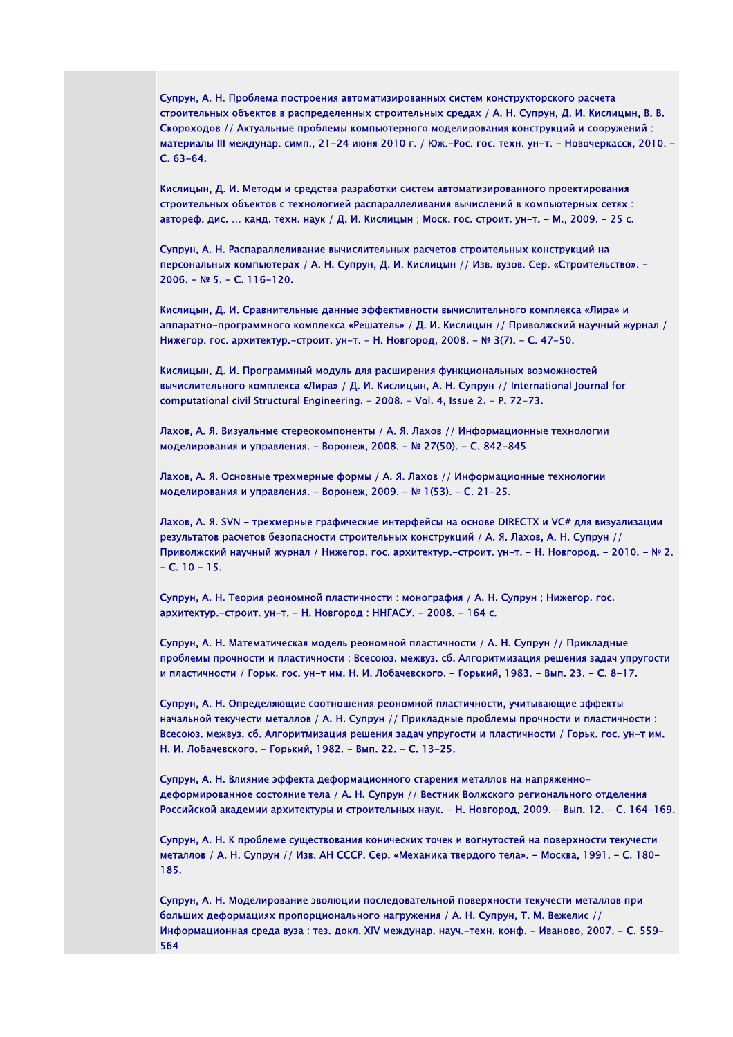Супрун, А. Н. Проблема построения автоматизированных систем конструкторского расчета строительных объектов в распределенных строительных средах / А. Н. Супрун, Д. И. Кислицын, В. В. Скороходов // Актуальные проблемы компьютерного моделирования конструкций и сооружений : материалы III междунар. симп., 21-24 июня 2010 г. / Юж.-Рос. гос. техн. ун-т. - Новочеркасск, 2010. - С. 63-64.

Кислицын, Д. И. Методы и средства разработки систем автоматизированного проектирования строительных объектов с технологией распараллеливания вычислений в компьютерных сетях : автореф. дис. … канд. техн. наук / Д. И. Кислицын ; Моск. гос. строит. ун-т. - М., 2009. - 25 с.

Супрун, А. Н. Распараллеливание вычислительных расчетов строительных конструкций на персональных компьютерах / А. Н. Супрун, Д. И. Кислицын // Изв. вузов. Сер. «Строительство». - 2006. - № 5. - С. 116-120.

Кислицын, Д. И. Сравнительные данные эффективности вычислительного комплекса «Лира» и аппаратно-программного комплекса «Решатель» / Д. И. Кислицын // Приволжский научный журнал / Нижегор. гос. архитектур.-строит. ун-т. - Н. Новгород, 2008. - № 3(7). - С. 47-50.

Кислицын, Д. И. Программный модуль для расширения функциональных возможностей вычислительного комплекса «Лира» / Д. И. Кислицын, А. Н. Супрун // International Journal for computational civil Structural Engineering. - 2008. - Vol. 4, Issue 2. - P. 72-73.

Лахов, А. Я. Визуальные стереокомпоненты / А. Я. Лахов // Информационные технологии моделирования и управления. - Воронеж, 2008. - № 27(50). - С. 842-845

Лахов, А. Я. Основные трехмерные формы / А. Я. Лахов // Информационные технологии моделирования и управления. - Воронеж, 2009. - № 1(53). - С. 21-25.

Лахов, А. Я. SVN - трехмерные графические интерфейсы на основе DIRECTX и VC# для визуализации результатов расчетов безопасности строительных конструкций / А. Я. Лахов, А. Н. Супрун // Приволжский научный журнал / Нижегор. гос. архитектур.-строит. ун-т. - Н. Новгород. - 2010. - № 2.  $- C. 10 - 15.$ 

Супрун, А. Н. Теория реономной пластичности : монография / А. Н. Супрун ; Нижегор. гос. архитектур.-строит. ун-т. - Н. Новгород : ННГАСУ. - 2008. - 164 с.

Супрун, А. Н. Математическая модель реономной пластичности / А. Н. Супрун // Прикладные проблемы прочности и пластичности : Всесоюз. межвуз. сб. Алгоритмизация решения задач упругости и пластичности / Горьк. гос. ун-т им. Н. И. Лобачевского. - Горький, 1983. - Вып. 23. - С. 8-17.

Супрун, А. Н. Определяющие соотношения реономной пластичности, учитывающие эффекты начальной текучести металлов / А. Н. Супрун // Прикладные проблемы прочности и пластичности : Всесоюз. межвуз. сб. Алгоритмизация решения задач упругости и пластичности / Горьк. гос. ун-т им. Н. И. Лобачевского. - Горький, 1982. - Вып. 22. - С. 13-25.

Супрун, А. Н. Влияние эффекта деформационного старения металлов на напряженнодеформированное состояние тела / А. Н. Супрун // Вестник Волжского регионального отделения Российской академии архитектуры и строительных наук. - Н. Новгород, 2009. - Вып. 12. - С. 164-169.

Супрун, А. Н. К проблеме существования конических точек и вогнутостей на поверхности текучести металлов / А. Н. Супрун // Изв. АН СССР. Сер. «Механика твердого тела». - Москва, 1991. - С. 180- 185.

Супрун, А. Н. Моделирование эволюции последовательной поверхности текучести металлов при больших деформациях пропорционального нагружения / А. Н. Супрун, Т. М. Вежелис // Информационная среда вуза : тез. докл. XIV междунар. науч.-техн. конф. - Иваново, 2007. - С. 559- 564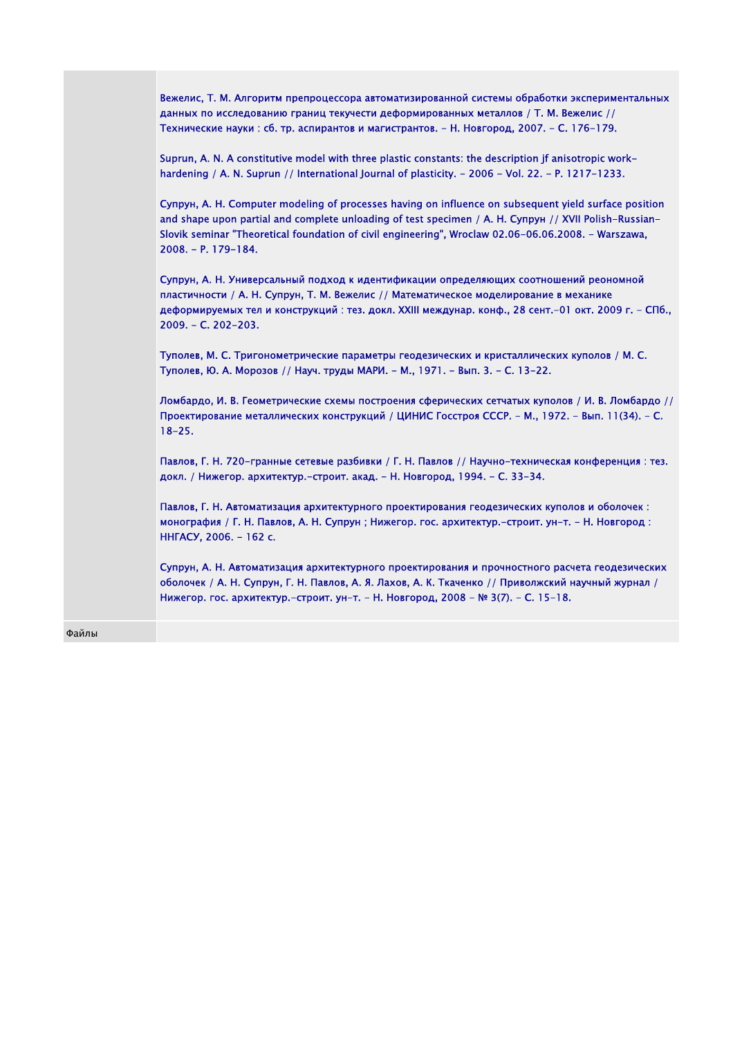| Вежелис, Т. М. Алгоритм препроцессора автоматизированной системы обработки экспериментальных<br>данных по исследованию границ текучести деформированных металлов / Т. М. Вежелис //<br>Технические науки : сб. тр. аспирантов и магистрантов. - Н. Новгород, 2007. - С. 176-179.                                                                 |
|--------------------------------------------------------------------------------------------------------------------------------------------------------------------------------------------------------------------------------------------------------------------------------------------------------------------------------------------------|
| Suprun, A. N. A constitutive model with three plastic constants: the description jf anisotropic work-<br>hardening / A. N. Suprun // International Journal of plasticity. - 2006 - Vol. 22. - P. 1217-1233.                                                                                                                                      |
| Супрун, А. Н. Computer modeling of processes having on influence on subsequent yield surface position<br>and shape upon partial and complete unloading of test specimen / A. H. Cynpyn // XVII Polish-Russian-<br>Slovik seminar "Theoretical foundation of civil engineering", Wroclaw 02.06-06.06.2008. - Warszawa,<br>$2008. - P. 179 - 184.$ |
| Супрун, А. Н. Универсальный подход к идентификации определяющих соотношений реономной<br>пластичности / А. Н. Супрун, Т. М. Вежелис // Математическое моделирование в механике<br>деформируемых тел и конструкций : тез. докл. XXIII междунар. конф., 28 сент.-01 окт. 2009 г. - СПб.,<br>$2009. - C. 202 - 203.$                                |
| Туполев, М. С. Тригонометрические параметры геодезических и кристаллических куполов / М. С.<br>Туполев, Ю. А. Морозов // Науч. труды МАРИ. – М., 1971. – Вып. 3. – С. 13–22.                                                                                                                                                                     |
| Ломбардо, И. В. Геометрические схемы построения сферических сетчатых куполов / И. В. Ломбардо //<br>Проектирование металлических конструкций / ЦИНИС Госстроя СССР. - М., 1972. - Вып. 11(34). - С.<br>$18 - 25.$                                                                                                                                |
| Павлов, Г. Н. 720-гранные сетевые разбивки / Г. Н. Павлов // Научно-техническая конференция: тез.<br>докл. / Нижегор. архитектур.-строит. акад. - Н. Новгород, 1994. - С. 33-34.                                                                                                                                                                 |
| Павлов, Г. Н. Автоматизация архитектурного проектирования геодезических куполов и оболочек:<br>монография / Г. Н. Павлов, А. Н. Супрун; Нижегор. гос. архитектур.-строит. ун-т. - Н. Новгород:<br>ННГАСУ, 2006. - 162 с.                                                                                                                         |
| Супрун, А. Н. Автоматизация архитектурного проектирования и прочностного расчета геодезических<br>оболочек / А. Н. Супрун, Г. Н. Павлов, А. Я. Лахов, А. К. Ткаченко // Приволжский научный журнал /<br>Нижегор. гос. архитектур.-строит. ун-т. - Н. Новгород, 2008 - № 3(7). - С. 15-18.                                                        |
|                                                                                                                                                                                                                                                                                                                                                  |

Файлы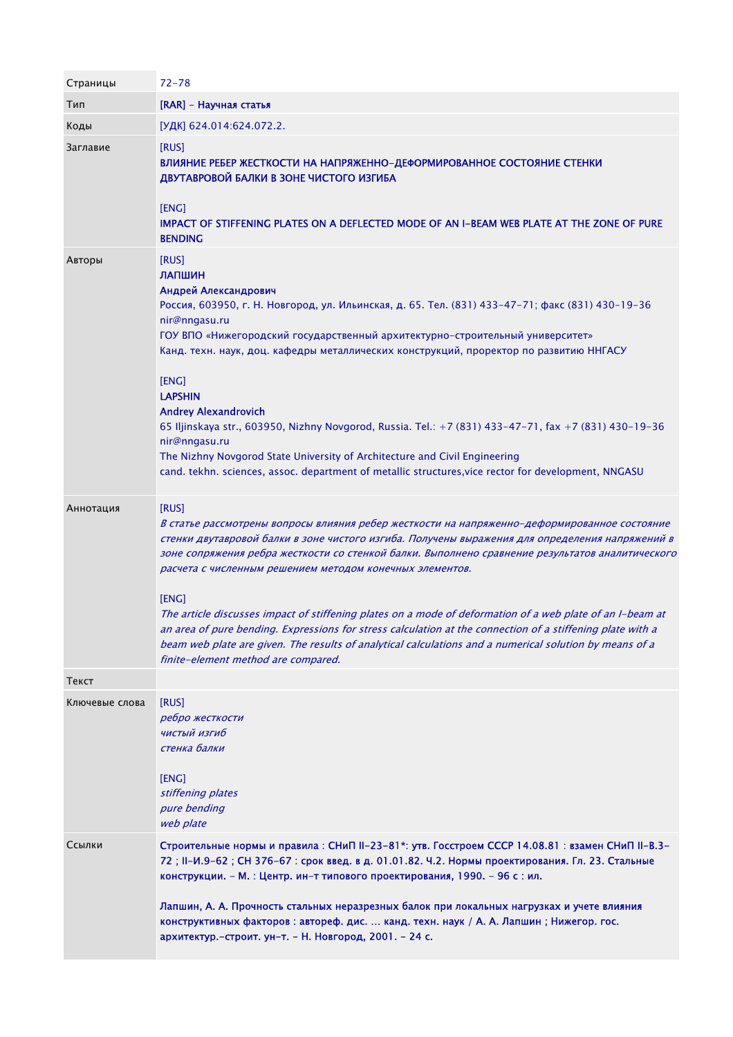| Страницы       | $72 - 78$                                                                                                                                                                                                                                                                                                                                                                                                                                                                                                                                                                                                                                                                                                                                                      |
|----------------|----------------------------------------------------------------------------------------------------------------------------------------------------------------------------------------------------------------------------------------------------------------------------------------------------------------------------------------------------------------------------------------------------------------------------------------------------------------------------------------------------------------------------------------------------------------------------------------------------------------------------------------------------------------------------------------------------------------------------------------------------------------|
| Тип            | [RAR] - Научная статья                                                                                                                                                                                                                                                                                                                                                                                                                                                                                                                                                                                                                                                                                                                                         |
| Коды           | [УДК] 624.014:624.072.2.                                                                                                                                                                                                                                                                                                                                                                                                                                                                                                                                                                                                                                                                                                                                       |
| Заглавие       | [RUS]<br>ВЛИЯНИЕ РЕБЕР ЖЕСТКОСТИ НА НАПРЯЖЕННО-ДЕФОРМИРОВАННОЕ СОСТОЯНИЕ СТЕНКИ<br>ДВУТАВРОВОЙ БАЛКИ В ЗОНЕ ЧИСТОГО ИЗГИБА<br>[ENG]<br>IMPACT OF STIFFENING PLATES ON A DEFLECTED MODE OF AN I-BEAM WEB PLATE AT THE ZONE OF PURE<br><b>BENDING</b>                                                                                                                                                                                                                                                                                                                                                                                                                                                                                                            |
| Авторы         | [RUS]<br>ЛАПШИН<br>Андрей Александрович<br>Россия, 603950, г. Н. Новгород, ул. Ильинская, д. 65. Тел. (831) 433-47-71; факс (831) 430-19-36<br>nir@nngasu.ru<br>ГОУ ВПО «Нижегородский государственный архитектурно-строительный университет»<br>Канд. техн. наук, доц. кафедры металлических конструкций, проректор по развитию ННГАСУ<br>[ENG]<br><b>LAPSHIN</b><br><b>Andrey Alexandrovich</b><br>65 Iljinskaya str., 603950, Nizhny Novgorod, Russia. Tel.: +7 (831) 433-47-71, fax +7 (831) 430-19-36<br>nir@nngasu.ru<br>The Nizhny Novgorod State University of Architecture and Civil Engineering<br>cand. tekhn. sciences, assoc. department of metallic structures, vice rector for development, NNGASU                                              |
| Аннотация      | [RUS]<br>В статье рассмотрены вопросы влияния ребер жесткости на напряженно-деформированное состояние<br>стенки двутавровой балки в зоне чистого изгиба. Получены выражения для определения напряжений в<br>зоне сопряжения ребра жесткости со стенкой балки. Выполнено сравнение результатов аналитического<br>расчета с численным решением методом конечных элементов.<br>[ENG]<br>The article discusses impact of stiffening plates on a mode of deformation of a web plate of an I-beam at<br>an area of pure bending. Expressions for stress calculation at the connection of a stiffening plate with a<br>beam web plate are given. The results of analytical calculations and a numerical solution by means of a<br>finite-element method are compared. |
| Текст          |                                                                                                                                                                                                                                                                                                                                                                                                                                                                                                                                                                                                                                                                                                                                                                |
| Ключевые слова | [RUS]<br>ребро жесткости<br>чистый изгиб<br>стенка балки<br>[ENG]<br>stiffening plates<br>pure bending<br>web plate                                                                                                                                                                                                                                                                                                                                                                                                                                                                                                                                                                                                                                            |
| Ссылки         | Строительные нормы и правила: СНиП II-23-81*: утв. Госстроем СССР 14.08.81: взамен СНиП II-В.3-<br>72; II-И.9-62; СН 376-67: срок введ. в д. 01.01.82. Ч.2. Нормы проектирования. Гл. 23. Стальные<br>конструкции. - М. : Центр. ин-т типового проектирования, 1990. - 96 с : ил.                                                                                                                                                                                                                                                                                                                                                                                                                                                                              |
|                | Лапшин, А. А. Прочность стальных неразрезных балок при локальных нагрузках и учете влияния<br>конструктивных факторов: автореф. дис.  канд. техн. наук / А. А. Лапшин; Нижегор. гос.<br>архитектур.-строит. ун-т. - Н. Новгород, 2001. - 24 с.                                                                                                                                                                                                                                                                                                                                                                                                                                                                                                                 |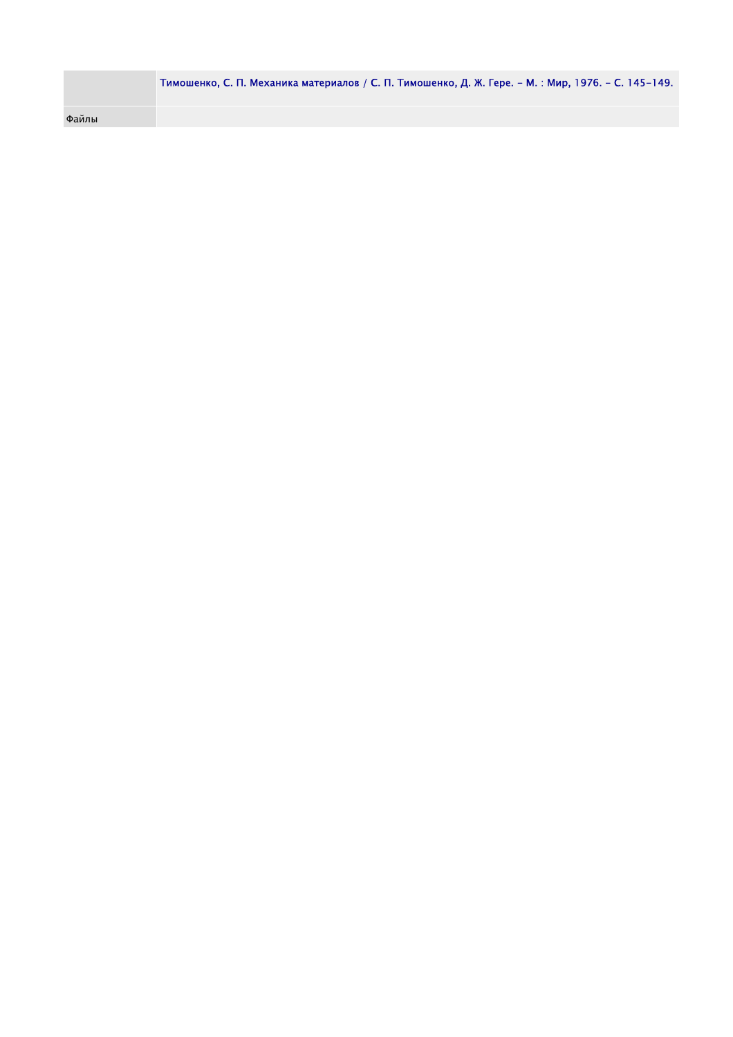|       | Тимошенко, С. П. Механика материалов / С. П. Тимошенко, Д. Ж. Гере. – М. : Мир, 1976. – С. 145–149. |
|-------|-----------------------------------------------------------------------------------------------------|
| Файлы |                                                                                                     |
|       |                                                                                                     |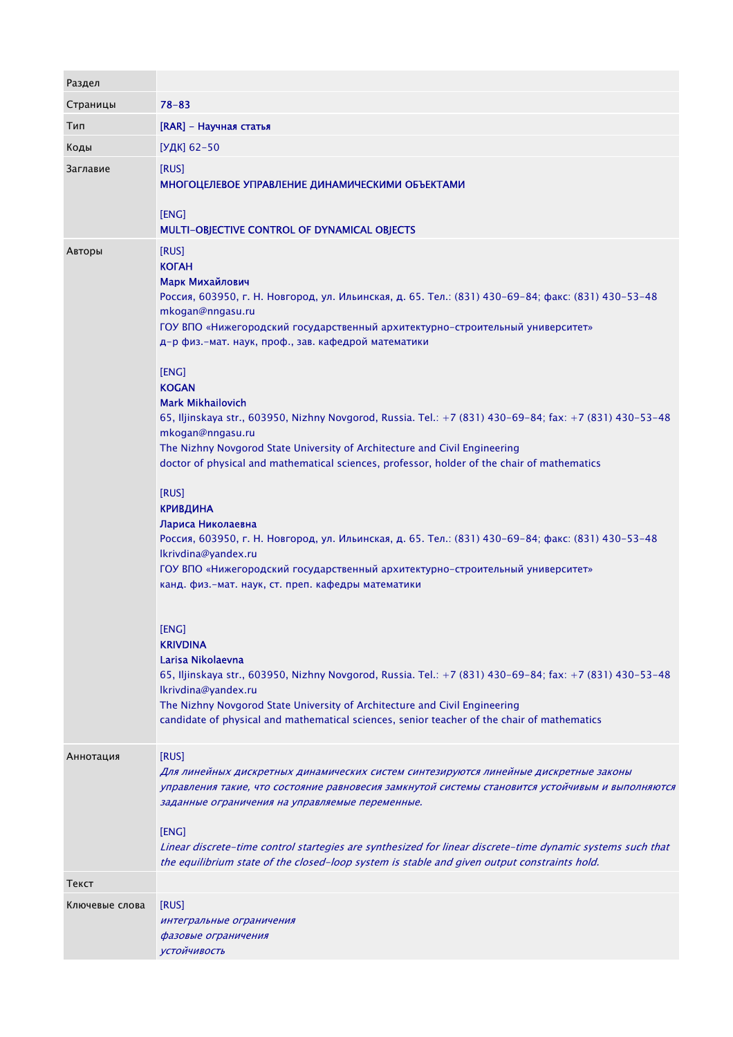| Раздел         |                                                                                                                                                                                                                                                                                                                                                                                                                                                                                                                                                                                                                                                                                                                                                                                                                                                                                                                                                                                                                                                                                                                                                                                                                                                                                                                                                                  |
|----------------|------------------------------------------------------------------------------------------------------------------------------------------------------------------------------------------------------------------------------------------------------------------------------------------------------------------------------------------------------------------------------------------------------------------------------------------------------------------------------------------------------------------------------------------------------------------------------------------------------------------------------------------------------------------------------------------------------------------------------------------------------------------------------------------------------------------------------------------------------------------------------------------------------------------------------------------------------------------------------------------------------------------------------------------------------------------------------------------------------------------------------------------------------------------------------------------------------------------------------------------------------------------------------------------------------------------------------------------------------------------|
| Страницы       | $78 - 83$                                                                                                                                                                                                                                                                                                                                                                                                                                                                                                                                                                                                                                                                                                                                                                                                                                                                                                                                                                                                                                                                                                                                                                                                                                                                                                                                                        |
| Тип            | [RAR] - Научная статья                                                                                                                                                                                                                                                                                                                                                                                                                                                                                                                                                                                                                                                                                                                                                                                                                                                                                                                                                                                                                                                                                                                                                                                                                                                                                                                                           |
| Коды           | [УДК] 62-50                                                                                                                                                                                                                                                                                                                                                                                                                                                                                                                                                                                                                                                                                                                                                                                                                                                                                                                                                                                                                                                                                                                                                                                                                                                                                                                                                      |
| Заглавие       | [RUS]<br>МНОГОЦЕЛЕВОЕ УПРАВЛЕНИЕ ДИНАМИЧЕСКИМИ ОБЪЕКТАМИ<br>[ENG]<br>MULTI-OBJECTIVE CONTROL OF DYNAMICAL OBJECTS                                                                                                                                                                                                                                                                                                                                                                                                                                                                                                                                                                                                                                                                                                                                                                                                                                                                                                                                                                                                                                                                                                                                                                                                                                                |
| Авторы         | [RUS]<br><b>KOTAH</b><br>Марк Михайлович<br>Россия, 603950, г. Н. Новгород, ул. Ильинская, д. 65. Тел.: (831) 430-69-84; факс: (831) 430-53-48<br>mkogan@nngasu.ru<br>ГОУ ВПО «Нижегородский государственный архитектурно-строительный университет»<br>д-р физ.-мат. наук, проф., зав. кафедрой математики<br>[ENG]<br><b>KOGAN</b><br><b>Mark Mikhailovich</b><br>65, Iljinskaya str., 603950, Nizhny Novgorod, Russia. Tel.: +7 (831) 430-69-84; fax: +7 (831) 430-53-48<br>mkogan@nngasu.ru<br>The Nizhny Novgorod State University of Architecture and Civil Engineering<br>doctor of physical and mathematical sciences, professor, holder of the chair of mathematics<br>[RUS]<br><b>КРИВДИНА</b><br>Лариса Николаевна<br>Россия, 603950, г. Н. Новгород, ул. Ильинская, д. 65. Тел.: (831) 430-69-84; факс: (831) 430-53-48<br>Ikrivdina@yandex.ru<br>ГОУ ВПО «Нижегородский государственный архитектурно-строительный университет»<br>канд. физ.-мат. наук, ст. преп. кафедры математики<br>[ENG]<br><b>KRIVDINA</b><br>Larisa Nikolaevna<br>65, Iljinskaya str., 603950, Nizhny Novgorod, Russia. Tel.: +7 (831) 430-69-84; fax: +7 (831) 430-53-48<br>Ikrivdina@yandex.ru<br>The Nizhny Novgorod State University of Architecture and Civil Engineering<br>candidate of physical and mathematical sciences, senior teacher of the chair of mathematics |
| Аннотация      | [RUS]<br>Для линейных дискретных динамических систем синтезируются линейные дискретные законы<br>управления такие, что состояние равновесия замкнутой системы становится устойчивым и выполняются<br>заданные ограничения на управляемые переменные.<br>[ENG]<br>Linear discrete-time control startegies are synthesized for linear discrete-time dynamic systems such that<br>the equilibrium state of the closed-loop system is stable and given output constraints hold.                                                                                                                                                                                                                                                                                                                                                                                                                                                                                                                                                                                                                                                                                                                                                                                                                                                                                      |
| Текст          |                                                                                                                                                                                                                                                                                                                                                                                                                                                                                                                                                                                                                                                                                                                                                                                                                                                                                                                                                                                                                                                                                                                                                                                                                                                                                                                                                                  |
| Ключевые слова | [RUS]<br>интегральные ограничения<br>фазовые ограничения<br><b>УСТОЙЧИВОСТЬ</b>                                                                                                                                                                                                                                                                                                                                                                                                                                                                                                                                                                                                                                                                                                                                                                                                                                                                                                                                                                                                                                                                                                                                                                                                                                                                                  |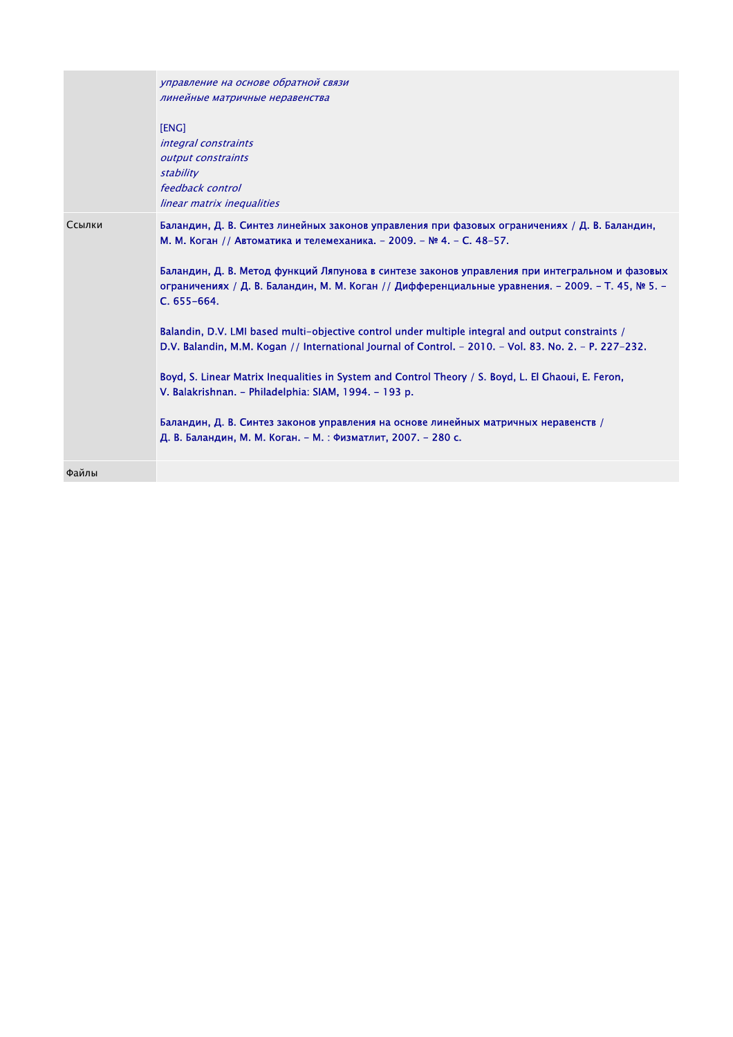|        | управление на основе обратной связи<br>линейные матричные неравенства<br>[ENG]<br><i>integral constraints</i><br>output constraints<br>stability<br>feedback control<br>linear matrix inequalities                                                                                                                                                                                                                                                                                                                                                                                                                                                                                                                                                                         |
|--------|----------------------------------------------------------------------------------------------------------------------------------------------------------------------------------------------------------------------------------------------------------------------------------------------------------------------------------------------------------------------------------------------------------------------------------------------------------------------------------------------------------------------------------------------------------------------------------------------------------------------------------------------------------------------------------------------------------------------------------------------------------------------------|
| Ссылки | Баландин, Д. В. Синтез линейных законов управления при фазовых ограничениях / Д. В. Баландин,<br>М. М. Коган // Автоматика и телемеханика. - 2009. - № 4. - С. 48-57.<br>Баландин, Д. В. Метод функций Ляпунова в синтезе законов управления при интегральном и фазовых<br>ограничениях / Д. В. Баландин, М. М. Коган // Дифференциальные уравнения. - 2009. - Т. 45, № 5. -<br>C. 655-664.<br>Balandin, D.V. LMI based multi-objective control under multiple integral and output constraints /<br>D.V. Balandin, M.M. Kogan // International Journal of Control. - 2010. - Vol. 83. No. 2. - P. 227-232.<br>Boyd, S. Linear Matrix Inequalities in System and Control Theory / S. Boyd, L. El Ghaoui, E. Feron,<br>V. Balakrishnan. - Philadelphia: SIAM, 1994. - 193 p. |
|        | Баландин, Д. В. Синтез законов управления на основе линейных матричных неравенств /<br>Д. В. Баландин, М. М. Коган. - М. : Физматлит, 2007. - 280 с.                                                                                                                                                                                                                                                                                                                                                                                                                                                                                                                                                                                                                       |
| Файлы  |                                                                                                                                                                                                                                                                                                                                                                                                                                                                                                                                                                                                                                                                                                                                                                            |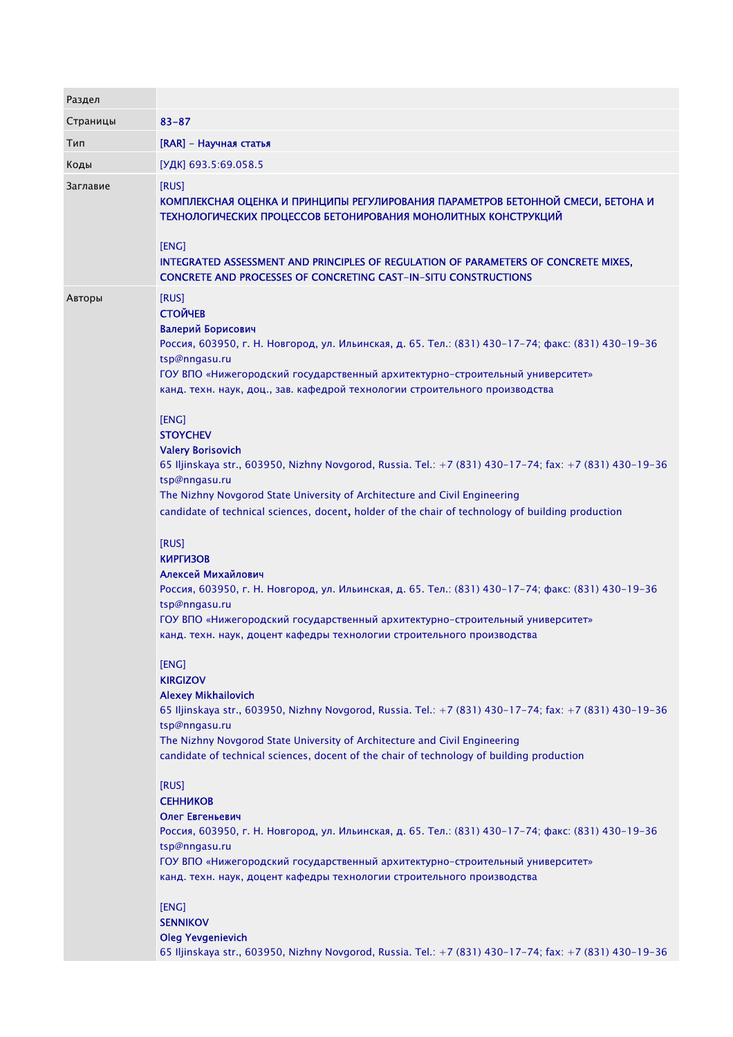| Раздел   |                                                                                                                                                                                                                                                                                                                                                                                                                                                                                                                   |
|----------|-------------------------------------------------------------------------------------------------------------------------------------------------------------------------------------------------------------------------------------------------------------------------------------------------------------------------------------------------------------------------------------------------------------------------------------------------------------------------------------------------------------------|
| Страницы | $83 - 87$                                                                                                                                                                                                                                                                                                                                                                                                                                                                                                         |
| Тип      | [RAR] - Научная статья                                                                                                                                                                                                                                                                                                                                                                                                                                                                                            |
| Коды     | [УДК] 693.5:69.058.5                                                                                                                                                                                                                                                                                                                                                                                                                                                                                              |
| Заглавие | [RUS]<br>КОМПЛЕКСНАЯ ОЦЕНКА И ПРИНЦИПЫ РЕГУЛИРОВАНИЯ ПАРАМЕТРОВ БЕТОННОЙ СМЕСИ, БЕТОНА И<br>ТЕХНОЛОГИЧЕСКИХ ПРОЦЕССОВ БЕТОНИРОВАНИЯ МОНОЛИТНЫХ КОНСТРУКЦИЙ<br>[ENG]<br>INTEGRATED ASSESSMENT AND PRINCIPLES OF REGULATION OF PARAMETERS OF CONCRETE MIXES,<br><b>CONCRETE AND PROCESSES OF CONCRETING CAST-IN-SITU CONSTRUCTIONS</b>                                                                                                                                                                              |
| Авторы   | [RUS]<br><b>СТОЙЧЕВ</b><br>Валерий Борисович<br>Россия, 603950, г. Н. Новгород, ул. Ильинская, д. 65. Тел.: (831) 430-17-74; факс: (831) 430-19-36<br>tsp@nngasu.ru<br>ГОУ ВПО «Нижегородский государственный архитектурно-строительный университет»<br>канд. техн. наук, доц., зав. кафедрой технологии строительного производства<br>[ENG]                                                                                                                                                                      |
|          | <b>STOYCHEV</b><br><b>Valery Borisovich</b><br>65 Iljinskaya str., 603950, Nizhny Novgorod, Russia. Tel.: +7 (831) 430-17-74; fax: +7 (831) 430-19-36<br>tsp@nngasu.ru<br>The Nizhny Novgorod State University of Architecture and Civil Engineering<br>candidate of technical sciences, docent, holder of the chair of technology of building production<br>[RUS]                                                                                                                                                |
|          | <b>КИРГИЗОВ</b><br>Алексей Михайлович<br>Россия, 603950, г. Н. Новгород, ул. Ильинская, д. 65. Тел.: (831) 430-17-74; факс: (831) 430-19-36<br>tsp@nngasu.ru<br>ГОУ ВПО «Нижегородский государственный архитектурно-строительный университет»<br>канд. техн. наук, доцент кафедры технологии строительного производства                                                                                                                                                                                           |
|          | [ENG]<br><b>KIRGIZOV</b><br><b>Alexey Mikhailovich</b><br>65 Iljinskaya str., 603950, Nizhny Novgorod, Russia. Tel.: +7 (831) 430-17-74; fax: +7 (831) 430-19-36<br>tsp@nngasu.ru<br>The Nizhny Novgorod State University of Architecture and Civil Engineering<br>candidate of technical sciences, docent of the chair of technology of building production<br>[RUS]<br><b>СЕННИКОВ</b><br>Олег Евгеньевич<br>Россия, 603950, г. Н. Новгород, ул. Ильинская, д. 65. Тел.: (831) 430-17-74; факс: (831) 430-19-36 |
|          | tsp@nngasu.ru<br>ГОУ ВПО «Нижегородский государственный архитектурно-строительный университет»<br>канд. техн. наук, доцент кафедры технологии строительного производства<br>[ENG]<br><b>SENNIKOV</b><br><b>Oleg Yevgenievich</b><br>65 Iljinskaya str., 603950, Nizhny Novgorod, Russia. Tel.: +7 (831) 430-17-74; fax: +7 (831) 430-19-36                                                                                                                                                                        |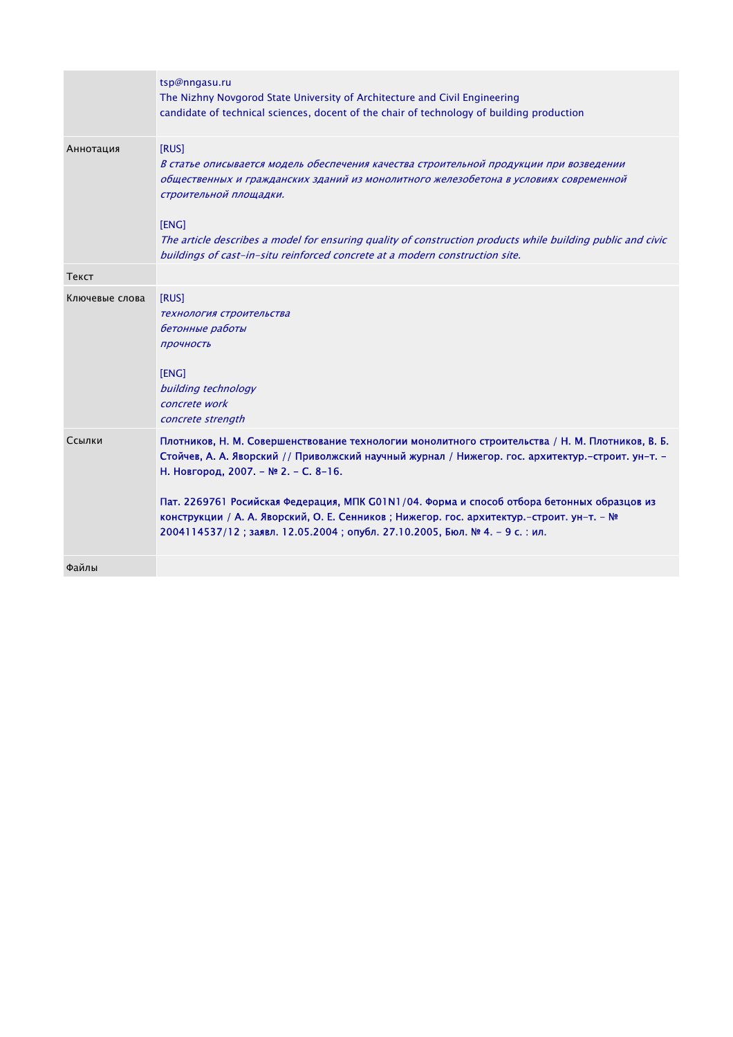| [RUS]<br>Аннотация<br>В статье описывается модель обеспечения качества строительной продукции при возведении<br>общественных и гражданских зданий из монолитного железобетона в условиях современной<br>строительной площадки.<br>[ENG]<br>The article describes a model for ensuring quality of construction products while building public and civic<br>buildings of cast-in-situ reinforced concrete at a modern construction site.<br>Текст<br>[RUS]<br>Ключевые слова<br>технология строительства<br>бетонные работы<br>Прочность<br>[ENG]<br>building technology<br>concrete work<br>concrete strength<br>Ссылки<br>Плотников, Н. М. Совершенствование технологии монолитного строительства / Н. М. Плотников, В. Б.<br>Стойчев, А. А. Яворский // Приволжский научный журнал / Нижегор. гос. архитектур.-строит. ун-т. -<br>Н. Новгород, 2007. - № 2. - С. 8-16.<br>Пат. 2269761 Росийская Федерация, МПК G01N1/04. Форма и способ отбора бетонных образцов из<br>конструкции / А. А. Яворский, О. Е. Сенников; Нижегор. гос. архитектур.-строит. ун-т. - №<br>2004114537/12; заявл. 12.05.2004; опубл. 27.10.2005, Бюл. № 4. – 9 с. : ил.<br>Файлы | tsp@nngasu.ru<br>The Nizhny Novgorod State University of Architecture and Civil Engineering<br>candidate of technical sciences, docent of the chair of technology of building production |
|------------------------------------------------------------------------------------------------------------------------------------------------------------------------------------------------------------------------------------------------------------------------------------------------------------------------------------------------------------------------------------------------------------------------------------------------------------------------------------------------------------------------------------------------------------------------------------------------------------------------------------------------------------------------------------------------------------------------------------------------------------------------------------------------------------------------------------------------------------------------------------------------------------------------------------------------------------------------------------------------------------------------------------------------------------------------------------------------------------------------------------------------------------|------------------------------------------------------------------------------------------------------------------------------------------------------------------------------------------|
|                                                                                                                                                                                                                                                                                                                                                                                                                                                                                                                                                                                                                                                                                                                                                                                                                                                                                                                                                                                                                                                                                                                                                            |                                                                                                                                                                                          |
|                                                                                                                                                                                                                                                                                                                                                                                                                                                                                                                                                                                                                                                                                                                                                                                                                                                                                                                                                                                                                                                                                                                                                            |                                                                                                                                                                                          |
|                                                                                                                                                                                                                                                                                                                                                                                                                                                                                                                                                                                                                                                                                                                                                                                                                                                                                                                                                                                                                                                                                                                                                            |                                                                                                                                                                                          |
|                                                                                                                                                                                                                                                                                                                                                                                                                                                                                                                                                                                                                                                                                                                                                                                                                                                                                                                                                                                                                                                                                                                                                            |                                                                                                                                                                                          |
|                                                                                                                                                                                                                                                                                                                                                                                                                                                                                                                                                                                                                                                                                                                                                                                                                                                                                                                                                                                                                                                                                                                                                            |                                                                                                                                                                                          |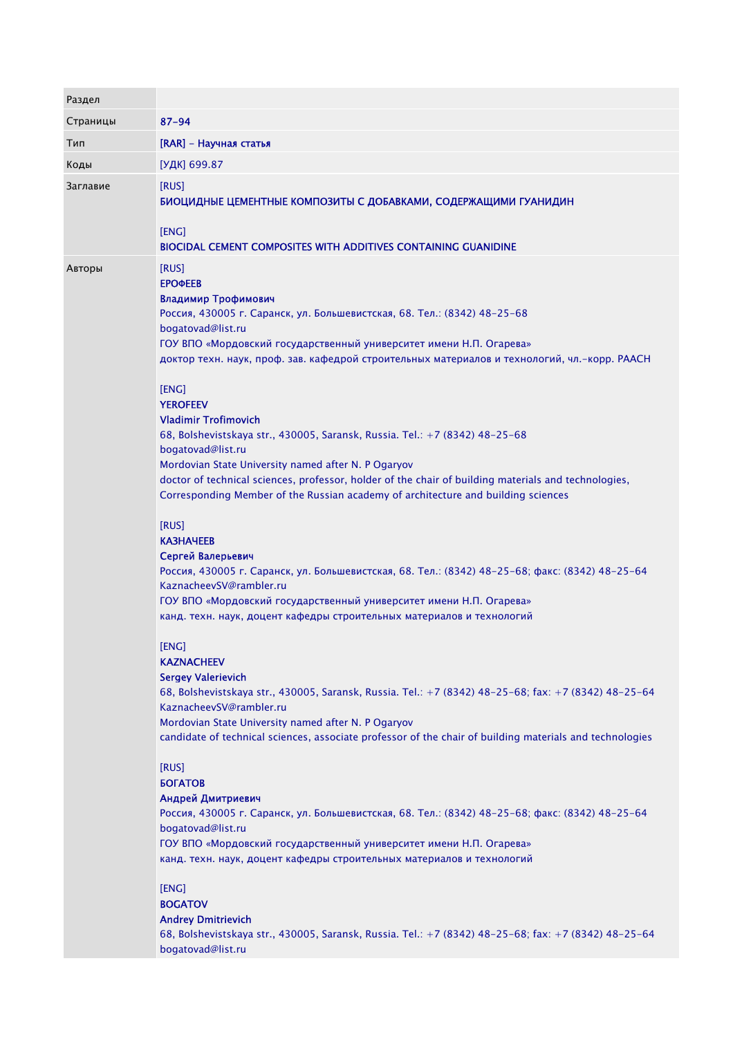| Раздел   |                                                                                                                                                                                                                                                                                                                                                                                                                                                                                                                                                                                                                                                                                                                                                                                                                                                                                                                                                                                                                                                                                                                                                                                                                                                                                                                                                                                                                                                                                                                                                                                                                                                                                                                                                                                                                                    |
|----------|------------------------------------------------------------------------------------------------------------------------------------------------------------------------------------------------------------------------------------------------------------------------------------------------------------------------------------------------------------------------------------------------------------------------------------------------------------------------------------------------------------------------------------------------------------------------------------------------------------------------------------------------------------------------------------------------------------------------------------------------------------------------------------------------------------------------------------------------------------------------------------------------------------------------------------------------------------------------------------------------------------------------------------------------------------------------------------------------------------------------------------------------------------------------------------------------------------------------------------------------------------------------------------------------------------------------------------------------------------------------------------------------------------------------------------------------------------------------------------------------------------------------------------------------------------------------------------------------------------------------------------------------------------------------------------------------------------------------------------------------------------------------------------------------------------------------------------|
| Страницы | $87 - 94$                                                                                                                                                                                                                                                                                                                                                                                                                                                                                                                                                                                                                                                                                                                                                                                                                                                                                                                                                                                                                                                                                                                                                                                                                                                                                                                                                                                                                                                                                                                                                                                                                                                                                                                                                                                                                          |
| Тип      | [RAR] - Научная статья                                                                                                                                                                                                                                                                                                                                                                                                                                                                                                                                                                                                                                                                                                                                                                                                                                                                                                                                                                                                                                                                                                                                                                                                                                                                                                                                                                                                                                                                                                                                                                                                                                                                                                                                                                                                             |
| Коды     | [УДК] 699.87                                                                                                                                                                                                                                                                                                                                                                                                                                                                                                                                                                                                                                                                                                                                                                                                                                                                                                                                                                                                                                                                                                                                                                                                                                                                                                                                                                                                                                                                                                                                                                                                                                                                                                                                                                                                                       |
| Заглавие | [RUS]<br>БИОЦИДНЫЕ ЦЕМЕНТНЫЕ КОМПОЗИТЫ С ДОБАВКАМИ, СОДЕРЖАЩИМИ ГУАНИДИН<br>[ENG]<br><b>BIOCIDAL CEMENT COMPOSITES WITH ADDITIVES CONTAINING GUANIDINE</b>                                                                                                                                                                                                                                                                                                                                                                                                                                                                                                                                                                                                                                                                                                                                                                                                                                                                                                                                                                                                                                                                                                                                                                                                                                                                                                                                                                                                                                                                                                                                                                                                                                                                         |
| Авторы   | [RUS]<br><b>ЕРОФЕЕВ</b><br>Владимир Трофимович<br>Россия, 430005 г. Саранск, ул. Большевистская, 68. Тел.: (8342) 48-25-68.<br>bogatovad@list.ru<br>ГОУ ВПО «Мордовский государственный университет имени Н.П. Огарева»<br>доктор техн. наук, проф. зав. кафедрой строительных материалов и технологий, чл.-корр. РААСН<br>[ENG]<br><b>YEROFEEV</b><br><b>Vladimir Trofimovich</b><br>68, Bolshevistskaya str., 430005, Saransk, Russia. Tel.: +7 (8342) 48-25-68<br>bogatovad@list.ru<br>Mordovian State University named after N. P Ogaryov<br>doctor of technical sciences, professor, holder of the chair of building materials and technologies,<br>Corresponding Member of the Russian academy of architecture and building sciences<br>[RUS]<br><b>KA3HAYEEB</b><br>Сергей Валерьевич<br>Россия, 430005 г. Саранск, ул. Большевистская, 68. Тел.: (8342) 48-25-68; факс: (8342) 48-25-64<br>KaznacheevSV@rambler.ru<br>ГОУ ВПО «Мордовский государственный университет имени Н.П. Огарева»<br>канд. техн. наук, доцент кафедры строительных материалов и технологий<br>[ENG]<br><b>KAZNACHEEV</b><br><b>Sergey Valerievich</b><br>68, Bolshevistskaya str., 430005, Saransk, Russia. Tel.: +7 (8342) 48-25-68; fax: +7 (8342) 48-25-64<br>KaznacheevSV@rambler.ru<br>Mordovian State University named after N. P Ogaryov<br>candidate of technical sciences, associate professor of the chair of building materials and technologies<br>[RUS]<br><b><i>GOFATOB</i></b><br>Андрей Дмитриевич<br>Россия, 430005 г. Саранск, ул. Большевистская, 68. Тел.: (8342) 48-25-68; факс: (8342) 48-25-64<br>bogatovad@list.ru<br>ГОУ ВПО «Мордовский государственный университет имени Н.П. Огарева»<br>канд. техн. наук, доцент кафедры строительных материалов и технологий<br>[ENG]<br><b>BOGATOV</b><br><b>Andrey Dmitrievich</b> |
|          | 68, Bolshevistskaya str., 430005, Saransk, Russia. Tel.: +7 (8342) 48-25-68; fax: +7 (8342) 48-25-64<br>bogatovad@list.ru                                                                                                                                                                                                                                                                                                                                                                                                                                                                                                                                                                                                                                                                                                                                                                                                                                                                                                                                                                                                                                                                                                                                                                                                                                                                                                                                                                                                                                                                                                                                                                                                                                                                                                          |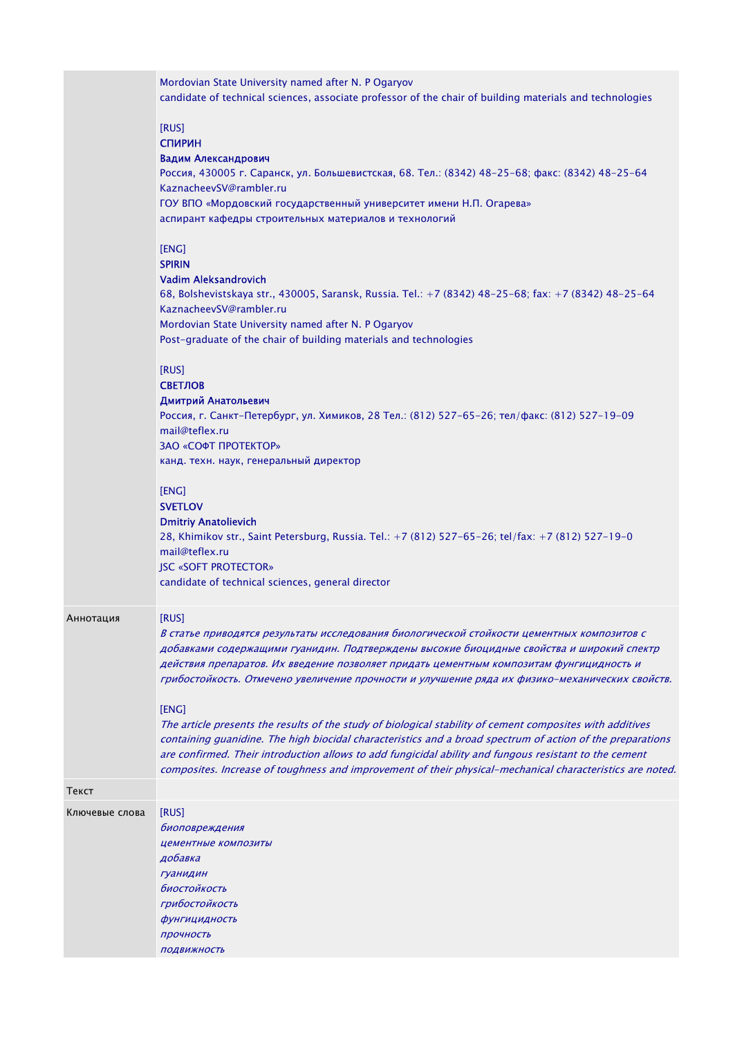|                | Mordovian State University named after N. P Ogaryov<br>candidate of technical sciences, associate professor of the chair of building materials and technologies                                                                                                                                                                                                                                                                                                                                                                                                                                                                  |
|----------------|----------------------------------------------------------------------------------------------------------------------------------------------------------------------------------------------------------------------------------------------------------------------------------------------------------------------------------------------------------------------------------------------------------------------------------------------------------------------------------------------------------------------------------------------------------------------------------------------------------------------------------|
|                | [RUS]<br><b>СПИРИН</b><br>Вадим Александрович<br>Россия, 430005 г. Саранск, ул. Большевистская, 68. Тел.: (8342) 48-25-68; факс: (8342) 48-25-64<br>KaznacheevSV@rambler.ru<br>ГОУ ВПО «Мордовский государственный университет имени Н.П. Огарева»<br>аспирант кафедры строительных материалов и технологий                                                                                                                                                                                                                                                                                                                      |
|                | [ENG]<br><b>SPIRIN</b><br><b>Vadim Aleksandrovich</b><br>68, Bolshevistskaya str., 430005, Saransk, Russia. Tel.: +7 (8342) 48-25-68; fax: +7 (8342) 48-25-64<br>KaznacheevSV@rambler.ru<br>Mordovian State University named after N. P Ogaryov<br>Post-graduate of the chair of building materials and technologies                                                                                                                                                                                                                                                                                                             |
|                | [RUS]<br><b>СВЕТЛОВ</b><br>Дмитрий Анатольевич<br>Россия, г. Санкт-Петербург, ул. Химиков, 28 Тел.: (812) 527-65-26; тел/факс: (812) 527-19-09<br>mail@teflex.ru<br>ЗАО «СОФТ ПРОТЕКТОР»<br>канд. техн. наук, генеральный директор                                                                                                                                                                                                                                                                                                                                                                                               |
|                | [ENG]<br><b>SVETLOV</b><br><b>Dmitriy Anatolievich</b><br>28, Khimikov str., Saint Petersburg, Russia. Tel.: +7 (812) 527-65-26; tel/fax: +7 (812) 527-19-0<br>mail@teflex.ru<br><b>JSC «SOFT PROTECTOR»</b><br>candidate of technical sciences, general director                                                                                                                                                                                                                                                                                                                                                                |
| Аннотация      | [RUS]<br>В статье приводятся результаты исследования биологической стойкости цементных композитов с<br>добавками содержащими гуанидин. Подтверждены высокие биоцидные свойства и широкий спектр<br>действия препаратов. Их введение позволяет придать цементным композитам фунгицидность и<br>грибостойкость. Отмечено увеличение прочности и улучшение ряда их физико-механических свойств.<br>[ENG]<br>The article presents the results of the study of biological stability of cement composites with additives<br>containing guanidine. The high biocidal characteristics and a broad spectrum of action of the preparations |
|                | are confirmed. Their introduction allows to add fungicidal ability and fungous resistant to the cement<br>composites. Increase of toughness and improvement of their physical-mechanical characteristics are noted.                                                                                                                                                                                                                                                                                                                                                                                                              |
| Текст          |                                                                                                                                                                                                                                                                                                                                                                                                                                                                                                                                                                                                                                  |
| Ключевые слова | [RUS]<br>биоповреждения<br>цементные композиты<br>добавка<br><b>Гуанидин</b><br>биостойкость<br>грибостойкость<br>фунгицидность<br>прочность<br>ПОДВИЖНОСТЬ                                                                                                                                                                                                                                                                                                                                                                                                                                                                      |
|                |                                                                                                                                                                                                                                                                                                                                                                                                                                                                                                                                                                                                                                  |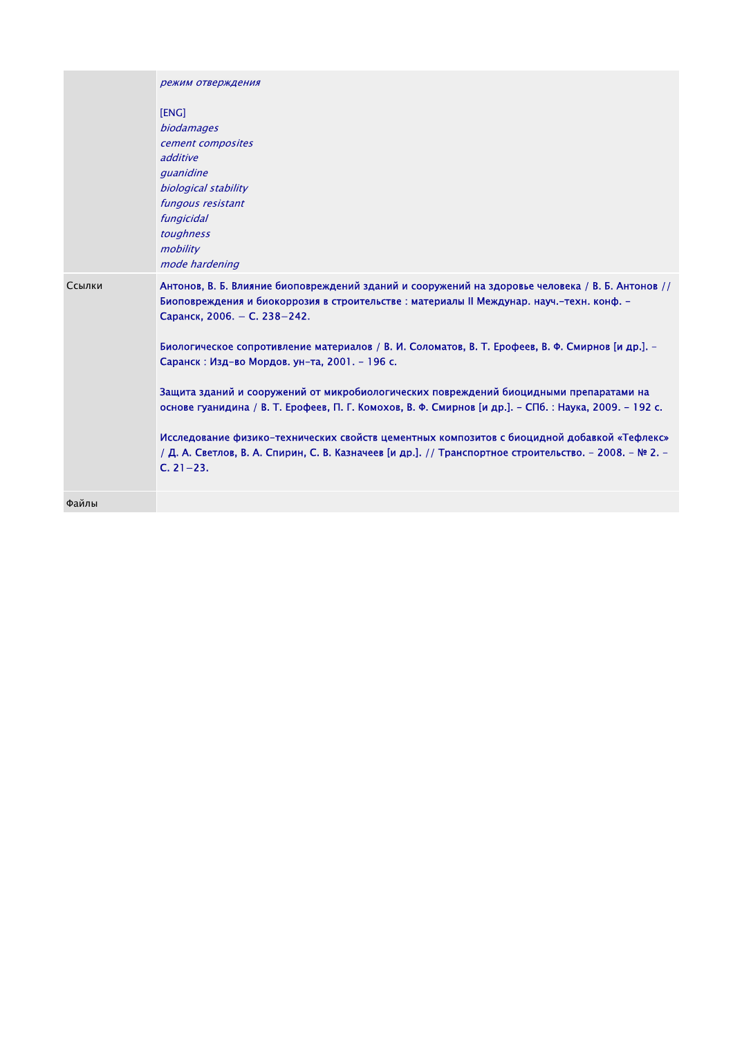|        | режим отверждения                                                                                                                                                                                                                                                                                                                                                                                                                                                                                                                                                                                                                                                                                                                                                                                                 |
|--------|-------------------------------------------------------------------------------------------------------------------------------------------------------------------------------------------------------------------------------------------------------------------------------------------------------------------------------------------------------------------------------------------------------------------------------------------------------------------------------------------------------------------------------------------------------------------------------------------------------------------------------------------------------------------------------------------------------------------------------------------------------------------------------------------------------------------|
|        | [ENG]<br><i>biodamages</i><br>cement composites<br>additive<br>quanidine<br>biological stability<br>fungous resistant<br>fungicidal<br>toughness<br>mobility<br>mode hardening                                                                                                                                                                                                                                                                                                                                                                                                                                                                                                                                                                                                                                    |
| Ссылки | Антонов, В. Б. Влияние биоповреждений зданий и сооружений на здоровье человека / В. Б. Антонов //<br>Биоповреждения и биокоррозия в строительстве : материалы II Междунар. науч.-техн. конф. -<br>Саранск, 2006. - С. 238-242.<br>Биологическое сопротивление материалов / В. И. Соломатов, В. Т. Ерофеев, В. Ф. Смирнов [и др.]. -<br>Саранск: Изд-во Мордов. ун-та, 2001. - 196 с.<br>Защита зданий и сооружений от микробиологических повреждений биоцидными препаратами на<br>основе гуанидина / В. Т. Ерофеев, П. Г. Комохов, В. Ф. Смирнов [и др.]. - СПб. : Наука, 2009. - 192 с.<br>Исследование физико-технических свойств цементных композитов с биоцидной добавкой «Тефлекс»<br>/ Д. А. Светлов, В. А. Спирин, С. В. Казначеев [и др.]. // Транспортное строительство. - 2008. - № 2. -<br>$C. 21-23.$ |
| Файлы  |                                                                                                                                                                                                                                                                                                                                                                                                                                                                                                                                                                                                                                                                                                                                                                                                                   |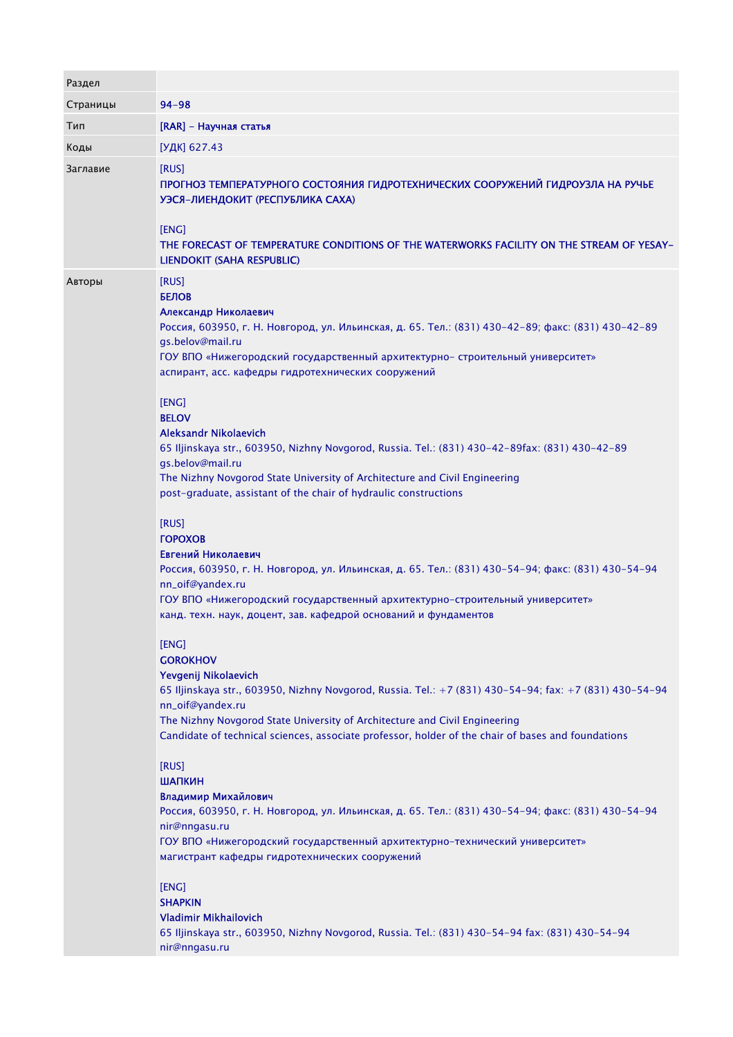| Раздел   |                                                                                                                                                                                                                                                                                                                                                                                                                                                                                                                                                                                                                                                                                                  |
|----------|--------------------------------------------------------------------------------------------------------------------------------------------------------------------------------------------------------------------------------------------------------------------------------------------------------------------------------------------------------------------------------------------------------------------------------------------------------------------------------------------------------------------------------------------------------------------------------------------------------------------------------------------------------------------------------------------------|
| Страницы | $94 - 98$                                                                                                                                                                                                                                                                                                                                                                                                                                                                                                                                                                                                                                                                                        |
| Тип      | [RAR] - Научная статья                                                                                                                                                                                                                                                                                                                                                                                                                                                                                                                                                                                                                                                                           |
| Коды     | [УДК] 627.43                                                                                                                                                                                                                                                                                                                                                                                                                                                                                                                                                                                                                                                                                     |
| Заглавие | [RUS]<br>ПРОГНОЗ ТЕМПЕРАТУРНОГО СОСТОЯНИЯ ГИДРОТЕХНИЧЕСКИХ СООРУЖЕНИЙ ГИДРОУЗЛА НА РУЧЬЕ<br>УЭСЯ-ЛИЕНДОКИТ (РЕСПУБЛИКА САХА)<br>[ENG]<br>THE FORECAST OF TEMPERATURE CONDITIONS OF THE WATERWORKS FACILITY ON THE STREAM OF YESAY-<br>LIENDOKIT (SAHA RESPUBLIC)                                                                                                                                                                                                                                                                                                                                                                                                                                 |
| Авторы   | [RUS]<br><b>БЕЛОВ</b><br>Александр Николаевич<br>Россия, 603950, г. Н. Новгород, ул. Ильинская, д. 65. Тел.: (831) 430-42-89; факс: (831) 430-42-89<br>gs.belov@mail.ru<br>ГОУ ВПО «Нижегородский государственный архитектурно- строительный университет»<br>аспирант, асс. кафедры гидротехнических сооружений                                                                                                                                                                                                                                                                                                                                                                                  |
|          | [ENG]<br><b>BELOV</b><br>Aleksandr Nikolaevich<br>65 Iljinskaya str., 603950, Nizhny Novgorod, Russia. Tel.: (831) 430-42-89fax: (831) 430-42-89<br>gs.belov@mail.ru<br>The Nizhny Novgorod State University of Architecture and Civil Engineering<br>post-graduate, assistant of the chair of hydraulic constructions<br>[RUS]<br><b><i><u>TOPOXOB</u></i></b><br>Евгений Николаевич<br>Россия, 603950, г. Н. Новгород, ул. Ильинская, д. 65. Тел.: (831) 430-54-94; факс: (831) 430-54-94<br>nn_oif@yandex.ru<br>ГОУ ВПО «Нижегородский государственный архитектурно-строительный университет»<br>канд. техн. наук, доцент, зав. кафедрой оснований и фундаментов                              |
|          | [ENG]<br><b>GOROKHOV</b><br>Yevgenij Nikolaevich<br>65 Iljinskaya str., 603950, Nizhny Novgorod, Russia. Tel.: +7 (831) 430-54-94; fax: +7 (831) 430-54-94<br>nn_oif@yandex.ru<br>The Nizhny Novgorod State University of Architecture and Civil Engineering<br>Candidate of technical sciences, associate professor, holder of the chair of bases and foundations<br>[RUS]<br>ШАПКИН<br>Владимир Михайлович<br>Россия, 603950, г. Н. Новгород, ул. Ильинская, д. 65. Тел.: (831) 430-54-94; факс: (831) 430-54-94<br>nir@nngasu.ru<br>ГОУ ВПО «Нижегородский государственный архитектурно-технический университет»<br>магистрант кафедры гидротехнических сооружений<br>[ENG]<br><b>SHAPKIN</b> |
|          | <b>Vladimir Mikhailovich</b><br>65 Iljinskaya str., 603950, Nizhny Novgorod, Russia. Tel.: (831) 430-54-94 fax: (831) 430-54-94<br>nir@nngasu.ru                                                                                                                                                                                                                                                                                                                                                                                                                                                                                                                                                 |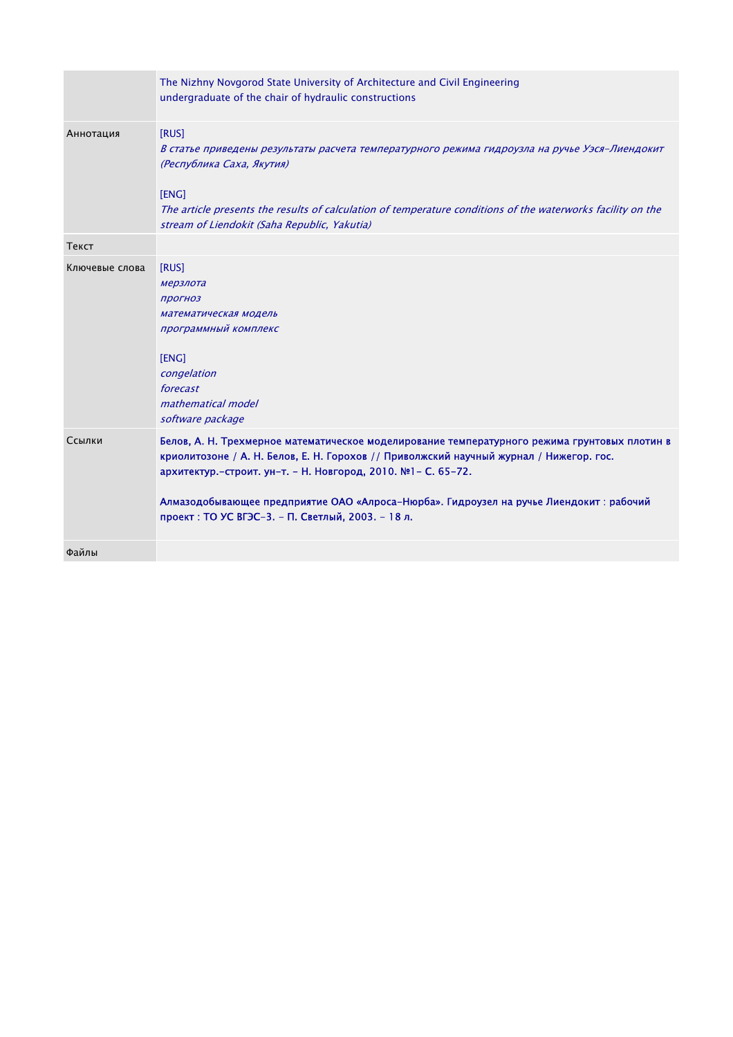|                | The Nizhny Novgorod State University of Architecture and Civil Engineering<br>undergraduate of the chair of hydraulic constructions                                                                                                                                                                                                                                                                     |
|----------------|---------------------------------------------------------------------------------------------------------------------------------------------------------------------------------------------------------------------------------------------------------------------------------------------------------------------------------------------------------------------------------------------------------|
| Аннотация      | [RUS]<br>В статье приведены результаты расчета температурного режима гидроузла на ручье Уэся-Лиендокит<br>(Республика Саха, Якутия)<br>[ENG]<br>The article presents the results of calculation of temperature conditions of the waterworks facility on the<br>stream of Liendokit (Saha Republic, Yakutia)                                                                                             |
| Текст          |                                                                                                                                                                                                                                                                                                                                                                                                         |
| Ключевые слова | [RUS]<br>мерзлота<br>прогноз<br>математическая модель<br>программный комплекс<br>[ENG]<br>congelation<br>forecast<br>mathematical model<br>software package                                                                                                                                                                                                                                             |
| Ссылки         | Белов, А. Н. Трехмерное математическое моделирование температурного режима грунтовых плотин в<br>криолитозоне / А. Н. Белов, Е. Н. Горохов // Приволжский научный журнал / Нижегор. гос.<br>архитектур.-строит. ун-т. - Н. Новгород, 2010. №1- С. 65-72.<br>Алмазодобывающее предприятие ОАО «Алроса-Нюрба». Гидроузел на ручье Лиендокит: рабочий<br>проект: ТО УС ВГЭС-3. - П. Светлый, 2003. - 18 л. |
| Файлы          |                                                                                                                                                                                                                                                                                                                                                                                                         |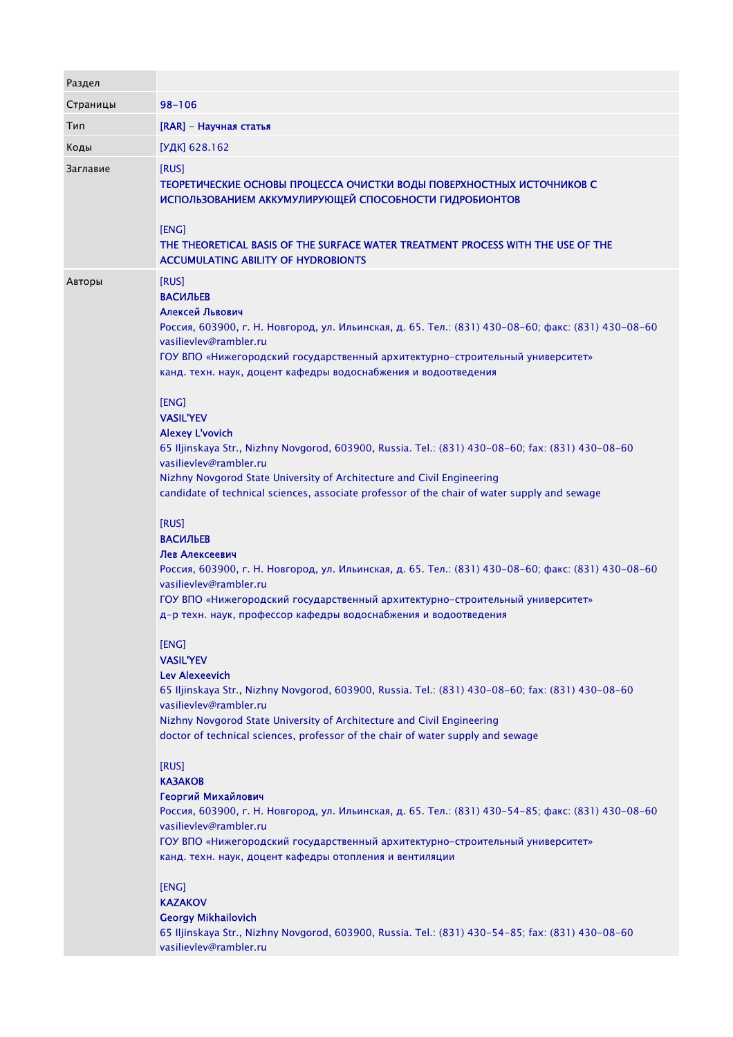| Раздел   |                                                                                                                                                                                                                                                                                                                                                                                                                                                                                                                                                                                                                                                                                                                                                                                                                                                                                                                                                                                                                                                              |
|----------|--------------------------------------------------------------------------------------------------------------------------------------------------------------------------------------------------------------------------------------------------------------------------------------------------------------------------------------------------------------------------------------------------------------------------------------------------------------------------------------------------------------------------------------------------------------------------------------------------------------------------------------------------------------------------------------------------------------------------------------------------------------------------------------------------------------------------------------------------------------------------------------------------------------------------------------------------------------------------------------------------------------------------------------------------------------|
| Страницы | $98 - 106$                                                                                                                                                                                                                                                                                                                                                                                                                                                                                                                                                                                                                                                                                                                                                                                                                                                                                                                                                                                                                                                   |
| Тип      | [RAR] - Научная статья                                                                                                                                                                                                                                                                                                                                                                                                                                                                                                                                                                                                                                                                                                                                                                                                                                                                                                                                                                                                                                       |
| Коды     | [УДК] 628.162                                                                                                                                                                                                                                                                                                                                                                                                                                                                                                                                                                                                                                                                                                                                                                                                                                                                                                                                                                                                                                                |
| Заглавие | [RUS]<br>ТЕОРЕТИЧЕСКИЕ ОСНОВЫ ПРОЦЕССА ОЧИСТКИ ВОДЫ ПОВЕРХНОСТНЫХ ИСТОЧНИКОВ С<br>ИСПОЛЬЗОВАНИЕМ АККУМУЛИРУЮЩЕЙ СПОСОБНОСТИ ГИДРОБИОНТОВ<br>[ENG]<br>THE THEORETICAL BASIS OF THE SURFACE WATER TREATMENT PROCESS WITH THE USE OF THE<br><b>ACCUMULATING ABILITY OF HYDROBIONTS</b>                                                                                                                                                                                                                                                                                                                                                                                                                                                                                                                                                                                                                                                                                                                                                                          |
| Авторы   | [RUS]<br><b>ВАСИЛЬЕВ</b><br>Алексей Львович<br>Россия, 603900, г. Н. Новгород, ул. Ильинская, д. 65. Тел.: (831) 430-08-60; факс: (831) 430-08-60<br>vasilievlev@rambler.ru<br>ГОУ ВПО «Нижегородский государственный архитектурно-строительный университет»<br>канд. техн. наук, доцент кафедры водоснабжения и водоотведения<br>[ENG]<br><b>VASIL'YEV</b><br><b>Alexey L'vovich</b><br>65 Iljinskaya Str., Nizhny Novgorod, 603900, Russia. Tel.: (831) 430-08-60; fax: (831) 430-08-60<br>vasilievlev@rambler.ru<br>Nizhny Novgorod State University of Architecture and Civil Engineering<br>candidate of technical sciences, associate professor of the chair of water supply and sewage<br>[RUS]<br><b>ВАСИЛЬЕВ</b><br>Лев Алексеевич<br>Россия, 603900, г. Н. Новгород, ул. Ильинская, д. 65. Тел.: (831) 430-08-60; факс: (831) 430-08-60<br>vasilievlev@rambler.ru<br>ГОУ ВПО «Нижегородский государственный архитектурно-строительный университет»<br>д-р техн. наук, профессор кафедры водоснабжения и водоотведения<br>[ENG]<br><b>VASIL'YEV</b> |
|          | Lev Alexeevich<br>65 Iljinskaya Str., Nizhny Novgorod, 603900, Russia. Tel.: (831) 430-08-60; fax: (831) 430-08-60<br>vasilievlev@rambler.ru<br>Nizhny Novgorod State University of Architecture and Civil Engineering<br>doctor of technical sciences, professor of the chair of water supply and sewage<br>[RUS]<br><b>KA3AKOB</b><br>Георгий Михайлович<br>Россия, 603900, г. Н. Новгород, ул. Ильинская, д. 65. Тел.: (831) 430-54-85; факс: (831) 430-08-60<br>vasilievlev@rambler.ru<br>ГОУ ВПО «Нижегородский государственный архитектурно-строительный университет»<br>канд. техн. наук, доцент кафедры отопления и вентиляции<br>[ENG]<br><b>KAZAKOV</b><br><b>Georgy Mikhailovich</b><br>65 Iljinskaya Str., Nizhny Novgorod, 603900, Russia. Tel.: (831) 430-54-85; fax: (831) 430-08-60<br>vasilievlev@rambler.ru                                                                                                                                                                                                                                |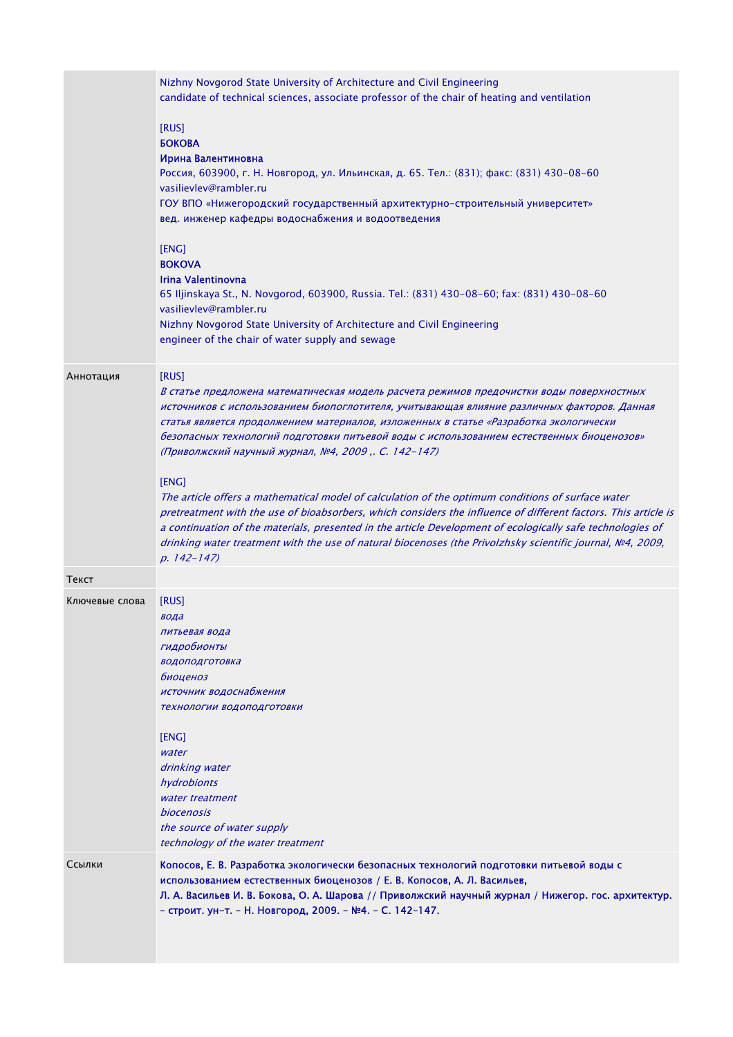|                | Nizhny Novgorod State University of Architecture and Civil Engineering<br>candidate of technical sciences, associate professor of the chair of heating and ventilation                                                                                                                                                                                                                                                                                                     |
|----------------|----------------------------------------------------------------------------------------------------------------------------------------------------------------------------------------------------------------------------------------------------------------------------------------------------------------------------------------------------------------------------------------------------------------------------------------------------------------------------|
|                | [RUS]<br><b>БОКОВА</b><br>Ирина Валентиновна<br>Россия, 603900, г. Н. Новгород, ул. Ильинская, д. 65. Тел.: (831); факс: (831) 430-08-60<br>vasilievlev@rambler.ru<br>ГОУ ВПО «Нижегородский государственный архитектурно-строительный университет»<br>вед. инженер кафедры водоснабжения и водоотведения                                                                                                                                                                  |
|                | [ENG]<br><b>BOKOVA</b><br>Irina Valentinovna<br>65 Iljinskaya St., N. Novgorod, 603900, Russia. Tel.: (831) 430-08-60; fax: (831) 430-08-60<br>vasilievlev@rambler.ru                                                                                                                                                                                                                                                                                                      |
|                | Nizhny Novgorod State University of Architecture and Civil Engineering<br>engineer of the chair of water supply and sewage                                                                                                                                                                                                                                                                                                                                                 |
| Аннотация      | [RUS]<br>В статье предложена математическая модель расчета режимов предочистки воды поверхностных<br>источников с использованием биопоглотителя, учитывающая влияние различных факторов. Данная<br>статья является продолжением материалов, изложенных в статье «Разработка экологически<br>безопасных технологий подготовки питьевой воды с использованием естественных биоценозов»<br>(Приволжский научный журнал, №4, 2009,. С. 142-147)                                |
|                | [ENG]<br>The article offers a mathematical model of calculation of the optimum conditions of surface water<br>pretreatment with the use of bioabsorbers, which considers the influence of different factors. This article is<br>a continuation of the materials, presented in the article Development of ecologically safe technologies of<br>drinking water treatment with the use of natural biocenoses (the Privolzhsky scientific journal, №4, 2009,<br>$p. 142 - 147$ |
| Текст          |                                                                                                                                                                                                                                                                                                                                                                                                                                                                            |
| Ключевые слова | [RUS]<br>вода<br>питьевая вода<br>гидробионты<br>водоподготовка<br>биоценоз<br>источник водоснабжения<br>технологии водоподготовки<br>[ENG]<br>water<br>drinking water                                                                                                                                                                                                                                                                                                     |
|                | hydrobionts<br>water treatment<br><i>biocenosis</i><br>the source of water supply<br>technology of the water treatment                                                                                                                                                                                                                                                                                                                                                     |
| Ссылки         | Копосов, Е. В. Разработка экологически безопасных технологий подготовки питьевой воды с<br>использованием естественных биоценозов / Е. В. Копосов, А. Л. Васильев,<br>Л. А. Васильев И. В. Бокова, О. А. Шарова // Приволжский научный журнал / Нижегор. гос. архитектур.<br>- строит. ун-т. - Н. Новгород, 2009. - №4. - С. 142-147.                                                                                                                                      |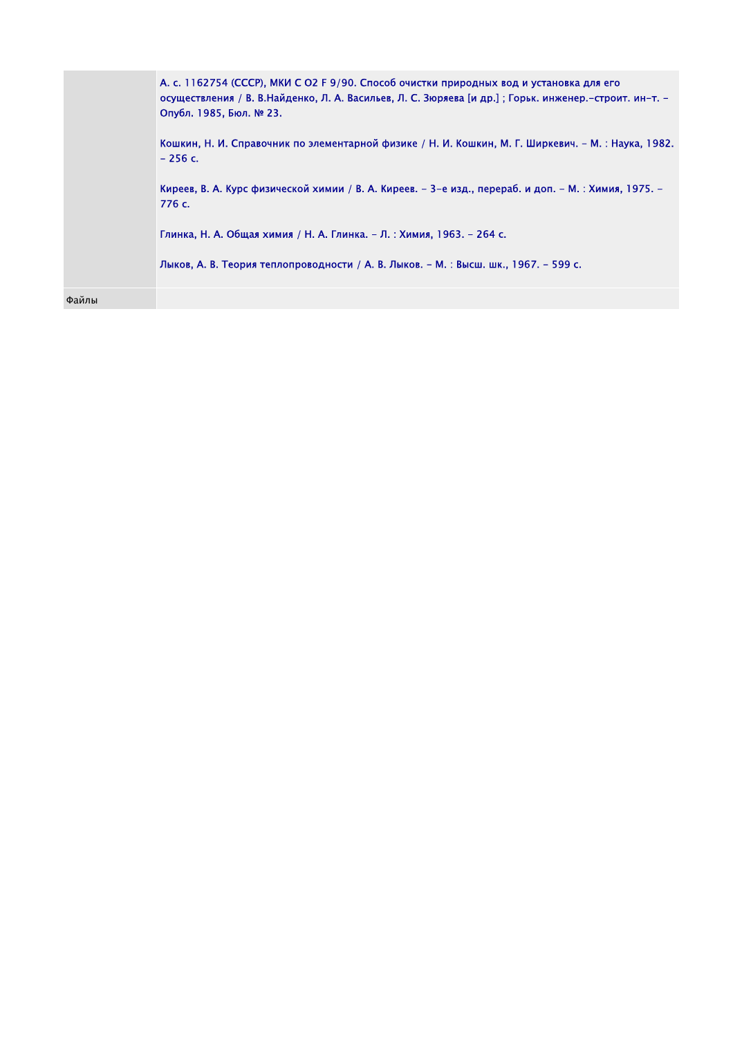|       | А. с. 1162754 (СССР), МКИ С О2 F 9/90. Способ очистки природных вод и установка для его<br>осуществления / В. В.Найденко, Л. А. Васильев, Л. С. Зюряева [и др.] ; Горьк. инженер.-строит. ин-т. -<br>Опубл. 1985, Бюл. № 23.<br>Кошкин, Н. И. Справочник по элементарной физике / Н. И. Кошкин, М. Г. Ширкевич. – М.: Наука, 1982.<br>$-256c.$<br>Киреев, В. А. Курс физической химии / В. А. Киреев. – 3-е изд., перераб. и доп. – М. : Химия, 1975. –<br>776 c.<br>Глинка, Н. А. Общая химия / Н. А. Глинка. – Л. : Химия, 1963. – 264 с.<br>Лыков, А. В. Теория теплопроводности / А. В. Лыков. – М. : Высш. шк., 1967. – 599 с. |
|-------|-------------------------------------------------------------------------------------------------------------------------------------------------------------------------------------------------------------------------------------------------------------------------------------------------------------------------------------------------------------------------------------------------------------------------------------------------------------------------------------------------------------------------------------------------------------------------------------------------------------------------------------|
| Файлы |                                                                                                                                                                                                                                                                                                                                                                                                                                                                                                                                                                                                                                     |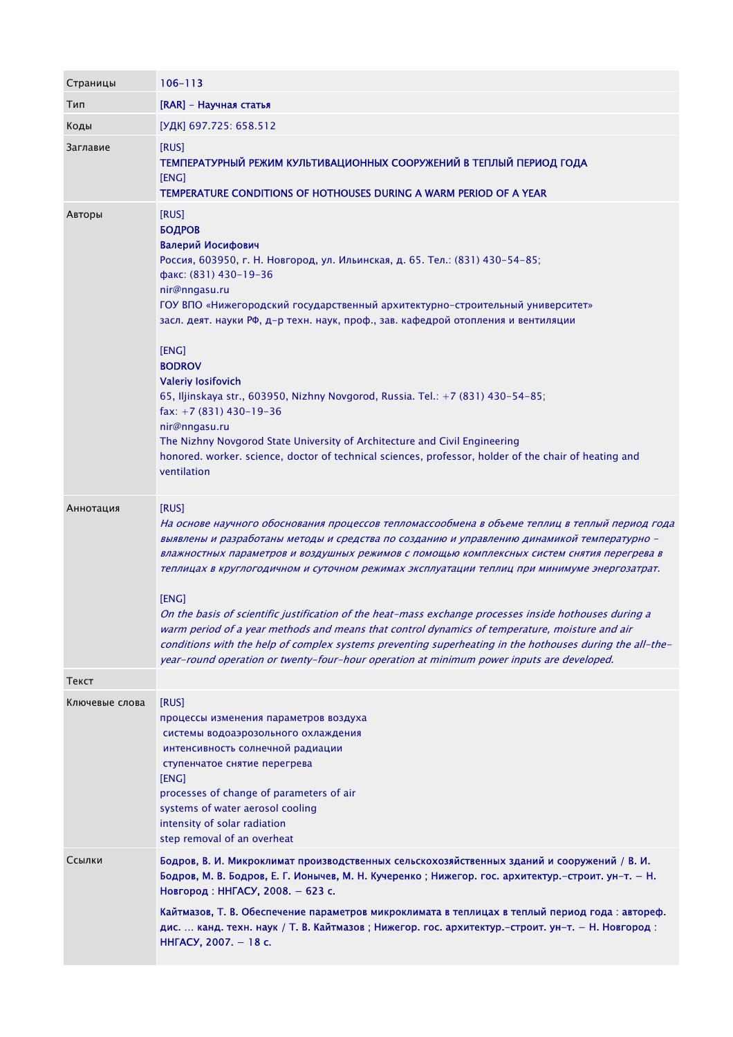| Страницы       | $106 - 113$                                                                                                                                                                                                                                                                                                                                                                                                                                                                                                                                                                                                                                                                                                                                                                                                                      |
|----------------|----------------------------------------------------------------------------------------------------------------------------------------------------------------------------------------------------------------------------------------------------------------------------------------------------------------------------------------------------------------------------------------------------------------------------------------------------------------------------------------------------------------------------------------------------------------------------------------------------------------------------------------------------------------------------------------------------------------------------------------------------------------------------------------------------------------------------------|
| Тип            | [RAR] - Научная статья                                                                                                                                                                                                                                                                                                                                                                                                                                                                                                                                                                                                                                                                                                                                                                                                           |
| Коды           | [УДК] 697.725: 658.512                                                                                                                                                                                                                                                                                                                                                                                                                                                                                                                                                                                                                                                                                                                                                                                                           |
| Заглавие       | [RUS]<br>ТЕМПЕРАТУРНЫЙ РЕЖИМ КУЛЬТИВАЦИОННЫХ СООРУЖЕНИЙ В ТЕПЛЫЙ ПЕРИОД ГОДА<br>[ENG]<br>TEMPERATURE CONDITIONS OF HOTHOUSES DURING A WARM PERIOD OF A YEAR                                                                                                                                                                                                                                                                                                                                                                                                                                                                                                                                                                                                                                                                      |
| Авторы         | [RUS]<br><b>БОДРОВ</b><br>Валерий Иосифович<br>Россия, 603950, г. Н. Новгород, ул. Ильинская, д. 65. Тел.: (831) 430-54-85;<br>факс: (831) 430-19-36<br>nir@nngasu.ru<br>ГОУ ВПО «Нижегородский государственный архитектурно-строительный университет»<br>засл. деят. науки РФ, д-р техн. наук, проф., зав. кафедрой отопления и вентиляции<br>[ENG]<br><b>BODROV</b><br><b>Valeriy losifovich</b><br>65, Iljinskaya str., 603950, Nizhny Novgorod, Russia. Tel.: +7 (831) 430-54-85;<br>fax: $+7(831)$ 430-19-36<br>nir@nngasu.ru<br>The Nizhny Novgorod State University of Architecture and Civil Engineering<br>honored. worker. science, doctor of technical sciences, professor, holder of the chair of heating and<br>ventilation                                                                                         |
| Аннотация      | [RUS]<br>На основе научного обоснования процессов тепломассообмена в объеме теплиц в теплый период года<br>выявлены и разработаны методы и средства по созданию и управлению динамикой температурно -<br>влажностных параметров и воздушных режимов с помощью комплексных систем снятия перегрева в<br>теплицах в круглогодичном и суточном режимах эксплуатации теплиц при минимуме энергозатрат.<br>[ENG]<br>On the basis of scientific justification of the heat-mass exchange processes inside hothouses during a<br>warm period of a year methods and means that control dynamics of temperature, moisture and air<br>conditions with the help of complex systems preventing superheating in the hothouses during the all-the-<br>year-round operation or twenty-four-hour operation at minimum power inputs are developed. |
| Текст          |                                                                                                                                                                                                                                                                                                                                                                                                                                                                                                                                                                                                                                                                                                                                                                                                                                  |
| Ключевые слова | [RUS]<br>процессы изменения параметров воздуха<br>системы водоаэрозольного охлаждения<br>интенсивность солнечной радиации<br>ступенчатое снятие перегрева<br>[ENG]<br>processes of change of parameters of air<br>systems of water aerosol cooling<br>intensity of solar radiation<br>step removal of an overheat                                                                                                                                                                                                                                                                                                                                                                                                                                                                                                                |
| Ссылки         | Бодров, В. И. Микроклимат производственных сельскохозяйственных зданий и сооружений / В. И.<br>Бодров, М. В. Бодров, Е. Г. Ионычев, М. Н. Кучеренко; Нижегор. гос. архитектур.-строит. ун-т. - Н.<br>Новгород: ННГАСУ, 2008. - 623 с.<br>Кайтмазов, Т. В. Обеспечение параметров микроклимата в теплицах в теплый период года: автореф.<br>дис.  канд. техн. наук / Т. В. Кайтмазов; Нижегор. гос. архитектур.-строит. ун-т. - Н. Новгород:<br>ННГАСУ, 2007. - 18 с.                                                                                                                                                                                                                                                                                                                                                             |
|                |                                                                                                                                                                                                                                                                                                                                                                                                                                                                                                                                                                                                                                                                                                                                                                                                                                  |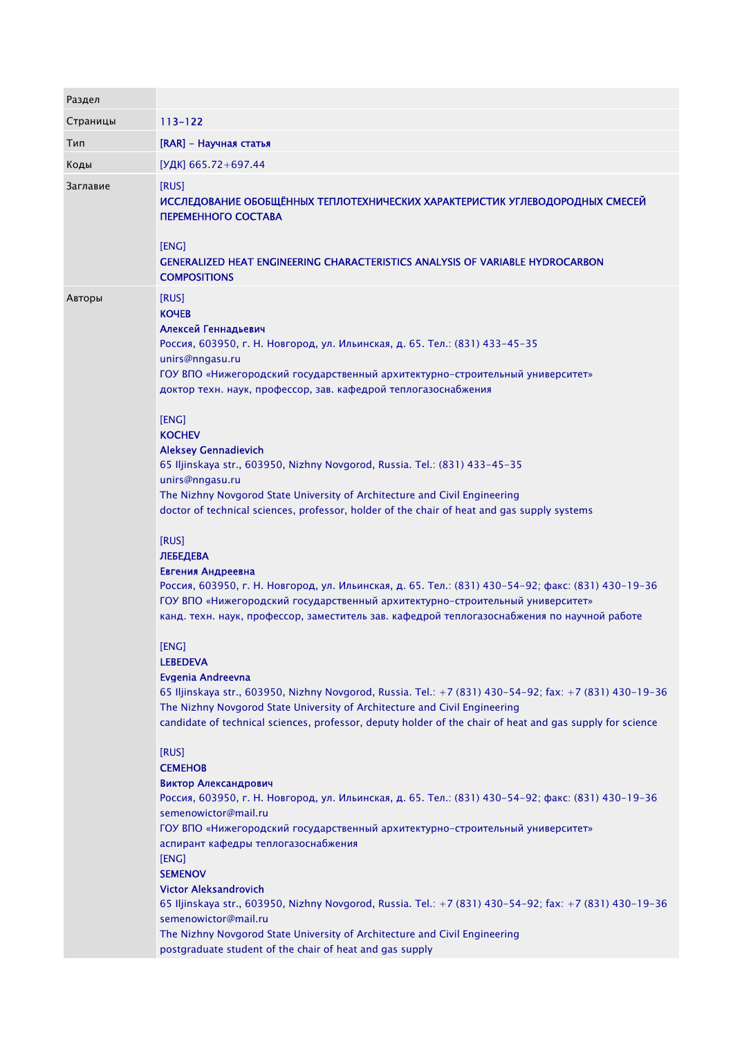| Раздел   |                                                                                                                                                                                                                                                                                                                                                                                                                                                                                                                                                                                                                                                                                                                                                                                                                                                                                                                                                                                                                                                                                                                                                                                                                                                                                                                                                                                                                                                                                                                                                                                                                                                                                                                                                                                                                                                                                                                                                                                       |
|----------|---------------------------------------------------------------------------------------------------------------------------------------------------------------------------------------------------------------------------------------------------------------------------------------------------------------------------------------------------------------------------------------------------------------------------------------------------------------------------------------------------------------------------------------------------------------------------------------------------------------------------------------------------------------------------------------------------------------------------------------------------------------------------------------------------------------------------------------------------------------------------------------------------------------------------------------------------------------------------------------------------------------------------------------------------------------------------------------------------------------------------------------------------------------------------------------------------------------------------------------------------------------------------------------------------------------------------------------------------------------------------------------------------------------------------------------------------------------------------------------------------------------------------------------------------------------------------------------------------------------------------------------------------------------------------------------------------------------------------------------------------------------------------------------------------------------------------------------------------------------------------------------------------------------------------------------------------------------------------------------|
| Страницы | 113-122                                                                                                                                                                                                                                                                                                                                                                                                                                                                                                                                                                                                                                                                                                                                                                                                                                                                                                                                                                                                                                                                                                                                                                                                                                                                                                                                                                                                                                                                                                                                                                                                                                                                                                                                                                                                                                                                                                                                                                               |
| Тип      | [RAR] - Научная статья                                                                                                                                                                                                                                                                                                                                                                                                                                                                                                                                                                                                                                                                                                                                                                                                                                                                                                                                                                                                                                                                                                                                                                                                                                                                                                                                                                                                                                                                                                                                                                                                                                                                                                                                                                                                                                                                                                                                                                |
| Коды     | [УДК] 665.72+697.44                                                                                                                                                                                                                                                                                                                                                                                                                                                                                                                                                                                                                                                                                                                                                                                                                                                                                                                                                                                                                                                                                                                                                                                                                                                                                                                                                                                                                                                                                                                                                                                                                                                                                                                                                                                                                                                                                                                                                                   |
| Заглавие | [RUS]<br>ИССЛЕДОВАНИЕ ОБОБЩЁННЫХ ТЕПЛОТЕХНИЧЕСКИХ ХАРАКТЕРИСТИК УГЛЕВОДОРОДНЫХ СМЕСЕЙ<br>ПЕРЕМЕННОГО СОСТАВА<br>[ENG]<br><b>GENERALIZED HEAT ENGINEERING CHARACTERISTICS ANALYSIS OF VARIABLE HYDROCARBON</b><br><b>COMPOSITIONS</b>                                                                                                                                                                                                                                                                                                                                                                                                                                                                                                                                                                                                                                                                                                                                                                                                                                                                                                                                                                                                                                                                                                                                                                                                                                                                                                                                                                                                                                                                                                                                                                                                                                                                                                                                                  |
| Авторы   | [RUS]<br><b>KOYEB</b><br>Алексей Геннадьевич<br>Россия, 603950, г. Н. Новгород, ул. Ильинская, д. 65. Тел.: (831) 433-45-35<br>unirs@nngasu.ru<br>ГОУ ВПО «Нижегородский государственный архитектурно-строительный университет»<br>доктор техн. наук, профессор, зав. кафедрой теплогазоснабжения<br>[ENG]<br><b>KOCHEV</b><br><b>Aleksey Gennadievich</b><br>65 Iljinskaya str., 603950, Nizhny Novgorod, Russia. Tel.: (831) 433-45-35<br>unirs@nngasu.ru<br>The Nizhny Novgorod State University of Architecture and Civil Engineering<br>doctor of technical sciences, professor, holder of the chair of heat and gas supply systems<br>[RUS]<br><b>ЛЕБЕДЕВА</b><br>Евгения Андреевна<br>Россия, 603950, г. Н. Новгород, ул. Ильинская, д. 65. Тел.: (831) 430-54-92; факс: (831) 430-19-36<br>ГОУ ВПО «Нижегородский государственный архитектурно-строительный университет»<br>канд. техн. наук, профессор, заместитель зав. кафедрой теплогазоснабжения по научной работе<br>[ENG]<br><b>LEBEDEVA</b><br>Evgenia Andreevna<br>65 Iljinskaya str., 603950, Nizhny Novgorod, Russia. Tel.: +7 (831) 430-54-92; fax: +7 (831) 430-19-36<br>The Nizhny Novgorod State University of Architecture and Civil Engineering<br>candidate of technical sciences, professor, deputy holder of the chair of heat and gas supply for science<br>[RUS]<br><b>CEMEHOB</b><br>Виктор Александрович<br>Россия, 603950, г. Н. Новгород, ул. Ильинская, д. 65. Тел.: (831) 430-54-92; факс: (831) 430-19-36<br>semenowictor@mail.ru<br>ГОУ ВПО «Нижегородский государственный архитектурно-строительный университет»<br>аспирант кафедры теплогазоснабжения<br>[ENG]<br><b>SEMENOV</b><br><b>Victor Aleksandrovich</b><br>65 Iljinskaya str., 603950, Nizhny Novgorod, Russia. Tel.: +7 (831) 430-54-92; fax: +7 (831) 430-19-36<br>semenowictor@mail.ru<br>The Nizhny Novgorod State University of Architecture and Civil Engineering<br>postgraduate student of the chair of heat and gas supply |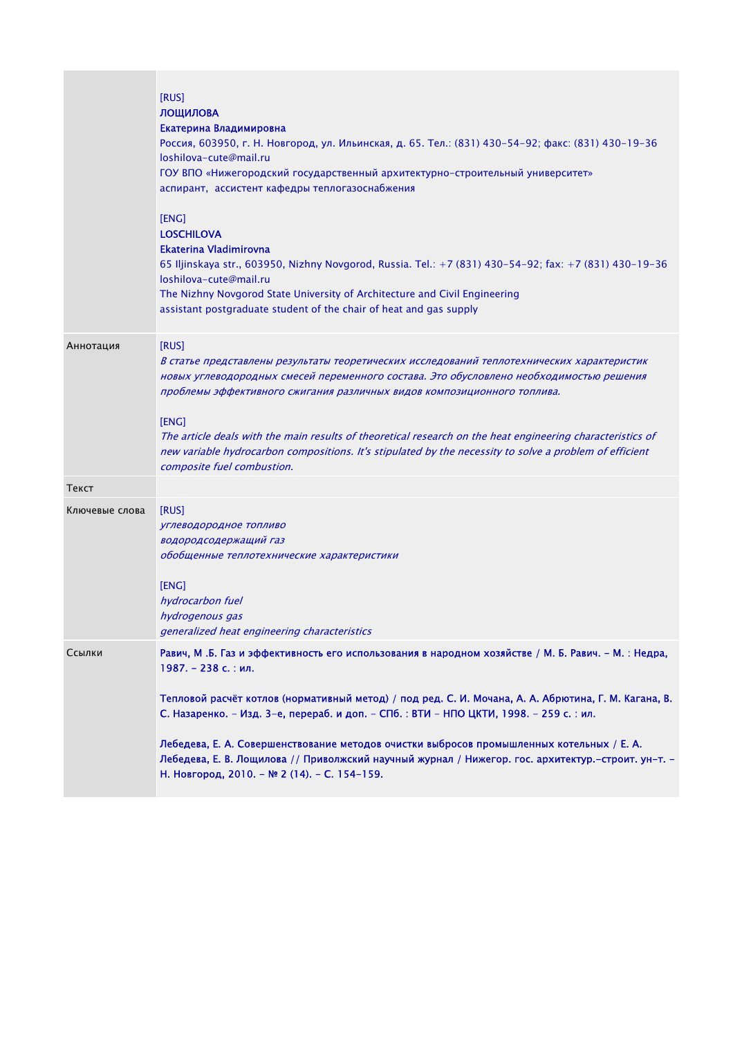| Россия, 603950, г. Н. Новгород, ул. Ильинская, д. 65. Тел.: (831) 430-54-92; факс: (831) 430-19-36                                                                                                                                                                                                                                                                                                             |
|----------------------------------------------------------------------------------------------------------------------------------------------------------------------------------------------------------------------------------------------------------------------------------------------------------------------------------------------------------------------------------------------------------------|
| 65 Iljinskaya str., 603950, Nizhny Novgorod, Russia. Tel.: +7 (831) 430-54-92; fax: +7 (831) 430-19-36                                                                                                                                                                                                                                                                                                         |
| В статье представлены результаты теоретических исследований теплотехнических характеристик<br>новых углеводородных смесей переменного состава. Это обусловлено необходимостью решения<br>The article deals with the main results of theoretical research on the heat engineering characteristics of<br>new variable hydrocarbon compositions. It's stipulated by the necessity to solve a problem of efficient |
|                                                                                                                                                                                                                                                                                                                                                                                                                |
|                                                                                                                                                                                                                                                                                                                                                                                                                |
| Равич, М.Б. Газ и эффективность его использования в народном хозяйстве / М. Б. Равич. - М.: Недра,<br>Тепловой расчёт котлов (нормативный метод) / под ред. С. И. Мочана, А. А. Абрютина, Г. М. Кагана, В.<br>Лебедева, Е. В. Лощилова // Приволжский научный журнал / Нижегор. гос. архитектур.-строит. ун-т. -                                                                                               |
|                                                                                                                                                                                                                                                                                                                                                                                                                |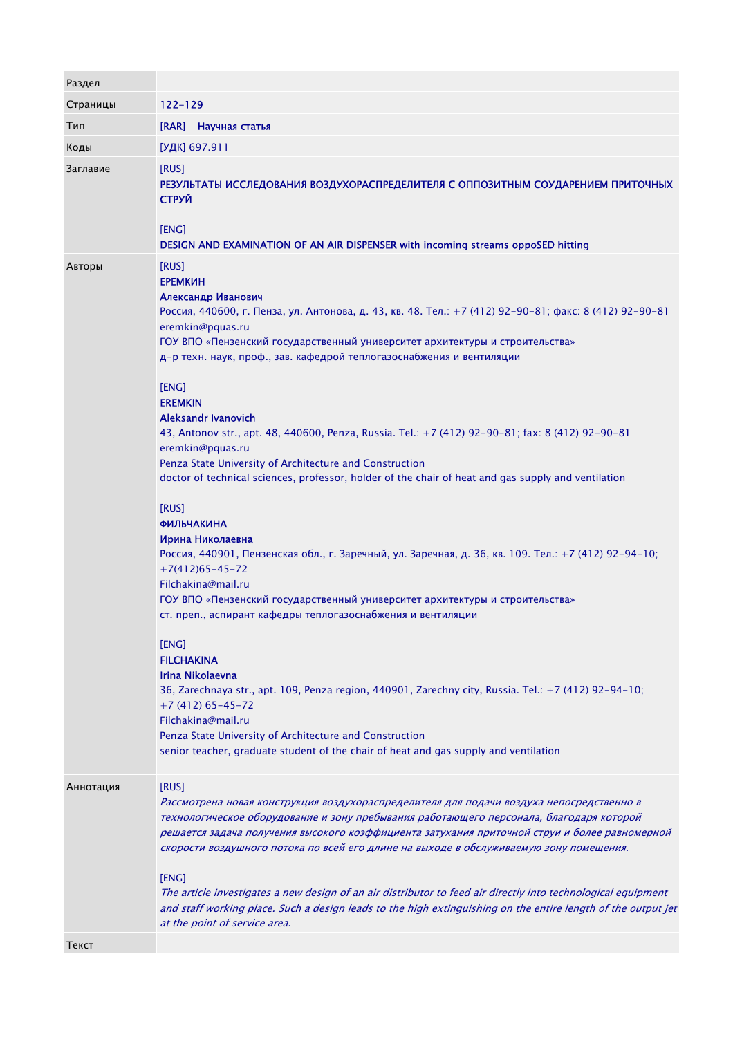| Раздел    |                                                                                                                                                                                                                                                                                                                                                                                                                                                                                                                                                                                                                                                                                                                                                                                                                                                                                                                                                                                                                                                                                                                                                                                                                                                                                                                                                                                             |
|-----------|---------------------------------------------------------------------------------------------------------------------------------------------------------------------------------------------------------------------------------------------------------------------------------------------------------------------------------------------------------------------------------------------------------------------------------------------------------------------------------------------------------------------------------------------------------------------------------------------------------------------------------------------------------------------------------------------------------------------------------------------------------------------------------------------------------------------------------------------------------------------------------------------------------------------------------------------------------------------------------------------------------------------------------------------------------------------------------------------------------------------------------------------------------------------------------------------------------------------------------------------------------------------------------------------------------------------------------------------------------------------------------------------|
| Страницы  | $122 - 129$                                                                                                                                                                                                                                                                                                                                                                                                                                                                                                                                                                                                                                                                                                                                                                                                                                                                                                                                                                                                                                                                                                                                                                                                                                                                                                                                                                                 |
| Тип       | [RAR] - Научная статья                                                                                                                                                                                                                                                                                                                                                                                                                                                                                                                                                                                                                                                                                                                                                                                                                                                                                                                                                                                                                                                                                                                                                                                                                                                                                                                                                                      |
| Коды      | [УДК] 697.911                                                                                                                                                                                                                                                                                                                                                                                                                                                                                                                                                                                                                                                                                                                                                                                                                                                                                                                                                                                                                                                                                                                                                                                                                                                                                                                                                                               |
| Заглавие  | [RUS]<br>РЕЗУЛЬТАТЫ ИССЛЕДОВАНИЯ ВОЗДУХОРАСПРЕДЕЛИТЕЛЯ С ОППОЗИТНЫМ СОУДАРЕНИЕМ ПРИТОЧНЫХ<br><b>СТРУЙ</b><br>[ENG]<br>DESIGN AND EXAMINATION OF AN AIR DISPENSER with incoming streams oppoSED hitting                                                                                                                                                                                                                                                                                                                                                                                                                                                                                                                                                                                                                                                                                                                                                                                                                                                                                                                                                                                                                                                                                                                                                                                      |
| Авторы    | [RUS]<br><b>ЕРЕМКИН</b><br>Александр Иванович<br>Россия, 440600, г. Пенза, ул. Антонова, д. 43, кв. 48. Тел.: +7 (412) 92-90-81; факс: 8 (412) 92-90-81<br>eremkin@pquas.ru<br>ГОУ ВПО «Пензенский государственный университет архитектуры и строительства»<br>д-р техн. наук, проф., зав. кафедрой теплогазоснабжения и вентиляции<br>[ENG]<br><b>EREMKIN</b><br>Aleksandr Ivanovich<br>43, Antonov str., apt. 48, 440600, Penza, Russia. Tel.: +7 (412) 92-90-81; fax: 8 (412) 92-90-81<br>eremkin@pquas.ru<br>Penza State University of Architecture and Construction<br>doctor of technical sciences, professor, holder of the chair of heat and gas supply and ventilation<br>[RUS]<br><b>ФИЛЬЧАКИНА</b><br>Ирина Николаевна<br>Россия, 440901, Пензенская обл., г. Заречный, ул. Заречная, д. 36, кв. 109. Тел.: +7 (412) 92-94-10;<br>$+7(412)65-45-72$<br>Filchakina@mail.ru<br>ГОУ ВПО «Пензенский государственный университет архитектуры и строительства»<br>ст. преп., аспирант кафедры теплогазоснабжения и вентиляции<br>[ENG]<br><b>FILCHAKINA</b><br>Irina Nikolaevna<br>36, Zarechnaya str., apt. 109, Penza region, 440901, Zarechny city, Russia. Tel.: +7 (412) 92-94-10;<br>$+7(412)65-45-72$<br>Filchakina@mail.ru<br>Penza State University of Architecture and Construction<br>senior teacher, graduate student of the chair of heat and gas supply and ventilation |
| Аннотация | [RUS]<br>Рассмотрена новая конструкция воздухораспределителя для подачи воздуха непосредственно в<br>технологическое оборудование и зону пребывания работающего персонала, благодаря которой<br>решается задача получения высокого коэффициента затухания приточной струи и более равномерной<br>скорости воздушного потока по всей его длине на выходе в обслуживаемую зону помещения.<br>[ENG]<br>The article investigates a new design of an air distributor to feed air directly into technological equipment<br>and staff working place. Such a design leads to the high extinguishing on the entire length of the output jet<br>at the point of service area.                                                                                                                                                                                                                                                                                                                                                                                                                                                                                                                                                                                                                                                                                                                         |
| Текст     |                                                                                                                                                                                                                                                                                                                                                                                                                                                                                                                                                                                                                                                                                                                                                                                                                                                                                                                                                                                                                                                                                                                                                                                                                                                                                                                                                                                             |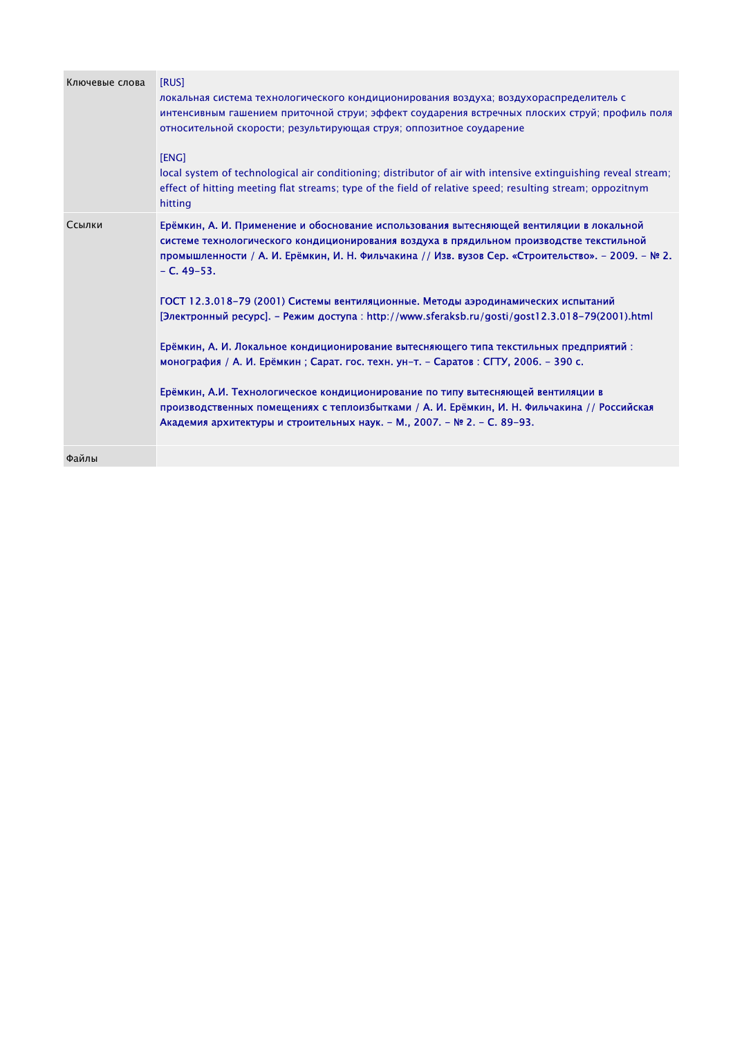| Ключевые слова | [RUS]                                                                                                                                                                                                                                                                                       |
|----------------|---------------------------------------------------------------------------------------------------------------------------------------------------------------------------------------------------------------------------------------------------------------------------------------------|
|                | локальная система технологического кондиционирования воздуха; воздухораспределитель с                                                                                                                                                                                                       |
|                | интенсивным гашением приточной струи; эффект соударения встречных плоских струй; профиль поля                                                                                                                                                                                               |
|                | относительной скорости; результирующая струя; оппозитное соударение                                                                                                                                                                                                                         |
|                | [ENG]                                                                                                                                                                                                                                                                                       |
|                | local system of technological air conditioning; distributor of air with intensive extinguishing reveal stream;<br>effect of hitting meeting flat streams; type of the field of relative speed; resulting stream; oppozitnym<br>hitting                                                      |
| Ссылки         | Ерёмкин, А. И. Применение и обоснование использования вытесняющей вентиляции в локальной<br>системе технологического кондиционирования воздуха в прядильном производстве текстильной<br>промышленности / А. И. Ерёмкин, И. Н. Фильчакина // Изв. вузов Сер. «Строительство». - 2009. - № 2. |
|                | $- C. 49 - 53.$                                                                                                                                                                                                                                                                             |
|                | ГОСТ 12.3.018-79 (2001) Системы вентиляционные. Методы аэродинамических испытаний                                                                                                                                                                                                           |
|                | [Электронный ресурс]. – Режим доступа: http://www.sferaksb.ru/gosti/gost12.3.018-79(2001).html                                                                                                                                                                                              |
|                | Ерёмкин, А. И. Локальное кондиционирование вытесняющего типа текстильных предприятий:<br>монография / А. И. Ерёмкин; Сарат. гос. техн. ун-т. - Саратов: СГТУ, 2006. - 390 с.                                                                                                                |
|                |                                                                                                                                                                                                                                                                                             |
|                | Ерёмкин, А.И. Технологическое кондиционирование по типу вытесняющей вентиляции в                                                                                                                                                                                                            |
|                | производственных помещениях с теплоизбытками / А. И. Ерёмкин, И. Н. Фильчакина // Российская                                                                                                                                                                                                |
|                | Академия архитектуры и строительных наук. - М., 2007. - № 2. - С. 89-93.                                                                                                                                                                                                                    |
| Файлы          |                                                                                                                                                                                                                                                                                             |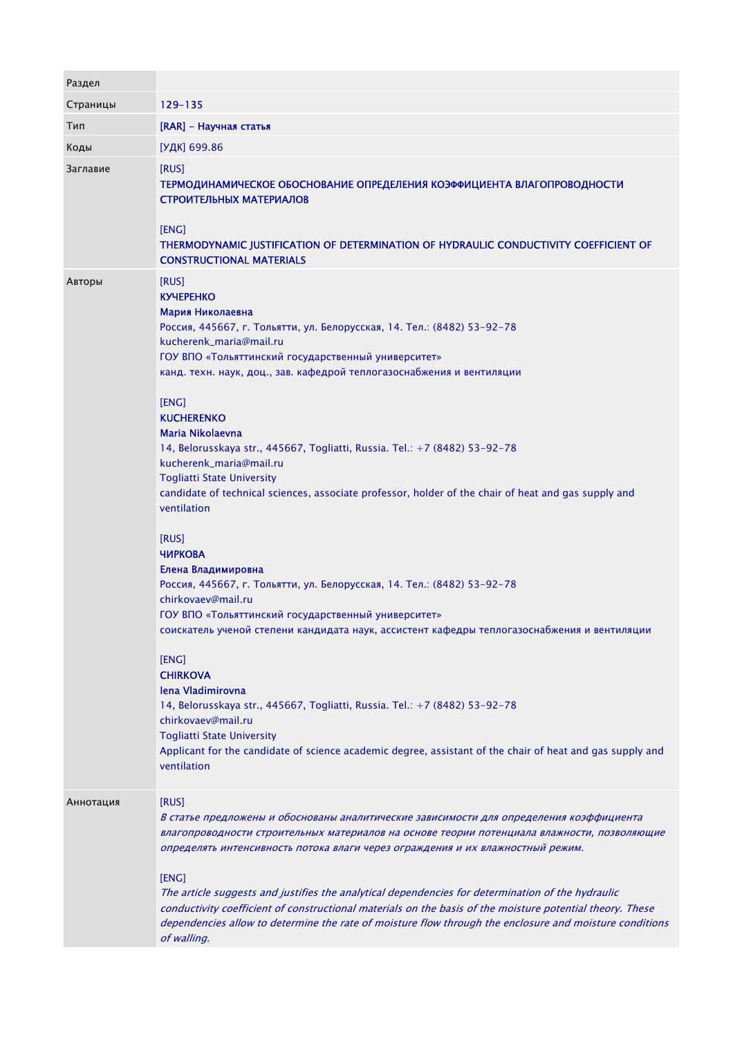| Раздел    |                                                                                                                                                                                                                                                                                                                                                                                                                                                                                                                                                                                                                                                                                                                                                                                                                                                                                                                                                                                                                                                                                                                                                                                                                                          |
|-----------|------------------------------------------------------------------------------------------------------------------------------------------------------------------------------------------------------------------------------------------------------------------------------------------------------------------------------------------------------------------------------------------------------------------------------------------------------------------------------------------------------------------------------------------------------------------------------------------------------------------------------------------------------------------------------------------------------------------------------------------------------------------------------------------------------------------------------------------------------------------------------------------------------------------------------------------------------------------------------------------------------------------------------------------------------------------------------------------------------------------------------------------------------------------------------------------------------------------------------------------|
| Страницы  | 129-135                                                                                                                                                                                                                                                                                                                                                                                                                                                                                                                                                                                                                                                                                                                                                                                                                                                                                                                                                                                                                                                                                                                                                                                                                                  |
| Тип       | [RAR] - Научная статья                                                                                                                                                                                                                                                                                                                                                                                                                                                                                                                                                                                                                                                                                                                                                                                                                                                                                                                                                                                                                                                                                                                                                                                                                   |
| Коды      | [УДК] 699.86                                                                                                                                                                                                                                                                                                                                                                                                                                                                                                                                                                                                                                                                                                                                                                                                                                                                                                                                                                                                                                                                                                                                                                                                                             |
| Заглавие  | [RUS]<br>ТЕРМОДИНАМИЧЕСКОЕ ОБОСНОВАНИЕ ОПРЕДЕЛЕНИЯ КОЭФФИЦИЕНТА ВЛАГОПРОВОДНОСТИ<br>СТРОИТЕЛЬНЫХ МАТЕРИАЛОВ<br>[ENG]<br>THERMODYNAMIC JUSTIFICATION OF DETERMINATION OF HYDRAULIC CONDUCTIVITY COEFFICIENT OF<br><b>CONSTRUCTIONAL MATERIALS</b>                                                                                                                                                                                                                                                                                                                                                                                                                                                                                                                                                                                                                                                                                                                                                                                                                                                                                                                                                                                         |
| Авторы    | [RUS]<br><b>KYYEPEHKO</b><br>Мария Николаевна<br>Россия, 445667, г. Тольятти, ул. Белорусская, 14. Тел.: (8482) 53-92-78<br>kucherenk_maria@mail.ru<br>ГОУ ВПО «Тольяттинский государственный университет»<br>канд. техн. наук, доц., зав. кафедрой теплогазоснабжения и вентиляции<br>[ENG]<br><b>KUCHERENKO</b><br>Maria Nikolaevna<br>14, Belorusskaya str., 445667, Togliatti, Russia. Tel.: +7 (8482) 53-92-78<br>kucherenk_maria@mail.ru<br><b>Togliatti State University</b><br>candidate of technical sciences, associate professor, holder of the chair of heat and gas supply and<br>ventilation<br>[RUS]<br><b>ЧИРКОВА</b><br>Елена Владимировна<br>Россия, 445667, г. Тольятти, ул. Белорусская, 14. Тел.: (8482) 53-92-78<br>chirkovaev@mail.ru<br>ГОУ ВПО «Тольяттинский государственный университет»<br>соискатель ученой степени кандидата наук, ассистент кафедры теплогазоснабжения и вентиляции<br>[ENG]<br><b>CHIRKOVA</b><br>lena Vladimirovna<br>14, Belorusskaya str., 445667, Togliatti, Russia. Tel.: +7 (8482) 53-92-78<br>chirkovaev@mail.ru<br><b>Togliatti State University</b><br>Applicant for the candidate of science academic degree, assistant of the chair of heat and gas supply and<br>ventilation |
| Аннотация | [RUS]<br>В статье предложены и обоснованы аналитические зависимости для определения коэффициента<br>влагопроводности строительных материалов на основе теории потенциала влажности, позволяющие<br>определять интенсивность потока влаги через ограждения и их влажностный режим.<br>[ENG]<br>The article suggests and justifies the analytical dependencies for determination of the hydraulic<br>conductivity coefficient of constructional materials on the basis of the moisture potential theory. These<br>dependencies allow to determine the rate of moisture flow through the enclosure and moisture conditions<br>of walling.                                                                                                                                                                                                                                                                                                                                                                                                                                                                                                                                                                                                   |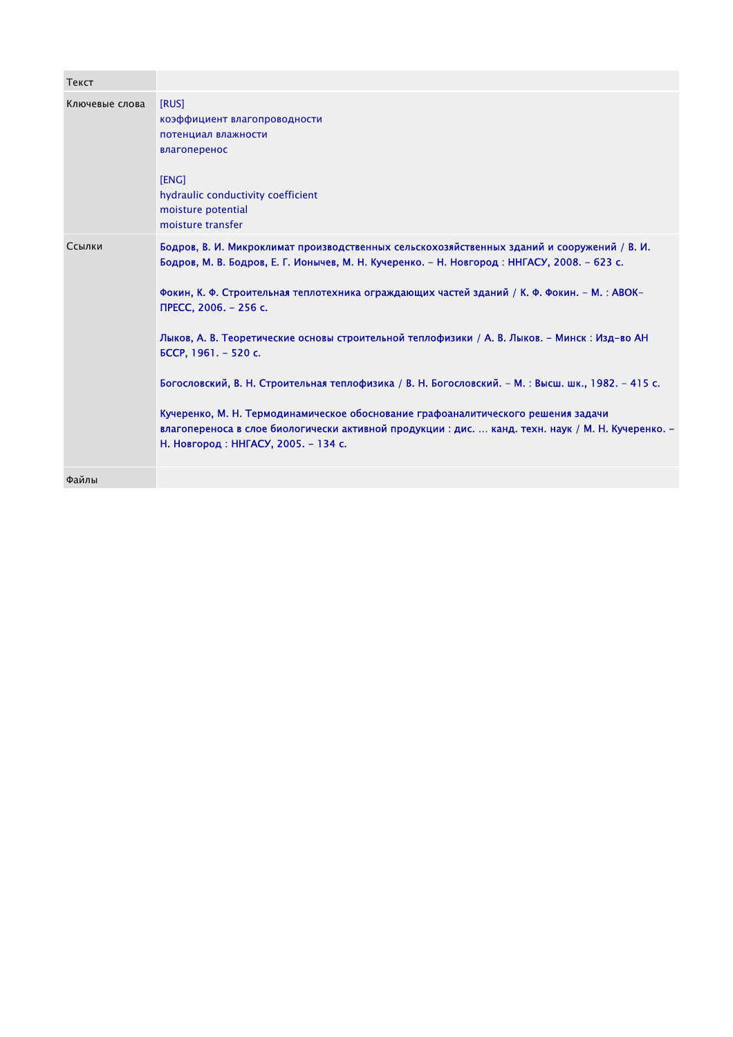| Текст          |                                                                                                                                                                                                                                                                                                                                                                                                                                                                                                                                                                                                                                                                                                                                                                                      |
|----------------|--------------------------------------------------------------------------------------------------------------------------------------------------------------------------------------------------------------------------------------------------------------------------------------------------------------------------------------------------------------------------------------------------------------------------------------------------------------------------------------------------------------------------------------------------------------------------------------------------------------------------------------------------------------------------------------------------------------------------------------------------------------------------------------|
| Ключевые слова | [RUS]<br>коэффициент влагопроводности<br>потенциал влажности<br>влагоперенос<br>[ENG]<br>hydraulic conductivity coefficient<br>moisture potential<br>moisture transfer                                                                                                                                                                                                                                                                                                                                                                                                                                                                                                                                                                                                               |
| Ссылки         | Бодров, В. И. Микроклимат производственных сельскохозяйственных зданий и сооружений / В. И.<br>Бодров, М. В. Бодров, Е. Г. Ионычев, М. Н. Кучеренко. – Н. Новгород: ННГАСУ, 2008. – 623 с.<br>Фокин, К. Ф. Строительная теплотехника ограждающих частей зданий / К. Ф. Фокин. - М. : ABOK-<br>ПРЕСС, 2006. - 256 с.<br>Лыков, А. В. Теоретические основы строительной теплофизики / А. В. Лыков. - Минск: Изд-во АН<br>БССР, 1961. - 520 с.<br>Богословский, В. Н. Строительная теплофизика / В. Н. Богословский. - М. : Высш. шк., 1982. - 415 с.<br>Кучеренко, М. Н. Термодинамическое обоснование графоаналитического решения задачи<br>влагопереноса в слое биологически активной продукции : дис.  канд. техн. наук / М. Н. Кучеренко. -<br>Н. Новгород: ННГАСУ, 2005. - 134 с. |
| Файлы          |                                                                                                                                                                                                                                                                                                                                                                                                                                                                                                                                                                                                                                                                                                                                                                                      |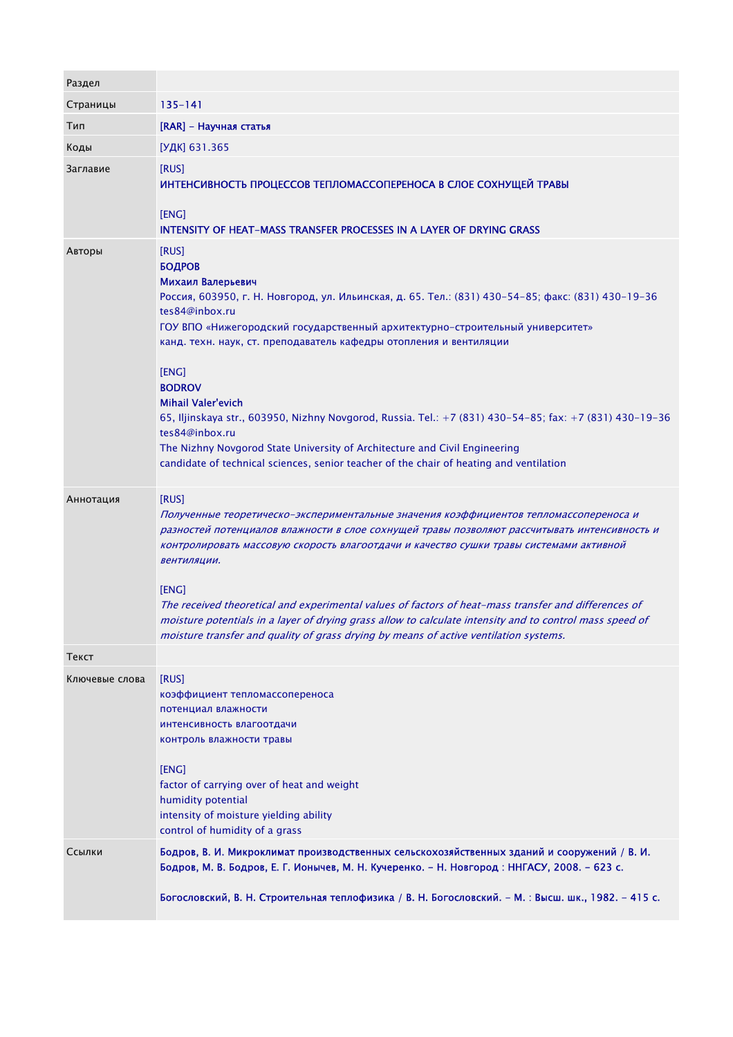| Раздел         |                                                                                                                                                                                                                                                                                                                                                                                                                                                                                                                                                                                                                                                                                         |
|----------------|-----------------------------------------------------------------------------------------------------------------------------------------------------------------------------------------------------------------------------------------------------------------------------------------------------------------------------------------------------------------------------------------------------------------------------------------------------------------------------------------------------------------------------------------------------------------------------------------------------------------------------------------------------------------------------------------|
| Страницы       | $135 - 141$                                                                                                                                                                                                                                                                                                                                                                                                                                                                                                                                                                                                                                                                             |
| Тип            | [RAR] - Научная статья                                                                                                                                                                                                                                                                                                                                                                                                                                                                                                                                                                                                                                                                  |
| Коды           | [УДК] 631.365                                                                                                                                                                                                                                                                                                                                                                                                                                                                                                                                                                                                                                                                           |
| Заглавие       | [RUS]<br>ИНТЕНСИВНОСТЬ ПРОЦЕССОВ ТЕПЛОМАССОПЕРЕНОСА В СЛОЕ СОХНУЩЕЙ ТРАВЫ<br>[ENG]<br>INTENSITY OF HEAT-MASS TRANSFER PROCESSES IN A LAYER OF DRYING GRASS                                                                                                                                                                                                                                                                                                                                                                                                                                                                                                                              |
| Авторы         | [RUS]<br><b>БОДРОВ</b><br>Михаил Валерьевич<br>Россия, 603950, г. Н. Новгород, ул. Ильинская, д. 65. Тел.: (831) 430-54-85; факс: (831) 430-19-36<br>tes84@inbox.ru<br>ГОУ ВПО «Нижегородский государственный архитектурно-строительный университет»<br>канд. техн. наук, ст. преподаватель кафедры отопления и вентиляции<br>[ENG]<br><b>BODROV</b><br><b>Mihail Valer'evich</b><br>65, Iljinskaya str., 603950, Nizhny Novgorod, Russia. Tel.: +7 (831) 430-54-85; fax: +7 (831) 430-19-36<br>tes84@inbox.ru<br>The Nizhny Novgorod State University of Architecture and Civil Engineering<br>candidate of technical sciences, senior teacher of the chair of heating and ventilation |
| Аннотация      | [RUS]<br>Полученные теоретическо-экспериментальные значения коэффициентов тепломассопереноса и<br>разностей потенциалов влажности в слое сохнущей травы позволяют рассчитывать интенсивность и<br>контролировать массовую скорость влагоотдачи и качество сушки травы системами активной<br>вентиляции.<br>[ENG]<br>The received theoretical and experimental values of factors of heat-mass transfer and differences of<br>moisture potentials in a layer of drying grass allow to calculate intensity and to control mass speed of<br>moisture transfer and quality of grass drying by means of active ventilation systems.                                                           |
| Текст          |                                                                                                                                                                                                                                                                                                                                                                                                                                                                                                                                                                                                                                                                                         |
| Ключевые слова | [RUS]<br>коэффициент тепломассопереноса<br>потенциал влажности<br>интенсивность влагоотдачи<br>контроль влажности травы<br>[ENG]<br>factor of carrying over of heat and weight<br>humidity potential<br>intensity of moisture yielding ability<br>control of humidity of a grass                                                                                                                                                                                                                                                                                                                                                                                                        |
| Ссылки         | Бодров, В. И. Микроклимат производственных сельскохозяйственных зданий и сооружений / В. И.<br>Бодров, М. В. Бодров, Е. Г. Ионычев, М. Н. Кучеренко. - Н. Новгород : ННГАСУ, 2008. - 623 с.<br>Богословский, В. Н. Строительная теплофизика / В. Н. Богословский. - М. : Высш. шк., 1982. - 415 с.                                                                                                                                                                                                                                                                                                                                                                                      |

- -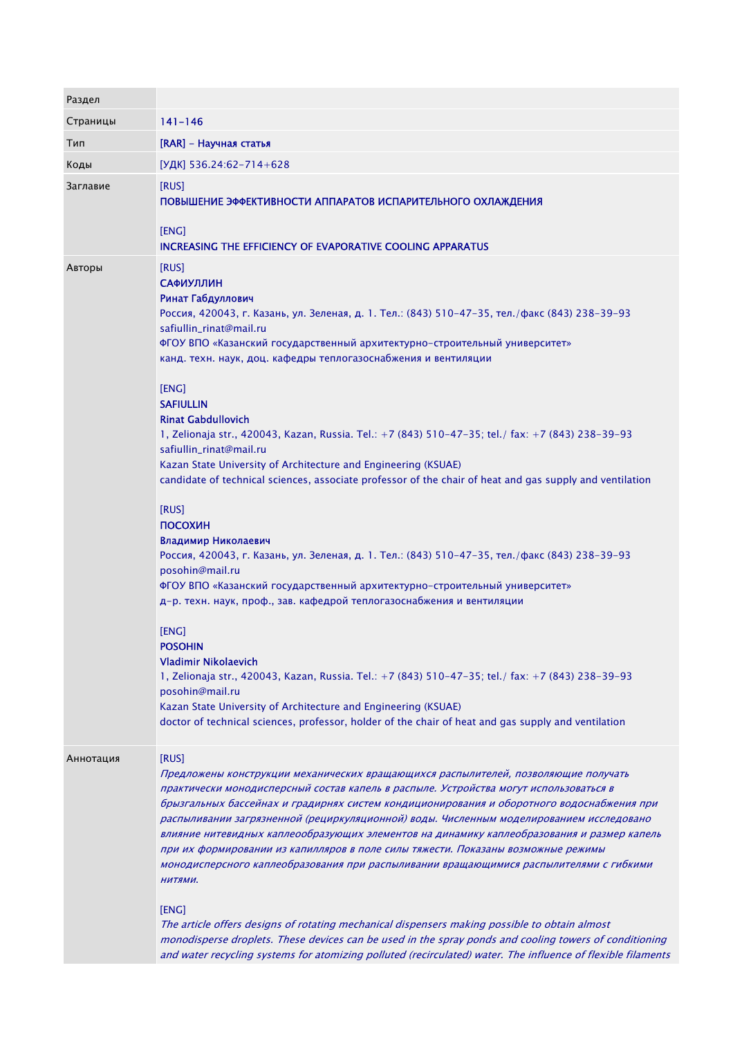| Раздел    |                                                                                                                                                                                                                                                                                                                                                                                                                                                                   |
|-----------|-------------------------------------------------------------------------------------------------------------------------------------------------------------------------------------------------------------------------------------------------------------------------------------------------------------------------------------------------------------------------------------------------------------------------------------------------------------------|
| Страницы  | $141 - 146$                                                                                                                                                                                                                                                                                                                                                                                                                                                       |
| Тип       | [RAR] - Научная статья                                                                                                                                                                                                                                                                                                                                                                                                                                            |
| Коды      | [УДК] 536.24:62-714+628                                                                                                                                                                                                                                                                                                                                                                                                                                           |
| Заглавие  | [RUS]<br>ПОВЫШЕНИЕ ЭФФЕКТИВНОСТИ АППАРАТОВ ИСПАРИТЕЛЬНОГО ОХЛАЖДЕНИЯ<br>[ENG]<br>INCREASING THE EFFICIENCY OF EVAPORATIVE COOLING APPARATUS                                                                                                                                                                                                                                                                                                                       |
| Авторы    | [RUS]<br><b>САФИУЛЛИН</b>                                                                                                                                                                                                                                                                                                                                                                                                                                         |
|           | Ринат Габдуллович<br>Россия, 420043, г. Казань, ул. Зеленая, д. 1. Тел.: (843) 510-47-35, тел./факс (843) 238-39-93                                                                                                                                                                                                                                                                                                                                               |
|           | safiullin_rinat@mail.ru<br>ФГОУ ВПО «Казанский государственный архитектурно-строительный университет»<br>канд. техн. наук, доц. кафедры теплогазоснабжения и вентиляции                                                                                                                                                                                                                                                                                           |
|           | [ENG]                                                                                                                                                                                                                                                                                                                                                                                                                                                             |
|           | <b>SAFIULLIN</b><br><b>Rinat Gabdullovich</b>                                                                                                                                                                                                                                                                                                                                                                                                                     |
|           | 1, Zelionaja str., 420043, Kazan, Russia. Tel.: +7 (843) 510-47-35; tel./ fax: +7 (843) 238-39-93<br>safiullin_rinat@mail.ru                                                                                                                                                                                                                                                                                                                                      |
|           | Kazan State University of Architecture and Engineering (KSUAE)<br>candidate of technical sciences, associate professor of the chair of heat and gas supply and ventilation                                                                                                                                                                                                                                                                                        |
|           | [RUS]<br>ПОСОХИН                                                                                                                                                                                                                                                                                                                                                                                                                                                  |
|           | Владимир Николаевич<br>Россия, 420043, г. Казань, ул. Зеленая, д. 1. Тел.: (843) 510-47-35, тел./факс (843) 238-39-93<br>posohin@mail.ru                                                                                                                                                                                                                                                                                                                          |
|           | ФГОУ ВПО «Казанский государственный архитектурно-строительный университет»<br>д-р. техн. наук, проф., зав. кафедрой теплогазоснабжения и вентиляции                                                                                                                                                                                                                                                                                                               |
|           | [ENG]<br><b>POSOHIN</b>                                                                                                                                                                                                                                                                                                                                                                                                                                           |
|           | <b>Vladimir Nikolaevich</b><br>1, Zelionaja str., 420043, Kazan, Russia. Tel.: +7 (843) 510-47-35; tel./ fax: +7 (843) 238-39-93<br>posohin@mail.ru                                                                                                                                                                                                                                                                                                               |
|           | Kazan State University of Architecture and Engineering (KSUAE)<br>doctor of technical sciences, professor, holder of the chair of heat and gas supply and ventilation                                                                                                                                                                                                                                                                                             |
| Аннотация | [RUS]                                                                                                                                                                                                                                                                                                                                                                                                                                                             |
|           | Предложены конструкции механических вращающихся распылителей, позволяющие получать<br>практически монодисперсный состав капель в распыле. Устройства могут использоваться в<br>брызгальных бассейнах и градирнях систем кондиционирования и оборотного водоснабжения при<br>распыливании загрязненной (рециркуляционной) воды. Численным моделированием исследовано<br>влияние нитевидных каплеообразующих элементов на динамику каплеобразования и размер капель |
|           | при их формировании из капилляров в поле силы тяжести. Показаны возможные режимы<br>монодисперсного каплеобразования при распыливании вращающимися распылителями с гибкими<br>НИТЯМИ.                                                                                                                                                                                                                                                                             |
|           | [ENG]<br>The article offers designs of rotating mechanical dispensers making possible to obtain almost<br>monodisperse droplets. These devices can be used in the spray ponds and cooling towers of conditioning                                                                                                                                                                                                                                                  |
|           | and water recycling systems for atomizing polluted (recirculated) water. The influence of flexible filaments                                                                                                                                                                                                                                                                                                                                                      |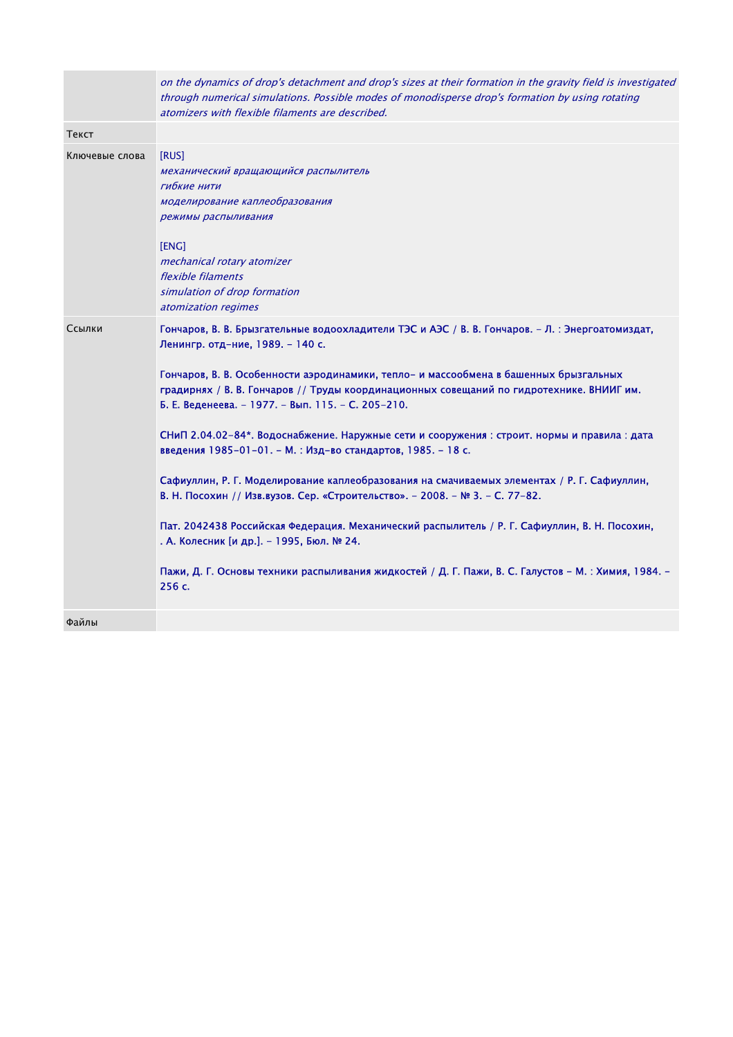|                | on the dynamics of drop's detachment and drop's sizes at their formation in the gravity field is investigated<br>through numerical simulations. Possible modes of monodisperse drop's formation by using rotating<br>atomizers with flexible filaments are described.                                                                                                                                                                                                                                                                                                                                                                                                                                                                                                                                                                                                                                                                                                                          |
|----------------|------------------------------------------------------------------------------------------------------------------------------------------------------------------------------------------------------------------------------------------------------------------------------------------------------------------------------------------------------------------------------------------------------------------------------------------------------------------------------------------------------------------------------------------------------------------------------------------------------------------------------------------------------------------------------------------------------------------------------------------------------------------------------------------------------------------------------------------------------------------------------------------------------------------------------------------------------------------------------------------------|
| Текст          |                                                                                                                                                                                                                                                                                                                                                                                                                                                                                                                                                                                                                                                                                                                                                                                                                                                                                                                                                                                                |
| Ключевые слова | [RUS]<br>механический вращающийся распылитель<br>гибкие нити<br>моделирование каплеобразования<br>режимы распыливания<br>[ENG]<br>mechanical rotary atomizer<br>flexible filaments<br>simulation of drop formation<br>atomization regimes                                                                                                                                                                                                                                                                                                                                                                                                                                                                                                                                                                                                                                                                                                                                                      |
| Ссылки         | Гончаров, В. В. Брызгательные водоохладители ТЭС и АЭС / В. В. Гончаров. - Л. : Энергоатомиздат,<br>Ленингр. отд-ние, 1989. - 140 с.<br>Гончаров, В. В. Особенности аэродинамики, тепло- и массообмена в башенных брызгальных<br>градирнях / В. В. Гончаров // Труды координационных совещаний по гидротехнике. ВНИИГ им.<br>Б. Е. Веденеева. - 1977. - Вып. 115. - С. 205-210.<br>СНиП 2.04.02-84*. Водоснабжение. Наружные сети и сооружения : строит. нормы и правила : дата<br>введения 1985-01-01. - М. : Изд-во стандартов, 1985. - 18 с.<br>Сафиуллин, Р. Г. Моделирование каплеобразования на смачиваемых элементах / Р. Г. Сафиуллин,<br>В. Н. Посохин // Изв.вузов. Сер. «Строительство». - 2008. - № 3. - С. 77-82.<br>Пат. 2042438 Российская Федерация. Механический распылитель / Р. Г. Сафиуллин, В. Н. Посохин,<br>. А. Колесник [и др.]. - 1995, Бюл. № 24.<br>Пажи, Д. Г. Основы техники распыливания жидкостей / Д. Г. Пажи, В. С. Галустов - М. : Химия, 1984. -<br>256 с. |
| Файлы          |                                                                                                                                                                                                                                                                                                                                                                                                                                                                                                                                                                                                                                                                                                                                                                                                                                                                                                                                                                                                |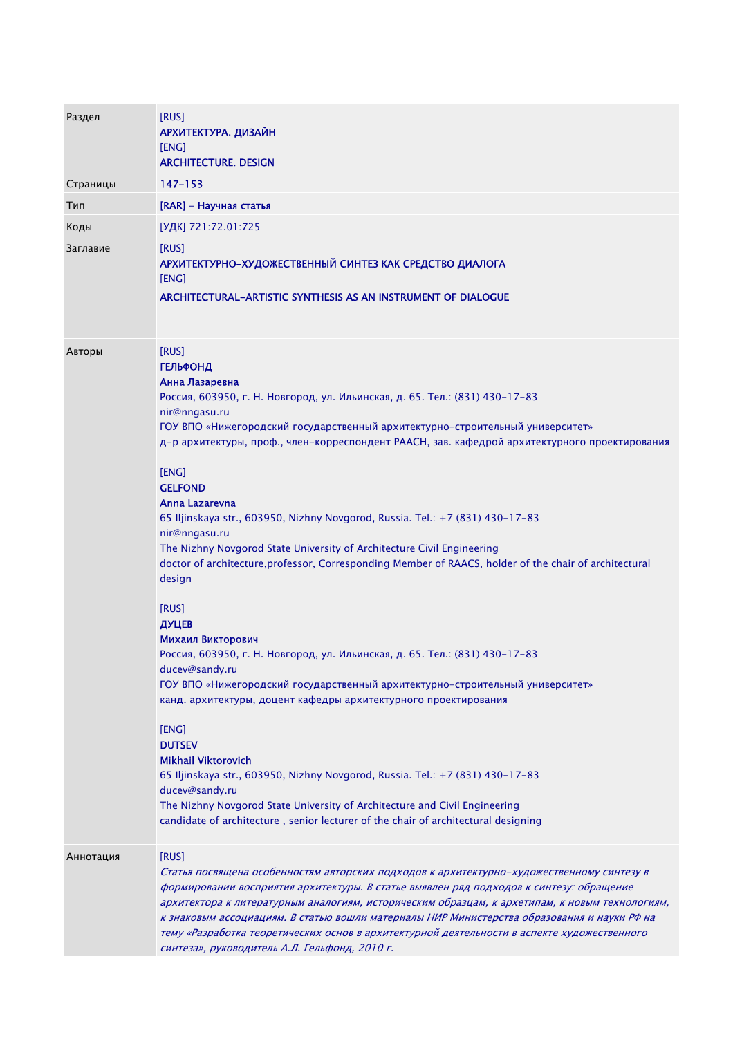| Раздел    | [RUS]<br>АРХИТЕКТУРА. ДИЗАЙН<br>[ENG]<br><b>ARCHITECTURE. DESIGN</b>                                                                                                                                                                                                                                                                                                                                                                                                                                                                                                                                                                                                                        |
|-----------|---------------------------------------------------------------------------------------------------------------------------------------------------------------------------------------------------------------------------------------------------------------------------------------------------------------------------------------------------------------------------------------------------------------------------------------------------------------------------------------------------------------------------------------------------------------------------------------------------------------------------------------------------------------------------------------------|
| Страницы  | $147 - 153$                                                                                                                                                                                                                                                                                                                                                                                                                                                                                                                                                                                                                                                                                 |
| Тип       | [RAR] - Научная статья                                                                                                                                                                                                                                                                                                                                                                                                                                                                                                                                                                                                                                                                      |
| Коды      | [УДК] 721:72.01:725                                                                                                                                                                                                                                                                                                                                                                                                                                                                                                                                                                                                                                                                         |
| Заглавие  | [RUS]<br>АРХИТЕКТУРНО-ХУДОЖЕСТВЕННЫЙ СИНТЕЗ КАК СРЕДСТВО ДИАЛОГА<br>[ENG]<br>ARCHITECTURAL-ARTISTIC SYNTHESIS AS AN INSTRUMENT OF DIALOGUE                                                                                                                                                                                                                                                                                                                                                                                                                                                                                                                                                  |
| Авторы    | [RUS]<br><b>ГЕЛЬФОНД</b><br>Анна Лазаревна<br>Россия, 603950, г. Н. Новгород, ул. Ильинская, д. 65. Тел.: (831) 430-17-83<br>nir@nngasu.ru<br>ГОУ ВПО «Нижегородский государственный архитектурно-строительный университет»<br>д-р архитектуры, проф., член-корреспондент РААСН, зав. кафедрой архитектурного проектирования<br>[ENG]<br><b>GELFOND</b><br>Anna Lazarevna<br>65 Iljinskaya str., 603950, Nizhny Novgorod, Russia. Tel.: +7 (831) 430-17-83<br>nir@nngasu.ru<br>The Nizhny Novgorod State University of Architecture Civil Engineering<br>doctor of architecture, professor, Corresponding Member of RAACS, holder of the chair of architectural<br>design<br>[RUS]<br>ДУЦЕВ |
|           | Михаил Викторович<br>Россия, 603950, г. Н. Новгород, ул. Ильинская, д. 65. Тел.: (831) 430-17-83<br>ducev@sandy.ru<br>ГОУ ВПО «Нижегородский государственный архитектурно-строительный университет»<br>канд. архитектуры, доцент кафедры архитектурного проектирования<br>[ENG]<br><b>DUTSEV</b><br><b>Mikhail Viktorovich</b><br>65 Iljinskaya str., 603950, Nizhny Novgorod, Russia. Tel.: +7 (831) 430-17-83<br>ducev@sandy.ru<br>The Nizhny Novgorod State University of Architecture and Civil Engineering<br>candidate of architecture, senior lecturer of the chair of architectural designing                                                                                       |
| Аннотация | [RUS]<br>Статья посвящена особенностям авторских подходов к архитектурно-художественному синтезу в<br>формировании восприятия архитектуры. В статье выявлен ряд подходов к синтезу: обращение<br>архитектора к литературным аналогиям, историческим образцам, к архетипам, к новым технологиям,<br>к знаковым ассоциациям. В статью вошли материалы НИР Министерства образования и науки РФ на<br>тему «Разработка теоретических основ в архитектурной деятельности в аспекте художественного<br>синтеза», руководитель А.Л. Гельфонд, 2010 г.                                                                                                                                              |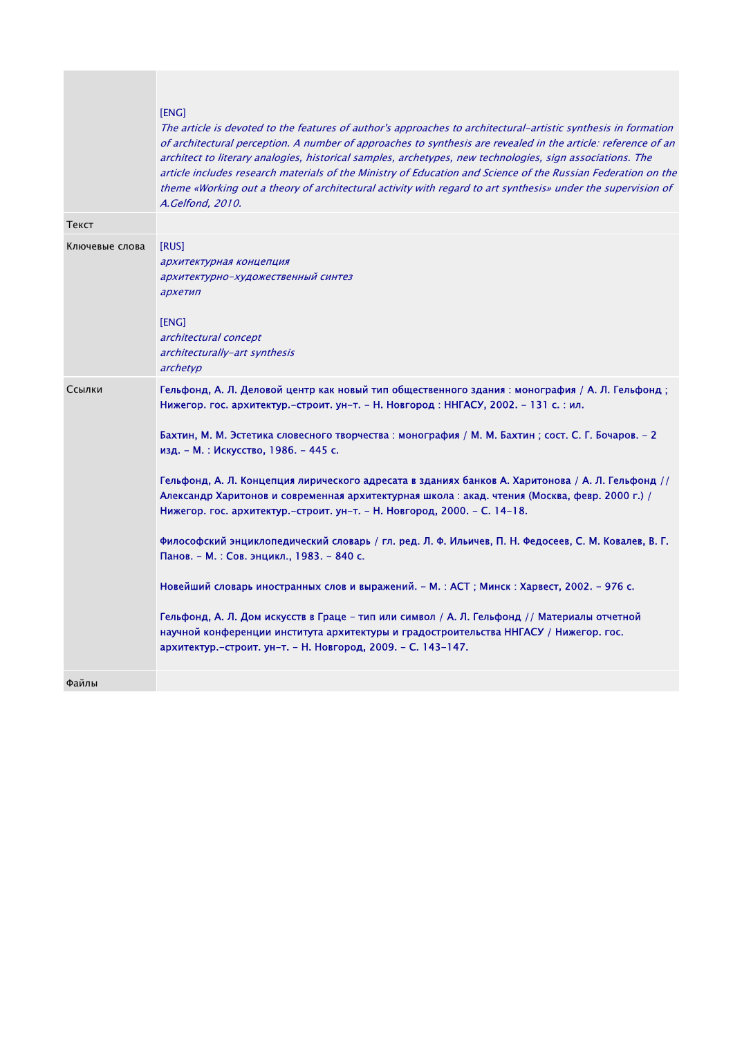|                | [ENG]<br>The article is devoted to the features of author's approaches to architectural-artistic synthesis in formation<br>of architectural perception. A number of approaches to synthesis are revealed in the article: reference of an<br>architect to literary analogies, historical samples, archetypes, new technologies, sign associations. The<br>article includes research materials of the Ministry of Education and Science of the Russian Federation on the<br>theme «Working out a theory of architectural activity with regard to art synthesis» under the supervision of<br>A.Gelfond, 2010.                                                                                                                                                                                                                                                                                                                                                                                                                                                                                                                            |
|----------------|---------------------------------------------------------------------------------------------------------------------------------------------------------------------------------------------------------------------------------------------------------------------------------------------------------------------------------------------------------------------------------------------------------------------------------------------------------------------------------------------------------------------------------------------------------------------------------------------------------------------------------------------------------------------------------------------------------------------------------------------------------------------------------------------------------------------------------------------------------------------------------------------------------------------------------------------------------------------------------------------------------------------------------------------------------------------------------------------------------------------------------------|
| Текст          |                                                                                                                                                                                                                                                                                                                                                                                                                                                                                                                                                                                                                                                                                                                                                                                                                                                                                                                                                                                                                                                                                                                                       |
| Ключевые слова | [RUS]<br>архитектурная концепция<br>архитектурно-художественный синтез<br>архетип<br>[ENG]<br>architectural concept<br>architecturally-art synthesis<br>archetyp                                                                                                                                                                                                                                                                                                                                                                                                                                                                                                                                                                                                                                                                                                                                                                                                                                                                                                                                                                      |
| Ссылки         | Гельфонд, А. Л. Деловой центр как новый тип общественного здания : монография / А. Л. Гельфонд ;<br>Нижегор. гос. архитектур.–строит. ун–т. – Н. Новгород : ННГАСУ, 2002. – 131 с. : ил.<br>Бахтин, М. М. Эстетика словесного творчества : монография / М. М. Бахтин ; сост. С. Г. Бочаров. - 2<br>изд. - М. : Искусство, 1986. - 445 с.<br>Гельфонд, А. Л. Концепция лирического адресата в зданиях банков А. Харитонова / А. Л. Гельфонд //<br>Александр Харитонов и современная архитектурная школа: акад. чтения (Москва, февр. 2000 г.) /<br>Нижегор. гос. архитектур.–строит. ун–т. – Н. Новгород, 2000. – С. 14–18.<br>Философский энциклопедический словарь / гл. ред. Л. Ф. Ильичев, П. Н. Федосеев, С. М. Ковалев, В. Г.<br>Панов. - М. : Сов. энцикл., 1983. - 840 с.<br>Новейший словарь иностранных слов и выражений. - М.: АСТ; Минск: Харвест, 2002. - 976 с.<br>Гельфонд, А. Л. Дом искусств в Граце - тип или символ / А. Л. Гельфонд // Материалы отчетной<br>научной конференции института архитектуры и градостроительства ННГАСУ / Нижегор. гос.<br>архитектур.-строит. ун-т. - Н. Новгород, 2009. - С. 143-147. |
| Файлы          |                                                                                                                                                                                                                                                                                                                                                                                                                                                                                                                                                                                                                                                                                                                                                                                                                                                                                                                                                                                                                                                                                                                                       |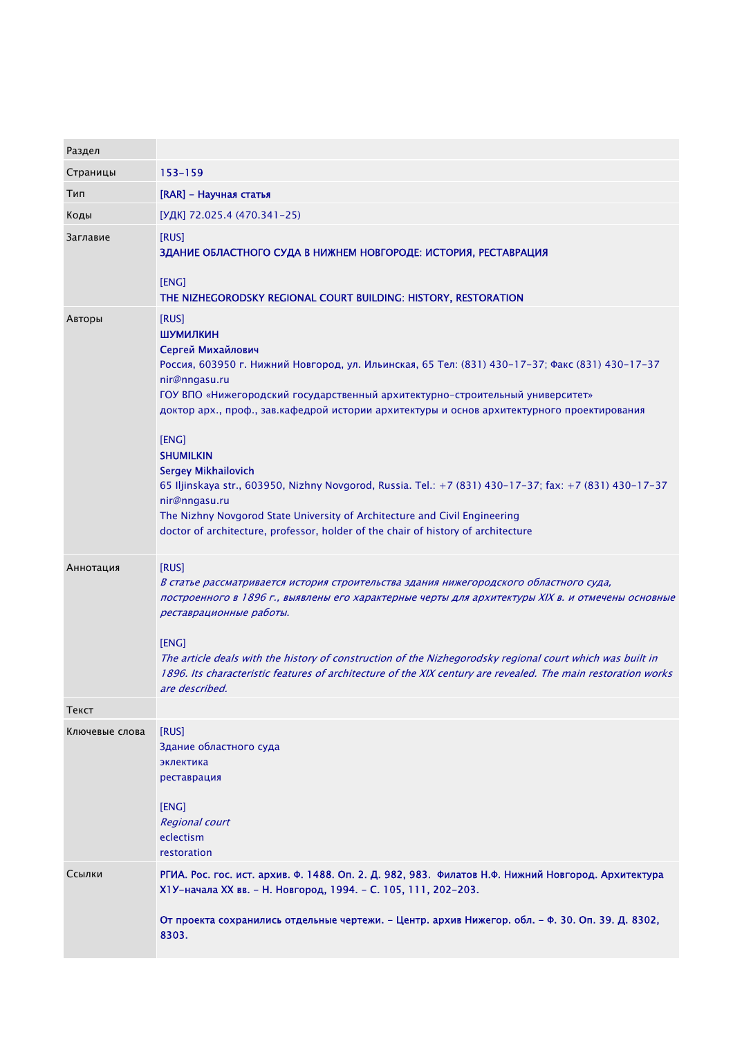| Раздел         |                                                                                                                                                                                                                                                                                                                                                                                                                                                                                                                                                                                                                                                                                                    |
|----------------|----------------------------------------------------------------------------------------------------------------------------------------------------------------------------------------------------------------------------------------------------------------------------------------------------------------------------------------------------------------------------------------------------------------------------------------------------------------------------------------------------------------------------------------------------------------------------------------------------------------------------------------------------------------------------------------------------|
| Страницы       | 153-159                                                                                                                                                                                                                                                                                                                                                                                                                                                                                                                                                                                                                                                                                            |
| Тип            | [RAR] - Научная статья                                                                                                                                                                                                                                                                                                                                                                                                                                                                                                                                                                                                                                                                             |
| Коды           | [УДК] 72.025.4 (470.341-25)                                                                                                                                                                                                                                                                                                                                                                                                                                                                                                                                                                                                                                                                        |
| Заглавие       | [RUS]<br>ЗДАНИЕ ОБЛАСТНОГО СУДА В НИЖНЕМ НОВГОРОДЕ: ИСТОРИЯ, РЕСТАВРАЦИЯ<br>[ENG]<br>THE NIZHEGORODSKY REGIONAL COURT BUILDING: HISTORY, RESTORATION                                                                                                                                                                                                                                                                                                                                                                                                                                                                                                                                               |
| Авторы         | [RUS]<br>ШУМИЛКИН<br>Сергей Михайлович<br>Россия, 603950 г. Нижний Новгород, ул. Ильинская, 65 Тел: (831) 430-17-37; Факс (831) 430-17-37<br>nir@nngasu.ru<br>ГОУ ВПО «Нижегородский государственный архитектурно-строительный университет»<br>доктор арх., проф., зав.кафедрой истории архитектуры и основ архитектурного проектирования<br>[ENG]<br><b>SHUMILKIN</b><br><b>Sergey Mikhailovich</b><br>65 Iljinskaya str., 603950, Nizhny Novgorod, Russia. Tel.: +7 (831) 430-17-37; fax: +7 (831) 430-17-37<br>nir@nngasu.ru<br>The Nizhny Novgorod State University of Architecture and Civil Engineering<br>doctor of architecture, professor, holder of the chair of history of architecture |
| Аннотация      | [RUS]<br>В статье рассматривается история строительства здания нижегородского областного суда,<br>построенного в 1896 г., выявлены его характерные черты для архитектуры XIX в. и отмечены основные<br>реставрационные работы.<br>[ENG]<br>The article deals with the history of construction of the Nizhegorodsky regional court which was built in<br>1896. Its characteristic features of architecture of the XIX century are revealed. The main restoration works<br>are described.                                                                                                                                                                                                            |
| Текст          |                                                                                                                                                                                                                                                                                                                                                                                                                                                                                                                                                                                                                                                                                                    |
| Ключевые слова | [RUS]<br>Здание областного суда<br>эклектика<br>реставрация<br>[ENG]<br><b>Regional court</b><br>eclectism<br>restoration                                                                                                                                                                                                                                                                                                                                                                                                                                                                                                                                                                          |
| Ссылки         | РГИА. Рос. гос. ист. архив. Ф. 1488. Оп. 2. Д. 982, 983. Филатов Н.Ф. Нижний Новгород. Архитектура<br>X1У-начала XX вв. - Н. Новгород, 1994. - С. 105, 111, 202-203.<br>От проекта сохранились отдельные чертежи. – Центр. архив Нижегор. обл. – Ф. 30. Оп. 39. Д. 8302,                                                                                                                                                                                                                                                                                                                                                                                                                           |
|                | 8303.                                                                                                                                                                                                                                                                                                                                                                                                                                                                                                                                                                                                                                                                                              |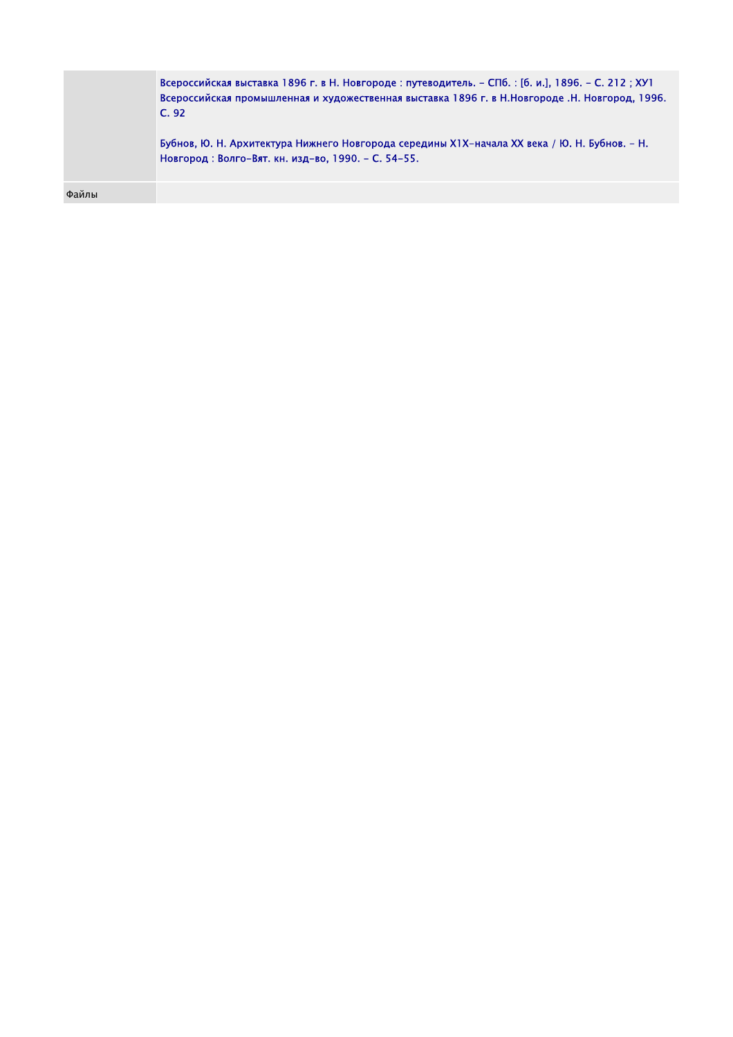|       | Всероссийская выставка 1896 г. в Н. Новгороде: путеводитель. – СПб. : [б. и.], 1896. – С. 212 ; ХУ1<br>Всероссийская промышленная и художественная выставка 1896 г. в Н.Новгороде .Н. Новгород, 1996.<br>C.92<br>Бубнов, Ю. Н. Архитектура Нижнего Новгорода середины XIX-начала XX века / Ю. Н. Бубнов. – Н.<br>Новгород: Волго-Вят. кн. изд-во, 1990. - С. 54-55. |
|-------|---------------------------------------------------------------------------------------------------------------------------------------------------------------------------------------------------------------------------------------------------------------------------------------------------------------------------------------------------------------------|
| Файлы |                                                                                                                                                                                                                                                                                                                                                                     |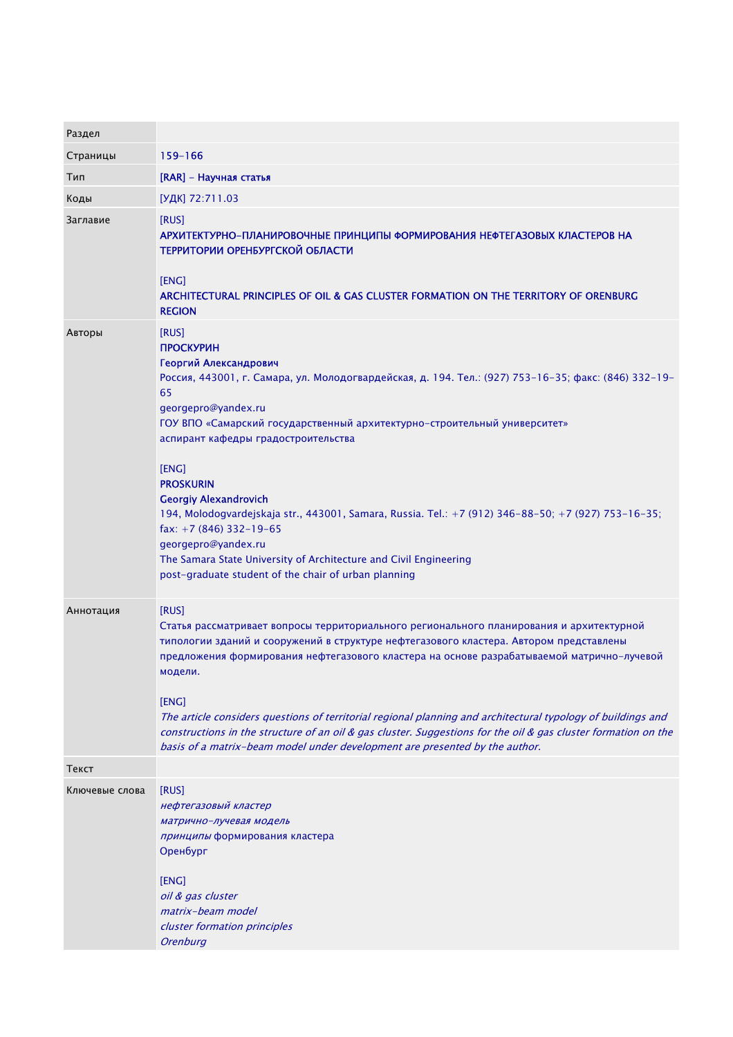| Раздел         |                                                                                                                                                                                                                                                                                                                                                                                                                                                                                                                                                                                                                                                                |
|----------------|----------------------------------------------------------------------------------------------------------------------------------------------------------------------------------------------------------------------------------------------------------------------------------------------------------------------------------------------------------------------------------------------------------------------------------------------------------------------------------------------------------------------------------------------------------------------------------------------------------------------------------------------------------------|
| Страницы       | 159-166                                                                                                                                                                                                                                                                                                                                                                                                                                                                                                                                                                                                                                                        |
| Тип            | [RAR] - Научная статья                                                                                                                                                                                                                                                                                                                                                                                                                                                                                                                                                                                                                                         |
| Коды           | [УДК] 72:711.03                                                                                                                                                                                                                                                                                                                                                                                                                                                                                                                                                                                                                                                |
| Заглавие       | [RUS]<br>АРХИТЕКТУРНО-ПЛАНИРОВОЧНЫЕ ПРИНЦИПЫ ФОРМИРОВАНИЯ НЕФТЕГАЗОВЫХ КЛАСТЕРОВ НА<br>ТЕРРИТОРИИ ОРЕНБУРГСКОЙ ОБЛАСТИ<br>[ENG]<br>ARCHITECTURAL PRINCIPLES OF OIL & GAS CLUSTER FORMATION ON THE TERRITORY OF ORENBURG<br><b>REGION</b>                                                                                                                                                                                                                                                                                                                                                                                                                       |
| Авторы         | [RUS]<br><b>ПРОСКУРИН</b><br>Георгий Александрович<br>Россия, 443001, г. Самара, ул. Молодогвардейская, д. 194. Тел.: (927) 753-16-35; факс: (846) 332-19-<br>65<br>georgepro@yandex.ru<br>ГОУ ВПО «Самарский государственный архитектурно-строительный университет»<br>аспирант кафедры градостроительства<br>[ENG]<br><b>PROSKURIN</b><br><b>Georgiy Alexandrovich</b><br>194, Molodogvardejskaja str., 443001, Samara, Russia. Tel.: +7 (912) 346-88-50; +7 (927) 753-16-35;<br>fax: $+7(846)332-19-65$<br>georgepro@yandex.ru<br>The Samara State University of Architecture and Civil Engineering<br>post-graduate student of the chair of urban planning |
| Аннотация      | [RUS]<br>Статья рассматривает вопросы территориального регионального планирования и архитектурной<br>типологии зданий и сооружений в структуре нефтегазового кластера. Автором представлены<br>предложения формирования нефтегазового кластера на основе разрабатываемой матрично-лучевой<br>модели.<br>[ENG]<br>The article considers questions of territorial regional planning and architectural typology of buildings and<br>constructions in the structure of an oil & gas cluster. Suggestions for the oil & gas cluster formation on the<br>basis of a matrix-beam model under development are presented by the author.                                 |
| Текст          |                                                                                                                                                                                                                                                                                                                                                                                                                                                                                                                                                                                                                                                                |
| Ключевые слова | [RUS]<br>нефтегазовый кластер<br>матрично-лучевая модель<br>принципы формирования кластера<br>Оренбург<br>[ENG]<br>oil & gas cluster<br>matrix-beam model<br>cluster formation principles<br><b>Orenburg</b>                                                                                                                                                                                                                                                                                                                                                                                                                                                   |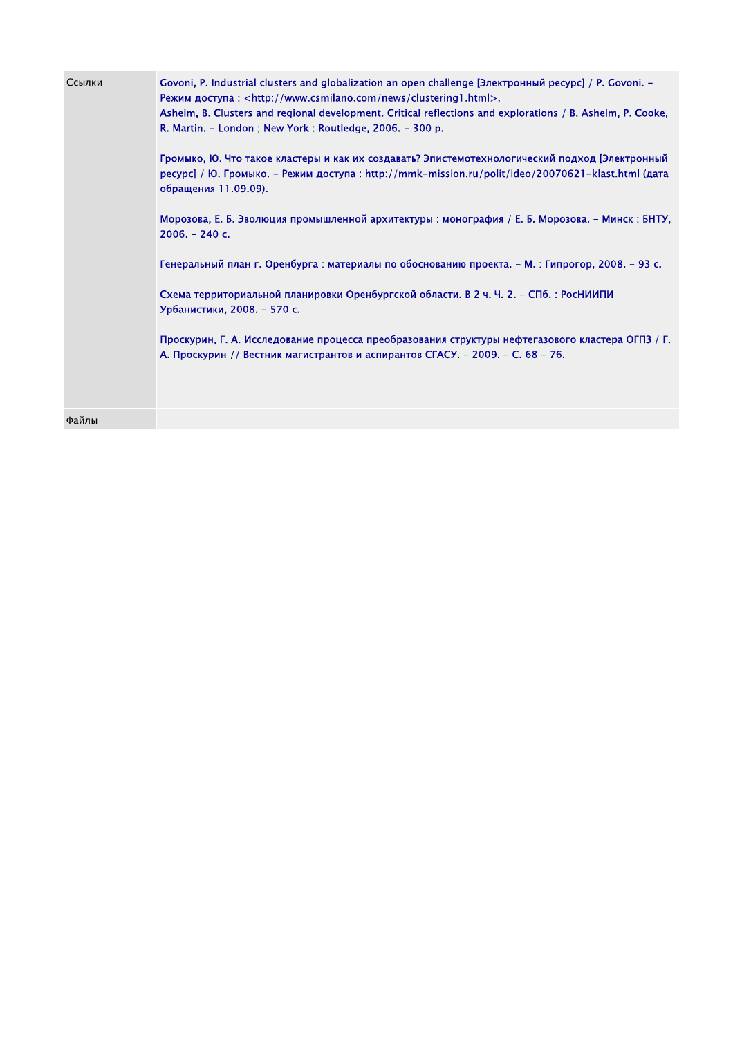| Ссылки | Govoni, P. Industrial clusters and globalization an open challenge [Электронный ресурс] / Р. Govoni. -<br>Режим доступа: <http: clustering1.html="" news="" www.csmilano.com="">.<br/>Asheim, B. Clusters and regional development. Critical reflections and explorations / B. Asheim, P. Cooke,<br/>R. Martin. - London; New York: Routledge, 2006. - 300 p.<br/>Громыко, Ю. Что такое кластеры и как их создавать? Эпистемотехнологический подход [Электронный<br/>ресурс] / Ю. Громыко. - Режим доступа: http://mmk-mission.ru/polit/ideo/20070621-klast.html (дата<br/>обращения 11.09.09).<br/>Морозова, Е. Б. Эволюция промышленной архитектуры : монография / Е. Б. Морозова. - Минск : БНТУ,<br/><math>2006. - 240c.</math><br/>Генеральный план г. Оренбурга : материалы по обоснованию проекта. - М. : Гипрогор, 2008. - 93 с.<br/>Схема территориальной планировки Оренбургской области. В 2 ч. Ч. 2. - СПб. : РосНИИПИ<br/>Урбанистики, 2008. - 570 с.</http:> |
|--------|----------------------------------------------------------------------------------------------------------------------------------------------------------------------------------------------------------------------------------------------------------------------------------------------------------------------------------------------------------------------------------------------------------------------------------------------------------------------------------------------------------------------------------------------------------------------------------------------------------------------------------------------------------------------------------------------------------------------------------------------------------------------------------------------------------------------------------------------------------------------------------------------------------------------------------------------------------------------------|
|        | Проскурин, Г. А. Исследование процесса преобразования структуры нефтегазового кластера ОГПЗ / Г.<br>А. Проскурин // Вестник магистрантов и аспирантов СГАСУ. - 2009. - С. 68 - 76.                                                                                                                                                                                                                                                                                                                                                                                                                                                                                                                                                                                                                                                                                                                                                                                         |
| Файлы  |                                                                                                                                                                                                                                                                                                                                                                                                                                                                                                                                                                                                                                                                                                                                                                                                                                                                                                                                                                            |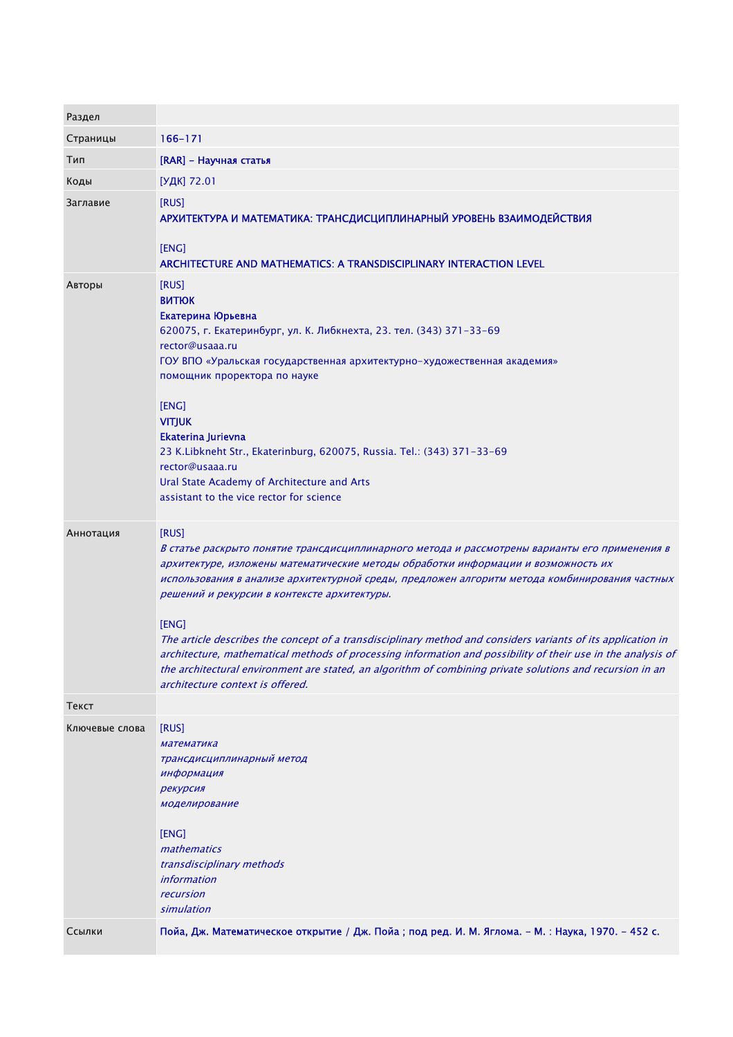| Раздел         |                                                                                                                                                                                                                                                                                                                                                                                                                                                                                                                                                                                                                                                                                                                                       |
|----------------|---------------------------------------------------------------------------------------------------------------------------------------------------------------------------------------------------------------------------------------------------------------------------------------------------------------------------------------------------------------------------------------------------------------------------------------------------------------------------------------------------------------------------------------------------------------------------------------------------------------------------------------------------------------------------------------------------------------------------------------|
| Страницы       | $166 - 171$                                                                                                                                                                                                                                                                                                                                                                                                                                                                                                                                                                                                                                                                                                                           |
| Тип            | [RAR] - Научная статья                                                                                                                                                                                                                                                                                                                                                                                                                                                                                                                                                                                                                                                                                                                |
| Коды           | [УДК] 72.01                                                                                                                                                                                                                                                                                                                                                                                                                                                                                                                                                                                                                                                                                                                           |
| Заглавие       | [RUS]<br>АРХИТЕКТУРА И МАТЕМАТИКА: ТРАНСДИСЦИПЛИНАРНЫЙ УРОВЕНЬ ВЗАИМОДЕЙСТВИЯ<br>[ENG]<br>ARCHITECTURE AND MATHEMATICS: A TRANSDISCIPLINARY INTERACTION LEVEL                                                                                                                                                                                                                                                                                                                                                                                                                                                                                                                                                                         |
| Авторы         | [RUS]<br><b>BUTIOK</b><br>Екатерина Юрьевна<br>620075, г. Екатеринбург, ул. К. Либкнехта, 23. тел. (343) 371-33-69<br>rector@usaaa.ru<br>ГОУ ВПО «Уральская государственная архитектурно-художественная академия»<br>помощник проректора по науке<br>[ENG]<br><b>VITJUK</b><br>Ekaterina Jurievna<br>23 K.Libkneht Str., Ekaterinburg, 620075, Russia. Tel.: (343) 371-33-69<br>rector@usaaa.ru<br>Ural State Academy of Architecture and Arts<br>assistant to the vice rector for science                                                                                                                                                                                                                                            |
| Аннотация      | [RUS]<br>В статье раскрыто понятие трансдисциплинарного метода и рассмотрены варианты его применения в<br>архитектуре, изложены математические методы обработки информации и возможность их<br>использования в анализе архитектурной среды, предложен алгоритм метода комбинирования частных<br>решений и рекурсии в контексте архитектуры.<br>[ENG]<br>The article describes the concept of a transdisciplinary method and considers variants of its application in<br>architecture, mathematical methods of processing information and possibility of their use in the analysis of<br>the architectural environment are stated, an algorithm of combining private solutions and recursion in an<br>architecture context is offered. |
| Текст          |                                                                                                                                                                                                                                                                                                                                                                                                                                                                                                                                                                                                                                                                                                                                       |
| Ключевые слова | [RUS]<br>математика<br>трансдисциплинарный метод<br>информация<br>рекурсия<br>моделирование<br>[ENG]<br>mathematics<br>transdisciplinary methods<br><i>information</i><br>recursion<br>simulation                                                                                                                                                                                                                                                                                                                                                                                                                                                                                                                                     |
| Ссылки         | Пойа, Дж. Математическое открытие / Дж. Пойа; под ред. И. М. Яглома. - М. : Наука, 1970. - 452 с.                                                                                                                                                                                                                                                                                                                                                                                                                                                                                                                                                                                                                                     |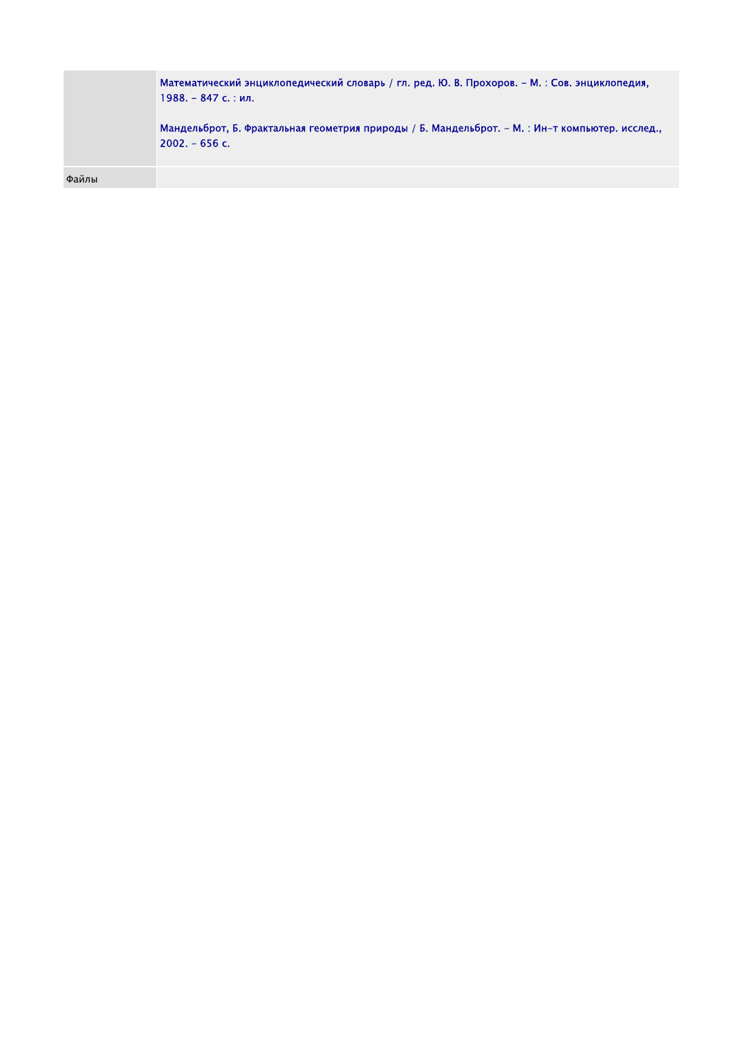|       | Математический энциклопедический словарь / гл. ред. Ю. В. Прохоров. - М. : Сов. энциклопедия,<br>$1988. - 847$ с.: ил.<br>Мандельброт, Б. Фрактальная геометрия природы / Б. Мандельброт. - М. : Ин-т компьютер. исслед.,<br>$2002 - 656$ c. |
|-------|----------------------------------------------------------------------------------------------------------------------------------------------------------------------------------------------------------------------------------------------|
| Файлы |                                                                                                                                                                                                                                              |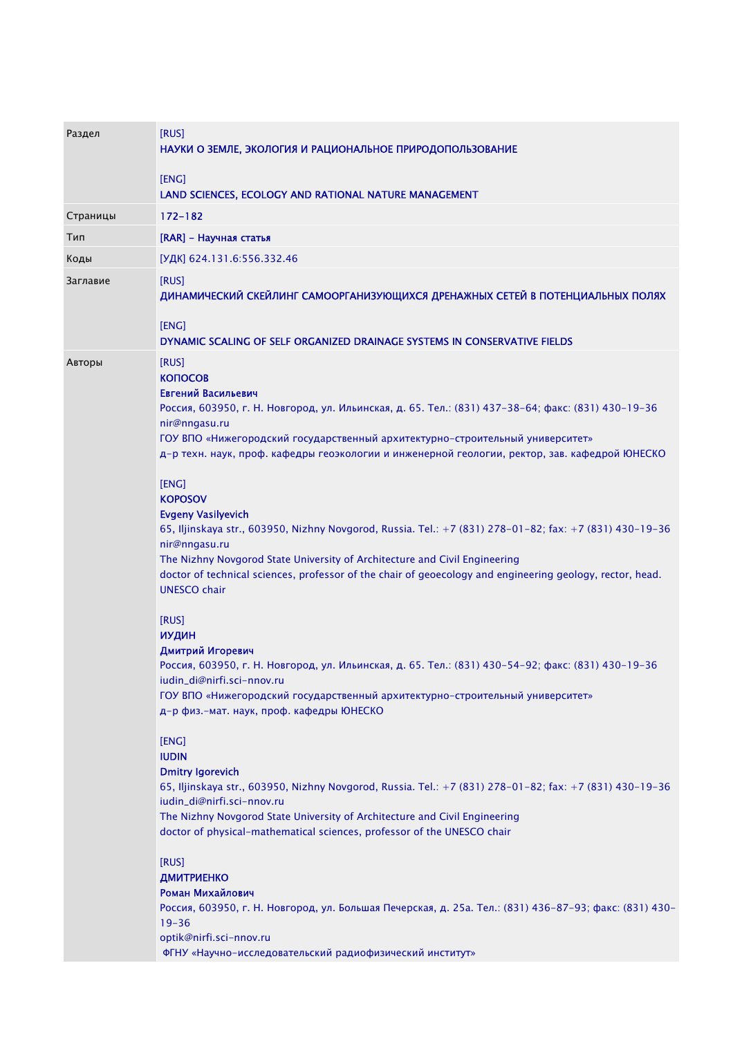| Раздел   | [RUS]<br>НАУКИ О ЗЕМЛЕ, ЭКОЛОГИЯ И РАЦИОНАЛЬНОЕ ПРИРОДОПОЛЬЗОВАНИЕ                                                                                                                                                                                                                                                                                                                                                                                                                                                                                                                                                                                                                                                                                                                                                                                                                                                                                                                                                                                                                                                                                                                                                                                                                                                                                                                                                                                                                                                                                                                                                                                                                                                                                                     |
|----------|------------------------------------------------------------------------------------------------------------------------------------------------------------------------------------------------------------------------------------------------------------------------------------------------------------------------------------------------------------------------------------------------------------------------------------------------------------------------------------------------------------------------------------------------------------------------------------------------------------------------------------------------------------------------------------------------------------------------------------------------------------------------------------------------------------------------------------------------------------------------------------------------------------------------------------------------------------------------------------------------------------------------------------------------------------------------------------------------------------------------------------------------------------------------------------------------------------------------------------------------------------------------------------------------------------------------------------------------------------------------------------------------------------------------------------------------------------------------------------------------------------------------------------------------------------------------------------------------------------------------------------------------------------------------------------------------------------------------------------------------------------------------|
|          | [ENG]<br>LAND SCIENCES, ECOLOGY AND RATIONAL NATURE MANAGEMENT                                                                                                                                                                                                                                                                                                                                                                                                                                                                                                                                                                                                                                                                                                                                                                                                                                                                                                                                                                                                                                                                                                                                                                                                                                                                                                                                                                                                                                                                                                                                                                                                                                                                                                         |
| Страницы | $172 - 182$                                                                                                                                                                                                                                                                                                                                                                                                                                                                                                                                                                                                                                                                                                                                                                                                                                                                                                                                                                                                                                                                                                                                                                                                                                                                                                                                                                                                                                                                                                                                                                                                                                                                                                                                                            |
| Тип      | [RAR] - Научная статья                                                                                                                                                                                                                                                                                                                                                                                                                                                                                                                                                                                                                                                                                                                                                                                                                                                                                                                                                                                                                                                                                                                                                                                                                                                                                                                                                                                                                                                                                                                                                                                                                                                                                                                                                 |
| Коды     | [УДК] 624.131.6:556.332.46                                                                                                                                                                                                                                                                                                                                                                                                                                                                                                                                                                                                                                                                                                                                                                                                                                                                                                                                                                                                                                                                                                                                                                                                                                                                                                                                                                                                                                                                                                                                                                                                                                                                                                                                             |
| Заглавие | [RUS]<br>ДИНАМИЧЕСКИЙ СКЕЙЛИНГ САМООРГАНИЗУЮЩИХСЯ ДРЕНАЖНЫХ СЕТЕЙ В ПОТЕНЦИАЛЬНЫХ ПОЛЯХ<br>[ENG]                                                                                                                                                                                                                                                                                                                                                                                                                                                                                                                                                                                                                                                                                                                                                                                                                                                                                                                                                                                                                                                                                                                                                                                                                                                                                                                                                                                                                                                                                                                                                                                                                                                                       |
| Авторы   | DYNAMIC SCALING OF SELF ORGANIZED DRAINAGE SYSTEMS IN CONSERVATIVE FIELDS<br>[RUS]<br><b>КОПОСОВ</b><br>Евгений Васильевич<br>Россия, 603950, г. Н. Новгород, ул. Ильинская, д. 65. Тел.: (831) 437-38-64; факс: (831) 430-19-36<br>nir@nngasu.ru<br>ГОУ ВПО «Нижегородский государственный архитектурно-строительный университет»<br>д-р техн. наук, проф. кафедры геоэкологии и инженерной геологии, ректор, зав. кафедрой ЮНЕСКО<br>[ENG]<br><b>KOPOSOV</b><br><b>Evgeny Vasilyevich</b><br>65, Iljinskaya str., 603950, Nizhny Novgorod, Russia. Tel.: +7 (831) 278-01-82; fax: +7 (831) 430-19-36<br>nir@nngasu.ru<br>The Nizhny Novgorod State University of Architecture and Civil Engineering<br>doctor of technical sciences, professor of the chair of geoecology and engineering geology, rector, head.<br><b>UNESCO</b> chair<br>[RUS]<br><b>ИУДИН</b><br>Дмитрий Игоревич<br>Россия, 603950, г. Н. Новгород, ул. Ильинская, д. 65. Тел.: (831) 430-54-92; факс: (831) 430-19-36<br>iudin_di@nirfi.sci-nnov.ru<br>ГОУ ВПО «Нижегородский государственный архитектурно-строительный университет»<br>д-р физ.-мат. наук, проф. кафедры ЮНЕСКО<br>[ENG]<br><b>IUDIN</b><br><b>Dmitry Igorevich</b><br>65, Iljinskaya str., 603950, Nizhny Novgorod, Russia. Tel.: +7 (831) 278-01-82; fax: +7 (831) 430-19-36<br>iudin_di@nirfi.sci-nnov.ru<br>The Nizhny Novgorod State University of Architecture and Civil Engineering<br>doctor of physical-mathematical sciences, professor of the UNESCO chair<br>[RUS]<br>ДМИТРИЕНКО<br>Роман Михайлович<br>Россия, 603950, г. Н. Новгород, ул. Большая Печерская, д. 25а. Тел.: (831) 436-87-93; факс: (831) 430-<br>$19 - 36$<br>optik@nirfi.sci-nnov.ru<br>ФГНУ «Научно-исследовательский радиофизический институт» |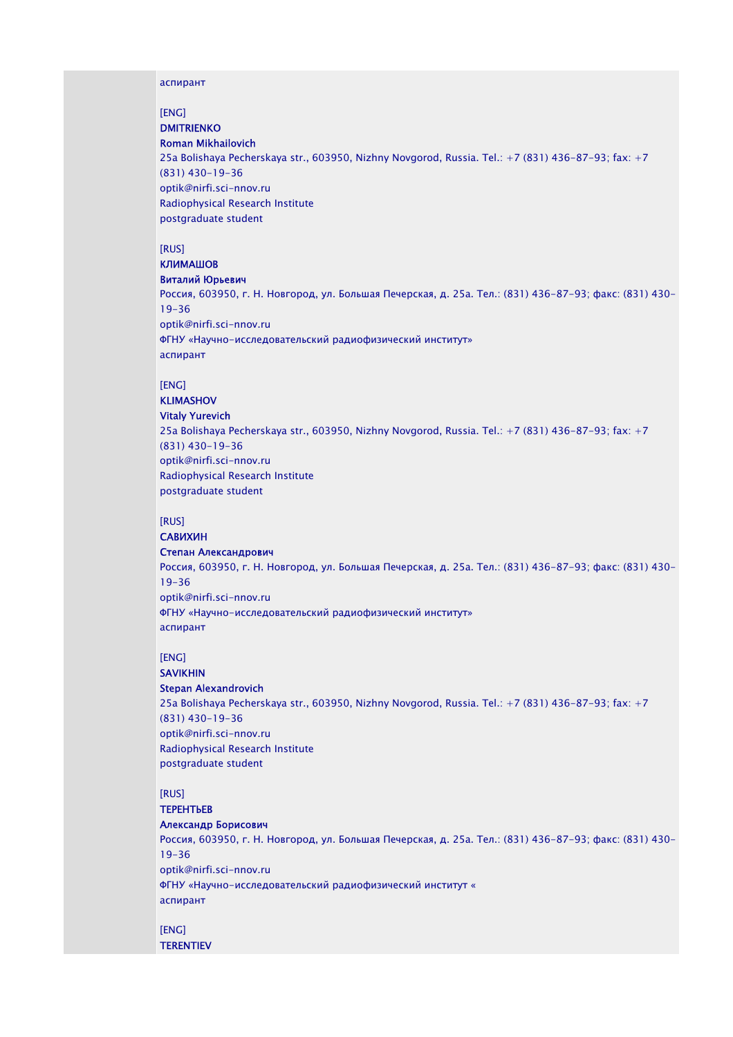#### аспирант

[ENG]

## **DMITRIENKO**

Roman Mikhailovich 25a Bolishaya Pecherskaya str., 603950, Nizhny Novgorod, Russia. Тel.: +7 (831) 436-87-93; fax: +7 (831) 430-19-36 optik@nirfi.sci-nnov.ru Radiophysical Research Institute postgraduate student

[RUS]

### КЛИМАШОВ

Виталий Юрьевич

Россия, 603950, г. Н. Новгород, ул. Большая Печерская, д. 25а. Тел.: (831) 436-87-93; факс: (831) 430- 19-36 optik@nirfi.sci-nnov.ru ФГНУ «Научно-исследовательский радиофизический институт» аспирант

#### [ENG]

### KLIMASHOV Vitaly Yurevich

25a Bolishaya Pecherskaya str., 603950, Nizhny Novgorod, Russia. Тel.: +7 (831) 436-87-93; fax: +7 (831) 430-19-36 optik@nirfi.sci-nnov.ru Radiophysical Research Institute postgraduate student

### [RUS]

## САВИХИН

Степан Александрович Россия, 603950, г. Н. Новгород, ул. Большая Печерская, д. 25а. Тел.: (831) 436-87-93; факс: (831) 430- 19-36 optik@nirfi.sci-nnov.ru ФГНУ «Научно-исследовательский радиофизический институт» аспирант

## [ENG]

#### SAVIKHIN Stepan Alexandrovich

25a Bolishaya Pecherskaya str., 603950, Nizhny Novgorod, Russia. Тel.: +7 (831) 436-87-93; fax: +7 (831) 430-19-36 optik@nirfi.sci-nnov.ru Radiophysical Research Institute postgraduate student

### [RUS]

### ТЕРЕНТЬЕВ

### Александр Борисович

Россия, 603950, г. Н. Новгород, ул. Большая Печерская, д. 25а. Тел.: (831) 436-87-93; факс: (831) 430- 19-36 optik@nirfi.sci-nnov.ru ФГНУ «Научно-исследовательский радиофизический институт « аспирант

# [ENG]

**TERENTIEV**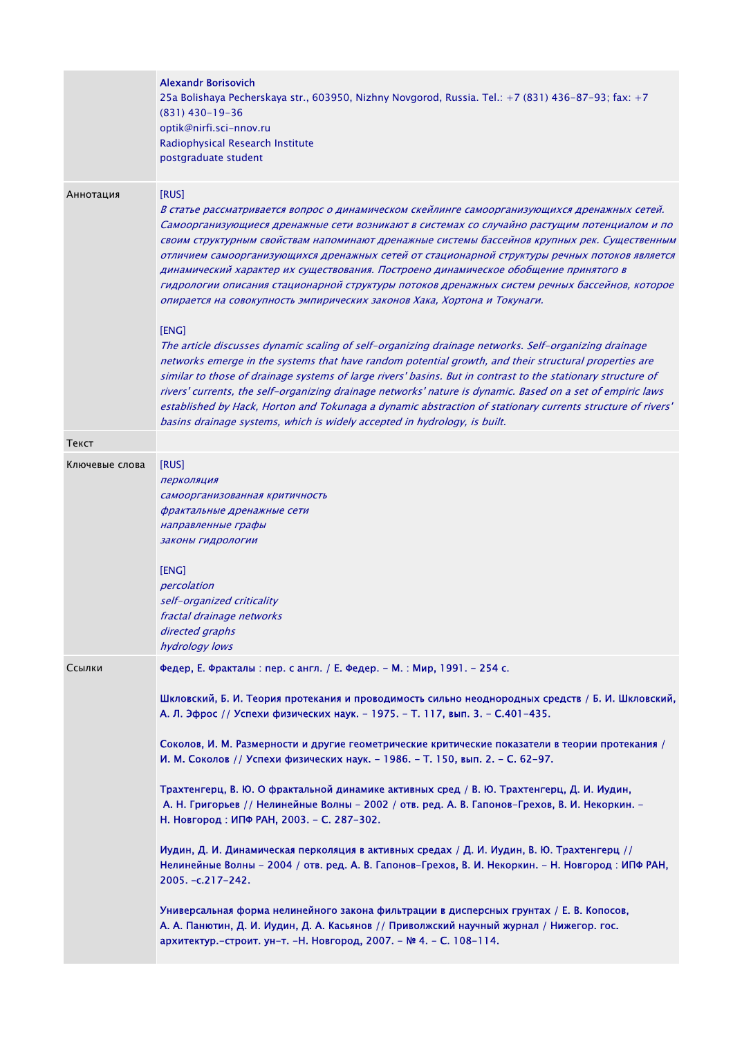|                | <b>Alexandr Borisovich</b><br>25a Bolishaya Pecherskaya str., 603950, Nizhny Novgorod, Russia. Tel.: +7 (831) 436-87-93; fax: +7<br>$(831)$ 430-19-36<br>optik@nirfi.sci-nnov.ru<br>Radiophysical Research Institute<br>postgraduate student                                                                                                                                                                                                                                                                                                                                                                                                                                |
|----------------|-----------------------------------------------------------------------------------------------------------------------------------------------------------------------------------------------------------------------------------------------------------------------------------------------------------------------------------------------------------------------------------------------------------------------------------------------------------------------------------------------------------------------------------------------------------------------------------------------------------------------------------------------------------------------------|
| Аннотация      | [RUS]<br>В статье рассматривается вопрос о динамическом скейлинге самоорганизующихся дренажных сетей.<br>Самоорганизующиеся дренажные сети возникают в системах со случайно растущим потенциалом и по<br>своим структурным свойствам напоминают дренажные системы бассейнов крупных рек. Существенным<br>отличием самоорганизующихся дренажных сетей от стационарной структуры речных потоков является<br>динамический характер их существования. Построено динамическое обобщение принятого в<br>гидрологии описания стационарной структуры потоков дренажных систем речных бассейнов, которое<br>опирается на совокупность эмпирических законов Хака, Хортона и Токунаги. |
|                | [ENG]<br>The article discusses dynamic scaling of self-organizing drainage networks. Self-organizing drainage<br>networks emerge in the systems that have random potential growth, and their structural properties are<br>similar to those of drainage systems of large rivers' basins. But in contrast to the stationary structure of<br>rivers' currents, the self-organizing drainage networks' nature is dynamic. Based on a set of empiric laws<br>established by Hack, Horton and Tokunaga a dynamic abstraction of stationary currents structure of rivers'<br>basins drainage systems, which is widely accepted in hydrology, is built.                             |
| Текст          |                                                                                                                                                                                                                                                                                                                                                                                                                                                                                                                                                                                                                                                                             |
| Ключевые слова | [RUS]<br>перколяция<br>самоорганизованная критичность<br>фрактальные дренажные сети<br>направленные графы<br>законы гидрологии<br>[ENG]<br>percolation<br>self-organized criticality<br>fractal drainage networks<br>directed graphs<br>hydrology lows                                                                                                                                                                                                                                                                                                                                                                                                                      |
| Ссылки         | Федер, Е. Фракталы: пер. с англ. / Е. Федер. - М.: Мир, 1991. - 254 с.                                                                                                                                                                                                                                                                                                                                                                                                                                                                                                                                                                                                      |
|                | Шкловский, Б. И. Теория протекания и проводимость сильно неоднородных средств / Б. И. Шкловский,<br>А. Л. Эфрос // Успехи физических наук. - 1975. - Т. 117, вып. 3. - С.401-435.<br>Соколов, И. М. Размерности и другие геометрические критические показатели в теории протекания /<br>И. М. Соколов // Успехи физических наук. - 1986. - Т. 150, вып. 2. - С. 62-97.<br>Трахтенгерц, В. Ю. О фрактальной динамике активных сред / В. Ю. Трахтенгерц, Д. И. Иудин,<br>А. Н. Григорьев // Нелинейные Волны - 2002 / отв. ред. А. В. Гапонов-Грехов, В. И. Некоркин. -                                                                                                       |
|                | Н. Новгород: ИПФ РАН, 2003. - С. 287-302.<br>Иудин, Д. И. Динамическая перколяция в активных средах / Д. И. Иудин, В. Ю. Трахтенгерц //<br>Нелинейные Волны - 2004 / отв. ред. А. В. Гапонов-Грехов, В. И. Некоркин. - Н. Новгород: ИПФ РАН,<br>2005. -c.217-242.                                                                                                                                                                                                                                                                                                                                                                                                           |
|                | Универсальная форма нелинейного закона фильтрации в дисперсных грунтах / Е. В. Копосов,<br>А. А. Панютин, Д. И. Иудин, Д. А. Касьянов // Приволжский научный журнал / Нижегор. гос.<br>архитектур. - строит. ун-т. - Н. Новгород, 2007. - № 4. - С. 108-114.                                                                                                                                                                                                                                                                                                                                                                                                                |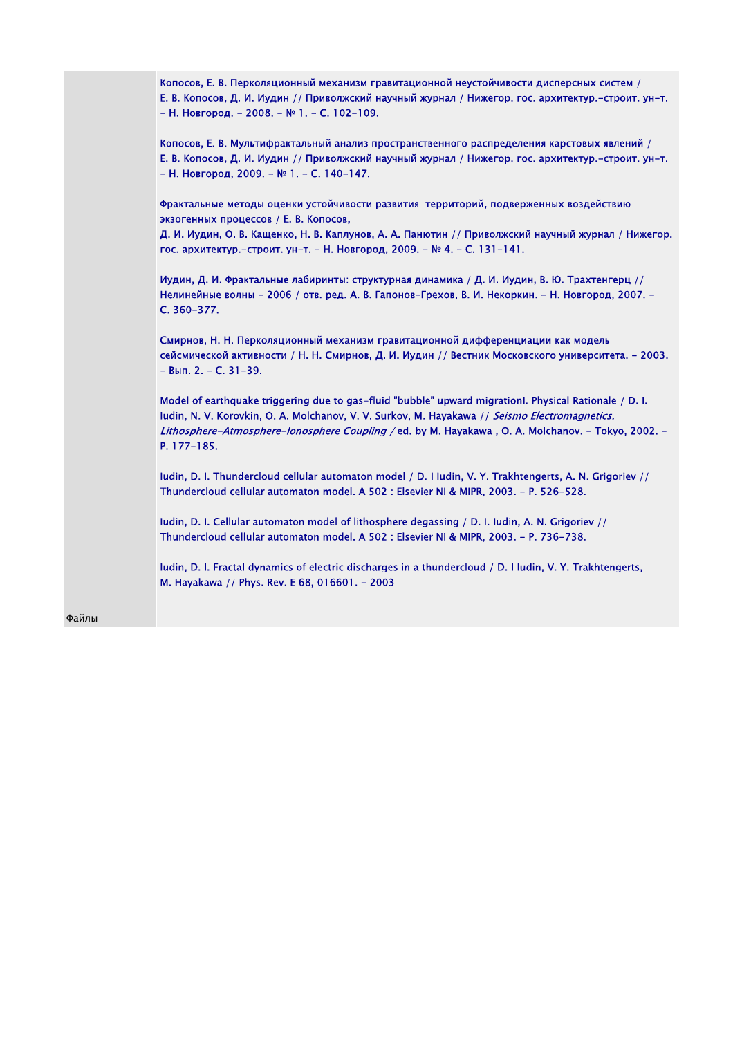| Копосов, Е. В. Перколяционный механизм гравитационной неустойчивости дисперсных систем /<br>Е. В. Копосов, Д. И. Иудин // Приволжский научный журнал / Нижегор. гос. архитектур.-строит. ун-т.<br>- Н. Новгород. - 2008. - № 1. - С. 102-109.                                                                               |
|-----------------------------------------------------------------------------------------------------------------------------------------------------------------------------------------------------------------------------------------------------------------------------------------------------------------------------|
| Копосов, Е. В. Мультифрактальный анализ пространственного распределения карстовых явлений /<br>Е. В. Копосов, Д. И. Иудин // Приволжский научный журнал / Нижегор. гос. архитектур.-строит. ун-т.<br>- Н. Новгород, 2009. - № 1. - С. 140-147.                                                                              |
| Фрактальные методы оценки устойчивости развития территорий, подверженных воздействию<br>экзогенных процессов / Е. В. Копосов,                                                                                                                                                                                               |
| Д. И. Иудин, О. В. Кащенко, Н. В. Каплунов, А. А. Панютин // Приволжский научный журнал / Нижегор.<br>гос. архитектур.-строит. ун-т. - Н. Новгород, 2009. - № 4. - С. 131-141.                                                                                                                                              |
| Иудин, Д. И. Фрактальные лабиринты: структурная динамика / Д. И. Иудин, В. Ю. Трахтенгерц //<br>Нелинейные волны - 2006 / отв. ред. А. В. Гапонов-Грехов, В. И. Некоркин. - Н. Новгород, 2007. -<br>C. 360-377.                                                                                                             |
| Смирнов, Н. Н. Перколяционный механизм гравитационной дифференциации как модель<br>сейсмической активности / Н. Н. Смирнов, Д. И. Иудин // Вестник Московского университета. - 2003.<br>$-$ Вып. 2. – С. 31-39.                                                                                                             |
| Model of earthquake triggering due to gas-fluid "bubble" upward migration. Physical Rationale / D. I.<br>ludin, N. V. Korovkin, O. A. Molchanov, V. V. Surkov, M. Hayakawa // Seismo Electromagnetics.<br>Lithosphere-Atmosphere-Ionosphere Coupling / ed. by M. Hayakawa, O. A. Molchanov. - Tokyo, 2002. -<br>P. 177-185. |
| ludin, D. I. Thundercloud cellular automaton model / D. I ludin, V. Y. Trakhtengerts, A. N. Grigoriev //<br>Thundercloud cellular automaton model. A 502 : Elsevier NI & MIPR, 2003. - P. 526-528.                                                                                                                          |
| ludin, D. I. Cellular automaton model of lithosphere degassing / D. I. ludin, A. N. Grigoriev //<br>Thundercloud cellular automaton model. A 502 : Elsevier NI & MIPR, 2003. - P. 736-738.                                                                                                                                  |
| ludin, D. I. Fractal dynamics of electric discharges in a thundercloud / D. I ludin, V. Y. Trakhtengerts,<br>M. Hayakawa // Phys. Rev. E 68, 016601. - 2003                                                                                                                                                                 |
|                                                                                                                                                                                                                                                                                                                             |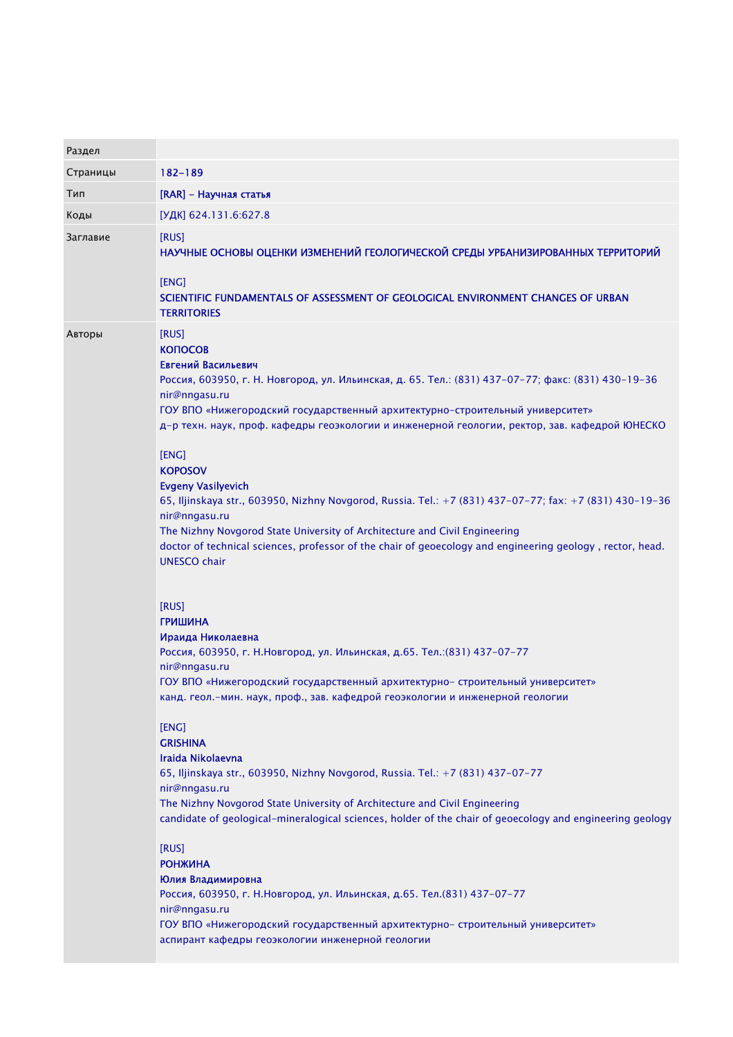| Раздел   |                                                                                                                                                                                                                                                                                                                                                                                                                                                                                                                                                                                                                                                                                                                                                                                                                                                                                                                                                                                                                                                                                                                                                                                                                                                                                                                                                                                                                                                                                                                                                                                                                                                                                                                |
|----------|----------------------------------------------------------------------------------------------------------------------------------------------------------------------------------------------------------------------------------------------------------------------------------------------------------------------------------------------------------------------------------------------------------------------------------------------------------------------------------------------------------------------------------------------------------------------------------------------------------------------------------------------------------------------------------------------------------------------------------------------------------------------------------------------------------------------------------------------------------------------------------------------------------------------------------------------------------------------------------------------------------------------------------------------------------------------------------------------------------------------------------------------------------------------------------------------------------------------------------------------------------------------------------------------------------------------------------------------------------------------------------------------------------------------------------------------------------------------------------------------------------------------------------------------------------------------------------------------------------------------------------------------------------------------------------------------------------------|
| Страницы | 182-189                                                                                                                                                                                                                                                                                                                                                                                                                                                                                                                                                                                                                                                                                                                                                                                                                                                                                                                                                                                                                                                                                                                                                                                                                                                                                                                                                                                                                                                                                                                                                                                                                                                                                                        |
| Тип      | [RAR] - Научная статья                                                                                                                                                                                                                                                                                                                                                                                                                                                                                                                                                                                                                                                                                                                                                                                                                                                                                                                                                                                                                                                                                                                                                                                                                                                                                                                                                                                                                                                                                                                                                                                                                                                                                         |
| Коды     | [УДК] 624.131.6:627.8                                                                                                                                                                                                                                                                                                                                                                                                                                                                                                                                                                                                                                                                                                                                                                                                                                                                                                                                                                                                                                                                                                                                                                                                                                                                                                                                                                                                                                                                                                                                                                                                                                                                                          |
| Заглавие | [RUS]<br>НАУЧНЫЕ ОСНОВЫ ОЦЕНКИ ИЗМЕНЕНИЙ ГЕОЛОГИЧЕСКОЙ СРЕДЫ УРБАНИЗИРОВАННЫХ ТЕРРИТОРИЙ<br>[ENG]<br>SCIENTIFIC FUNDAMENTALS OF ASSESSMENT OF GEOLOGICAL ENVIRONMENT CHANGES OF URBAN<br><b>TERRITORIES</b>                                                                                                                                                                                                                                                                                                                                                                                                                                                                                                                                                                                                                                                                                                                                                                                                                                                                                                                                                                                                                                                                                                                                                                                                                                                                                                                                                                                                                                                                                                    |
| Авторы   | [RUS]<br><b>КОПОСОВ</b><br>Евгений Васильевич<br>Россия, 603950, г. Н. Новгород, ул. Ильинская, д. 65. Тел.: (831) 437-07-77; факс: (831) 430-19-36<br>nir@nngasu.ru<br>ГОУ ВПО «Нижегородский государственный архитектурно-строительный университет»<br>д-р техн. наук, проф. кафедры геоэкологии и инженерной геологии, ректор, зав. кафедрой ЮНЕСКО<br>[ENG]<br><b>KOPOSOV</b><br><b>Evgeny Vasilvevich</b><br>65, Iljinskaya str., 603950, Nizhny Novgorod, Russia. Tel.: +7 (831) 437-07-77; fax: +7 (831) 430-19-36<br>nir@nngasu.ru<br>The Nizhny Novgorod State University of Architecture and Civil Engineering<br>doctor of technical sciences, professor of the chair of geoecology and engineering geology, rector, head.<br><b>UNESCO chair</b><br>[RUS]<br><b>ГРИШИНА</b><br>Ираида Николаевна<br>Россия, 603950, г. Н.Новгород, ул. Ильинская, д.65. Тел.: (831) 437-07-77<br>nir@nngasu.ru<br>ГОУ ВПО «Нижегородский государственный архитектурно- строительный университет»<br>канд. геол.-мин. наук, проф., зав. кафедрой геоэкологии и инженерной геологии<br>[ENG]<br><b>GRISHINA</b><br>Iraida Nikolaevna<br>65, Iljinskaya str., 603950, Nizhny Novgorod, Russia. Tel.: +7 (831) 437-07-77<br>nir@nngasu.ru<br>The Nizhny Novgorod State University of Architecture and Civil Engineering<br>candidate of geological-mineralogical sciences, holder of the chair of geoecology and engineering geology<br>[RUS]<br><b>РОНЖИНА</b><br>Юлия Владимировна<br>Россия, 603950, г. Н.Новгород, ул. Ильинская, д.65. Тел.(831) 437-07-77<br>nir@nngasu.ru<br>ГОУ ВПО «Нижегородский государственный архитектурно- строительный университет»<br>аспирант кафедры геоэкологии инженерной геологии |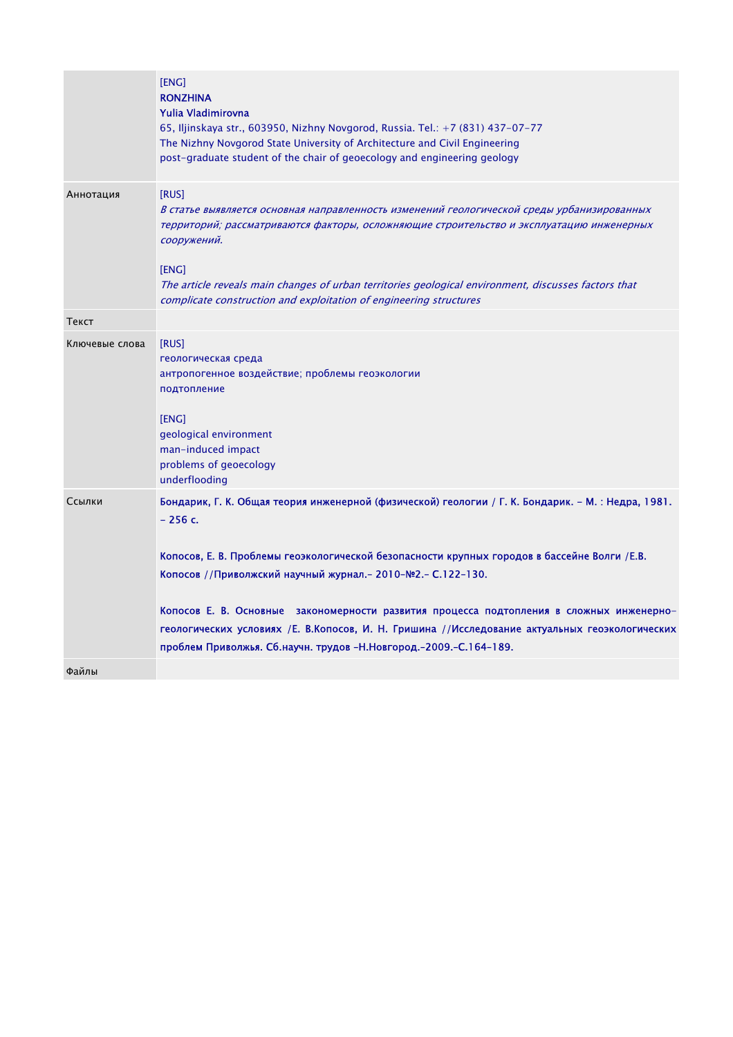|                | [ENG]<br><b>RONZHINA</b><br>Yulia Vladimirovna<br>65, Iljinskaya str., 603950, Nizhny Novgorod, Russia. Tel.: +7 (831) 437-07-77<br>The Nizhny Novgorod State University of Architecture and Civil Engineering<br>post-graduate student of the chair of geoecology and engineering geology                                                                                                                                                                                                                                                           |
|----------------|------------------------------------------------------------------------------------------------------------------------------------------------------------------------------------------------------------------------------------------------------------------------------------------------------------------------------------------------------------------------------------------------------------------------------------------------------------------------------------------------------------------------------------------------------|
| Аннотация      | [RUS]<br>В статье выявляется основная направленность изменений геологической среды урбанизированных<br>территорий; рассматриваются факторы, осложняющие строительство и эксплуатацию инженерных<br>сооружений.<br>[ENG]<br>The article reveals main changes of urban territories geological environment, discusses factors that<br>complicate construction and exploitation of engineering structures                                                                                                                                                |
| Текст          |                                                                                                                                                                                                                                                                                                                                                                                                                                                                                                                                                      |
| Ключевые слова | [RUS]<br>геологическая среда<br>антропогенное воздействие; проблемы геоэкологии<br>подтопление<br>[ENG]<br>geological environment<br>man-induced impact<br>problems of geoecology<br>underflooding                                                                                                                                                                                                                                                                                                                                                   |
| Ссылки         | Бондарик, Г. К. Общая теория инженерной (физической) геологии / Г. К. Бондарик. – М. : Недра, 1981.<br>$-256c.$<br>Копосов, Е. В. Проблемы геоэкологической безопасности крупных городов в бассейне Волги / Е.В.<br>Копосов //Приволжский научный журнал. - 2010-№2. - С.122-130.<br>Копосов Е. В. Основные закономерности развития процесса подтопления в сложных инженерно-<br>геологических условиях /Е. В.Копосов, И. Н. Гришина //Исследование актуальных геоэкологических<br>проблем Приволжья. Сб.научн. трудов -Н.Новгород.-2009.-С.164-189. |
| Файлы          |                                                                                                                                                                                                                                                                                                                                                                                                                                                                                                                                                      |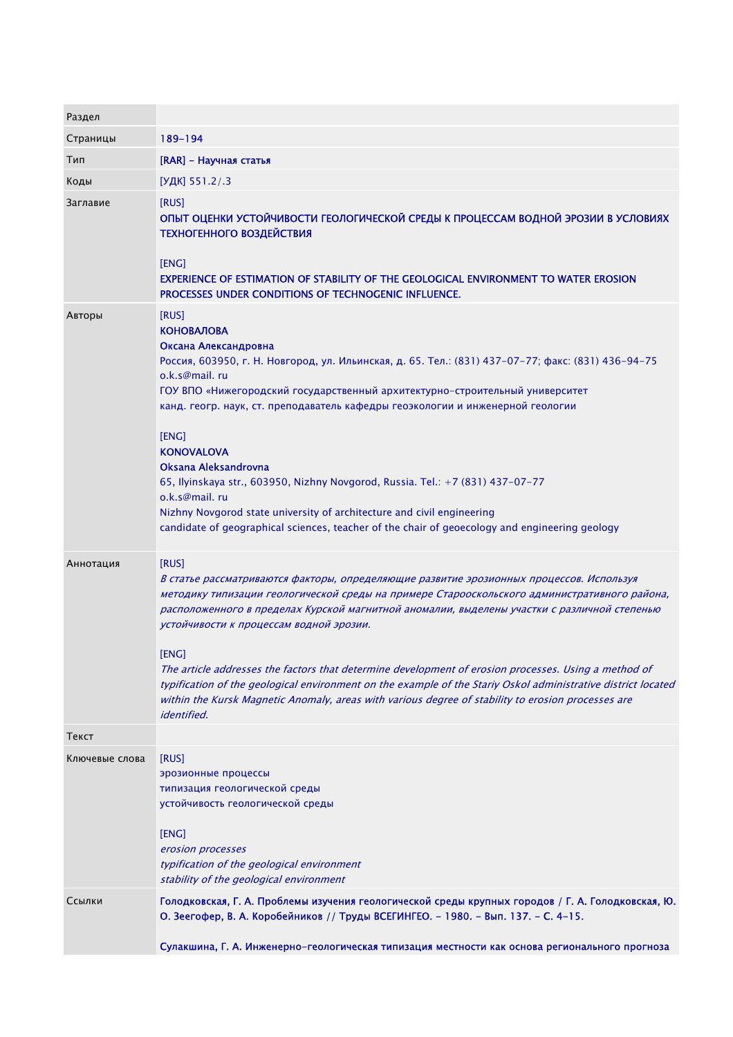| 189-194                                                                                                                                                                                                                                                                                                                                                                                                                                                                                                                                                                                                                                                                          |
|----------------------------------------------------------------------------------------------------------------------------------------------------------------------------------------------------------------------------------------------------------------------------------------------------------------------------------------------------------------------------------------------------------------------------------------------------------------------------------------------------------------------------------------------------------------------------------------------------------------------------------------------------------------------------------|
| [RAR] - Научная статья                                                                                                                                                                                                                                                                                                                                                                                                                                                                                                                                                                                                                                                           |
| [УДК] 551.2/.3                                                                                                                                                                                                                                                                                                                                                                                                                                                                                                                                                                                                                                                                   |
| [RUS]<br>ОПЫТ ОЦЕНКИ УСТОЙЧИВОСТИ ГЕОЛОГИЧЕСКОЙ СРЕДЫ К ПРОЦЕССАМ ВОДНОЙ ЭРОЗИИ В УСЛОВИЯХ<br><b>ТЕХНОГЕННОГО ВОЗДЕЙСТВИЯ</b><br>[ENG]<br><b>EXPERIENCE OF ESTIMATION OF STABILITY OF THE GEOLOGICAL ENVIRONMENT TO WATER EROSION</b>                                                                                                                                                                                                                                                                                                                                                                                                                                            |
| PROCESSES UNDER CONDITIONS OF TECHNOGENIC INFLUENCE.                                                                                                                                                                                                                                                                                                                                                                                                                                                                                                                                                                                                                             |
| [RUS]<br><b>КОНОВАЛОВА</b><br>Оксана Александровна<br>Россия, 603950, г. Н. Новгород, ул. Ильинская, д. 65. Тел.: (831) 437-07-77; факс: (831) 436-94-75<br>o.k.s@mail.ru<br>ГОУ ВПО «Нижегородский государственный архитектурно-строительный университет<br>канд. геогр. наук, ст. преподаватель кафедры геоэкологии и инженерной геологии<br>[ENG]<br><b>KONOVALOVA</b><br>Oksana Aleksandrovna<br>65, Ilyinskaya str., 603950, Nizhny Novgorod, Russia. Tel.: +7 (831) 437-07-77<br>o.k.s@mail.ru<br>Nizhny Novgorod state university of architecture and civil engineering<br>candidate of geographical sciences, teacher of the chair of geoecology and engineering geology |
| [RUS]<br>В статье рассматриваются факторы, определяющие развитие эрозионных процессов. Используя<br>методику типизации геологической среды на примере Старооскольского административного района,<br>расположенного в пределах Курской магнитной аномалии, выделены участки с различной степенью<br>устойчивости к процессам водной эрозии.<br>[ENG]                                                                                                                                                                                                                                                                                                                              |
| The article addresses the factors that determine development of erosion processes. Using a method of<br>typification of the geological environment on the example of the Stariy Oskol administrative district located<br>within the Kursk Magnetic Anomaly, areas with various degree of stability to erosion processes are<br><i>identified.</i>                                                                                                                                                                                                                                                                                                                                |
|                                                                                                                                                                                                                                                                                                                                                                                                                                                                                                                                                                                                                                                                                  |
| [RUS]<br>эрозионные процессы<br>типизация геологической среды<br>устойчивость геологической среды<br>[ENG]<br>erosion processes<br>typification of the geological environment<br>stability of the geological environment                                                                                                                                                                                                                                                                                                                                                                                                                                                         |
| Голодковская, Г. А. Проблемы изучения геологической среды крупных городов / Г. А. Голодковская, Ю.<br>О. Зеегофер, В. А. Коробейников // Труды ВСЕГИНГЕО. - 1980. - Вып. 137. - С. 4-15.<br>Сулакшина, Г. А. Инженерно-геологическая типизация местности как основа регионального прогноза                                                                                                                                                                                                                                                                                                                                                                                       |
|                                                                                                                                                                                                                                                                                                                                                                                                                                                                                                                                                                                                                                                                                  |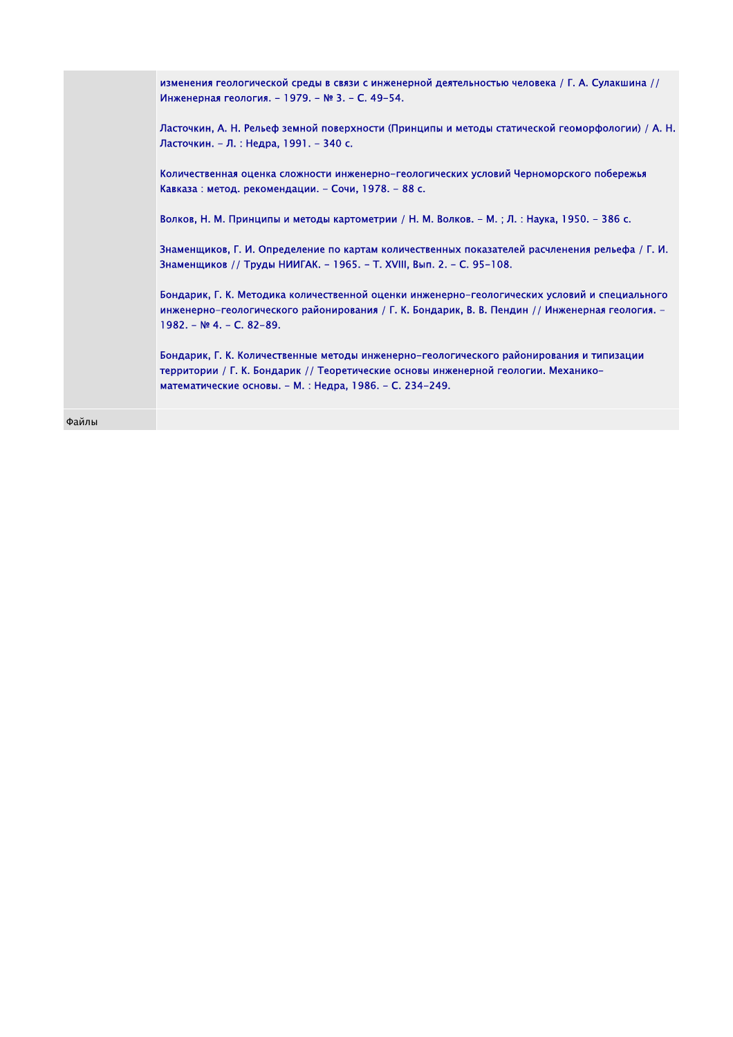| изменения геологической среды в связи с инженерной деятельностью человека / Г. А. Сулакшина //<br>Инженерная геология. - 1979. - № 3. - С. 49-54.                                                                                         |
|-------------------------------------------------------------------------------------------------------------------------------------------------------------------------------------------------------------------------------------------|
| Ласточкин, А. Н. Рельеф земной поверхности (Принципы и методы статической геоморфологии) / А. Н.<br>Ласточкин. – Л. : Недра, 1991. – 340 с.                                                                                               |
| Количественная оценка сложности инженерно-геологических условий Черноморского побережья<br>Кавказа: метод. рекомендации. - Сочи, 1978. - 88 с.                                                                                            |
| Волков, Н. М. Принципы и методы картометрии / Н. М. Волков. – М.; Л.: Наука, 1950. – 386 с.                                                                                                                                               |
| Знаменщиков, Г. И. Определение по картам количественных показателей расчленения рельефа / Г. И.<br>Знаменщиков // Труды НИИГАК. - 1965. - Т. XVIII, Вып. 2. - С. 95-108.                                                                  |
| Бондарик, Г. К. Методика количественной оценки инженерно-геологических условий и специального<br>инженерно-геологического районирования / Г. К. Бондарик, В. В. Пендин // Инженерная геология. -<br>$1982 - N94 - C. 82-89.$              |
| Бондарик, Г. К. Количественные методы инженерно-геологического районирования и типизации<br>территории / Г. К. Бондарик // Теоретические основы инженерной геологии. Механико-<br>математические основы. - М.: Недра, 1986. - С. 234-249. |

Файлы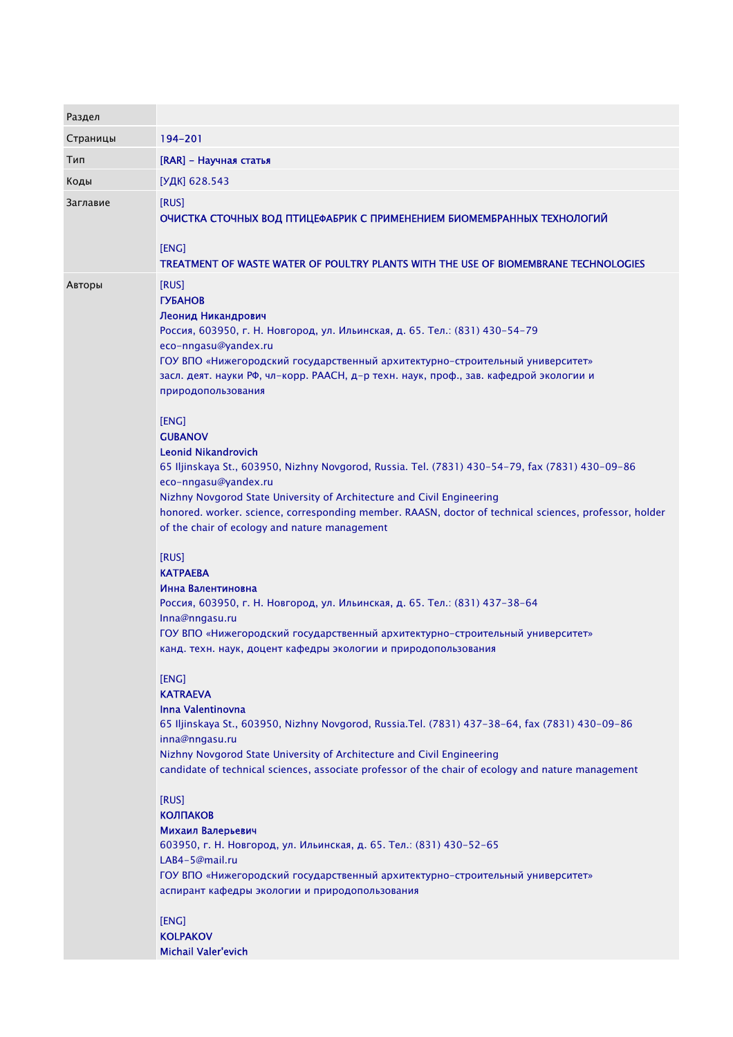| Раздел   |                                                                                                                                                                                                                                                                                                                                                                                                                       |
|----------|-----------------------------------------------------------------------------------------------------------------------------------------------------------------------------------------------------------------------------------------------------------------------------------------------------------------------------------------------------------------------------------------------------------------------|
| Страницы | 194-201                                                                                                                                                                                                                                                                                                                                                                                                               |
| Тип      | [RAR] - Научная статья                                                                                                                                                                                                                                                                                                                                                                                                |
| Коды     | [УДК] 628.543                                                                                                                                                                                                                                                                                                                                                                                                         |
| Заглавие | [RUS]                                                                                                                                                                                                                                                                                                                                                                                                                 |
|          | ОЧИСТКА СТОЧНЫХ ВОД ПТИЦЕФАБРИК С ПРИМЕНЕНИЕМ БИОМЕМБРАННЫХ ТЕХНОЛОГИЙ<br>[ENG]<br>TREATMENT OF WASTE WATER OF POULTRY PLANTS WITH THE USE OF BIOMEMBRANE TECHNOLOGIES                                                                                                                                                                                                                                                |
| Авторы   | [RUS]                                                                                                                                                                                                                                                                                                                                                                                                                 |
|          | <b>ГУБАНОВ</b><br>Леонид Никандрович<br>Россия, 603950, г. Н. Новгород, ул. Ильинская, д. 65. Тел.: (831) 430-54-79<br>eco-nngasu@yandex.ru<br>ГОУ ВПО «Нижегородский государственный архитектурно-строительный университет»                                                                                                                                                                                          |
|          | засл. деят. науки РФ, чл-корр. РААСН, д-р техн. наук, проф., зав. кафедрой экологии и<br>природопользования                                                                                                                                                                                                                                                                                                           |
|          | [ENG]<br><b>GUBANOV</b><br><b>Leonid Nikandrovich</b><br>65 Iljinskaya St., 603950, Nizhny Novgorod, Russia. Tel. (7831) 430-54-79, fax (7831) 430-09-86<br>eco-nngasu@yandex.ru<br>Nizhny Novgorod State University of Architecture and Civil Engineering<br>honored. worker. science, corresponding member. RAASN, doctor of technical sciences, professor, holder<br>of the chair of ecology and nature management |
|          | [RUS]<br><b>KATPAEBA</b><br>Инна Валентиновна<br>Россия, 603950, г. Н. Новгород, ул. Ильинская, д. 65. Тел.: (831) 437-38-64<br>Inna@nngasu.ru<br>ГОУ ВПО «Нижегородский государственный архитектурно-строительный университет»<br>канд. техн. наук, доцент кафедры экологии и природопользования                                                                                                                     |
|          | [ENG]<br><b>KATRAEVA</b><br>Inna Valentinovna<br>65 Iljinskaya St., 603950, Nizhny Novgorod, Russia. Tel. (7831) 437-38-64, fax (7831) 430-09-86<br>inna@nngasu.ru<br>Nizhny Novgorod State University of Architecture and Civil Engineering<br>candidate of technical sciences, associate professor of the chair of ecology and nature management                                                                    |
|          | [RUS]<br><b>КОЛПАКОВ</b><br>Михаил Валерьевич<br>603950, г. Н. Новгород, ул. Ильинская, д. 65. Тел.: (831) 430-52-65<br>LAB4-5@mail.ru<br>ГОУ ВПО «Нижегородский государственный архитектурно-строительный университет»<br>аспирант кафедры экологии и природопользования<br>[ENG]<br><b>KOLPAKOV</b>                                                                                                                 |
|          | <b>Michail Valer'evich</b>                                                                                                                                                                                                                                                                                                                                                                                            |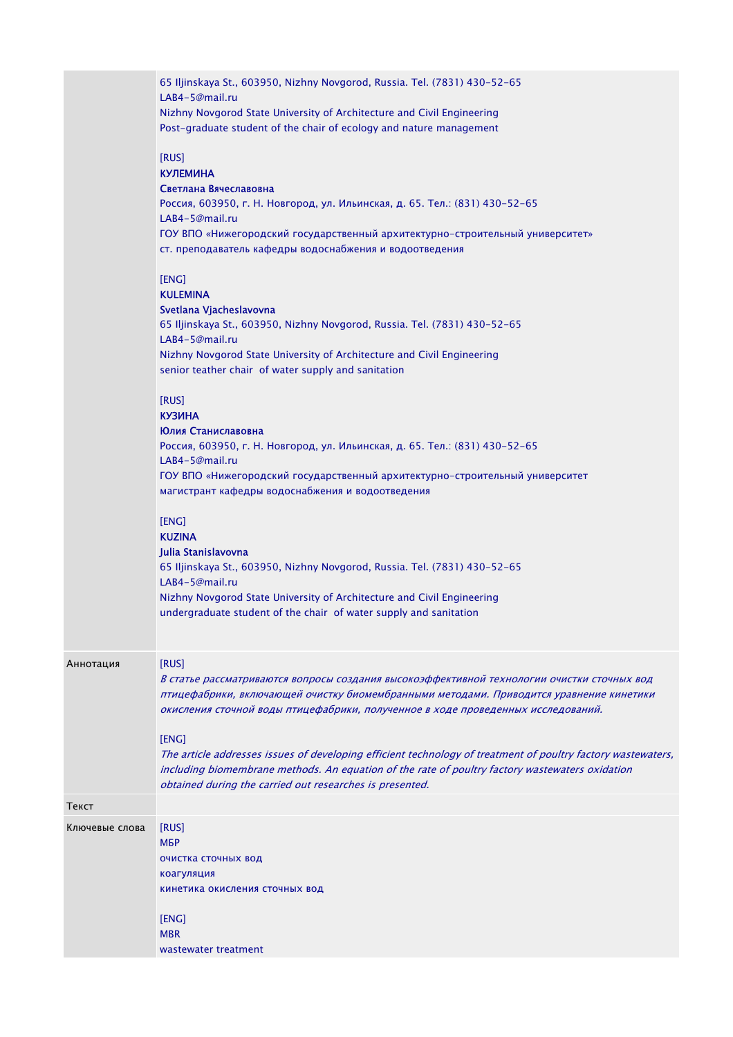|                | 65 Iljinskaya St., 603950, Nizhny Novgorod, Russia. Tel. (7831) 430-52-65<br>LAB4-5@mail.ru<br>Nizhny Novgorod State University of Architecture and Civil Engineering<br>Post-graduate student of the chair of ecology and nature management                                                                                                                                                                                                                                                                                                                               |
|----------------|----------------------------------------------------------------------------------------------------------------------------------------------------------------------------------------------------------------------------------------------------------------------------------------------------------------------------------------------------------------------------------------------------------------------------------------------------------------------------------------------------------------------------------------------------------------------------|
|                | [RUS]<br><b>КУЛЕМИНА</b><br>Светлана Вячеславовна<br>Россия, 603950, г. Н. Новгород, ул. Ильинская, д. 65. Тел.: (831) 430-52-65<br>LAB4-5@mail.ru<br>ГОУ ВПО «Нижегородский государственный архитектурно-строительный университет»<br>ст. преподаватель кафедры водоснабжения и водоотведения                                                                                                                                                                                                                                                                             |
|                | [ENG]<br><b>KULEMINA</b><br>Svetlana Vjacheslavovna<br>65 Iljinskaya St., 603950, Nizhny Novgorod, Russia. Tel. (7831) 430-52-65<br>LAB4-5@mail.ru<br>Nizhny Novgorod State University of Architecture and Civil Engineering<br>senior teather chair of water supply and sanitation                                                                                                                                                                                                                                                                                        |
|                | [RUS]<br><b>КУЗИНА</b><br>Юлия Станиславовна<br>Россия, 603950, г. Н. Новгород, ул. Ильинская, д. 65. Тел.: (831) 430-52-65<br>LAB4-5@mail.ru<br>ГОУ ВПО «Нижегородский государственный архитектурно-строительный университет<br>магистрант кафедры водоснабжения и водоотведения                                                                                                                                                                                                                                                                                          |
|                | [ENG]<br><b>KUZINA</b><br>Julia Stanislavovna<br>65 Iljinskaya St., 603950, Nizhny Novgorod, Russia. Tel. (7831) 430-52-65<br>LAB4-5@mail.ru<br>Nizhny Novgorod State University of Architecture and Civil Engineering<br>undergraduate student of the chair of water supply and sanitation                                                                                                                                                                                                                                                                                |
| Аннотация      | [RUS]<br>В статье рассматриваются вопросы создания высокоэффективной технологии очистки сточных вод<br>птицефабрики, включающей очистку биомембранными методами. Приводится уравнение кинетики<br>окисления сточной воды птицефабрики, полученное в ходе проведенных исследований.<br>[ENG]<br>The article addresses issues of developing efficient technology of treatment of poultry factory wastewaters,<br>including biomembrane methods. An equation of the rate of poultry factory wastewaters oxidation<br>obtained during the carried out researches is presented. |
| Текст          |                                                                                                                                                                                                                                                                                                                                                                                                                                                                                                                                                                            |
| Ключевые слова | [RUS]<br>МБР<br>очистка сточных вод<br>коагуляция<br>кинетика окисления сточных вод<br>[ENG]<br><b>MBR</b>                                                                                                                                                                                                                                                                                                                                                                                                                                                                 |
|                | wastewater treatment                                                                                                                                                                                                                                                                                                                                                                                                                                                                                                                                                       |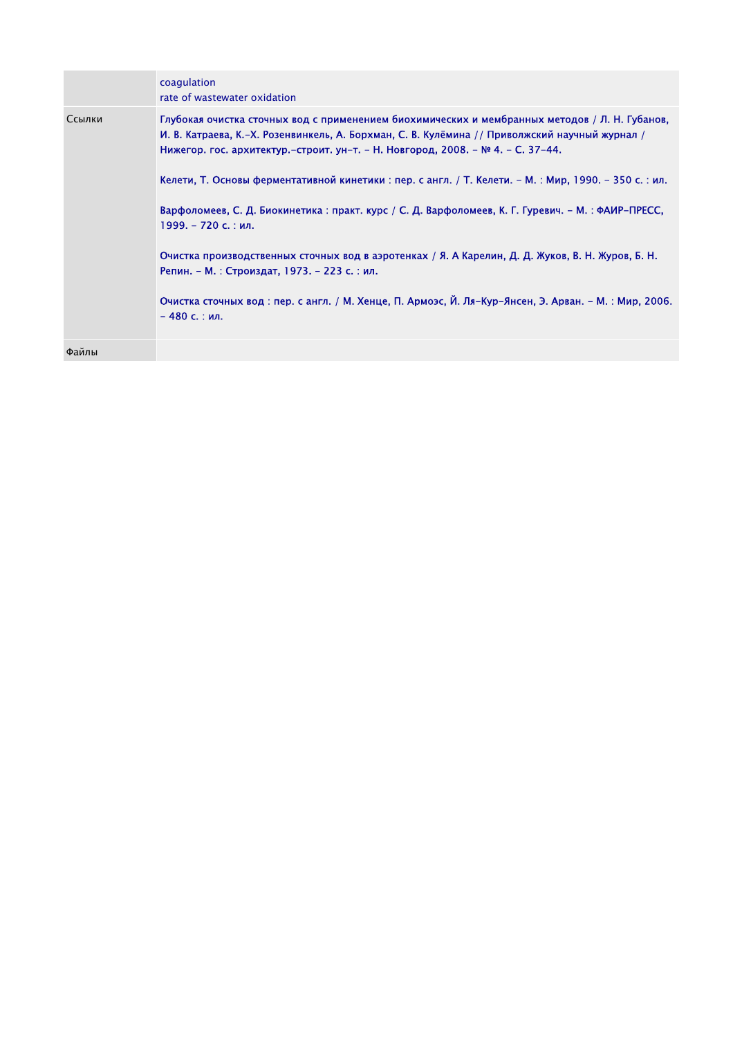|        | coagulation<br>rate of wastewater oxidation                                                                                                                                                                                                                                         |
|--------|-------------------------------------------------------------------------------------------------------------------------------------------------------------------------------------------------------------------------------------------------------------------------------------|
| Ссылки | Глубокая очистка сточных вод с применением биохимических и мембранных методов / Л. Н. Губанов,<br>И. В. Катраева, К.–Х. Розенвинкель, А. Борхман, С. В. Кулёмина // Приволжский научный журнал /<br>Нижегор. гос. архитектур.–строит. ун–т. – Н. Новгород, 2008. – № 4. – С. 37–44. |
|        | Келети, Т. Основы ферментативной кинетики : пер. с англ. / Т. Келети. – М. : Мир, 1990. – 350 с. : ил.                                                                                                                                                                              |
|        | Варфоломеев, С. Д. Биокинетика : практ. курс / С. Д. Варфоломеев, К. Г. Гуревич. - М. : ФАИР-ПРЕСС,<br>1999. – 720 с. : ил.                                                                                                                                                         |
|        | Очистка производственных сточных вод в аэротенках / Я. А Карелин, Д. Д. Жуков, В. Н. Журов, Б. Н.<br>Репин. – М. : Строиздат, 1973. – 223 с. : ил.                                                                                                                                  |
|        | Очистка сточных вод : пер. с англ. / М. Хенце, П. Армоэс, Й. Ля-Кур-Янсен, Э. Арван. - М. : Мир, 2006.<br>– 480 с. : ил.                                                                                                                                                            |
| Файлы  |                                                                                                                                                                                                                                                                                     |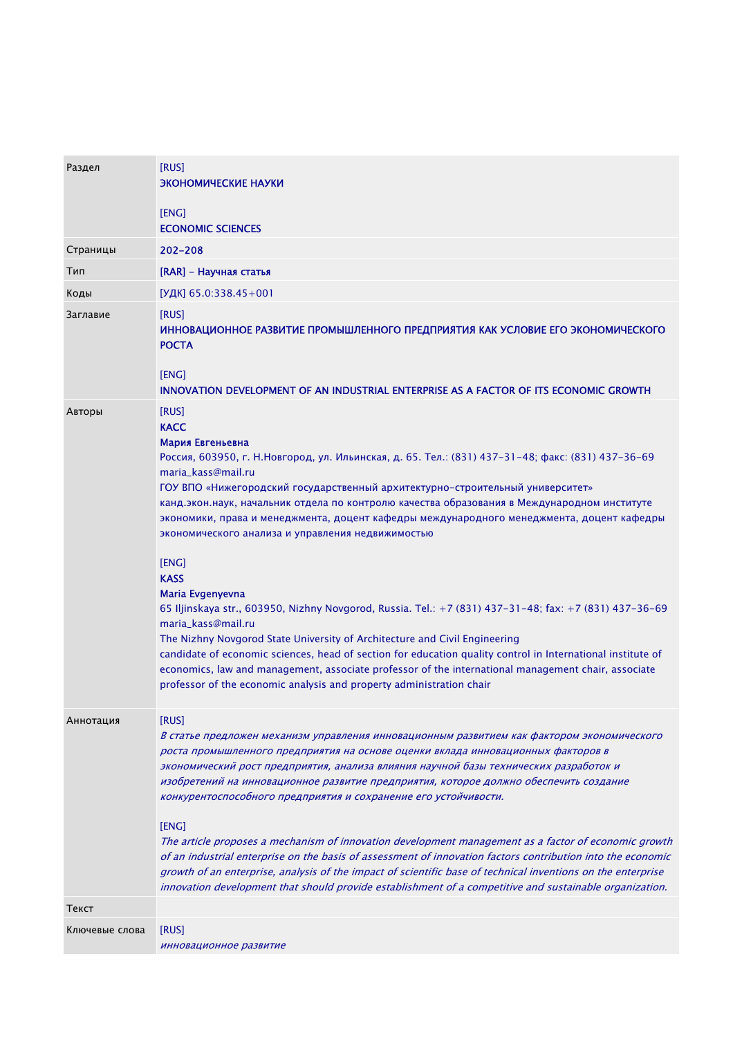| Раздел         | [RUS]<br>ЭКОНОМИЧЕСКИЕ НАУКИ                                                                                                                                                                                                                                                                                                                                                                                                                                                                                                                                                                                                                                                                                                                                                                                                                                                                                                                                                                                                                                  |
|----------------|---------------------------------------------------------------------------------------------------------------------------------------------------------------------------------------------------------------------------------------------------------------------------------------------------------------------------------------------------------------------------------------------------------------------------------------------------------------------------------------------------------------------------------------------------------------------------------------------------------------------------------------------------------------------------------------------------------------------------------------------------------------------------------------------------------------------------------------------------------------------------------------------------------------------------------------------------------------------------------------------------------------------------------------------------------------|
|                |                                                                                                                                                                                                                                                                                                                                                                                                                                                                                                                                                                                                                                                                                                                                                                                                                                                                                                                                                                                                                                                               |
|                | [ENG]<br><b>ECONOMIC SCIENCES</b>                                                                                                                                                                                                                                                                                                                                                                                                                                                                                                                                                                                                                                                                                                                                                                                                                                                                                                                                                                                                                             |
| Страницы       | $202 - 208$                                                                                                                                                                                                                                                                                                                                                                                                                                                                                                                                                                                                                                                                                                                                                                                                                                                                                                                                                                                                                                                   |
| Тип            | [RAR] - Научная статья                                                                                                                                                                                                                                                                                                                                                                                                                                                                                                                                                                                                                                                                                                                                                                                                                                                                                                                                                                                                                                        |
| Коды           | [УДК] 65.0:338.45+001                                                                                                                                                                                                                                                                                                                                                                                                                                                                                                                                                                                                                                                                                                                                                                                                                                                                                                                                                                                                                                         |
| Заглавие       | <b>IRUSI</b><br>ИННОВАЦИОННОЕ РАЗВИТИЕ ПРОМЫШЛЕННОГО ПРЕДПРИЯТИЯ КАК УСЛОВИЕ ЕГО ЭКОНОМИЧЕСКОГО<br><b>POCTA</b>                                                                                                                                                                                                                                                                                                                                                                                                                                                                                                                                                                                                                                                                                                                                                                                                                                                                                                                                               |
|                | [ENG]<br>INNOVATION DEVELOPMENT OF AN INDUSTRIAL ENTERPRISE AS A FACTOR OF ITS ECONOMIC GROWTH                                                                                                                                                                                                                                                                                                                                                                                                                                                                                                                                                                                                                                                                                                                                                                                                                                                                                                                                                                |
| Авторы         | [RUS]<br><b>KACC</b><br>Мария Евгеньевна<br>Россия, 603950, г. Н.Новгород, ул. Ильинская, д. 65. Тел.: (831) 437-31-48; факс: (831) 437-36-69<br>maria_kass@mail.ru<br>ГОУ ВПО «Нижегородский государственный архитектурно-строительный университет»<br>канд.экон.наук, начальник отдела по контролю качества образования в Международном институте<br>экономики, права и менеджмента, доцент кафедры международного менеджмента, доцент кафедры<br>экономического анализа и управления недвижимостью<br>[ENG]<br><b>KASS</b><br>Maria Evgenyevna<br>65 Iljinskaya str., 603950, Nizhny Novgorod, Russia. Tel.: +7 (831) 437-31-48; fax: +7 (831) 437-36-69<br>maria_kass@mail.ru<br>The Nizhny Novgorod State University of Architecture and Civil Engineering<br>candidate of economic sciences, head of section for education quality control in International institute of<br>economics, law and management, associate professor of the international management chair, associate<br>professor of the economic analysis and property administration chair |
| Аннотация      | [RUS]<br>В статье предложен механизм управления инновационным развитием как фактором экономического<br>роста промышленного предприятия на основе оценки вклада инновационных факторов в<br>экономический рост предприятия, анализа влияния научной базы технических разработок и<br>изобретений на инновационное развитие предприятия, которое должно обеспечить создание<br>конкурентоспособного предприятия и сохранение его устойчивости.<br>[ENG]<br>The article proposes a mechanism of innovation development management as a factor of economic growth<br>of an industrial enterprise on the basis of assessment of innovation factors contribution into the economic<br>growth of an enterprise, analysis of the impact of scientific base of technical inventions on the enterprise<br>innovation development that should provide establishment of a competitive and sustainable organization.                                                                                                                                                       |
| Текст          |                                                                                                                                                                                                                                                                                                                                                                                                                                                                                                                                                                                                                                                                                                                                                                                                                                                                                                                                                                                                                                                               |
| Ключевые слова | [RUS]<br>инновационное развитие                                                                                                                                                                                                                                                                                                                                                                                                                                                                                                                                                                                                                                                                                                                                                                                                                                                                                                                                                                                                                               |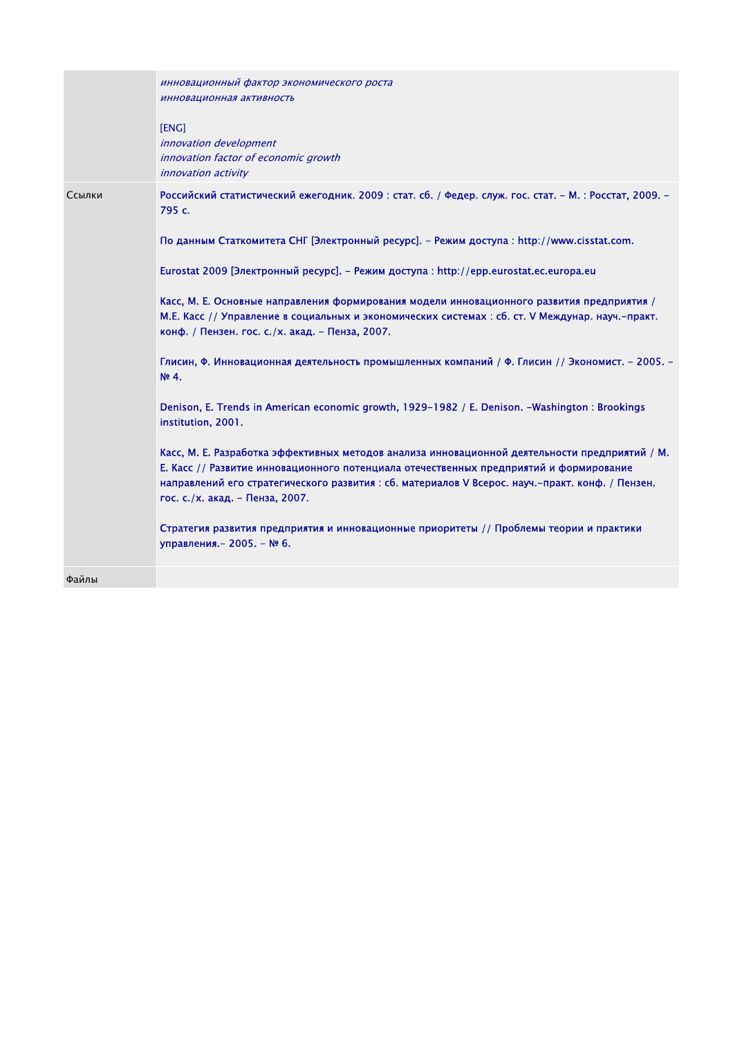|        | инновационный фактор экономического роста<br>инновационная активность<br>[ENG]<br>innovation development<br>innovation factor of economic growth<br><i>innovation activity</i>                                                                                                                                                                                                                                                                                                                                                                                                                                                                                                                                                                                                                                                                                                                                                                                                                                                                                                                                                                                                                                                                                 |
|--------|----------------------------------------------------------------------------------------------------------------------------------------------------------------------------------------------------------------------------------------------------------------------------------------------------------------------------------------------------------------------------------------------------------------------------------------------------------------------------------------------------------------------------------------------------------------------------------------------------------------------------------------------------------------------------------------------------------------------------------------------------------------------------------------------------------------------------------------------------------------------------------------------------------------------------------------------------------------------------------------------------------------------------------------------------------------------------------------------------------------------------------------------------------------------------------------------------------------------------------------------------------------|
| Ссылки | Российский статистический ежегодник. 2009 : стат. сб. / Федер. служ. гос. стат. - М. : Росстат, 2009. -<br>795 c.<br>По данным Статкомитета СНГ [Электронный ресурс]. - Режим доступа : http://www.cisstat.com.<br>Eurostat 2009 [Электронный ресурс]. - Режим доступа: http://epp.eurostat.ec.europa.eu<br>Касс, М. Е. Основные направления формирования модели инновационного развития предприятия /<br>М.Е. Касс // Управление в социальных и экономических системах : сб. ст. V Междунар. науч.-практ.<br>конф. / Пензен. гос. с./х. акад. - Пенза, 2007.<br>Глисин, Ф. Инновационная деятельность промышленных компаний / Ф. Глисин // Экономист. - 2005. -<br>Nº 4.<br>Denison, E. Trends in American economic growth, 1929-1982 / E. Denison. -Washington : Brookings<br>institution, 2001.<br>Касс, М. Е. Разработка эффективных методов анализа инновационной деятельности предприятий / М.<br>Е. Касс // Развитие инновационного потенциала отечественных предприятий и формирование<br>направлений его стратегического развития : сб. материалов V Всерос. науч.-практ. конф. / Пензен.<br>гос. с./х. акад. - Пенза, 2007.<br>Стратегия развития предприятия и инновационные приоритеты // Проблемы теории и практики<br>управления. - 2005. - № 6. |
| Файлы  |                                                                                                                                                                                                                                                                                                                                                                                                                                                                                                                                                                                                                                                                                                                                                                                                                                                                                                                                                                                                                                                                                                                                                                                                                                                                |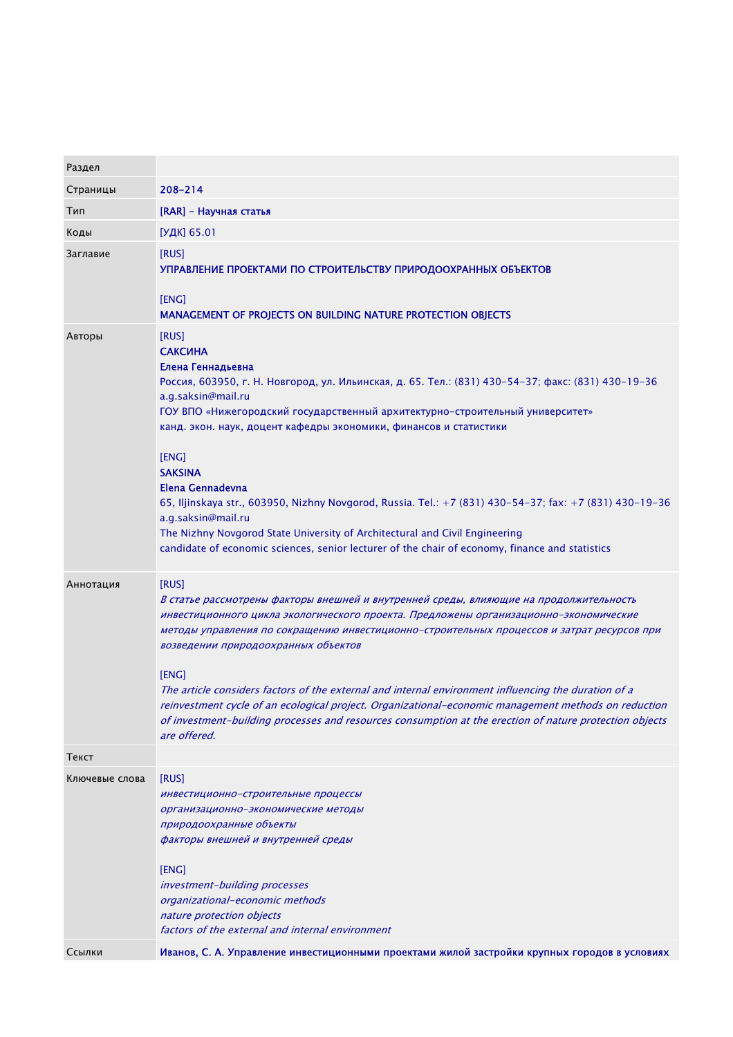| Раздел         |                                                                                                                                                                                                                                                                                                                                                                                                                                                                                                                                                                                                                                                                                                  |
|----------------|--------------------------------------------------------------------------------------------------------------------------------------------------------------------------------------------------------------------------------------------------------------------------------------------------------------------------------------------------------------------------------------------------------------------------------------------------------------------------------------------------------------------------------------------------------------------------------------------------------------------------------------------------------------------------------------------------|
| Страницы       | 208-214                                                                                                                                                                                                                                                                                                                                                                                                                                                                                                                                                                                                                                                                                          |
| Тип            | [RAR] - Научная статья                                                                                                                                                                                                                                                                                                                                                                                                                                                                                                                                                                                                                                                                           |
| Коды           | [УДК] 65.01                                                                                                                                                                                                                                                                                                                                                                                                                                                                                                                                                                                                                                                                                      |
| Заглавие       | [RUS]<br>УПРАВЛЕНИЕ ПРОЕКТАМИ ПО СТРОИТЕЛЬСТВУ ПРИРОДООХРАННЫХ ОБЪЕКТОВ<br>[ENG]<br>MANAGEMENT OF PROJECTS ON BUILDING NATURE PROTECTION OBJECTS                                                                                                                                                                                                                                                                                                                                                                                                                                                                                                                                                 |
| Авторы         | [RUS]<br><b>САКСИНА</b><br>Елена Геннадьевна<br>Россия, 603950, г. Н. Новгород, ул. Ильинская, д. 65. Тел.: (831) 430-54-37; факс: (831) 430-19-36<br>a.g.saksin@mail.ru<br>ГОУ ВПО «Нижегородский государственный архитектурно-строительный университет»<br>канд. экон. наук, доцент кафедры экономики, финансов и статистики<br>[ENG]<br><b>SAKSINA</b><br>Elena Gennadevna<br>65, Iljinskaya str., 603950, Nizhny Novgorod, Russia. Tel.: +7 (831) 430-54-37; fax: +7 (831) 430-19-36<br>a.g.saksin@mail.ru<br>The Nizhny Novgorod State University of Architectural and Civil Engineering<br>candidate of economic sciences, senior lecturer of the chair of economy, finance and statistics |
| Аннотация      | [RUS]<br>В статье рассмотрены факторы внешней и внутренней среды, влияющие на продолжительность<br>инвестиционного цикла экологического проекта. Предложены организационно-экономические<br>методы управления по сокращению инвестиционно-строительных процессов и затрат ресурсов при<br>возведении природоохранных объектов<br>[ENG]<br>The article considers factors of the external and internal environment influencing the duration of a<br>reinvestment cycle of an ecological project. Organizational-economic management methods on reduction<br>of investment-building processes and resources consumption at the erection of nature protection objects<br>are offered.                |
| Текст          |                                                                                                                                                                                                                                                                                                                                                                                                                                                                                                                                                                                                                                                                                                  |
| Ключевые слова | [RUS]<br>инвестиционно-строительные процессы<br>организационно-экономические методы<br>природоохранные объекты<br>факторы внешней и внутренней среды<br>[ENG]<br>investment-building processes<br>organizational-economic methods<br>nature protection objects<br>factors of the external and internal environment                                                                                                                                                                                                                                                                                                                                                                               |
| Ссылки         | Иванов, С. А. Управление инвестиционными проектами жилой застройки крупных городов в условиях                                                                                                                                                                                                                                                                                                                                                                                                                                                                                                                                                                                                    |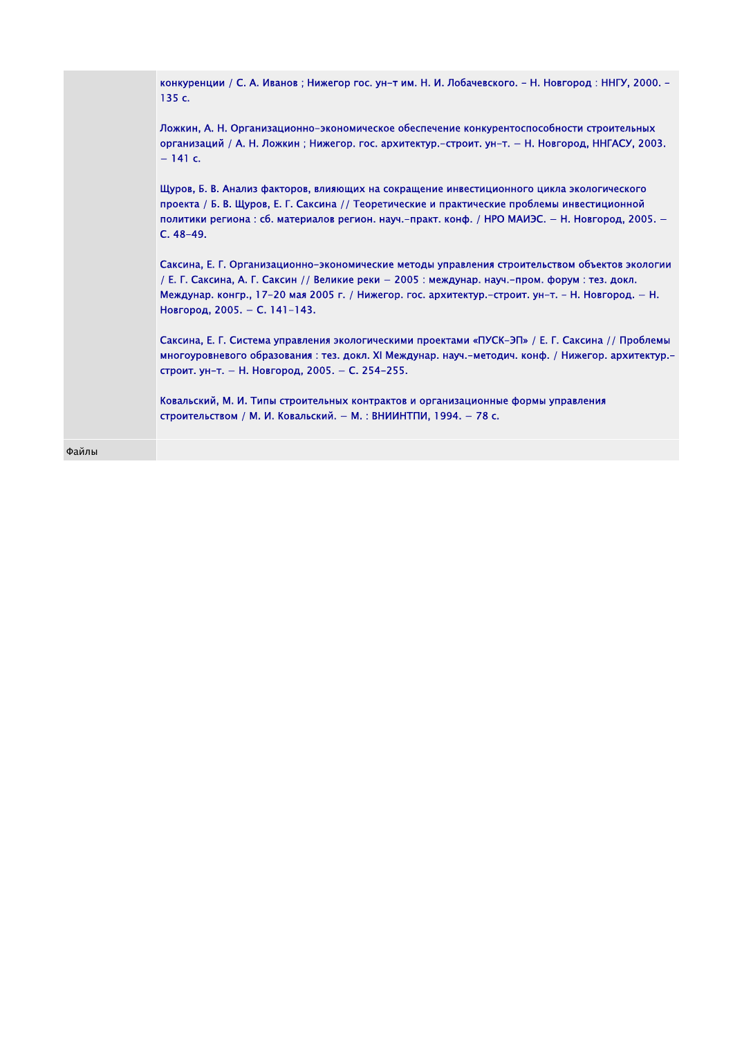| конкуренции / С. А. Иванов; Нижегор гос. ун-т им. Н. И. Лобачевского. - Н. Новгород: ННГУ, 2000. -<br>135c.                                                                                                                                                                                                                             |
|-----------------------------------------------------------------------------------------------------------------------------------------------------------------------------------------------------------------------------------------------------------------------------------------------------------------------------------------|
| Ложкин, А. Н. Организационно-экономическое обеспечение конкурентоспособности строительных<br>организаций / А. Н. Ложкин; Нижегор. гос. архитектур.-строит. ун-т. - Н. Новгород, ННГАСУ, 2003.<br>$-141$ c.                                                                                                                              |
| Щуров, Б. В. Анализ факторов, влияющих на сокращение инвестиционного цикла экологического<br>проекта / Б. В. Щуров, Е. Г. Саксина // Теоретические и практические проблемы инвестиционной<br>политики региона : сб. материалов регион. науч.-практ. конф. / НРО МАИЭС. - Н. Новгород, 2005. -<br>$C.48-49.$                             |
| Саксина, Е. Г. Организационно-экономические методы управления строительством объектов экологии<br>/ Е. Г. Саксина, А. Г. Саксин // Великие реки – 2005 : междунар. науч.-пром. форум : тез. докл.<br>Междунар. конгр., 17-20 мая 2005 г. / Нижегор. гос. архитектур.-строит. ун-т. - Н. Новгород. - Н.<br>Новгород, 2005. - С. 141-143. |
| Саксина, Е. Г. Система управления экологическими проектами «ПУСК-ЭП» / Е. Г. Саксина // Проблемы<br>многоуровневого образования: тез. докл. XI Междунар. науч.-методич. конф. / Нижегор. архитектур.-<br>строит. ун-т. - Н. Новгород. 2005. - С. 254-255.                                                                               |
| Ковальский, М. И. Типы строительных контрактов и организационные формы управления<br>строительством / М. И. Ковальский. - М.: ВНИИНТПИ, 1994. - 78 с.                                                                                                                                                                                   |
|                                                                                                                                                                                                                                                                                                                                         |

Файлы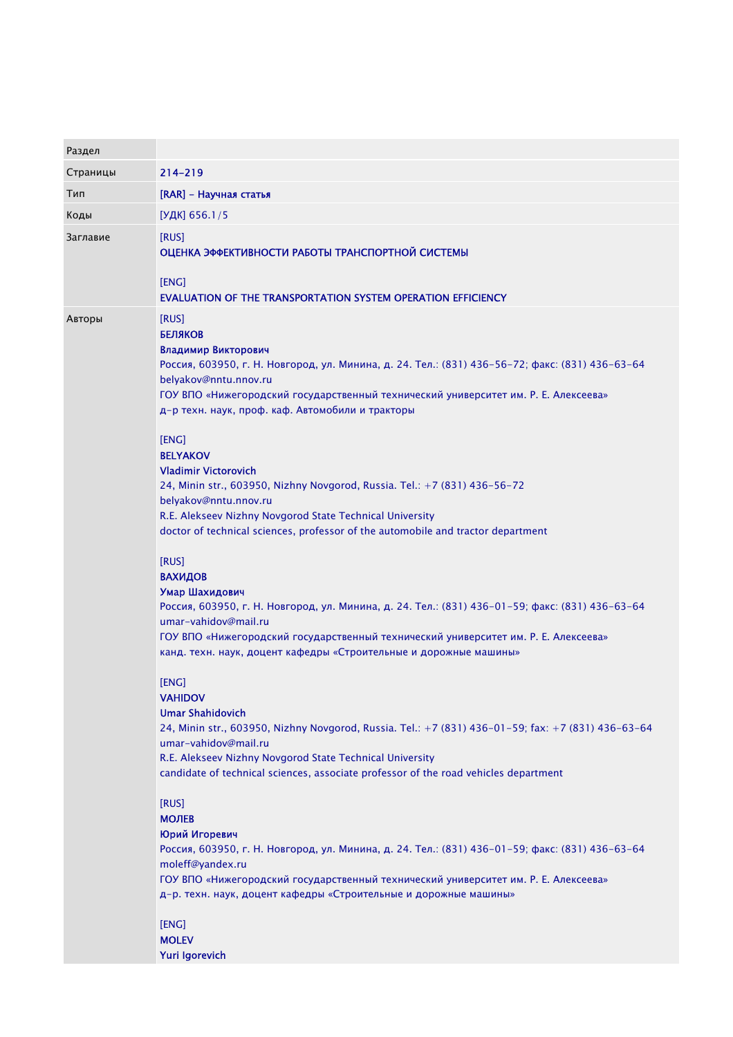| Раздел   |                                                                                                                                                                                                                                                                                                                                                                                                                                                                                                                                                                                                                                                                                                                                                                                                                                                                                                                                                                                                                                                                                                                                                                                                                                                                                                                                                                                                                                                                                                                                                                                                                                                         |
|----------|---------------------------------------------------------------------------------------------------------------------------------------------------------------------------------------------------------------------------------------------------------------------------------------------------------------------------------------------------------------------------------------------------------------------------------------------------------------------------------------------------------------------------------------------------------------------------------------------------------------------------------------------------------------------------------------------------------------------------------------------------------------------------------------------------------------------------------------------------------------------------------------------------------------------------------------------------------------------------------------------------------------------------------------------------------------------------------------------------------------------------------------------------------------------------------------------------------------------------------------------------------------------------------------------------------------------------------------------------------------------------------------------------------------------------------------------------------------------------------------------------------------------------------------------------------------------------------------------------------------------------------------------------------|
| Страницы | $214 - 219$                                                                                                                                                                                                                                                                                                                                                                                                                                                                                                                                                                                                                                                                                                                                                                                                                                                                                                                                                                                                                                                                                                                                                                                                                                                                                                                                                                                                                                                                                                                                                                                                                                             |
| Тип      | [RAR] - Научная статья                                                                                                                                                                                                                                                                                                                                                                                                                                                                                                                                                                                                                                                                                                                                                                                                                                                                                                                                                                                                                                                                                                                                                                                                                                                                                                                                                                                                                                                                                                                                                                                                                                  |
| Коды     | [УДК] 656.1/5                                                                                                                                                                                                                                                                                                                                                                                                                                                                                                                                                                                                                                                                                                                                                                                                                                                                                                                                                                                                                                                                                                                                                                                                                                                                                                                                                                                                                                                                                                                                                                                                                                           |
| Заглавие | [RUS]<br>ОЦЕНКА ЭФФЕКТИВНОСТИ РАБОТЫ ТРАНСПОРТНОЙ СИСТЕМЫ<br>[ENG]<br>EVALUATION OF THE TRANSPORTATION SYSTEM OPERATION EFFICIENCY                                                                                                                                                                                                                                                                                                                                                                                                                                                                                                                                                                                                                                                                                                                                                                                                                                                                                                                                                                                                                                                                                                                                                                                                                                                                                                                                                                                                                                                                                                                      |
| Авторы   | [RUS]<br><b>БЕЛЯКОВ</b><br>Владимир Викторович<br>Россия, 603950, г. Н. Новгород, ул. Минина, д. 24. Тел.: (831) 436-56-72; факс: (831) 436-63-64<br>belyakov@nntu.nnov.ru<br>ГОУ ВПО «Нижегородский государственный технический университет им. Р. Е. Алексеева»<br>д-р техн. наук, проф. каф. Автомобили и тракторы<br>[ENG]<br><b>BELYAKOV</b><br><b>Vladimir Victorovich</b><br>24, Minin str., 603950, Nizhny Novgorod, Russia. Tel.: +7 (831) 436-56-72<br>belyakov@nntu.nnov.ru<br>R.E. Alekseev Nizhny Novgorod State Technical University<br>doctor of technical sciences, professor of the automobile and tractor department<br>[RUS]<br><b>ВАХИДОВ</b><br>Умар Шахидович<br>Россия, 603950, г. Н. Новгород, ул. Минина, д. 24. Тел.: (831) 436-01-59; факс: (831) 436-63-64<br>umar-vahidov@mail.ru<br>ГОУ ВПО «Нижегородский государственный технический университет им. Р. Е. Алексеева»<br>канд. техн. наук, доцент кафедры «Строительные и дорожные машины»<br>[ENG]<br><b>VAHIDOV</b><br><b>Umar Shahidovich</b><br>24, Minin str., 603950, Nizhny Novgorod, Russia. Tel.: +7 (831) 436-01-59; fax: +7 (831) 436-63-64<br>umar-vahidov@mail.ru<br>R.E. Alekseev Nizhny Novgorod State Technical University<br>candidate of technical sciences, associate professor of the road vehicles department<br>[RUS]<br><b>МОЛЕВ</b><br>Юрий Игоревич<br>Россия, 603950, г. Н. Новгород, ул. Минина, д. 24. Тел.: (831) 436-01-59; факс: (831) 436-63-64<br>moleff@yandex.ru<br>ГОУ ВПО «Нижегородский государственный технический университет им. Р. Е. Алексеева»<br>д-р. техн. наук, доцент кафедры «Строительные и дорожные машины»<br>[ENG] |
|          | <b>MOLEV</b><br>Yuri Igorevich                                                                                                                                                                                                                                                                                                                                                                                                                                                                                                                                                                                                                                                                                                                                                                                                                                                                                                                                                                                                                                                                                                                                                                                                                                                                                                                                                                                                                                                                                                                                                                                                                          |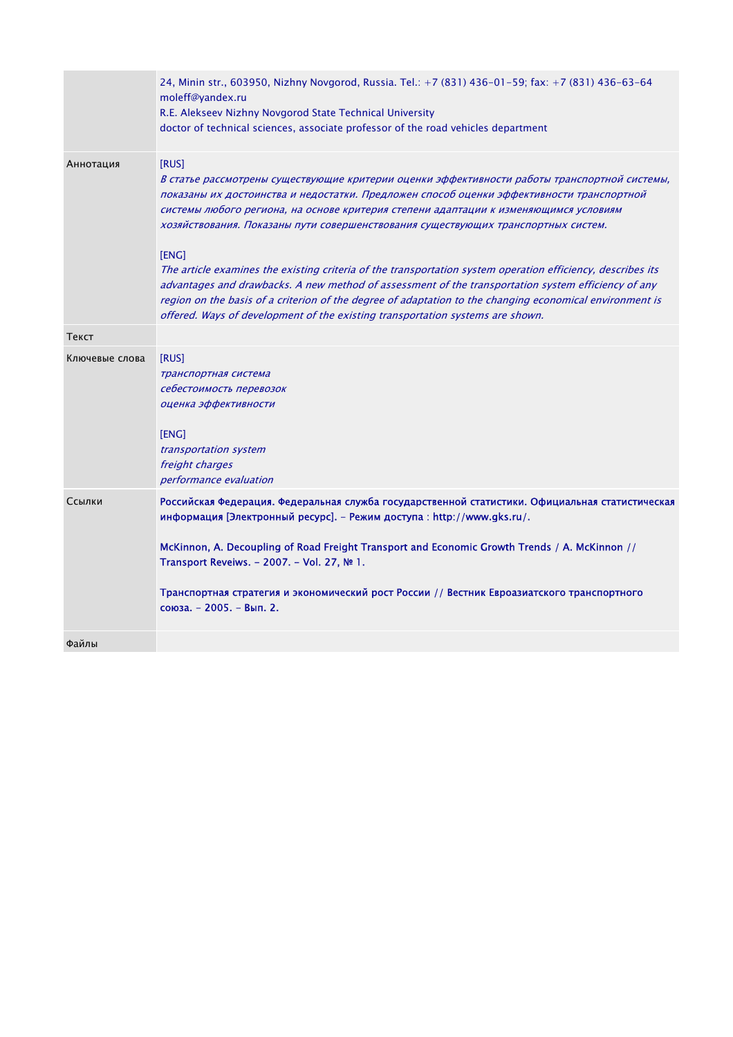|                | 24, Minin str., 603950, Nizhny Novgorod, Russia. Tel.: +7 (831) 436-01-59; fax: +7 (831) 436-63-64<br>moleff@yandex.ru<br>R.E. Alekseev Nizhny Novgorod State Technical University                                                                                                                                                                                                                                                                                                                                                                                                                                                                                                                                                                                                                          |
|----------------|-------------------------------------------------------------------------------------------------------------------------------------------------------------------------------------------------------------------------------------------------------------------------------------------------------------------------------------------------------------------------------------------------------------------------------------------------------------------------------------------------------------------------------------------------------------------------------------------------------------------------------------------------------------------------------------------------------------------------------------------------------------------------------------------------------------|
|                | doctor of technical sciences, associate professor of the road vehicles department                                                                                                                                                                                                                                                                                                                                                                                                                                                                                                                                                                                                                                                                                                                           |
| Аннотация      | [RUS]<br>В статье рассмотрены существующие критерии оценки эффективности работы транспортной системы,<br>показаны их достоинства и недостатки. Предложен способ оценки эффективности транспортной<br>системы любого региона, на основе критерия степени адаптации к изменяющимся условиям<br>хозяйствования. Показаны пути совершенствования существующих транспортных систем.<br>[ENG]<br>The article examines the existing criteria of the transportation system operation efficiency, describes its<br>advantages and drawbacks. A new method of assessment of the transportation system efficiency of any<br>region on the basis of a criterion of the degree of adaptation to the changing economical environment is<br>offered. Ways of development of the existing transportation systems are shown. |
| Текст          |                                                                                                                                                                                                                                                                                                                                                                                                                                                                                                                                                                                                                                                                                                                                                                                                             |
| Ключевые слова | [RUS]<br>транспортная система<br>себестоимость перевозок<br>оценка эффективности<br>[ENG]<br>transportation system<br>freight charges<br>performance evaluation                                                                                                                                                                                                                                                                                                                                                                                                                                                                                                                                                                                                                                             |
| Ссылки         | Российская Федерация. Федеральная служба государственной статистики. Официальная статистическая<br>информация [Электронный ресурс]. - Режим доступа: http://www.gks.ru/.<br>McKinnon, A. Decoupling of Road Freight Transport and Economic Growth Trends / A. McKinnon //<br>Transport Reveiws. - 2007. - Vol. 27, № 1.<br>Транспортная стратегия и экономический рост России // Вестник Евроазиатского транспортного<br>союза. - 2005. - Вып. 2.                                                                                                                                                                                                                                                                                                                                                           |
| Файлы          |                                                                                                                                                                                                                                                                                                                                                                                                                                                                                                                                                                                                                                                                                                                                                                                                             |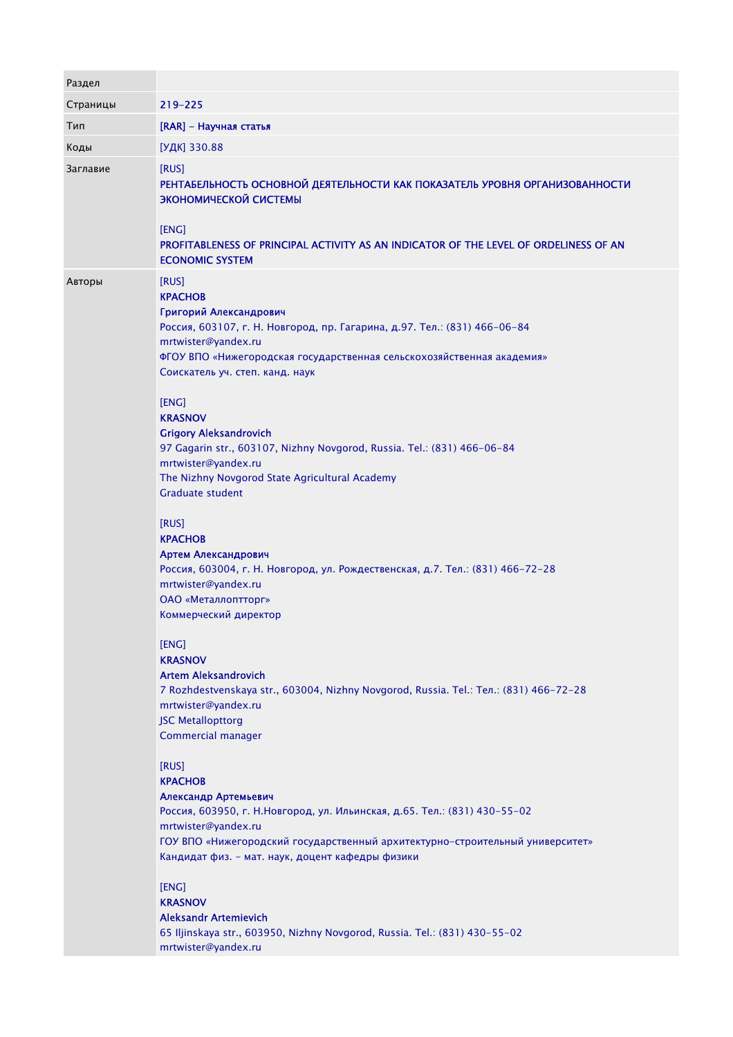| Раздел   |                                                                                                                                                                                                                                                                                                                     |
|----------|---------------------------------------------------------------------------------------------------------------------------------------------------------------------------------------------------------------------------------------------------------------------------------------------------------------------|
| Страницы | 219-225                                                                                                                                                                                                                                                                                                             |
| Тип      | [RAR] - Научная статья                                                                                                                                                                                                                                                                                              |
| Коды     | [УДК] 330.88                                                                                                                                                                                                                                                                                                        |
| Заглавие | [RUS]<br>РЕНТАБЕЛЬНОСТЬ ОСНОВНОЙ ДЕЯТЕЛЬНОСТИ КАК ПОКАЗАТЕЛЬ УРОВНЯ ОРГАНИЗОВАННОСТИ<br>ЭКОНОМИЧЕСКОЙ СИСТЕМЫ<br>[ENG]<br>PROFITABLENESS OF PRINCIPAL ACTIVITY AS AN INDICATOR OF THE LEVEL OF ORDELINESS OF AN<br><b>ECONOMIC SYSTEM</b>                                                                           |
| Авторы   | [RUS]<br><b>KPACHOB</b><br>Григорий Александрович<br>Россия, 603107, г. Н. Новгород, пр. Гагарина, д.97. Тел.: (831) 466-06-84<br>mrtwister@yandex.ru<br>ФГОУ ВПО «Нижегородская государственная сельскохозяйственная академия»<br>Соискатель уч. степ. канд. наук<br>[ENG]<br><b>KRASNOV</b>                       |
|          | <b>Grigory Aleksandrovich</b><br>97 Gagarin str., 603107, Nizhny Novgorod, Russia. Tel.: (831) 466-06-84<br>mrtwister@yandex.ru<br>The Nizhny Novgorod State Agricultural Academy<br><b>Graduate student</b>                                                                                                        |
|          | [RUS]<br><b>KPACHOB</b><br>Артем Александрович<br>Россия, 603004, г. Н. Новгород, ул. Рождественская, д.7. Тел.: (831) 466-72-28<br>mrtwister@yandex.ru<br>ОАО «Металлоптторг»<br>Коммерческий директор                                                                                                             |
|          | [ENG]<br><b>KRASNOV</b><br><b>Artem Aleksandrovich</b><br>7 Rozhdestvenskaya str., 603004, Nizhny Novgorod, Russia. Tel.: Ten.: (831) 466-72-28<br>mrtwister@yandex.ru<br><b>JSC Metallopttorg</b><br>Commercial manager                                                                                            |
|          | [RUS]<br><b>KPACHOB</b><br>Александр Артемьевич<br>Россия, 603950, г. Н.Новгород, ул. Ильинская, д.65. Тел.: (831) 430-55-02<br>mrtwister@yandex.ru<br>ГОУ ВПО «Нижегородский государственный архитектурно-строительный университет»<br>Кандидат физ. - мат. наук, доцент кафедры физики<br>[ENG]<br><b>KRASNOV</b> |
|          | <b>Aleksandr Artemievich</b><br>65 Iljinskaya str., 603950, Nizhny Novgorod, Russia. Tel.: (831) 430-55-02<br>mrtwister@yandex.ru                                                                                                                                                                                   |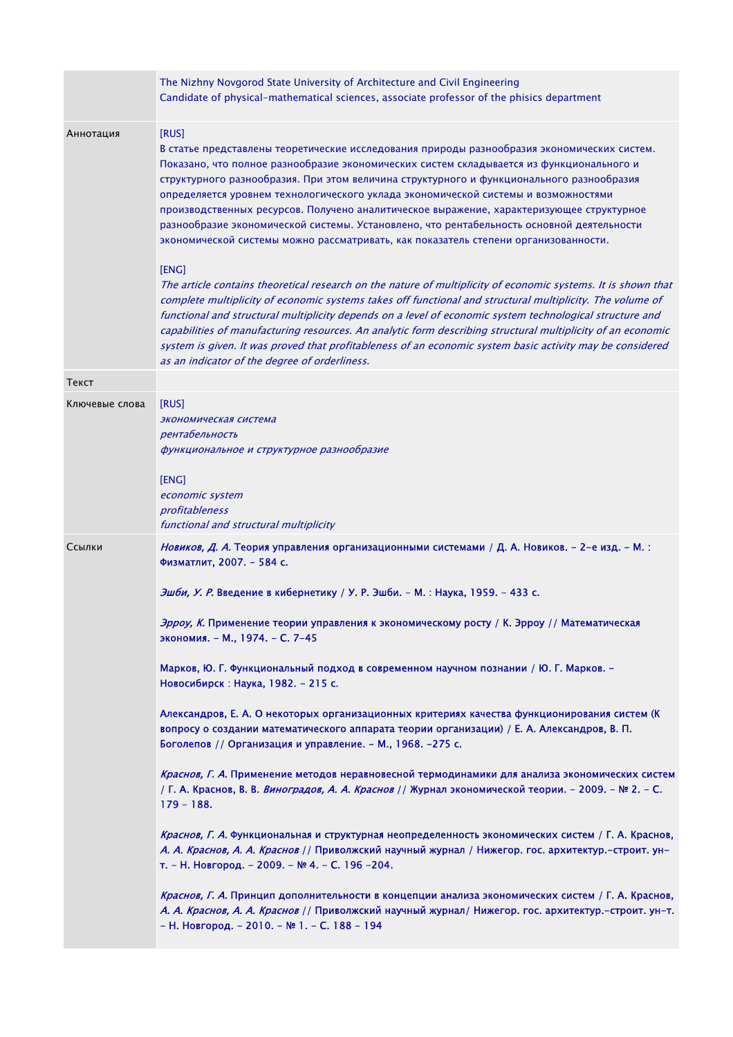|                | The Nizhny Novgorod State University of Architecture and Civil Engineering<br>Candidate of physical-mathematical sciences, associate professor of the phisics department                                                                                                                                                                                                                                                                                                                                                                                                                                                                                                                                                                                                                                                                                                                                                                                                                                                                                                                                                                                                                                                                                                                           |
|----------------|----------------------------------------------------------------------------------------------------------------------------------------------------------------------------------------------------------------------------------------------------------------------------------------------------------------------------------------------------------------------------------------------------------------------------------------------------------------------------------------------------------------------------------------------------------------------------------------------------------------------------------------------------------------------------------------------------------------------------------------------------------------------------------------------------------------------------------------------------------------------------------------------------------------------------------------------------------------------------------------------------------------------------------------------------------------------------------------------------------------------------------------------------------------------------------------------------------------------------------------------------------------------------------------------------|
| Аннотация      | [RUS]<br>В статье представлены теоретические исследования природы разнообразия экономических систем.<br>Показано, что полное разнообразие экономических систем складывается из функционального и<br>структурного разнообразия. При этом величина структурного и функционального разнообразия<br>определяется уровнем технологического уклада экономической системы и возможностями<br>производственных ресурсов. Получено аналитическое выражение, характеризующее структурное<br>разнообразие экономической системы. Установлено, что рентабельность основной деятельности<br>экономической системы можно рассматривать, как показатель степени организованности.<br>[ENG]<br>The article contains theoretical research on the nature of multiplicity of economic systems. It is shown that<br>complete multiplicity of economic systems takes off functional and structural multiplicity. The volume of<br>functional and structural multiplicity depends on a level of economic system technological structure and<br>capabilities of manufacturing resources. An analytic form describing structural multiplicity of an economic<br>system is given. It was proved that profitableness of an economic system basic activity may be considered<br>as an indicator of the degree of orderliness. |
| Текст          |                                                                                                                                                                                                                                                                                                                                                                                                                                                                                                                                                                                                                                                                                                                                                                                                                                                                                                                                                                                                                                                                                                                                                                                                                                                                                                    |
| Ключевые слова | [RUS]<br>экономическая система<br>рентабельность<br>функциональное и структурное разнообразие<br>[ENG]<br>economic system<br>profitableness<br>functional and structural multiplicity                                                                                                                                                                                                                                                                                                                                                                                                                                                                                                                                                                                                                                                                                                                                                                                                                                                                                                                                                                                                                                                                                                              |
| Ссылки         | Новиков, Д. А. Теория управления организационными системами / Д. А. Новиков. - 2-е изд. - М. :<br>Физматлит, 2007. - 584 с.                                                                                                                                                                                                                                                                                                                                                                                                                                                                                                                                                                                                                                                                                                                                                                                                                                                                                                                                                                                                                                                                                                                                                                        |
|                | Эшби, У. Р. Введение в кибернетику / У. Р. Эшби. - М. : Наука, 1959. - 433 с.                                                                                                                                                                                                                                                                                                                                                                                                                                                                                                                                                                                                                                                                                                                                                                                                                                                                                                                                                                                                                                                                                                                                                                                                                      |
|                | Эрроу, К. Применение теории управления к экономическому росту / К. Эрроу // Математическая<br>экономия. - М., 1974. - С. 7-45                                                                                                                                                                                                                                                                                                                                                                                                                                                                                                                                                                                                                                                                                                                                                                                                                                                                                                                                                                                                                                                                                                                                                                      |
|                | Марков, Ю. Г. Функциональный подход в современном научном познании / Ю. Г. Марков. -<br>Новосибирск: Наука, 1982. - 215 с.                                                                                                                                                                                                                                                                                                                                                                                                                                                                                                                                                                                                                                                                                                                                                                                                                                                                                                                                                                                                                                                                                                                                                                         |
|                | Александров, Е. А. О некоторых организационных критериях качества функционирования систем (К<br>вопросу о создании математического аппарата теории организации) / Е. А. Александров, В. П.<br>Боголепов // Организация и управление. - М., 1968. -275 с.                                                                                                                                                                                                                                                                                                                                                                                                                                                                                                                                                                                                                                                                                                                                                                                                                                                                                                                                                                                                                                           |
|                | Краснов, Г. А. Применение методов неравновесной термодинамики для анализа экономических систем<br>/ Г. А. Краснов, В. В. <i>Виноградов, А. А. Краснов</i> // Журнал экономической теории. - 2009. - № 2. - С.<br>$179 - 188.$                                                                                                                                                                                                                                                                                                                                                                                                                                                                                                                                                                                                                                                                                                                                                                                                                                                                                                                                                                                                                                                                      |
|                | Краснов, Г. А. Функциональная и структурная неопределенность экономических систем / Г. А. Краснов,<br>А. А. Краснов, А. А. Краснов // Приволжский научный журнал / Нижегор. гос. архитектур.-строит. ун-<br>т. - Н. Новгород. - 2009. - № 4. - С. 196 -204.                                                                                                                                                                                                                                                                                                                                                                                                                                                                                                                                                                                                                                                                                                                                                                                                                                                                                                                                                                                                                                        |
|                | Краснов, Г. А. Принцип дополнительности в концепции анализа экономических систем / Г. А. Краснов,<br>А. А. Краснов, А. А. Краснов // Приволжский научный журнал/ Нижегор. гос. архитектур.-строит. ун-т.<br>- Н. Новгород. - 2010. - № 1. - С. 188 - 194                                                                                                                                                                                                                                                                                                                                                                                                                                                                                                                                                                                                                                                                                                                                                                                                                                                                                                                                                                                                                                           |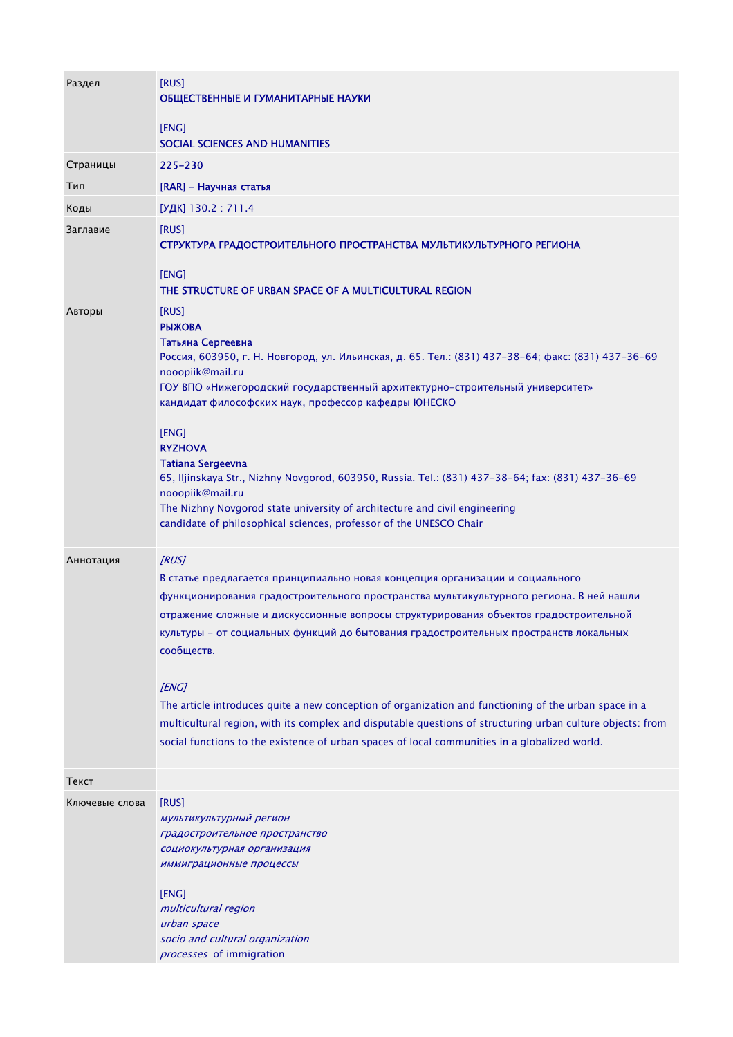| Раздел         | [RUS]<br>ОБЩЕСТВЕННЫЕ И ГУМАНИТАРНЫЕ НАУКИ                                                                                                                                                                                                                                                                                                                                                                                                                                                                                                                                                                                                                                                                         |
|----------------|--------------------------------------------------------------------------------------------------------------------------------------------------------------------------------------------------------------------------------------------------------------------------------------------------------------------------------------------------------------------------------------------------------------------------------------------------------------------------------------------------------------------------------------------------------------------------------------------------------------------------------------------------------------------------------------------------------------------|
|                | [ENG]<br>SOCIAL SCIENCES AND HUMANITIES                                                                                                                                                                                                                                                                                                                                                                                                                                                                                                                                                                                                                                                                            |
| Страницы       | $225 - 230$                                                                                                                                                                                                                                                                                                                                                                                                                                                                                                                                                                                                                                                                                                        |
| Тип            | [RAR] - Научная статья                                                                                                                                                                                                                                                                                                                                                                                                                                                                                                                                                                                                                                                                                             |
| Коды           | [УДК] 130.2 : 711.4                                                                                                                                                                                                                                                                                                                                                                                                                                                                                                                                                                                                                                                                                                |
| Заглавие       | [RUS]<br>СТРУКТУРА ГРАДОСТРОИТЕЛЬНОГО ПРОСТРАНСТВА МУЛЬТИКУЛЬТУРНОГО РЕГИОНА<br>[ENG]<br>THE STRUCTURE OF URBAN SPACE OF A MULTICULTURAL REGION                                                                                                                                                                                                                                                                                                                                                                                                                                                                                                                                                                    |
| Авторы         | [RUS]<br><b>РЫЖОВА</b><br>Татьяна Сергеевна<br>Россия, 603950, г. Н. Новгород, ул. Ильинская, д. 65. Тел.: (831) 437-38-64; факс: (831) 437-36-69<br>nooopiik@mail.ru<br>ГОУ ВПО «Нижегородский государственный архитектурно-строительный университет»<br>кандидат философских наук, профессор кафедры ЮНЕСКО<br>[ENG]<br><b>RYZHOVA</b><br><b>Tatiana Sergeevna</b><br>65, Iljinskaya Str., Nizhny Novgorod, 603950, Russia. Tel.: (831) 437-38-64; fax: (831) 437-36-69<br>nooopiik@mail.ru<br>The Nizhny Novgorod state university of architecture and civil engineering<br>candidate of philosophical sciences, professor of the UNESCO Chair                                                                  |
| Аннотация      | [RUS]<br>В статье предлагается принципиально новая концепция организации и социального<br>функционирования градостроительного пространства мультикультурного региона. В ней нашли<br>отражение сложные и дискуссионные вопросы структурирования объектов градостроительной<br>культуры - от социальных функций до бытования градостроительных пространств локальных<br>сообществ.<br>[ENG]<br>The article introduces quite a new conception of organization and functioning of the urban space in a<br>multicultural region, with its complex and disputable questions of structuring urban culture objects: from<br>social functions to the existence of urban spaces of local communities in a globalized world. |
| Текст          |                                                                                                                                                                                                                                                                                                                                                                                                                                                                                                                                                                                                                                                                                                                    |
| Ключевые слова | [RUS]<br>мультикультурный регион<br>градостроительное пространство<br>социокультурная организация<br>иммиграционные процессы<br>[ENG]<br>multicultural region<br>urban space<br>socio and cultural organization<br>processes of immigration                                                                                                                                                                                                                                                                                                                                                                                                                                                                        |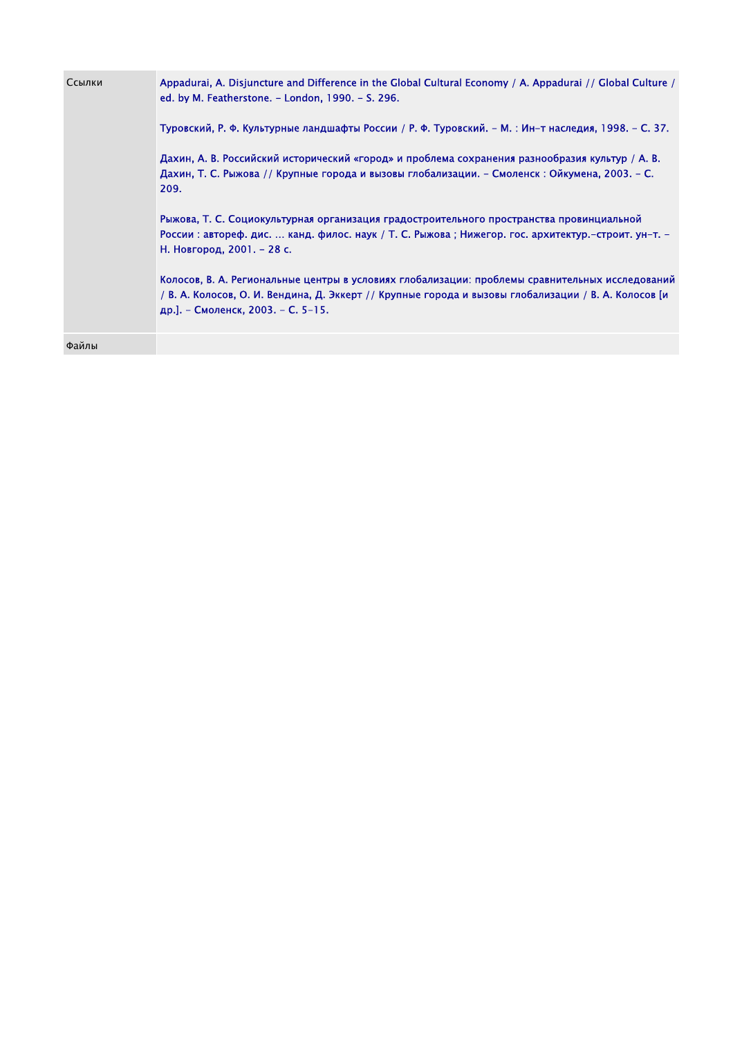| Ссылки | Appadurai, A. Disjuncture and Difference in the Global Cultural Economy / A. Appadurai // Global Culture /<br>ed. by M. Featherstone. - London, 1990. - S. 296.<br>Туровский, Р. Ф. Культурные ландшафты России / Р. Ф. Туровский. – М. : Ин–т наследия, 1998. – С. 37.<br>Дахин, А. В. Российский исторический «город» и проблема сохранения разнообразия культур / А. В.<br>Дахин, Т. С. Рыжова // Крупные города и вызовы глобализации. – Смоленск : Ойкумена, 2003. – С.<br>209.<br>Рыжова, Т. С. Социокультурная организация градостроительного пространства провинциальной<br>России : автореф. дис.  канд. филос. наук / Т. С. Рыжова ; Нижегор. гос. архитектур.-строит. ун-т. -<br>Н. Новгород, 2001. - 28 с.<br>Колосов, В. А. Региональные центры в условиях глобализации: проблемы сравнительных исследований<br>/ В. А. Колосов, О. И. Вендина, Д. Эккерт // Крупные города и вызовы глобализации / В. А. Колосов [и<br>др.]. – Смоленск, 2003. – С. 5-15. |
|--------|-------------------------------------------------------------------------------------------------------------------------------------------------------------------------------------------------------------------------------------------------------------------------------------------------------------------------------------------------------------------------------------------------------------------------------------------------------------------------------------------------------------------------------------------------------------------------------------------------------------------------------------------------------------------------------------------------------------------------------------------------------------------------------------------------------------------------------------------------------------------------------------------------------------------------------------------------------------------------|
|        |                                                                                                                                                                                                                                                                                                                                                                                                                                                                                                                                                                                                                                                                                                                                                                                                                                                                                                                                                                         |
| Файлы  |                                                                                                                                                                                                                                                                                                                                                                                                                                                                                                                                                                                                                                                                                                                                                                                                                                                                                                                                                                         |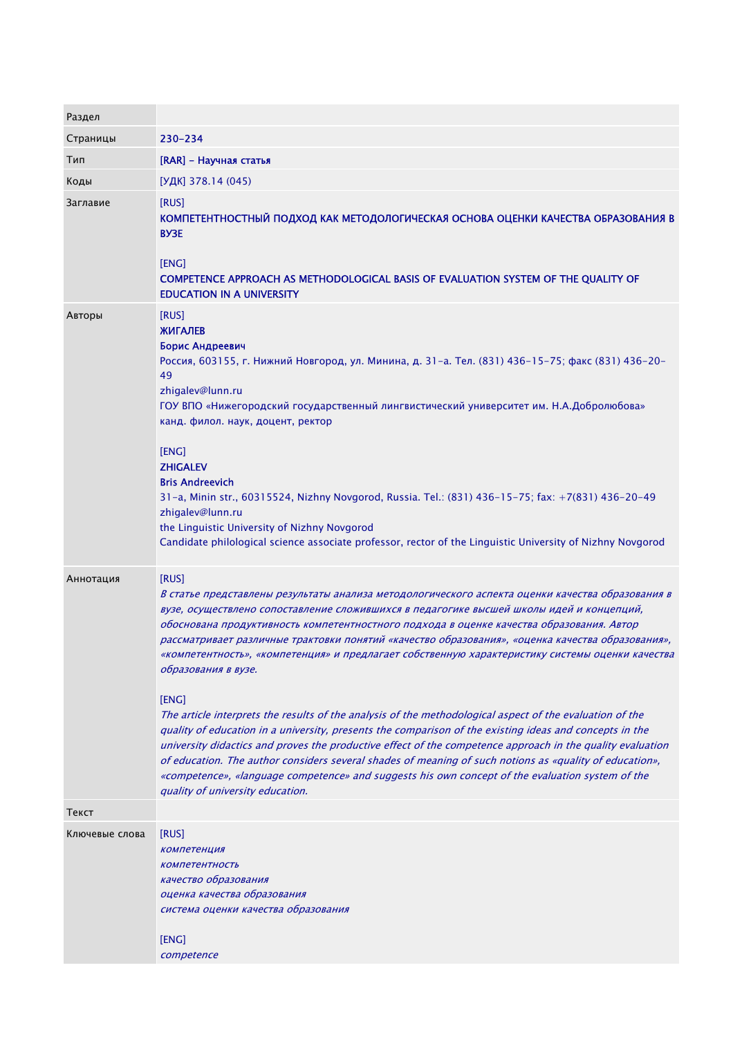| Раздел         |                                                                                                                                                                                                                                                                                                                                                                                                                                                                                                                                                                                                                                                                                                                                                                                                                                                                                                                                                                                                                                                                                                                                  |
|----------------|----------------------------------------------------------------------------------------------------------------------------------------------------------------------------------------------------------------------------------------------------------------------------------------------------------------------------------------------------------------------------------------------------------------------------------------------------------------------------------------------------------------------------------------------------------------------------------------------------------------------------------------------------------------------------------------------------------------------------------------------------------------------------------------------------------------------------------------------------------------------------------------------------------------------------------------------------------------------------------------------------------------------------------------------------------------------------------------------------------------------------------|
| Страницы       | 230-234                                                                                                                                                                                                                                                                                                                                                                                                                                                                                                                                                                                                                                                                                                                                                                                                                                                                                                                                                                                                                                                                                                                          |
| Тип            | [RAR] - Научная статья                                                                                                                                                                                                                                                                                                                                                                                                                                                                                                                                                                                                                                                                                                                                                                                                                                                                                                                                                                                                                                                                                                           |
| Коды           | [УДК] 378.14 (045)                                                                                                                                                                                                                                                                                                                                                                                                                                                                                                                                                                                                                                                                                                                                                                                                                                                                                                                                                                                                                                                                                                               |
| Заглавие       | [RUS]<br>КОМПЕТЕНТНОСТНЫЙ ПОДХОД КАК МЕТОДОЛОГИЧЕСКАЯ ОСНОВА ОЦЕНКИ КАЧЕСТВА ОБРАЗОВАНИЯ В<br><b>BY3E</b><br>[ENG]<br>COMPETENCE APPROACH AS METHODOLOGICAL BASIS OF EVALUATION SYSTEM OF THE QUALITY OF<br><b>EDUCATION IN A UNIVERSITY</b>                                                                                                                                                                                                                                                                                                                                                                                                                                                                                                                                                                                                                                                                                                                                                                                                                                                                                     |
| Авторы         | [RUS]<br><b>ЖИГАЛЕВ</b><br>Борис Андреевич<br>Россия, 603155, г. Нижний Новгород, ул. Минина, д. 31-а. Тел. (831) 436-15-75; факс (831) 436-20-<br>49<br>zhigalev@lunn.ru<br>ГОУ ВПО «Нижегородский государственный лингвистический университет им. Н.А.Добролюбова»<br>канд. филол. наук, доцент, ректор<br>[ENG]<br><b>ZHIGALEV</b><br><b>Bris Andreevich</b><br>31-a, Minin str., 60315524, Nizhny Novgorod, Russia. Tel.: (831) 436-15-75; fax: +7(831) 436-20-49<br>zhigalev@lunn.ru<br>the Linguistic University of Nizhny Novgorod<br>Candidate philological science associate professor, rector of the Linguistic University of Nizhny Novgorod                                                                                                                                                                                                                                                                                                                                                                                                                                                                          |
| Аннотация      | [RUS]<br>В статье представлены результаты анализа методологического аспекта оценки качества образования в<br>вузе, осуществлено сопоставление сложившихся в педагогике высшей школы идей и концепций,<br>обоснована продуктивность компетентностного подхода в оценке качества образования. Автор<br>рассматривает различные трактовки понятий «качество образования», «оценка качества образования»,<br>«компетентность», «компетенция» и предлагает собственную характеристику системы оценки качества<br>образования в вузе.<br>[ENG]<br>The article interprets the results of the analysis of the methodological aspect of the evaluation of the<br>quality of education in a university, presents the comparison of the existing ideas and concepts in the<br>university didactics and proves the productive effect of the competence approach in the quality evaluation<br>of education. The author considers several shades of meaning of such notions as «quality of education»,<br>«competence», «language competence» and suggests his own concept of the evaluation system of the<br>quality of university education. |
| Текст          |                                                                                                                                                                                                                                                                                                                                                                                                                                                                                                                                                                                                                                                                                                                                                                                                                                                                                                                                                                                                                                                                                                                                  |
| Ключевые слова | [RUS]<br><b>КОМПЕТЕНЦИЯ</b><br><b>КОМПЕТЕНТНОСТЬ</b><br>качество образования<br>оценка качества образования<br>система оценки качества образования<br>[ENG]<br>competence                                                                                                                                                                                                                                                                                                                                                                                                                                                                                                                                                                                                                                                                                                                                                                                                                                                                                                                                                        |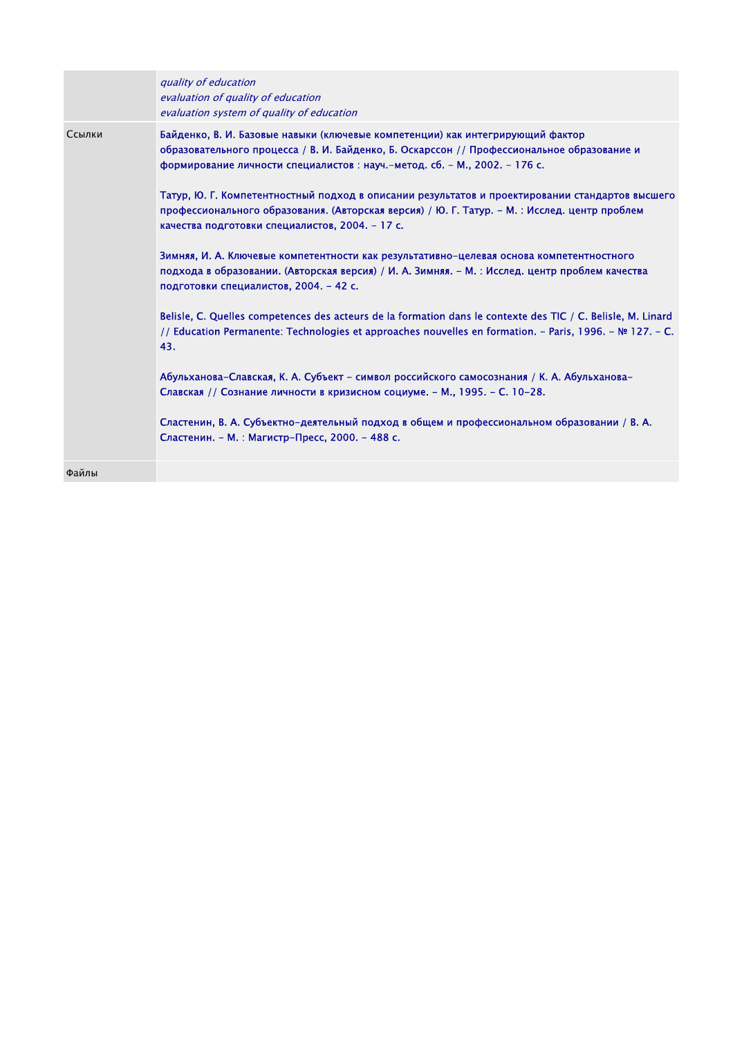|        | quality of education<br>evaluation of quality of education<br>evaluation system of quality of education                                                                                                                                                   |
|--------|-----------------------------------------------------------------------------------------------------------------------------------------------------------------------------------------------------------------------------------------------------------|
| Ссылки | Байденко, В. И. Базовые навыки (ключевые компетенции) как интегрирующий фактор<br>образовательного процесса / В. И. Байденко, Б. Оскарссон // Профессиональное образование и<br>формирование личности специалистов: науч.-метод. сб. - М., 2002. - 176 с. |
|        | Татур, Ю. Г. Компетентностный подход в описании результатов и проектировании стандартов высшего<br>профессионального образования. (Авторская версия) / Ю. Г. Татур. – М. : Исслед. центр проблем<br>качества подготовки специалистов, 2004. - 17 с.       |
|        | Зимняя, И. А. Ключевые компетентности как результативно-целевая основа компетентностного<br>подхода в образовании. (Авторская версия) / И. А. Зимняя. – М. : Исслед. центр проблем качества<br>подготовки специалистов, 2004. - 42 с.                     |
|        | Belisle, C. Quelles competences des acteurs de la formation dans le contexte des TIC / C. Belisle, M. Linard<br>// Education Permanente: Technologies et approaches nouvelles en formation. - Paris, 1996. - № 127. - C.<br>43.                           |
|        | Абульханова-Славская, К. А. Субъект - символ российского самосознания / К. А. Абульханова-<br>Славская // Сознание личности в кризисном социуме. - М., 1995. - С. 10-28.                                                                                  |
|        | Сластенин, В. А. Субъектно-деятельный подход в общем и профессиональном образовании / В. А.<br>Сластенин. - М. : Магистр-Пресс, 2000. - 488 с.                                                                                                            |
| Файлы  |                                                                                                                                                                                                                                                           |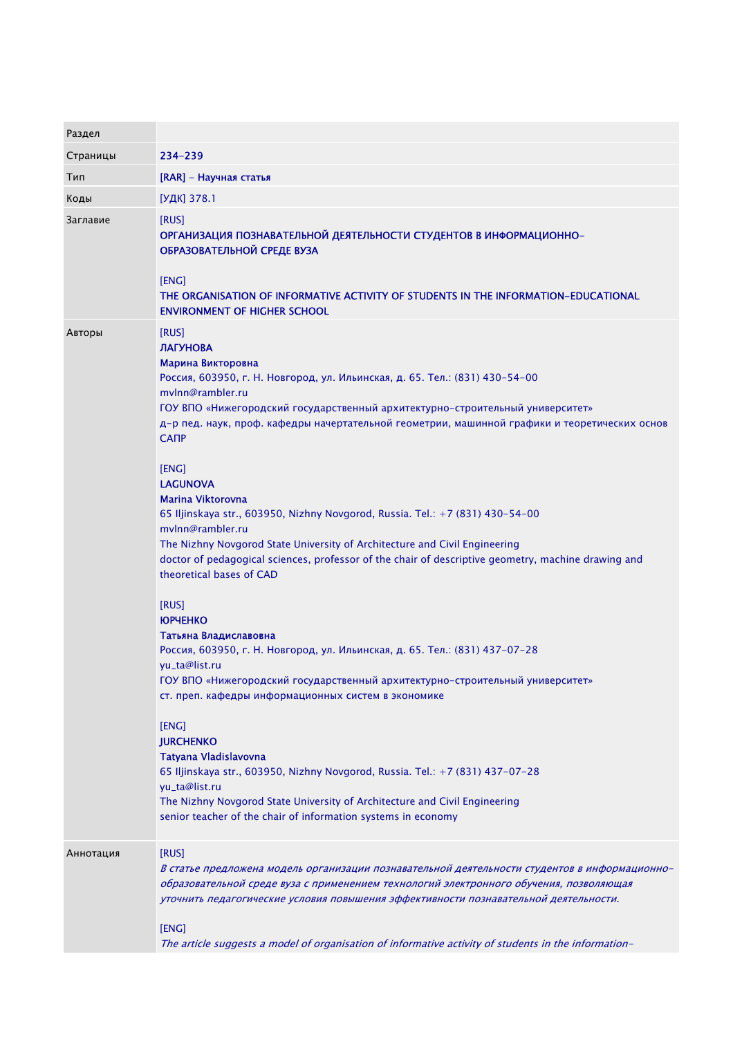| Раздел    |                                                                                                                                                                                                                                                                                                                                                                                                                                                                                                                                                                                                                                                                                                                                                                                                                                                                                                                                                                                                                                                                                                                                                                               |
|-----------|-------------------------------------------------------------------------------------------------------------------------------------------------------------------------------------------------------------------------------------------------------------------------------------------------------------------------------------------------------------------------------------------------------------------------------------------------------------------------------------------------------------------------------------------------------------------------------------------------------------------------------------------------------------------------------------------------------------------------------------------------------------------------------------------------------------------------------------------------------------------------------------------------------------------------------------------------------------------------------------------------------------------------------------------------------------------------------------------------------------------------------------------------------------------------------|
| Страницы  | 234-239                                                                                                                                                                                                                                                                                                                                                                                                                                                                                                                                                                                                                                                                                                                                                                                                                                                                                                                                                                                                                                                                                                                                                                       |
| Тип       | [RAR] - Научная статья                                                                                                                                                                                                                                                                                                                                                                                                                                                                                                                                                                                                                                                                                                                                                                                                                                                                                                                                                                                                                                                                                                                                                        |
| Коды      | [УДК] 378.1                                                                                                                                                                                                                                                                                                                                                                                                                                                                                                                                                                                                                                                                                                                                                                                                                                                                                                                                                                                                                                                                                                                                                                   |
| Заглавие  | [RUS]<br>ОРГАНИЗАЦИЯ ПОЗНАВАТЕЛЬНОЙ ДЕЯТЕЛЬНОСТИ СТУДЕНТОВ В ИНФОРМАЦИОННО-<br>ОБРАЗОВАТЕЛЬНОЙ СРЕДЕ ВУЗА<br>[ENG]<br>THE ORGANISATION OF INFORMATIVE ACTIVITY OF STUDENTS IN THE INFORMATION-EDUCATIONAL<br><b>ENVIRONMENT OF HIGHER SCHOOL</b>                                                                                                                                                                                                                                                                                                                                                                                                                                                                                                                                                                                                                                                                                                                                                                                                                                                                                                                              |
| Авторы    | [RUS]<br><b>ЛАГУНОВА</b><br>Марина Викторовна<br>Россия, 603950, г. Н. Новгород, ул. Ильинская, д. 65. Тел.: (831) 430-54-00<br>mylnn@rambler.ru<br>ГОУ ВПО «Нижегородский государственный архитектурно-строительный университет»<br>д-р пед. наук, проф. кафедры начертательной геометрии, машинной графики и теоретических основ<br><b>CANP</b><br>[ENG]<br><b>LAGUNOVA</b><br>Marina Viktorovna<br>65 Iljinskaya str., 603950, Nizhny Novgorod, Russia. Tel.: +7 (831) 430-54-00<br>mylnn@rambler.ru<br>The Nizhny Novgorod State University of Architecture and Civil Engineering<br>doctor of pedagogical sciences, professor of the chair of descriptive geometry, machine drawing and<br>theoretical bases of CAD<br>[RUS]<br><b>KOPYEHKO</b><br>Татьяна Владиславовна<br>Россия, 603950, г. Н. Новгород, ул. Ильинская, д. 65. Тел.: (831) 437-07-28<br>yu_ta@list.ru<br>ГОУ ВПО «Нижегородский государственный архитектурно-строительный университет»<br>ст. преп. кафедры информационных систем в экономике<br>[ENG]<br><b>JURCHENKO</b><br>Tatyana Vladislavovna<br>65 Iljinskaya str., 603950, Nizhny Novgorod, Russia. Tel.: +7 (831) 437-07-28<br>yu_ta@list.ru |
|           | The Nizhny Novgorod State University of Architecture and Civil Engineering<br>senior teacher of the chair of information systems in economy                                                                                                                                                                                                                                                                                                                                                                                                                                                                                                                                                                                                                                                                                                                                                                                                                                                                                                                                                                                                                                   |
| Аннотация | [RUS]<br>В статье предложена модель организации познавательной деятельности студентов в информационно-<br>образовательной среде вуза с применением технологий электронного обучения, позволяющая<br>уточнить педагогические условия повышения эффективности познавательной деятельности.<br>[ENG]<br>The article suggests a model of organisation of informative activity of students in the information-                                                                                                                                                                                                                                                                                                                                                                                                                                                                                                                                                                                                                                                                                                                                                                     |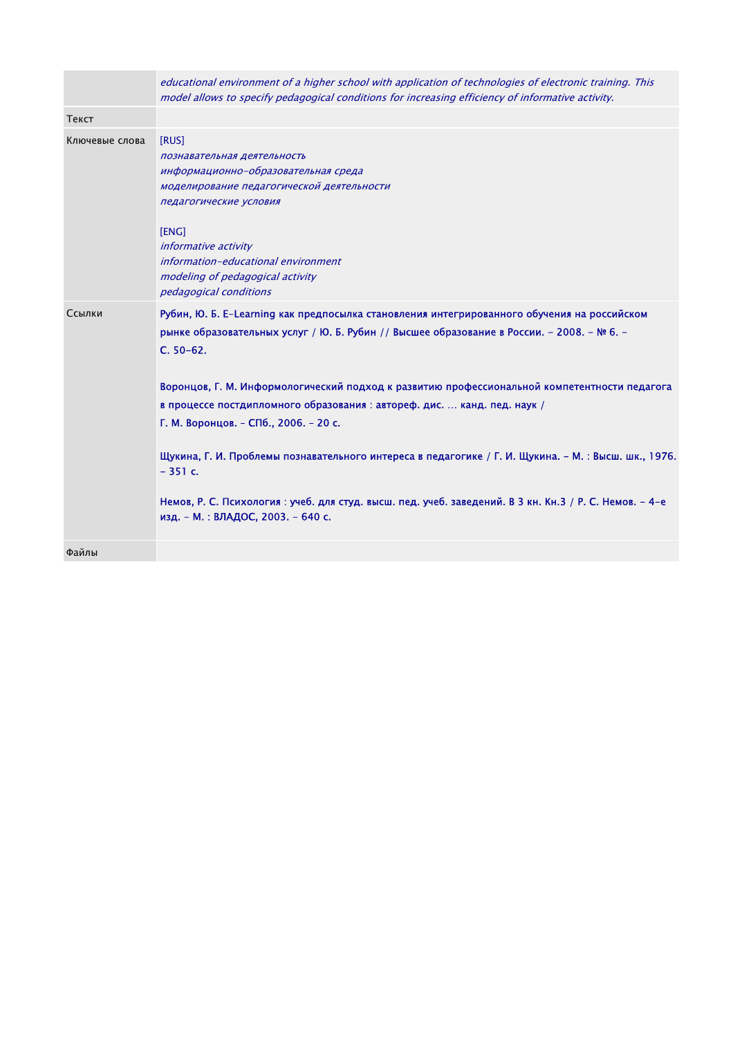|                | educational environment of a higher school with application of technologies of electronic training. This<br>model allows to specify pedagogical conditions for increasing efficiency of informative activity.                                                                                                                                                                                                                                                                                                                                                                                                                                                                                     |
|----------------|---------------------------------------------------------------------------------------------------------------------------------------------------------------------------------------------------------------------------------------------------------------------------------------------------------------------------------------------------------------------------------------------------------------------------------------------------------------------------------------------------------------------------------------------------------------------------------------------------------------------------------------------------------------------------------------------------|
| Текст          |                                                                                                                                                                                                                                                                                                                                                                                                                                                                                                                                                                                                                                                                                                   |
| Ключевые слова | [RUS]<br>познавательная деятельность<br>информационно-образовательная среда<br>моделирование педагогической деятельности<br>педагогические условия<br>[ENG]<br><i>informative activity</i><br>information-educational environment<br>modeling of pedagogical activity<br>pedagogical conditions                                                                                                                                                                                                                                                                                                                                                                                                   |
| Ссылки         | Рубин, Ю. Б. E-Learning как предпосылка становления интегрированного обучения на российском<br>рынке образовательных услуг / Ю. Б. Рубин // Высшее образование в России. - 2008. - № 6. -<br>$C. 50-62.$<br>Воронцов, Г. М. Информологический подход к развитию профессиональной компетентности педагога<br>в процессе постдипломного образования : автореф. дис.  канд. пед. наук /<br>Г. М. Воронцов. - СПб., 2006. - 20 с.<br>Щукина, Г. И. Проблемы познавательного интереса в педагогике / Г. И. Щукина. - М. : Высш. шк., 1976.<br>$-351c.$<br>Немов, Р. С. Психология : учеб. для студ. высш. пед. учеб. заведений. В 3 кн. Кн.3 / Р. С. Немов. - 4-е<br>изд. - М.: ВЛАДОС, 2003. - 640 с. |
| Файлы          |                                                                                                                                                                                                                                                                                                                                                                                                                                                                                                                                                                                                                                                                                                   |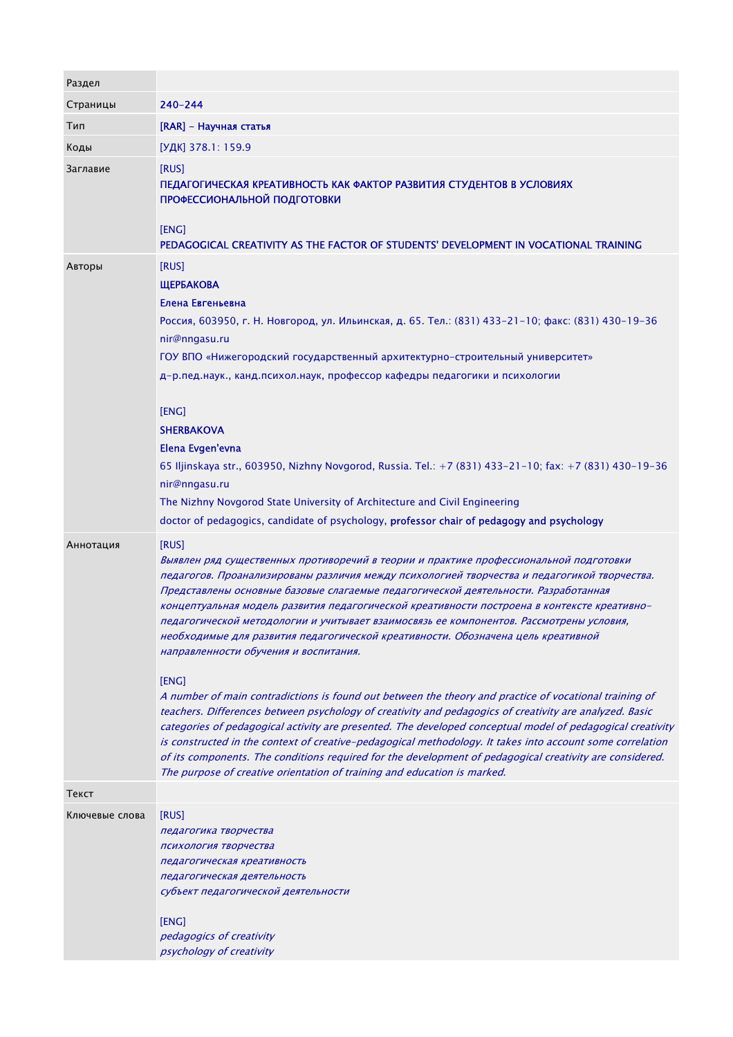| Раздел         |                                                                                                                                                                                                                                                                                                                                                                                                                                                                                                                                                                                                                                               |
|----------------|-----------------------------------------------------------------------------------------------------------------------------------------------------------------------------------------------------------------------------------------------------------------------------------------------------------------------------------------------------------------------------------------------------------------------------------------------------------------------------------------------------------------------------------------------------------------------------------------------------------------------------------------------|
| Страницы       | 240-244                                                                                                                                                                                                                                                                                                                                                                                                                                                                                                                                                                                                                                       |
| Тип            | [RAR] - Научная статья                                                                                                                                                                                                                                                                                                                                                                                                                                                                                                                                                                                                                        |
| Коды           | [УДК] 378.1: 159.9                                                                                                                                                                                                                                                                                                                                                                                                                                                                                                                                                                                                                            |
| Заглавие       | [RUS]<br>ПЕДАГОГИЧЕСКАЯ КРЕАТИВНОСТЬ КАК ФАКТОР РАЗВИТИЯ СТУДЕНТОВ В УСЛОВИЯХ<br>ПРОФЕССИОНАЛЬНОЙ ПОДГОТОВКИ<br>[ENG]<br>PEDAGOGICAL CREATIVITY AS THE FACTOR OF STUDENTS' DEVELOPMENT IN VOCATIONAL TRAINING                                                                                                                                                                                                                                                                                                                                                                                                                                 |
| Авторы         | [RUS]                                                                                                                                                                                                                                                                                                                                                                                                                                                                                                                                                                                                                                         |
|                | <b>ЩЕРБАКОВА</b>                                                                                                                                                                                                                                                                                                                                                                                                                                                                                                                                                                                                                              |
|                | Елена Евгеньевна                                                                                                                                                                                                                                                                                                                                                                                                                                                                                                                                                                                                                              |
|                | Россия, 603950, г. Н. Новгород, ул. Ильинская, д. 65. Тел.: (831) 433-21-10; факс: (831) 430-19-36<br>nir@nngasu.ru                                                                                                                                                                                                                                                                                                                                                                                                                                                                                                                           |
|                | ГОУ ВПО «Нижегородский государственный архитектурно-строительный университет»                                                                                                                                                                                                                                                                                                                                                                                                                                                                                                                                                                 |
|                | д-р.пед.наук., канд.психол.наук, профессор кафедры педагогики и психологии                                                                                                                                                                                                                                                                                                                                                                                                                                                                                                                                                                    |
|                | [ENG]<br><b>SHERBAKOVA</b><br>Elena Evgen'evna                                                                                                                                                                                                                                                                                                                                                                                                                                                                                                                                                                                                |
|                | 65 Iljinskaya str., 603950, Nizhny Novgorod, Russia. Tel.: +7 (831) 433-21-10; fax: +7 (831) 430-19-36                                                                                                                                                                                                                                                                                                                                                                                                                                                                                                                                        |
|                | nir@nngasu.ru                                                                                                                                                                                                                                                                                                                                                                                                                                                                                                                                                                                                                                 |
|                | The Nizhny Novgorod State University of Architecture and Civil Engineering<br>doctor of pedagogics, candidate of psychology, professor chair of pedagogy and psychology                                                                                                                                                                                                                                                                                                                                                                                                                                                                       |
|                |                                                                                                                                                                                                                                                                                                                                                                                                                                                                                                                                                                                                                                               |
| Аннотация      | [RUS]<br>Выявлен ряд существенных противоречий в теории и практике профессиональной подготовки<br>педагогов. Проанализированы различия между психологией творчества и педагогикой творчества.<br>Представлены основные базовые слагаемые педагогической деятельности. Разработанная<br>концептуальная модель развития педагогической креативности построена в контексте креативно-<br>педагогической методологии и учитывает взаимосвязь ее компонентов. Рассмотрены условия,<br>необходимые для развития педагогической креативности. Обозначена цель креативной<br>направленности обучения и воспитания.                                    |
|                | [ENG]<br>A number of main contradictions is found out between the theory and practice of vocational training of<br>teachers. Differences between psychology of creativity and pedagogics of creativity are analyzed. Basic<br>categories of pedagogical activity are presented. The developed conceptual model of pedagogical creativity<br>is constructed in the context of creative-pedagogical methodology. It takes into account some correlation<br>of its components. The conditions required for the development of pedagogical creativity are considered.<br>The purpose of creative orientation of training and education is marked. |
| Текст          |                                                                                                                                                                                                                                                                                                                                                                                                                                                                                                                                                                                                                                               |
| Ключевые слова | [RUS]                                                                                                                                                                                                                                                                                                                                                                                                                                                                                                                                                                                                                                         |
|                | педагогика творчества                                                                                                                                                                                                                                                                                                                                                                                                                                                                                                                                                                                                                         |
|                | психология творчества                                                                                                                                                                                                                                                                                                                                                                                                                                                                                                                                                                                                                         |
|                | педагогическая креативность<br>педагогическая деятельность                                                                                                                                                                                                                                                                                                                                                                                                                                                                                                                                                                                    |
|                | субъект педагогической деятельности                                                                                                                                                                                                                                                                                                                                                                                                                                                                                                                                                                                                           |
|                |                                                                                                                                                                                                                                                                                                                                                                                                                                                                                                                                                                                                                                               |
|                | [ENG]<br>pedagogics of creativity                                                                                                                                                                                                                                                                                                                                                                                                                                                                                                                                                                                                             |
|                | psychology of creativity                                                                                                                                                                                                                                                                                                                                                                                                                                                                                                                                                                                                                      |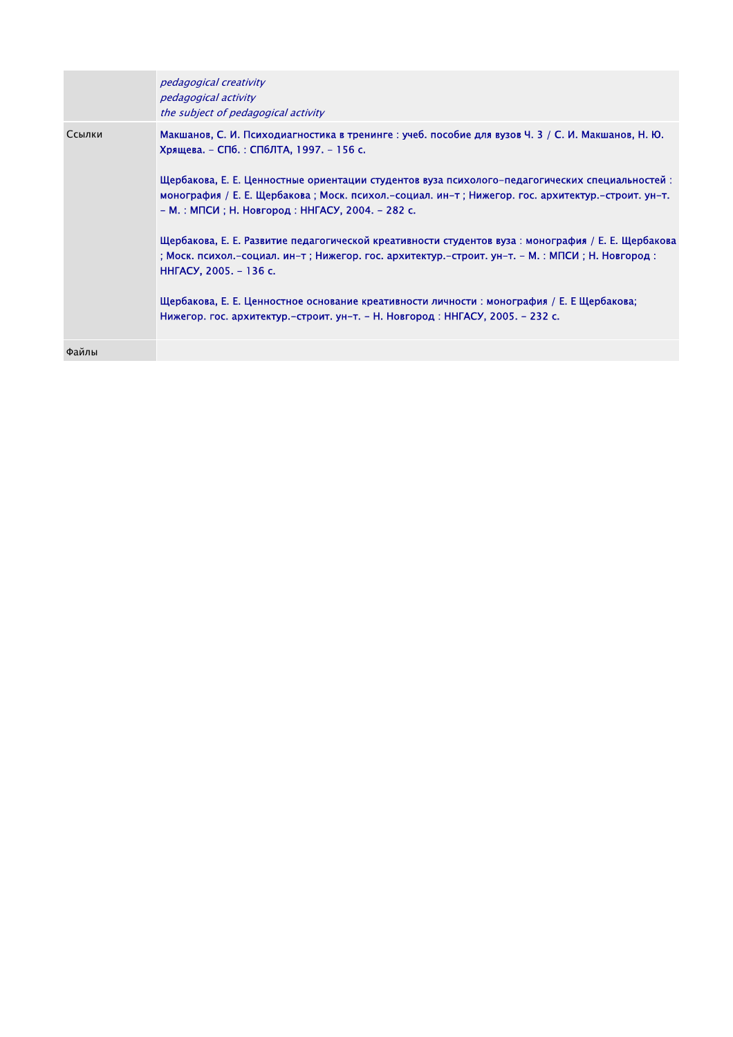|        | pedagogical creativity<br>pedagogical activity<br>the subject of pedagogical activity                                                                                                                                                                   |
|--------|---------------------------------------------------------------------------------------------------------------------------------------------------------------------------------------------------------------------------------------------------------|
| Ссылки | Макшанов, С. И. Психодиагностика в тренинге : учеб. пособие для вузов Ч. 3 / С. И. Макшанов, Н. Ю.<br>Хрящева. – СПб. : СПбЛТА, 1997. – 156 с.                                                                                                          |
|        | " Щербакова, Е. Е. Ценностные ориентации студентов вуза психолого-педагогических специальностей<br>монография / Е. Е. Щербакова; Моск. психол.-социал. ин-т; Нижегор. гос. архитектур.-строит. ун-т.<br>– М.: МПСИ; Н. Новгород: ННГАСУ, 2004. – 282 с. |
|        | Щербакова, Е. Е. Развитие педагогической креативности студентов вуза : монография / Е. Е. Щербакова<br>: Моск. психол.-социал. ин-т; Нижегор. гос. архитектур.-строит. ун-т. - М. : МПСИ; Н. Новгород :<br>HHFACY, 2005. - 136 c.                       |
|        | Щербакова, Е. Е. Ценностное основание креативности личности : монография / Е. Е Щербакова;<br>Нижегор. гос. архитектур.-строит. ун-т. - Н. Новгород : ННГАСУ, 2005. - 232 с.                                                                            |
| Файлы  |                                                                                                                                                                                                                                                         |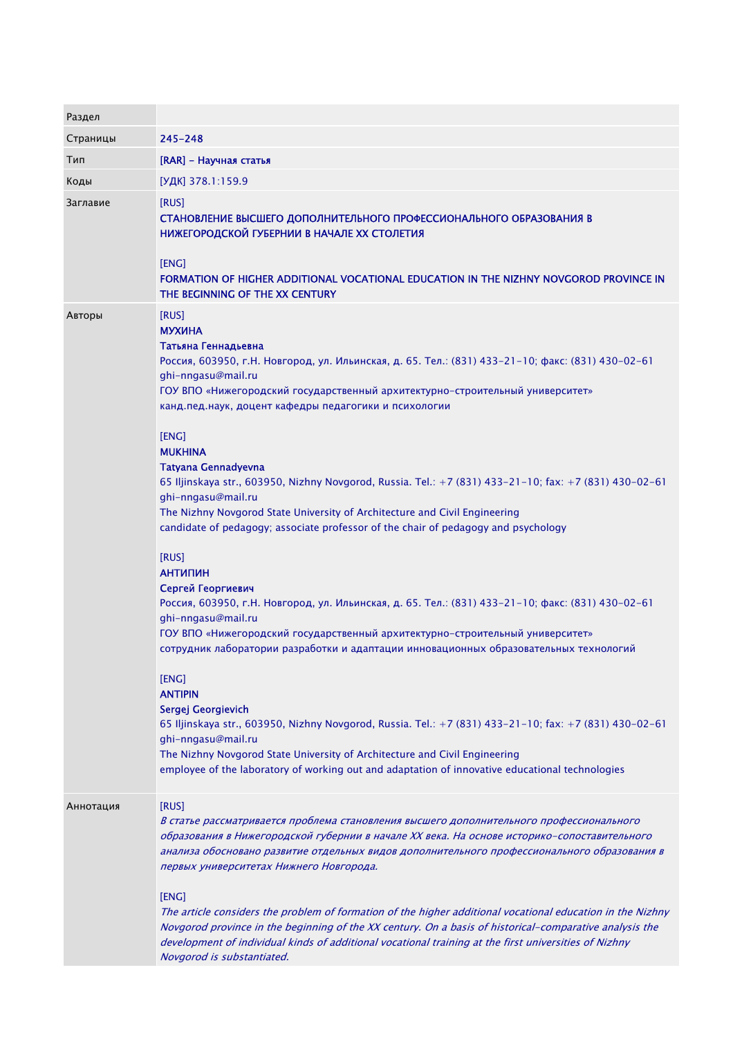| Раздел    |                                                                                                                                                                                                                                                                                                                                                                                                                                                                                                                                                                                                                                                                                                                                                                                                                                                                                                                                                                                                                                                                                                                                                                                                                                                                                                                                                                                                 |
|-----------|-------------------------------------------------------------------------------------------------------------------------------------------------------------------------------------------------------------------------------------------------------------------------------------------------------------------------------------------------------------------------------------------------------------------------------------------------------------------------------------------------------------------------------------------------------------------------------------------------------------------------------------------------------------------------------------------------------------------------------------------------------------------------------------------------------------------------------------------------------------------------------------------------------------------------------------------------------------------------------------------------------------------------------------------------------------------------------------------------------------------------------------------------------------------------------------------------------------------------------------------------------------------------------------------------------------------------------------------------------------------------------------------------|
| Страницы  | 245–248                                                                                                                                                                                                                                                                                                                                                                                                                                                                                                                                                                                                                                                                                                                                                                                                                                                                                                                                                                                                                                                                                                                                                                                                                                                                                                                                                                                         |
| Тип       | [RAR] - Научная статья                                                                                                                                                                                                                                                                                                                                                                                                                                                                                                                                                                                                                                                                                                                                                                                                                                                                                                                                                                                                                                                                                                                                                                                                                                                                                                                                                                          |
| Коды      | [УДК] 378.1:159.9                                                                                                                                                                                                                                                                                                                                                                                                                                                                                                                                                                                                                                                                                                                                                                                                                                                                                                                                                                                                                                                                                                                                                                                                                                                                                                                                                                               |
| Заглавие  | [RUS]<br>СТАНОВЛЕНИЕ ВЫСШЕГО ДОПОЛНИТЕЛЬНОГО ПРОФЕССИОНАЛЬНОГО ОБРАЗОВАНИЯ В<br>НИЖЕГОРОДСКОЙ ГУБЕРНИИ В НАЧАЛЕ ХХ СТОЛЕТИЯ<br>[ENG]<br>FORMATION OF HIGHER ADDITIONAL VOCATIONAL EDUCATION IN THE NIZHNY NOVGOROD PROVINCE IN<br>THE BEGINNING OF THE XX CENTURY                                                                                                                                                                                                                                                                                                                                                                                                                                                                                                                                                                                                                                                                                                                                                                                                                                                                                                                                                                                                                                                                                                                               |
| Авторы    | [RUS]<br><b>МУХИНА</b><br>Татьяна Геннадьевна<br>Россия, 603950, г.Н. Новгород, ул. Ильинская, д. 65. Тел.: (831) 433-21-10; факс: (831) 430-02-61<br>ghi-nngasu@mail.ru<br>ГОУ ВПО «Нижегородский государственный архитектурно-строительный университет»<br>канд.пед.наук, доцент кафедры педагогики и психологии<br>[ENG]<br><b>MUKHINA</b><br>Tatyana Gennadyevna<br>65 Iljinskaya str., 603950, Nizhny Novgorod, Russia. Tel.: +7 (831) 433-21-10; fax: +7 (831) 430-02-61<br>ghi-nngasu@mail.ru<br>The Nizhny Novgorod State University of Architecture and Civil Engineering<br>candidate of pedagogy; associate professor of the chair of pedagogy and psychology<br>[RUS]<br><b>АНТИПИН</b><br>Сергей Георгиевич<br>Россия, 603950, г.Н. Новгород, ул. Ильинская, д. 65. Тел.: (831) 433-21-10; факс: (831) 430-02-61<br>ghi-nngasu@mail.ru<br>ГОУ ВПО «Нижегородский государственный архитектурно-строительный университет»<br>сотрудник лаборатории разработки и адаптации инновационных образовательных технологий<br>[ENG]<br><b>ANTIPIN</b><br>Sergej Georgievich<br>65 Iljinskaya str., 603950, Nizhny Novgorod, Russia. Tel.: +7 (831) 433-21-10; fax: +7 (831) 430-02-61<br>ghi-nngasu@mail.ru<br>The Nizhny Novgorod State University of Architecture and Civil Engineering<br>employee of the laboratory of working out and adaptation of innovative educational technologies |
| Аннотация | [RUS]<br>В статье рассматривается проблема становления высшего дополнительного профессионального<br>образования в Нижегородской губернии в начале XX века. На основе историко-сопоставительного<br>анализа обосновано развитие отдельных видов дополнительного профессионального образования в<br>первых университетах Нижнего Новгорода.<br>[ENG]<br>The article considers the problem of formation of the higher additional vocational education in the Nizhny<br>Novgorod province in the beginning of the XX century. On a basis of historical-comparative analysis the<br>development of individual kinds of additional vocational training at the first universities of Nizhny<br>Novgorod is substantiated.                                                                                                                                                                                                                                                                                                                                                                                                                                                                                                                                                                                                                                                                              |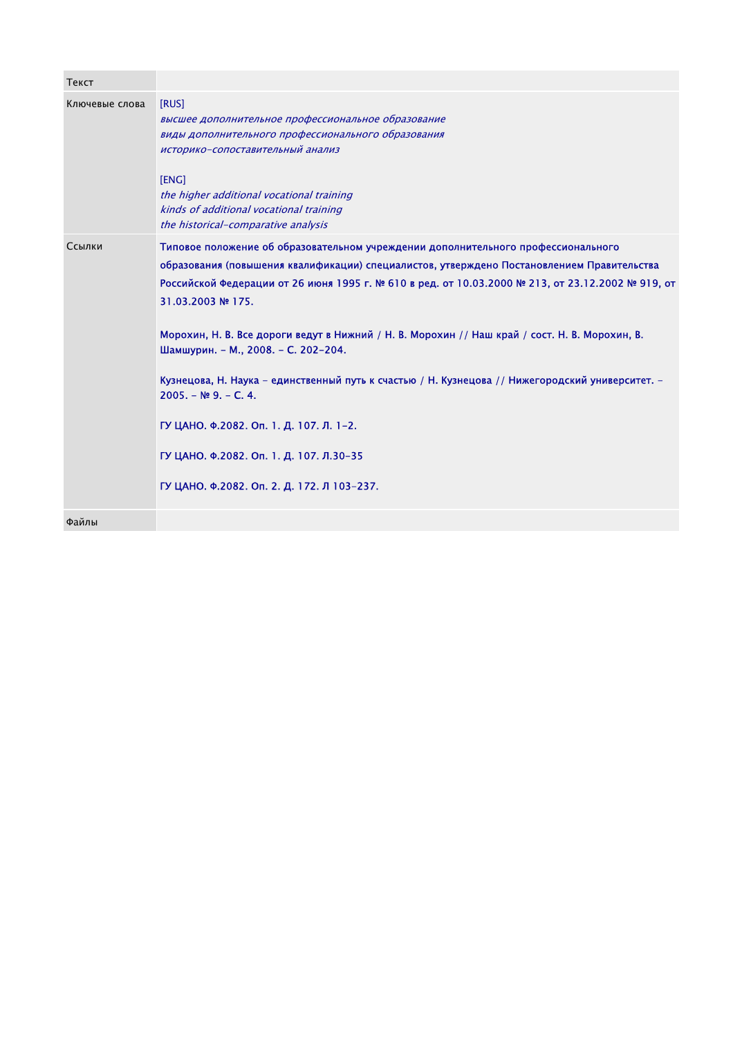| Текст          |                                                                                                                                                                                                                                                                                                                                                                                                                                                                                                                                                                                                                                                                                                                      |
|----------------|----------------------------------------------------------------------------------------------------------------------------------------------------------------------------------------------------------------------------------------------------------------------------------------------------------------------------------------------------------------------------------------------------------------------------------------------------------------------------------------------------------------------------------------------------------------------------------------------------------------------------------------------------------------------------------------------------------------------|
| Ключевые слова | [RUS]<br>высшее дополнительное профессиональное образование<br>виды дополнительного профессионального образования<br>историко-сопоставительный анализ<br>[ENG]<br>the higher additional vocational training<br>kinds of additional vocational training<br>the historical-comparative analysis                                                                                                                                                                                                                                                                                                                                                                                                                        |
| Ссылки         | Типовое положение об образовательном учреждении дополнительного профессионального<br>образования (повышения квалификации) специалистов, утверждено Постановлением Правительства<br>Российской Федерации от 26 июня 1995 г. № 610 в ред. от 10.03.2000 № 213, от 23.12.2002 № 919, от<br>31.03.2003 № 175.<br>Морохин, Н. В. Все дороги ведут в Нижний / Н. В. Морохин // Наш край / сост. Н. В. Морохин, В.<br>Шамшурин. - М., 2008. - С. 202-204.<br>Кузнецова, Н. Наука – единственный путь к счастью / Н. Кузнецова // Нижегородский университет. -<br>$2005. - N99. - C. 4.$<br>ГУ ЦАНО. Ф.2082. Оп. 1. Д. 107. Л. 1-2.<br>ГУ ЦАНО. Ф.2082. Оп. 1. Д. 107. Л.30-35<br>ГУ ЦАНО. Ф.2082. Оп. 2. Д. 172. Л 103-237. |
| Файлы          |                                                                                                                                                                                                                                                                                                                                                                                                                                                                                                                                                                                                                                                                                                                      |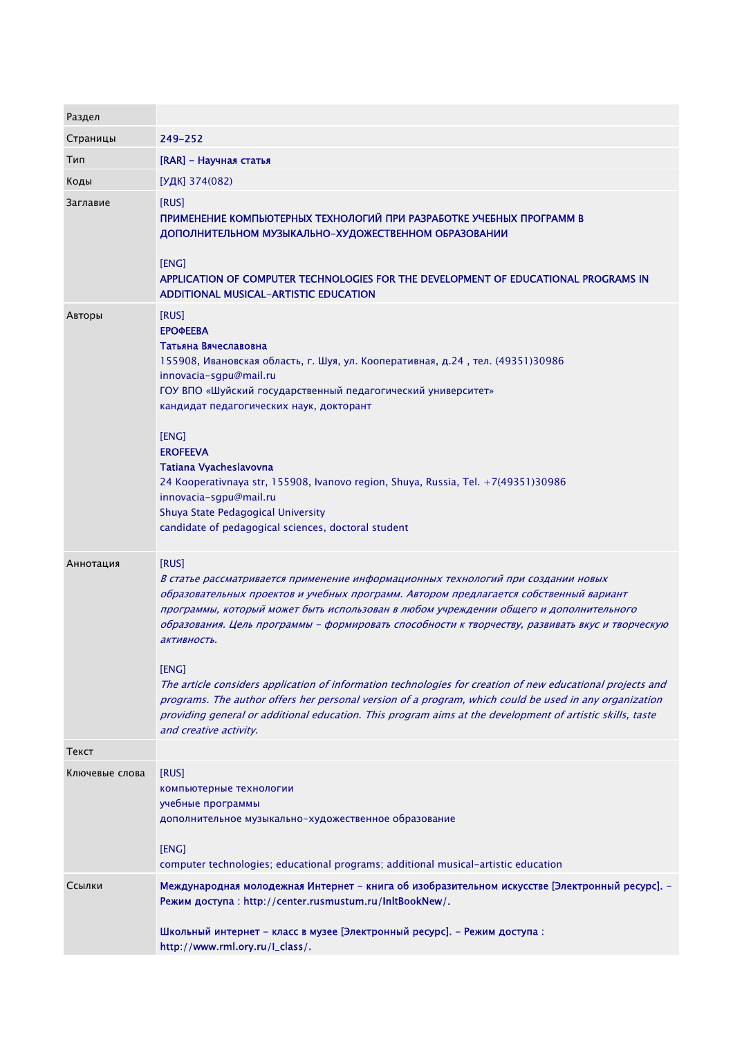| Раздел         |                                                                                                                                                                                                                                                                                                                                                                                                                                                                                                                                                                                                                                                                                                                                                                       |
|----------------|-----------------------------------------------------------------------------------------------------------------------------------------------------------------------------------------------------------------------------------------------------------------------------------------------------------------------------------------------------------------------------------------------------------------------------------------------------------------------------------------------------------------------------------------------------------------------------------------------------------------------------------------------------------------------------------------------------------------------------------------------------------------------|
| Страницы       | 249–252                                                                                                                                                                                                                                                                                                                                                                                                                                                                                                                                                                                                                                                                                                                                                               |
| Тип            | [RAR] - Научная статья                                                                                                                                                                                                                                                                                                                                                                                                                                                                                                                                                                                                                                                                                                                                                |
| Коды           | [УДК] 374(082)                                                                                                                                                                                                                                                                                                                                                                                                                                                                                                                                                                                                                                                                                                                                                        |
| Заглавие       | [RUS]<br>ПРИМЕНЕНИЕ КОМПЬЮТЕРНЫХ ТЕХНОЛОГИЙ ПРИ РАЗРАБОТКЕ УЧЕБНЫХ ПРОГРАММ В<br>ДОПОЛНИТЕЛЬНОМ МУЗЫКАЛЬНО-ХУДОЖЕСТВЕННОМ ОБРАЗОВАНИИ<br>[ENG]<br>APPLICATION OF COMPUTER TECHNOLOGIES FOR THE DEVELOPMENT OF EDUCATIONAL PROGRAMS IN<br><b>ADDITIONAL MUSICAL-ARTISTIC EDUCATION</b>                                                                                                                                                                                                                                                                                                                                                                                                                                                                                 |
| Авторы         | [RUS]<br><b>ЕРОФЕЕВА</b><br>Татьяна Вячеславовна<br>155908, Ивановская область, г. Шуя, ул. Кооперативная, д.24, тел. (49351)30986<br>innovacia-sgpu@mail.ru<br>ГОУ ВПО «Шуйский государственный педагогический университет»<br>кандидат педагогических наук, докторант<br>[ENG]<br><b>EROFEEVA</b><br>Tatiana Vyacheslavovna<br>24 Kooperativnaya str, 155908, Ivanovo region, Shuya, Russia, Tel. +7(49351)30986<br>innovacia-sgpu@mail.ru<br>Shuya State Pedagogical University<br>candidate of pedagogical sciences, doctoral student                                                                                                                                                                                                                             |
| Аннотация      | [RUS]<br>В статье рассматривается применение информационных технологий при создании новых<br>образовательных проектов и учебных программ. Автором предлагается собственный вариант<br>программы, который может быть использован в любом учреждении общего и дополнительного<br>образования. Цель программы – формировать способности к творчеству, развивать вкус и творческую<br>активность.<br>[ENG]<br>The article considers application of information technologies for creation of new educational projects and<br>programs. The author offers her personal version of a program, which could be used in any organization<br>providing general or additional education. This program aims at the development of artistic skills, taste<br>and creative activity. |
| Текст          |                                                                                                                                                                                                                                                                                                                                                                                                                                                                                                                                                                                                                                                                                                                                                                       |
| Ключевые слова | [RUS]<br>компьютерные технологии<br>учебные программы<br>дополнительное музыкально-художественное образование<br>[ENG]<br>computer technologies; educational programs; additional musical-artistic education                                                                                                                                                                                                                                                                                                                                                                                                                                                                                                                                                          |
| Ссылки         | Международная молодежная Интернет - книга об изобразительном искусстве [Электронный ресурс]. -<br>Режим доступа: http://center.rusmustum.ru/InItBookNew/.<br>Школьный интернет - класс в музее [Электронный ресурс]. - Режим доступа:<br>http://www.rml.ory.ru/l_class/.                                                                                                                                                                                                                                                                                                                                                                                                                                                                                              |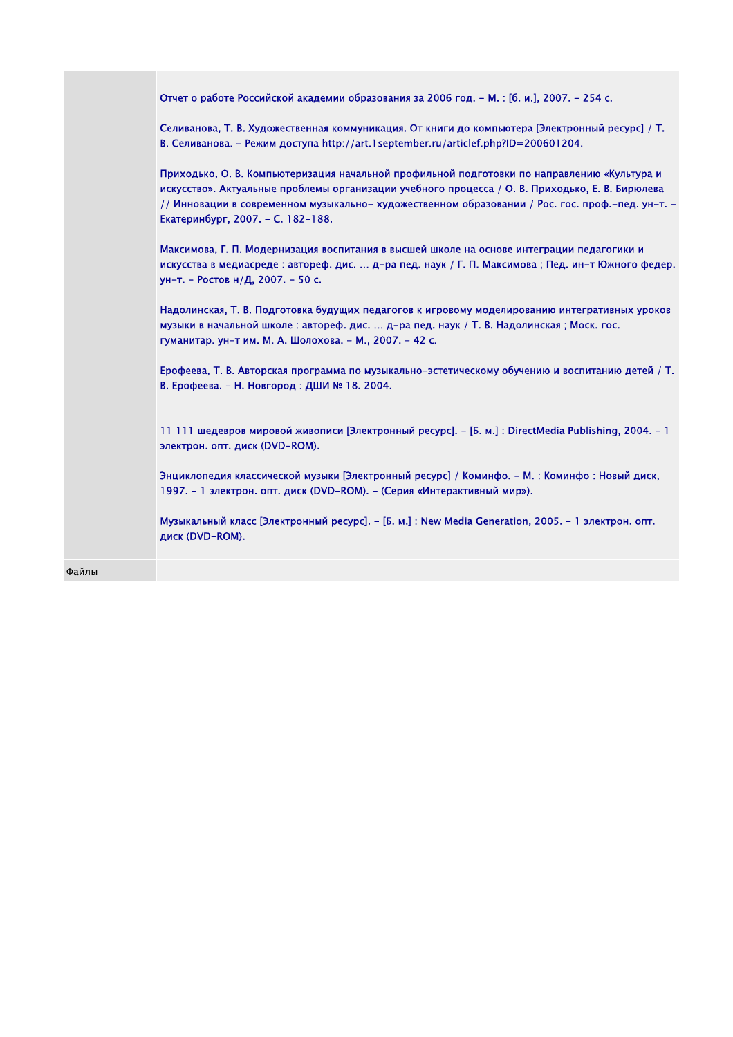| Отчет о работе Российской академии образования за 2006 год. - М. : [б. и.], 2007. - 254 с.                                                                                                                                                                                                                                              |  |
|-----------------------------------------------------------------------------------------------------------------------------------------------------------------------------------------------------------------------------------------------------------------------------------------------------------------------------------------|--|
| Селиванова, Т. В. Художественная коммуникация. От книги до компьютера [Электронный ресурс] / Т.<br>В. Селиванова. - Режим доступа http://art.1september.ru/articlef.php?ID=200601204.                                                                                                                                                   |  |
| Приходько, О. В. Компьютеризация начальной профильной подготовки по направлению «Культура и<br>искусство». Актуальные проблемы организации учебного процесса / О. В. Приходько, Е. В. Бирюлева<br>// Инновации в современном музыкально- художественном образовании / Рос. гос. проф.-пед. ун-т. -<br>Екатеринбург, 2007. - С. 182-188. |  |
| Максимова, Г. П. Модернизация воспитания в высшей школе на основе интеграции педагогики и<br>искусства в медиасреде : автореф. дис.  д-ра пед. наук / Г. П. Максимова ; Пед. ин-т Южного федер.<br>ун-т. - Ростов н/Д, 2007. - 50 с.                                                                                                    |  |
| Надолинская, Т. В. Подготовка будущих педагогов к игровому моделированию интегративных уроков<br>музыки в начальной школе: автореф. дис.  д-ра пед. наук / Т. В. Надолинская; Моск. гос.<br>гуманитар. ун-т им. М. А. Шолохова. - М., 2007. - 42 с.                                                                                     |  |
| Ерофеева, Т. В. Авторская программа по музыкально-эстетическому обучению и воспитанию детей / Т.<br>В. Ерофеева. - Н. Новгород: ДШИ № 18. 2004.                                                                                                                                                                                         |  |
| 11 111 шедевров мировой живописи [Электронный ресурс]. - [Б. м.] : DirectMedia Publishing, 2004. - 1<br>электрон. опт. диск (DVD-ROM).                                                                                                                                                                                                  |  |
| Энциклопедия классической музыки [Электронный ресурс] / Коминфо. - М. : Коминфо : Новый диск,<br>1997. – 1 электрон. опт. диск (DVD-ROM). – (Серия «Интерактивный мир»).                                                                                                                                                                |  |
| Музыкальный класс [Электронный ресурс]. – [Б. м.] : New Media Generation, 2005. – 1 электрон, опт.<br>диск (DVD-ROM).                                                                                                                                                                                                                   |  |
|                                                                                                                                                                                                                                                                                                                                         |  |

Файлы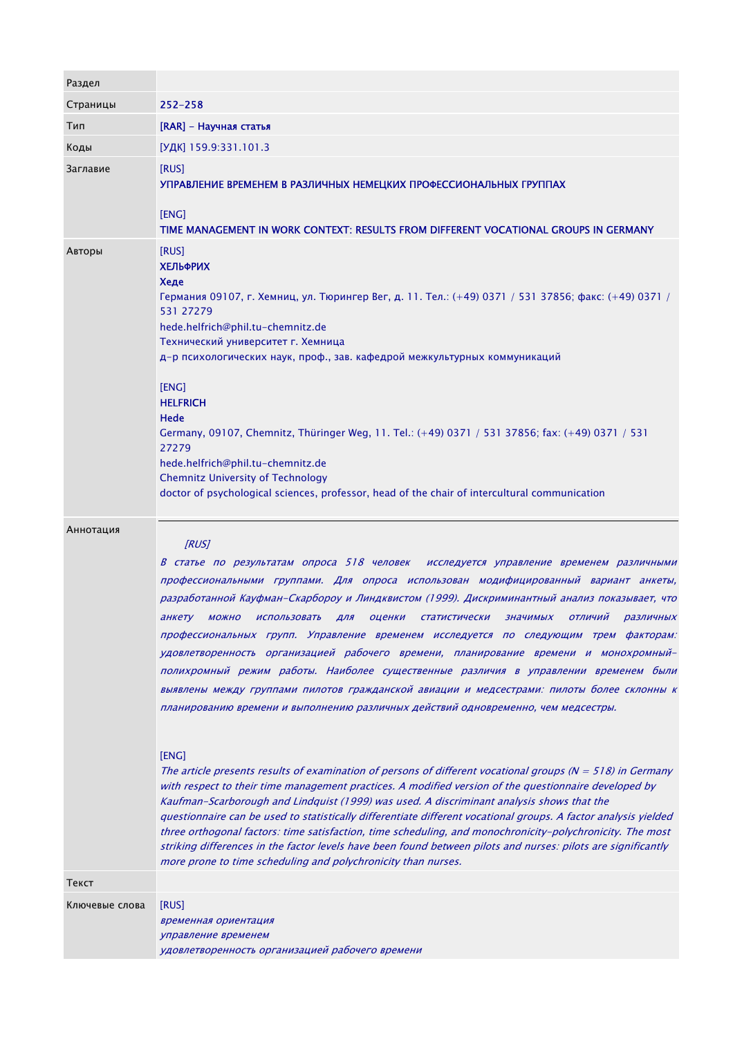| Раздел         |                                                                                                                                                                                                                                                                                                                                                                                                                                                                                                                                                                                                                                                                                                                                                                                                                                                                                                                                                                                                                                                                                                                                                                                                                                                                                                                                                                                                                                                                                                                                                                                                                                |
|----------------|--------------------------------------------------------------------------------------------------------------------------------------------------------------------------------------------------------------------------------------------------------------------------------------------------------------------------------------------------------------------------------------------------------------------------------------------------------------------------------------------------------------------------------------------------------------------------------------------------------------------------------------------------------------------------------------------------------------------------------------------------------------------------------------------------------------------------------------------------------------------------------------------------------------------------------------------------------------------------------------------------------------------------------------------------------------------------------------------------------------------------------------------------------------------------------------------------------------------------------------------------------------------------------------------------------------------------------------------------------------------------------------------------------------------------------------------------------------------------------------------------------------------------------------------------------------------------------------------------------------------------------|
| Страницы       | $252 - 258$                                                                                                                                                                                                                                                                                                                                                                                                                                                                                                                                                                                                                                                                                                                                                                                                                                                                                                                                                                                                                                                                                                                                                                                                                                                                                                                                                                                                                                                                                                                                                                                                                    |
| Тип            | [RAR] - Научная статья                                                                                                                                                                                                                                                                                                                                                                                                                                                                                                                                                                                                                                                                                                                                                                                                                                                                                                                                                                                                                                                                                                                                                                                                                                                                                                                                                                                                                                                                                                                                                                                                         |
| Коды           | [УДК] 159.9:331.101.3                                                                                                                                                                                                                                                                                                                                                                                                                                                                                                                                                                                                                                                                                                                                                                                                                                                                                                                                                                                                                                                                                                                                                                                                                                                                                                                                                                                                                                                                                                                                                                                                          |
| Заглавие       | [RUS]<br>УПРАВЛЕНИЕ ВРЕМЕНЕМ В РАЗЛИЧНЫХ НЕМЕЦКИХ ПРОФЕССИОНАЛЬНЫХ ГРУППАХ<br>[ENG]<br>TIME MANAGEMENT IN WORK CONTEXT: RESULTS FROM DIFFERENT VOCATIONAL GROUPS IN GERMANY                                                                                                                                                                                                                                                                                                                                                                                                                                                                                                                                                                                                                                                                                                                                                                                                                                                                                                                                                                                                                                                                                                                                                                                                                                                                                                                                                                                                                                                    |
| Авторы         | [RUS]<br><b>ХЕЛЬФРИХ</b><br>Хеде<br>Германия 09107, г. Хемниц, ул. Тюрингер Вег, д. 11. Тел.: (+49) 0371 / 531 37856; факс: (+49) 0371 /<br>531 27279<br>hede.helfrich@phil.tu-chemnitz.de<br>Технический университет г. Хемница<br>д-р психологических наук, проф., зав. кафедрой межкультурных коммуникаций<br>[ENG]<br><b>HELFRICH</b><br>Hede<br>Germany, 09107, Chemnitz, Thüringer Weg, 11. Tel.: (+49) 0371 / 531 37856; fax: (+49) 0371 / 531<br>27279<br>hede.helfrich@phil.tu-chemnitz.de<br><b>Chemnitz University of Technology</b><br>doctor of psychological sciences, professor, head of the chair of intercultural communication                                                                                                                                                                                                                                                                                                                                                                                                                                                                                                                                                                                                                                                                                                                                                                                                                                                                                                                                                                               |
| Аннотация      | [RUS]<br>В статье по результатам опроса 518 человек исследуется управление временем различными<br>профессиональными группами. Для опроса использован модифицированный вариант анкеты,<br>разработанной Кауфман-Скарбороу и Линдквистом (1999). Дискриминантный анализ показывает, что<br>ОТЛИЧИЙ<br>анкету<br><b>МОЖНО</b><br><b>ИСПОЛЬЗОВАТЬ</b><br><b>СТАТИСТИЧЕСКИ</b><br>значимых<br>различных<br>ДЛЯ<br>оценки<br>профессиональных групп. Управление временем исследуется по следующим трем факторам:<br>удовлетворенность организацией рабочего времени, планирование времени и монохромный-<br>полихромный режим работы. Наиболее существенные различия в управлении временем были<br>выявлены между группами пилотов гражданской авиации и медсестрами: пилоты более склонны к<br>планированию времени и выполнению различных действий одновременно, чем медсестры.<br>[ENG]<br>The article presents results of examination of persons of different vocational groups ( $N = 518$ ) in Germany<br>with respect to their time management practices. A modified version of the questionnaire developed by<br>Kaufman-Scarborough and Lindquist (1999) was used. A discriminant analysis shows that the<br>questionnaire can be used to statistically differentiate different vocational groups. A factor analysis yielded<br>three orthogonal factors: time satisfaction, time scheduling, and monochronicity-polychronicity. The most<br>striking differences in the factor levels have been found between pilots and nurses: pilots are significantly<br>more prone to time scheduling and polychronicity than nurses. |
| Текст          |                                                                                                                                                                                                                                                                                                                                                                                                                                                                                                                                                                                                                                                                                                                                                                                                                                                                                                                                                                                                                                                                                                                                                                                                                                                                                                                                                                                                                                                                                                                                                                                                                                |
| Ключевые слова | [RUS]<br>временная ориентация<br>управление временем<br>удовлетворенность организацией рабочего времени                                                                                                                                                                                                                                                                                                                                                                                                                                                                                                                                                                                                                                                                                                                                                                                                                                                                                                                                                                                                                                                                                                                                                                                                                                                                                                                                                                                                                                                                                                                        |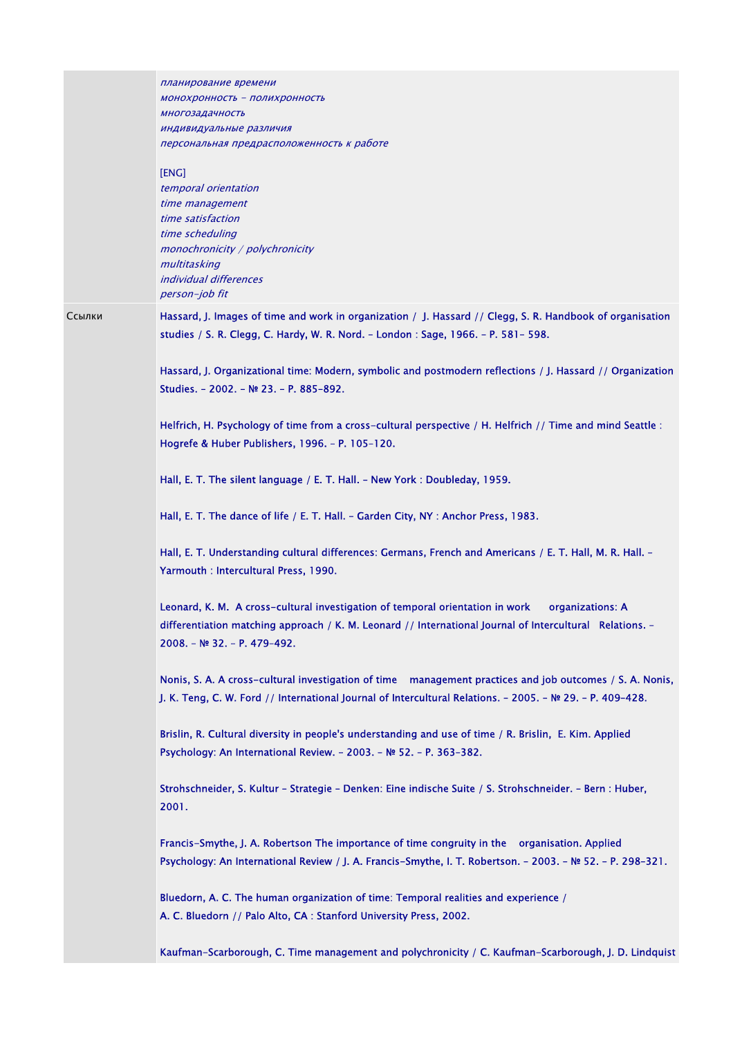|        | планирование времени<br><b>МОНОХРОННОСТЬ - ПОЛИХРОННОСТЬ</b><br>многозадачность<br>индивидуальные различия<br>персональная предрасположенность к работе<br>[ENG]<br>temporal orientation<br>time management<br>time satisfaction<br>time scheduling<br>monochronicity / polychronicity<br>multitasking<br><i>individual differences</i><br>person-job fit                                                                                                                                                                                                                                                                                                                                                                                                                                                                                                                                                                                                                                                                                                                                                                                                                                                                                                      |
|--------|----------------------------------------------------------------------------------------------------------------------------------------------------------------------------------------------------------------------------------------------------------------------------------------------------------------------------------------------------------------------------------------------------------------------------------------------------------------------------------------------------------------------------------------------------------------------------------------------------------------------------------------------------------------------------------------------------------------------------------------------------------------------------------------------------------------------------------------------------------------------------------------------------------------------------------------------------------------------------------------------------------------------------------------------------------------------------------------------------------------------------------------------------------------------------------------------------------------------------------------------------------------|
| Ссылки | Hassard, J. Images of time and work in organization / J. Hassard // Clegg, S. R. Handbook of organisation<br>studies / S. R. Clegg, C. Hardy, W. R. Nord. - London : Sage, 1966. - P. 581-598.<br>Hassard, J. Organizational time: Modern, symbolic and postmodern reflections / J. Hassard // Organization<br>Studies. - 2002. - № 23. - Р. 885-892.<br>Helfrich, H. Psychology of time from a cross-cultural perspective / H. Helfrich // Time and mind Seattle :<br>Hogrefe & Huber Publishers, 1996. - P. 105-120.<br>Hall, E. T. The silent language / E. T. Hall. - New York: Doubleday, 1959.<br>Hall, E. T. The dance of life / E. T. Hall. - Garden City, NY : Anchor Press, 1983.<br>Hall, E. T. Understanding cultural differences: Germans, French and Americans / E. T. Hall, M. R. Hall. -<br>Yarmouth : Intercultural Press, 1990.                                                                                                                                                                                                                                                                                                                                                                                                              |
|        | Leonard, K. M. A cross-cultural investigation of temporal orientation in work<br>organizations: A<br>differentiation matching approach / K. M. Leonard // International Journal of Intercultural Relations. -<br>2008. - № 32. - Р. 479-492.<br>Nonis, S. A. A cross-cultural investigation of time management practices and job outcomes / S. A. Nonis,<br>J. K. Teng, C. W. Ford // International Journal of Intercultural Relations. - 2005. - № 29. - P. 409-428.<br>Brislin, R. Cultural diversity in people's understanding and use of time / R. Brislin, E. Kim. Applied<br>Psychology: An International Review. - 2003. - № 52. - P. 363-382.<br>Strohschneider, S. Kultur - Strategie - Denken: Eine indische Suite / S. Strohschneider. - Bern : Huber,<br>2001.<br>Francis-Smythe, J. A. Robertson The importance of time congruity in the organisation. Applied<br>Psychology: An International Review / J. A. Francis-Smythe, I. T. Robertson. - 2003. - № 52. - P. 298-321.<br>Bluedorn, A. C. The human organization of time: Temporal realities and experience /<br>A. C. Bluedorn // Palo Alto, CA : Stanford University Press, 2002.<br>Kaufman-Scarborough, C. Time management and polychronicity / C. Kaufman-Scarborough, J. D. Lindquist |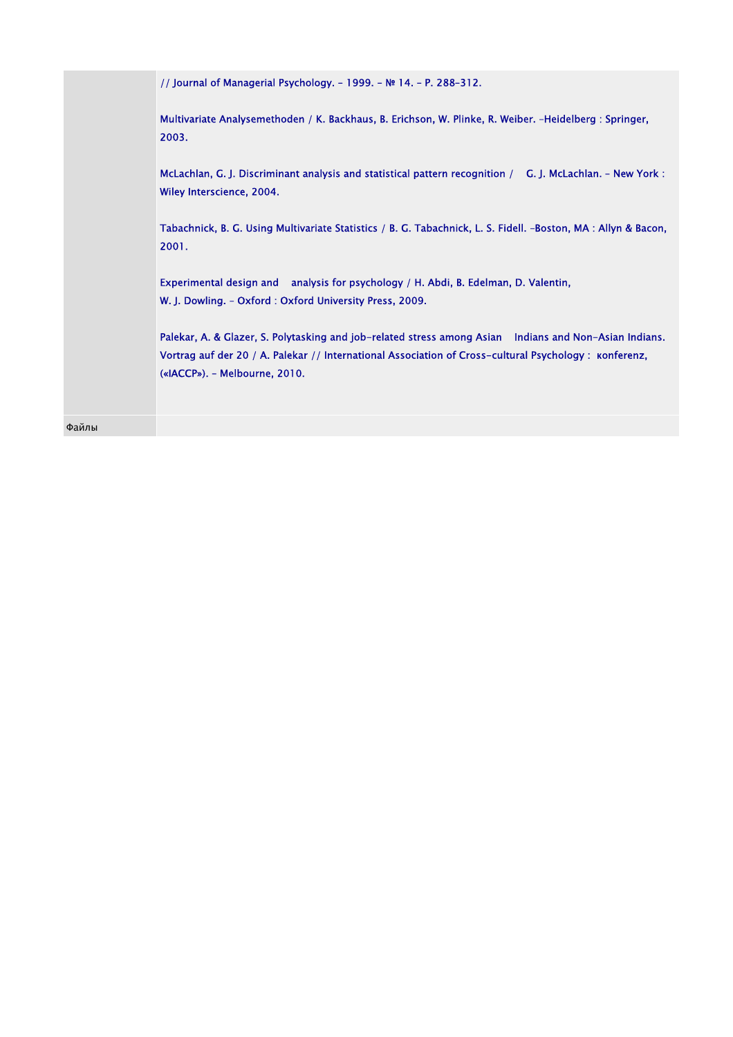|       | // Journal of Managerial Psychology. - 1999. - № 14. - P. 288-312.                                                                                                                                                                                |
|-------|---------------------------------------------------------------------------------------------------------------------------------------------------------------------------------------------------------------------------------------------------|
|       | Multivariate Analysemethoden / K. Backhaus, B. Erichson, W. Plinke, R. Weiber. -Heidelberg : Springer,<br>2003.                                                                                                                                   |
|       | McLachlan, G. J. Discriminant analysis and statistical pattern recognition / G. J. McLachlan. - New York :<br>Wiley Interscience, 2004.                                                                                                           |
|       | Tabachnick, B. G. Using Multivariate Statistics / B. G. Tabachnick, L. S. Fidell. -Boston, MA: Allyn & Bacon,<br>2001.                                                                                                                            |
|       | Experimental design and analysis for psychology / H. Abdi, B. Edelman, D. Valentin,<br>W. J. Dowling. - Oxford: Oxford University Press, 2009.                                                                                                    |
|       | Palekar, A. & Glazer, S. Polytasking and job-related stress among Asian Indians and Non-Asian Indians.<br>Vortrag auf der 20 / A. Palekar // International Association of Cross-cultural Psychology : konferenz,<br>(«IACCP»). - Melbourne, 2010. |
| Файлы |                                                                                                                                                                                                                                                   |
|       |                                                                                                                                                                                                                                                   |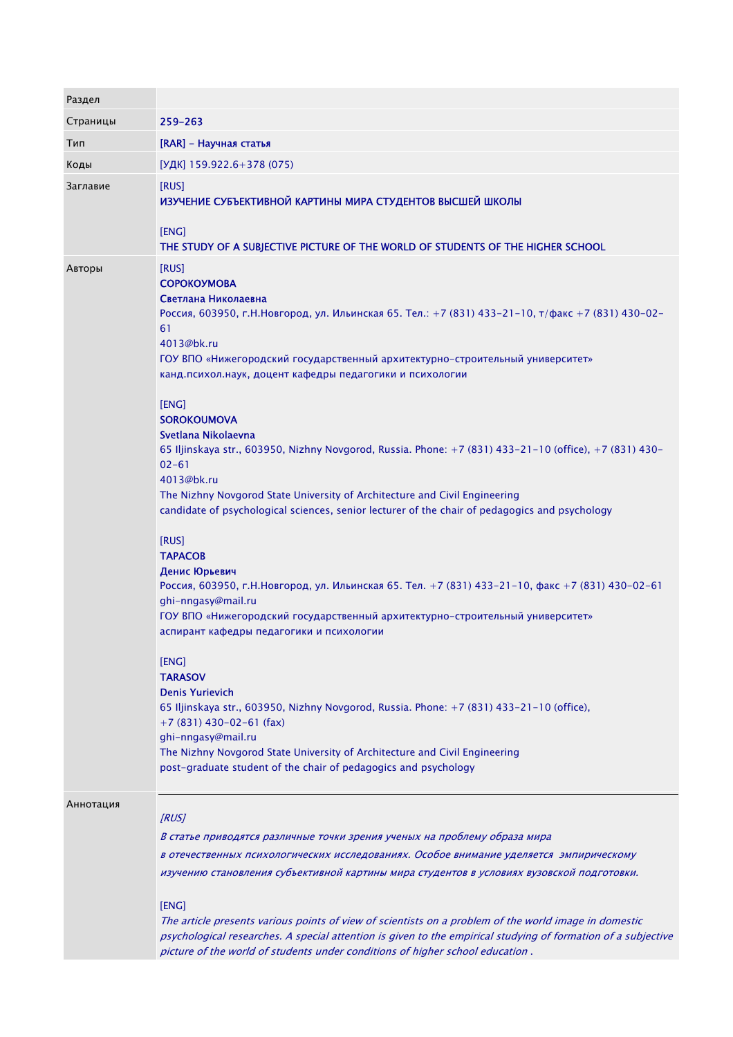| Раздел    |                                                                                                                                                                                                                                                                                                                                                                                                                                                                                                                                                                                                                                                                                                                                                                                                                                                                                                                                                                                                                                                                                                                                                                                                                                                                                                                                                              |
|-----------|--------------------------------------------------------------------------------------------------------------------------------------------------------------------------------------------------------------------------------------------------------------------------------------------------------------------------------------------------------------------------------------------------------------------------------------------------------------------------------------------------------------------------------------------------------------------------------------------------------------------------------------------------------------------------------------------------------------------------------------------------------------------------------------------------------------------------------------------------------------------------------------------------------------------------------------------------------------------------------------------------------------------------------------------------------------------------------------------------------------------------------------------------------------------------------------------------------------------------------------------------------------------------------------------------------------------------------------------------------------|
| Страницы  | 259-263                                                                                                                                                                                                                                                                                                                                                                                                                                                                                                                                                                                                                                                                                                                                                                                                                                                                                                                                                                                                                                                                                                                                                                                                                                                                                                                                                      |
| Тип       | [RAR] - Научная статья                                                                                                                                                                                                                                                                                                                                                                                                                                                                                                                                                                                                                                                                                                                                                                                                                                                                                                                                                                                                                                                                                                                                                                                                                                                                                                                                       |
| Коды      | [УДК] 159.922.6+378 (075)                                                                                                                                                                                                                                                                                                                                                                                                                                                                                                                                                                                                                                                                                                                                                                                                                                                                                                                                                                                                                                                                                                                                                                                                                                                                                                                                    |
| Заглавие  | [RUS]<br>ИЗУЧЕНИЕ СУБЪЕКТИВНОЙ КАРТИНЫ МИРА СТУДЕНТОВ ВЫСШЕЙ ШКОЛЫ<br>[ENG]<br>THE STUDY OF A SUBJECTIVE PICTURE OF THE WORLD OF STUDENTS OF THE HIGHER SCHOOL                                                                                                                                                                                                                                                                                                                                                                                                                                                                                                                                                                                                                                                                                                                                                                                                                                                                                                                                                                                                                                                                                                                                                                                               |
| Авторы    | [RUS]<br><b>СОРОКОУМОВА</b><br>Светлана Николаевна<br>Россия, 603950, г.Н.Новгород, ул. Ильинская 65. Тел.: +7 (831) 433-21-10, т/факс +7 (831) 430-02-<br>61<br>4013@bk.ru<br>ГОУ ВПО «Нижегородский государственный архитектурно-строительный университет»<br>канд.психол.наук, доцент кафедры педагогики и психологии<br>[ENG]<br><b>SOROKOUMOVA</b><br>Svetlana Nikolaevna<br>65 Iljinskaya str., 603950, Nizhny Novgorod, Russia. Phone: +7 (831) 433-21-10 (office), +7 (831) 430-<br>$02 - 61$<br>4013@bk.ru<br>The Nizhny Novgorod State University of Architecture and Civil Engineering<br>candidate of psychological sciences, senior lecturer of the chair of pedagogics and psychology<br>[RUS]<br><b>TAPACOB</b><br>Денис Юрьевич<br>Россия, 603950, г.Н.Новгород, ул. Ильинская 65. Тел. +7 (831) 433-21-10, факс +7 (831) 430-02-61<br>ghi-nngasy@mail.ru<br>ГОУ ВПО «Нижегородский государственный архитектурно-строительный университет»<br>аспирант кафедры педагогики и психологии<br>[ENG]<br><b>TARASOV</b><br><b>Denis Yurievich</b><br>65 Iljinskaya str., 603950, Nizhny Novgorod, Russia. Phone: +7 (831) 433-21-10 (office),<br>$+7$ (831) 430-02-61 (fax)<br>ghi-nngasy@mail.ru<br>The Nizhny Novgorod State University of Architecture and Civil Engineering<br>post-graduate student of the chair of pedagogics and psychology |
| Аннотация | [RUS]<br>В статье приводятся различные точки зрения ученых на проблему образа мира<br>в отечественных психологических исследованиях. Особое внимание уделяется эмпирическому<br>изучению становления субъективной картины мира студентов в условиях вузовской подготовки.<br>[ENG]<br>The article presents various points of view of scientists on a problem of the world image in domestic                                                                                                                                                                                                                                                                                                                                                                                                                                                                                                                                                                                                                                                                                                                                                                                                                                                                                                                                                                  |
|           | psychological researches. A special attention is given to the empirical studying of formation of a subjective<br>picture of the world of students under conditions of higher school education.                                                                                                                                                                                                                                                                                                                                                                                                                                                                                                                                                                                                                                                                                                                                                                                                                                                                                                                                                                                                                                                                                                                                                               |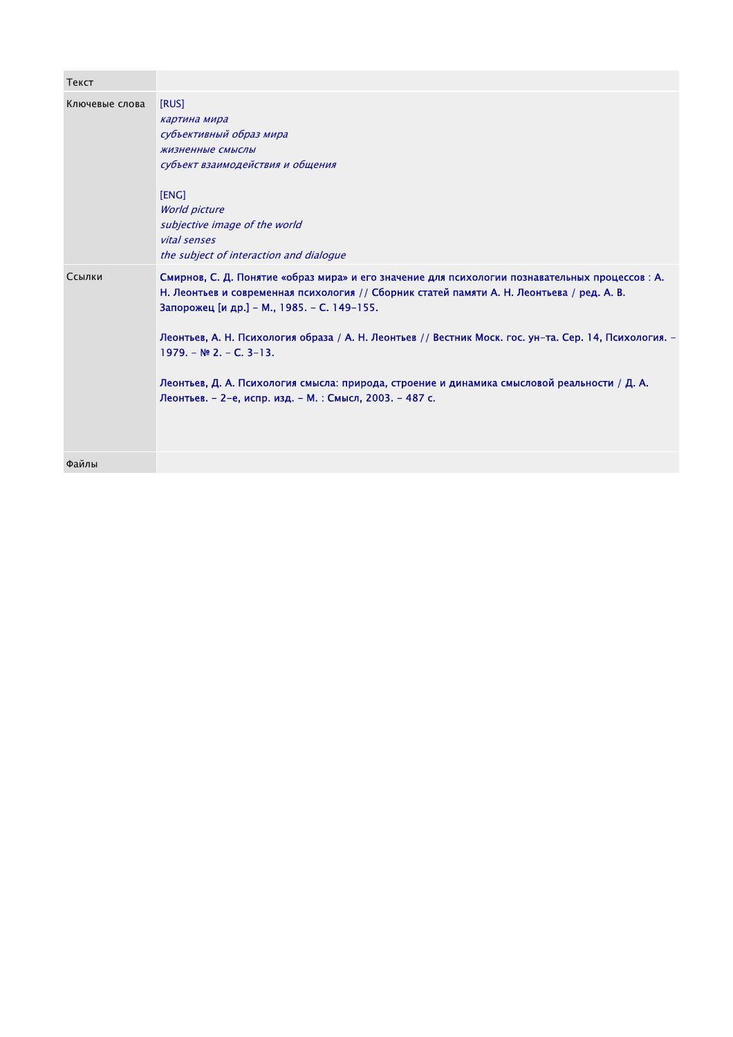| Текст          |                                                                                                                                                                                                                                                                                                                                                                                                                                                                                                                                                |
|----------------|------------------------------------------------------------------------------------------------------------------------------------------------------------------------------------------------------------------------------------------------------------------------------------------------------------------------------------------------------------------------------------------------------------------------------------------------------------------------------------------------------------------------------------------------|
| Ключевые слова | [RUS]<br>картина мира<br>субъективный образ мира<br>жизненные смыслы<br>субъект взаимодействия и общения<br>[ENG]<br><b>World picture</b><br>subjective image of the world<br>vital senses<br>the subject of interaction and dialogue                                                                                                                                                                                                                                                                                                          |
| Ссылки         | Смирнов, С. Д. Понятие «образ мира» и его значение для психологии познавательных процессов: А.<br>Н. Леонтьев и современная психология // Сборник статей памяти А. Н. Леонтьева / ред. А. В.<br>Запорожец [и др.] - М., 1985. - С. 149-155.<br>Леонтьев, А. Н. Психология образа / А. Н. Леонтьев // Вестник Моск. гос. ун-та. Сер. 14, Психология. -<br>$1979. - N22. - C. 3-13.$<br>Леонтьев, Д. А. Психология смысла: природа, строение и динамика смысловой реальности / Д. А.<br>Леонтьев. - 2-е, испр. изд. - М. : Смысл, 2003. - 487 с. |
| Файлы          |                                                                                                                                                                                                                                                                                                                                                                                                                                                                                                                                                |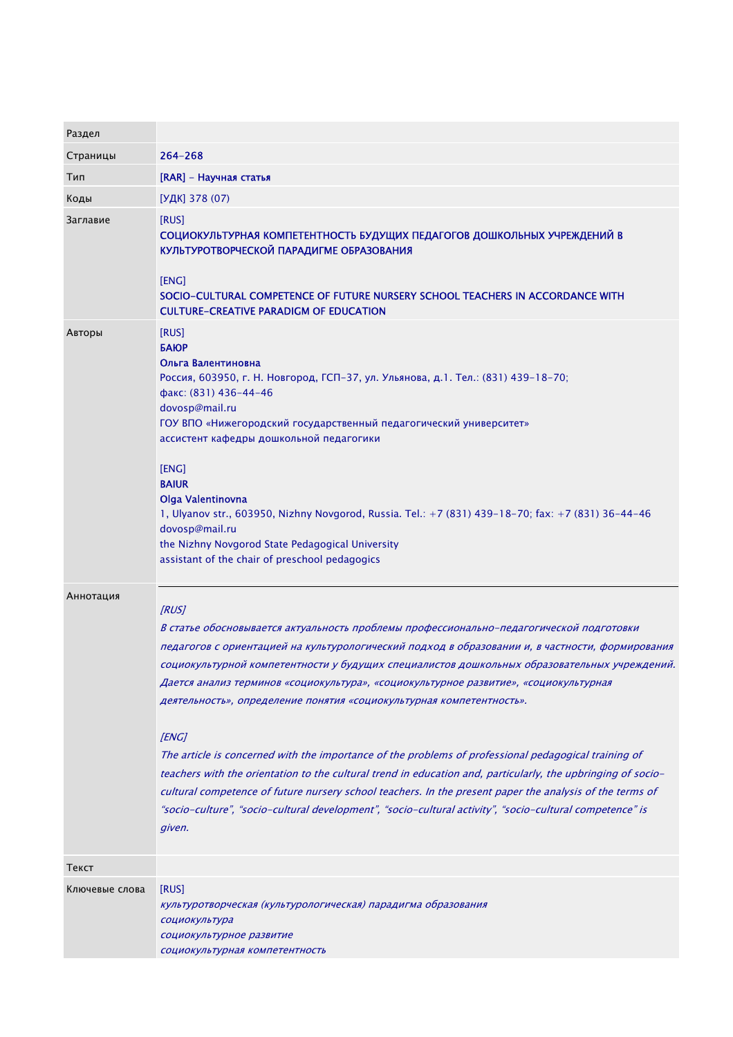| Раздел         |                                                                                                                                                                                                                                                                                                                                                                                                                                                                                                                                                                                                                                                                                                                                                                                                                                                                                                                                        |
|----------------|----------------------------------------------------------------------------------------------------------------------------------------------------------------------------------------------------------------------------------------------------------------------------------------------------------------------------------------------------------------------------------------------------------------------------------------------------------------------------------------------------------------------------------------------------------------------------------------------------------------------------------------------------------------------------------------------------------------------------------------------------------------------------------------------------------------------------------------------------------------------------------------------------------------------------------------|
| Страницы       | $264 - 268$                                                                                                                                                                                                                                                                                                                                                                                                                                                                                                                                                                                                                                                                                                                                                                                                                                                                                                                            |
| Тип            | [RAR] - Научная статья                                                                                                                                                                                                                                                                                                                                                                                                                                                                                                                                                                                                                                                                                                                                                                                                                                                                                                                 |
| Коды           | [УДК] 378 (07)                                                                                                                                                                                                                                                                                                                                                                                                                                                                                                                                                                                                                                                                                                                                                                                                                                                                                                                         |
| Заглавие       | [RUS]<br>СОЦИОКУЛЬТУРНАЯ КОМПЕТЕНТНОСТЬ БУДУЩИХ ПЕДАГОГОВ ДОШКОЛЬНЫХ УЧРЕЖДЕНИЙ В<br>КУЛЬТУРОТВОРЧЕСКОЙ ПАРАДИГМЕ ОБРАЗОВАНИЯ<br>[ENG]<br>SOCIO-CULTURAL COMPETENCE OF FUTURE NURSERY SCHOOL TEACHERS IN ACCORDANCE WITH<br><b>CULTURE-CREATIVE PARADIGM OF EDUCATION</b>                                                                                                                                                                                                                                                                                                                                                                                                                                                                                                                                                                                                                                                              |
| Авторы         | [RUS]<br><b>БАЮР</b><br>Ольга Валентиновна<br>Россия, 603950, г. Н. Новгород, ГСП-37, ул. Ульянова, д.1. Тел.: (831) 439-18-70;<br>факс: (831) 436-44-46<br>dovosp@mail.ru<br>ГОУ ВПО «Нижегородский государственный педагогический университет»<br>ассистент кафедры дошкольной педагогики<br>[ENG]<br><b>BAIUR</b><br>Olga Valentinovna<br>1, Ulyanov str., 603950, Nizhny Novgorod, Russia. Tel.: +7 (831) 439-18-70; fax: +7 (831) 36-44-46<br>dovosp@mail.ru<br>the Nizhny Novgorod State Pedagogical University<br>assistant of the chair of preschool pedagogics                                                                                                                                                                                                                                                                                                                                                                |
| Аннотация      | [RUS]<br>В статье обосновывается актуальность проблемы профессионально-педагогической подготовки<br>педагогов с ориентацией на культурологический подход в образовании и, в частности, формирования<br>социокультурной компетентности у будущих специалистов дошкольных образовательных учреждений.<br>Дается анализ терминов «социокультура», «социокультурное развитие», «социокультурная<br>деятельность», определение понятия «социокультурная компетентность».<br>[ENG]<br>The article is concerned with the importance of the problems of professional pedagogical training of<br>teachers with the orientation to the cultural trend in education and, particularly, the upbringing of socio-<br>cultural competence of future nursery school teachers. In the present paper the analysis of the terms of<br>"socio-culture", "socio-cultural development", "socio-cultural activity", "socio-cultural competence" is<br>given. |
| Текст          |                                                                                                                                                                                                                                                                                                                                                                                                                                                                                                                                                                                                                                                                                                                                                                                                                                                                                                                                        |
| Ключевые слова | [RUS]<br>культуротворческая (культурологическая) парадигма образования<br>социокультура<br>социокультурное развитие<br>социокультурная компетентность                                                                                                                                                                                                                                                                                                                                                                                                                                                                                                                                                                                                                                                                                                                                                                                  |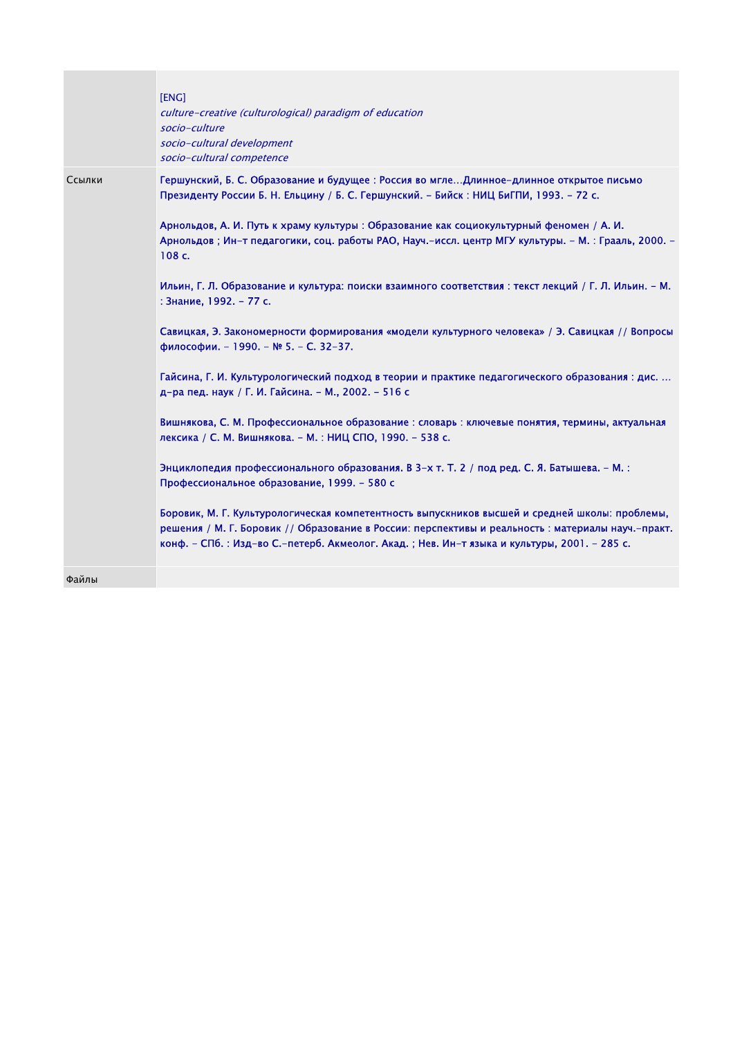|        | [ENG]<br>culture-creative (culturological) paradigm of education<br>socio-culture<br>socio-cultural development<br>socio-cultural competence                                                                                                                                                                                                                                                                                                                                                                                                                                                                                                                                                                                                                                                                                                                                                                                                                                                                                                                                                                                                                                                                                                                                                                                                                                                                                                                |
|--------|-------------------------------------------------------------------------------------------------------------------------------------------------------------------------------------------------------------------------------------------------------------------------------------------------------------------------------------------------------------------------------------------------------------------------------------------------------------------------------------------------------------------------------------------------------------------------------------------------------------------------------------------------------------------------------------------------------------------------------------------------------------------------------------------------------------------------------------------------------------------------------------------------------------------------------------------------------------------------------------------------------------------------------------------------------------------------------------------------------------------------------------------------------------------------------------------------------------------------------------------------------------------------------------------------------------------------------------------------------------------------------------------------------------------------------------------------------------|
| Ссылки | Гершунский, Б. С. Образование и будущее: Россия во мглеДлинное-длинное открытое письмо<br>Президенту России Б. Н. Ельцину / Б. С. Гершунский. – Бийск: НИЦ БиГПИ, 1993. – 72 с.<br>Арнольдов, А. И. Путь к храму культуры : Образование как социокультурный феномен / А. И.<br>Арнольдов; Ин-т педагогики, соц. работы РАО, Науч.-иссл. центр МГУ культуры. - М.: Грааль, 2000. -<br>108 c.<br>Ильин, Г. Л. Образование и культура: поиски взаимного соответствия : текст лекций / Г. Л. Ильин. – М.<br>: Знание, 1992. - 77 с.<br>Савицкая, Э. Закономерности формирования «модели культурного человека» / Э. Савицкая // Вопросы<br>философии. - 1990. - № 5. - С. 32-37.<br>Гайсина, Г. И. Культурологический подход в теории и практике педагогического образования : дис.<br>д-ра пед. наук / Г. И. Гайсина. – М., 2002. – 516 с<br>Вишнякова, С. М. Профессиональное образование : словарь : ключевые понятия, термины, актуальная<br>лексика / С. М. Вишнякова. – М. : НИЦ СПО, 1990. – 538 с.<br>Энциклопедия профессионального образования. В 3-х т. Т. 2 / под ред. С. Я. Батышева. - М.:<br>Профессиональное образование, 1999. - 580 с<br>Боровик, М. Г. Культурологическая компетентность выпускников высшей и средней школы: проблемы,<br>решения / М. Г. Боровик // Образование в России: перспективы и реальность : материалы науч.-практ.<br>конф. – СПб. : Изд-во С.-петерб. Акмеолог. Акад. ; Нев. Ин-т языка и культуры, 2001. – 285 с. |
| Файлы  |                                                                                                                                                                                                                                                                                                                                                                                                                                                                                                                                                                                                                                                                                                                                                                                                                                                                                                                                                                                                                                                                                                                                                                                                                                                                                                                                                                                                                                                             |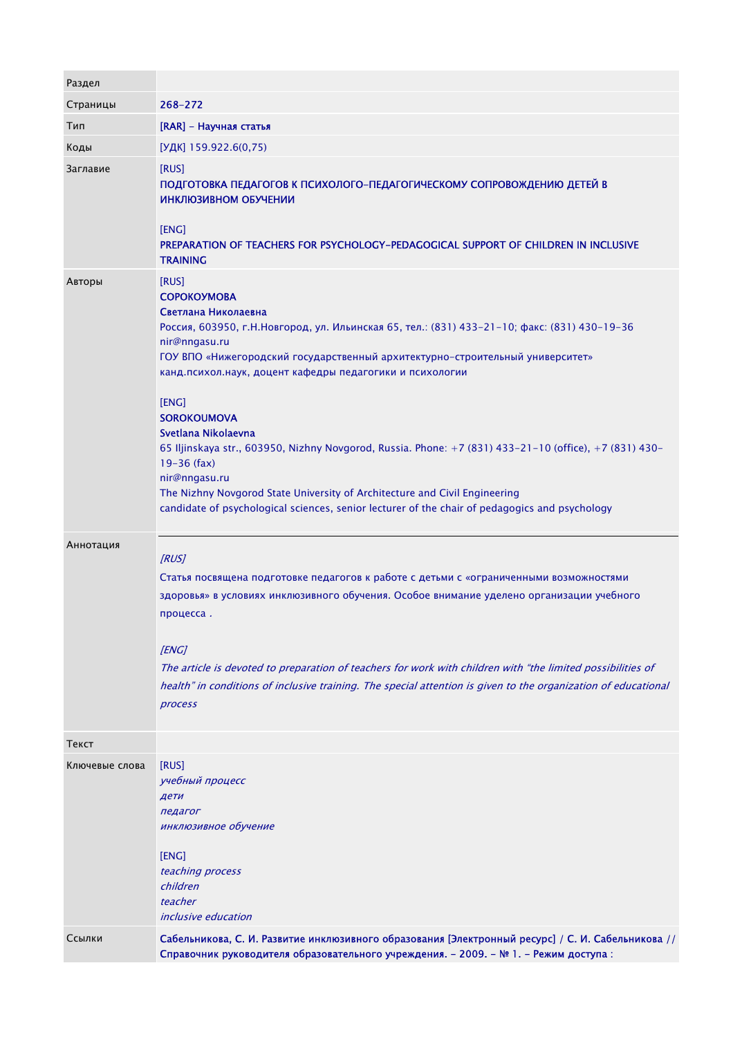| Раздел         |                                                                                                                                                                                                                                                                                                                                                                                                                                                                                                                                                                                                                                                                                                      |
|----------------|------------------------------------------------------------------------------------------------------------------------------------------------------------------------------------------------------------------------------------------------------------------------------------------------------------------------------------------------------------------------------------------------------------------------------------------------------------------------------------------------------------------------------------------------------------------------------------------------------------------------------------------------------------------------------------------------------|
| Страницы       | 268-272                                                                                                                                                                                                                                                                                                                                                                                                                                                                                                                                                                                                                                                                                              |
| Тип            | [RAR] - Научная статья                                                                                                                                                                                                                                                                                                                                                                                                                                                                                                                                                                                                                                                                               |
| Коды           | [УДК] 159.922.6(0,75)                                                                                                                                                                                                                                                                                                                                                                                                                                                                                                                                                                                                                                                                                |
| Заглавие       | [RUS]<br>ПОДГОТОВКА ПЕДАГОГОВ К ПСИХОЛОГО-ПЕДАГОГИЧЕСКОМУ СОПРОВОЖДЕНИЮ ДЕТЕЙ В<br>ИНКЛЮЗИВНОМ ОБУЧЕНИИ<br>[ENG]<br>PREPARATION OF TEACHERS FOR PSYCHOLOGY-PEDAGOGICAL SUPPORT OF CHILDREN IN INCLUSIVE<br><b>TRAINING</b>                                                                                                                                                                                                                                                                                                                                                                                                                                                                           |
| Авторы         | [RUS]<br><b>СОРОКОУМОВА</b><br>Светлана Николаевна<br>Россия, 603950, г.Н.Новгород, ул. Ильинская 65, тел.: (831) 433-21-10; факс: (831) 430-19-36<br>nir@nngasu.ru<br>ГОУ ВПО «Нижегородский государственный архитектурно-строительный университет»<br>канд.психол.наук, доцент кафедры педагогики и психологии<br>[ENG]<br><b>SOROKOUMOVA</b><br>Svetlana Nikolaevna<br>65 Iljinskaya str., 603950, Nizhny Novgorod, Russia. Phone: +7 (831) 433-21-10 (office), +7 (831) 430-<br>$19 - 36$ (fax)<br>nir@nngasu.ru<br>The Nizhny Novgorod State University of Architecture and Civil Engineering<br>candidate of psychological sciences, senior lecturer of the chair of pedagogics and psychology |
| Аннотация      | [RUS]<br>Статья посвящена подготовке педагогов к работе с детьми с «ограниченными возможностями<br>здоровья» в условиях инклюзивного обучения. Особое внимание уделено организации учебного<br>процесса.<br>[ENG]<br>The article is devoted to preparation of teachers for work with children with "the limited possibilities of<br>health" in conditions of inclusive training. The special attention is given to the organization of educational<br>process                                                                                                                                                                                                                                        |
| Текст          |                                                                                                                                                                                                                                                                                                                                                                                                                                                                                                                                                                                                                                                                                                      |
| Ключевые слова | [RUS]<br>учебный процесс<br>дети<br>педагог<br>инклюзивное обучение<br>[ENG]<br>teaching process<br>children<br>teacher<br><i>inclusive education</i>                                                                                                                                                                                                                                                                                                                                                                                                                                                                                                                                                |
| Ссылки         | Сабельникова, С. И. Развитие инклюзивного образования [Электронный ресурс] / С. И. Сабельникова //<br>Справочник руководителя образовательного учреждения. - 2009. - № 1. - Режим доступа :                                                                                                                                                                                                                                                                                                                                                                                                                                                                                                          |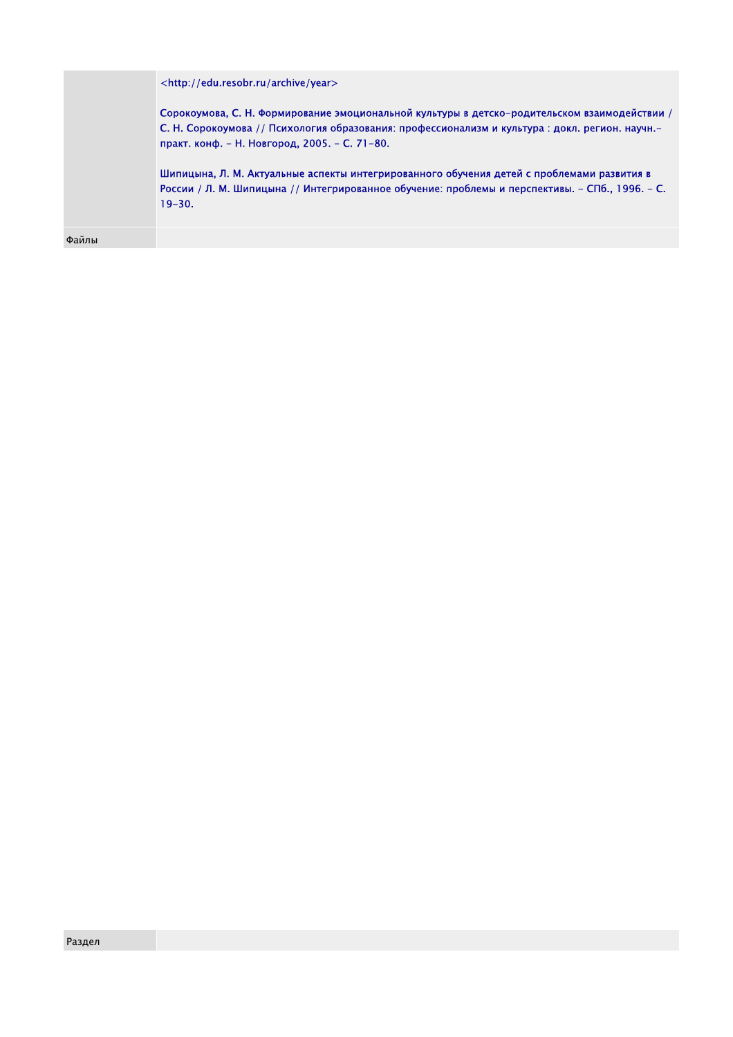<http://edu.resobr.ru/archive/year>

Сорокоумова, С. Н. Формирование эмоциональной культуры в детско-родительском взаимодействии / С. Н. Сорокоумова // Психология образования: профессионализм и культура : докл. регион. научн. практ. конф. - Н. Новгород, 2005. - С. 71-80.

Шипицына, Л. М. Актуальные аспекты интегрированного обучения детей с проблемами развития в России / Л. М. Шипицына // Интегрированное обучение: проблемы и перспективы. - СПб., 1996. - С. 19-30.

Файлы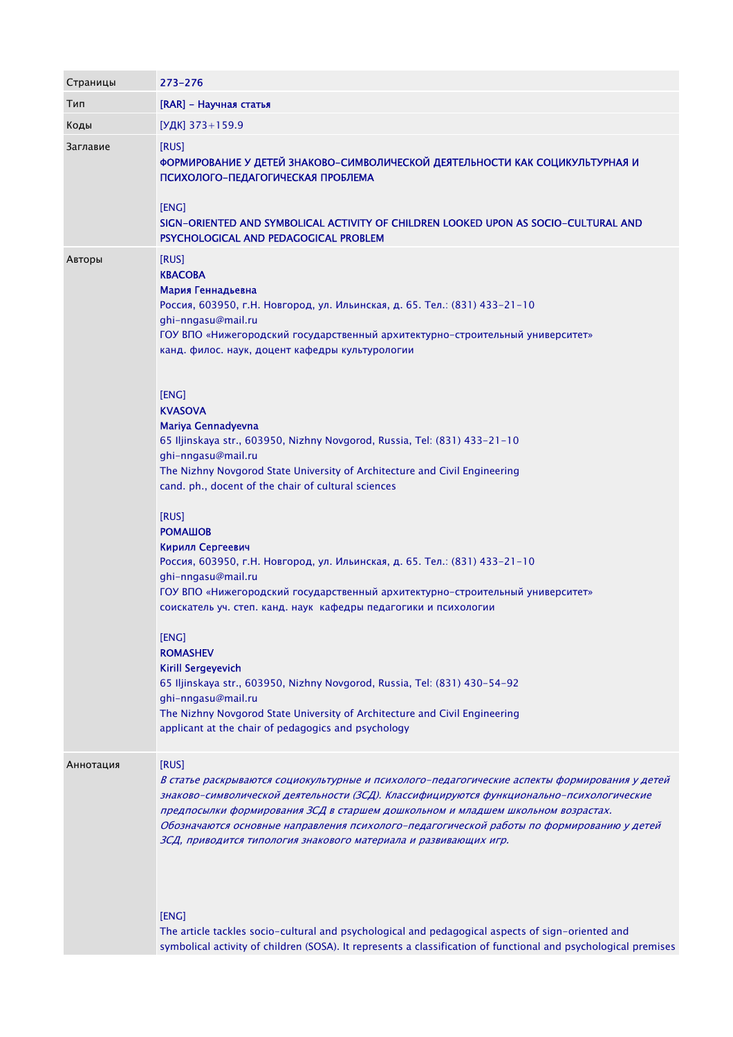| Страницы  | 273-276                                                                                                                                                                                                                                                                                                                                                                                                                                                                                                                                                                                                                                                                                                                                                                                                                                                                                       |
|-----------|-----------------------------------------------------------------------------------------------------------------------------------------------------------------------------------------------------------------------------------------------------------------------------------------------------------------------------------------------------------------------------------------------------------------------------------------------------------------------------------------------------------------------------------------------------------------------------------------------------------------------------------------------------------------------------------------------------------------------------------------------------------------------------------------------------------------------------------------------------------------------------------------------|
| Тип       | [RAR] - Научная статья                                                                                                                                                                                                                                                                                                                                                                                                                                                                                                                                                                                                                                                                                                                                                                                                                                                                        |
| Коды      | [УДК] 373+159.9                                                                                                                                                                                                                                                                                                                                                                                                                                                                                                                                                                                                                                                                                                                                                                                                                                                                               |
| Заглавие  | [RUS]<br>ФОРМИРОВАНИЕ У ДЕТЕЙ ЗНАКОВО-СИМВОЛИЧЕСКОЙ ДЕЯТЕЛЬНОСТИ КАК СОЦИКУЛЬТУРНАЯ И<br>ПСИХОЛОГО-ПЕДАГОГИЧЕСКАЯ ПРОБЛЕМА<br>[ENG]<br>SIGN-ORIENTED AND SYMBOLICAL ACTIVITY OF CHILDREN LOOKED UPON AS SOCIO-CULTURAL AND<br>PSYCHOLOGICAL AND PEDAGOGICAL PROBLEM                                                                                                                                                                                                                                                                                                                                                                                                                                                                                                                                                                                                                           |
| Авторы    | [RUS]<br><b>KBACOBA</b><br>Мария Геннадьевна<br>Россия, 603950, г.Н. Новгород, ул. Ильинская, д. 65. Тел.: (831) 433-21-10<br>ghi-nngasu@mail.ru<br>ГОУ ВПО «Нижегородский государственный архитектурно-строительный университет»<br>канд. филос. наук, доцент кафедры культурологии                                                                                                                                                                                                                                                                                                                                                                                                                                                                                                                                                                                                          |
|           | [ENG]<br><b>KVASOVA</b><br>Mariya Gennadyevna<br>65 Iljinskaya str., 603950, Nizhny Novgorod, Russia, Tel: (831) 433-21-10<br>ghi-nngasu@mail.ru<br>The Nizhny Novgorod State University of Architecture and Civil Engineering<br>cand. ph., docent of the chair of cultural sciences<br>[RUS]<br><b>РОМАШОВ</b><br>Кирилл Сергеевич<br>Россия, 603950, г.Н. Новгород, ул. Ильинская, д. 65. Тел.: (831) 433-21-10<br>ghi-nngasu@mail.ru<br>ГОУ ВПО «Нижегородский государственный архитектурно-строительный университет»<br>соискатель уч. степ. канд. наук кафедры педагогики и психологии<br>[ENG]<br><b>ROMASHEV</b><br><b>Kirill Sergeyevich</b><br>65 Iljinskaya str., 603950, Nizhny Novgorod, Russia, Tel: (831) 430-54-92<br>ghi-nngasu@mail.ru<br>The Nizhny Novgorod State University of Architecture and Civil Engineering<br>applicant at the chair of pedagogics and psychology |
| Аннотация | [RUS]<br>В статье раскрываются социокультурные и психолого-педагогические аспекты формирования у детей<br>знаково-символической деятельности (ЗСД). Классифицируются функционально-психологические<br>предпосылки формирования ЗСД в старшем дошкольном и младшем школьном возрастах.<br>Обозначаются основные направления психолого-педагогической работы по формированию у детей<br>ЗСД, приводится типология знакового материала и развивающих игр.<br>[ENG]                                                                                                                                                                                                                                                                                                                                                                                                                               |

The article tackles socio-cultural and psychological and pedagogical aspects of sign-oriented and symbolical activity of children (SOSA). It represents a classification of functional and psychological premises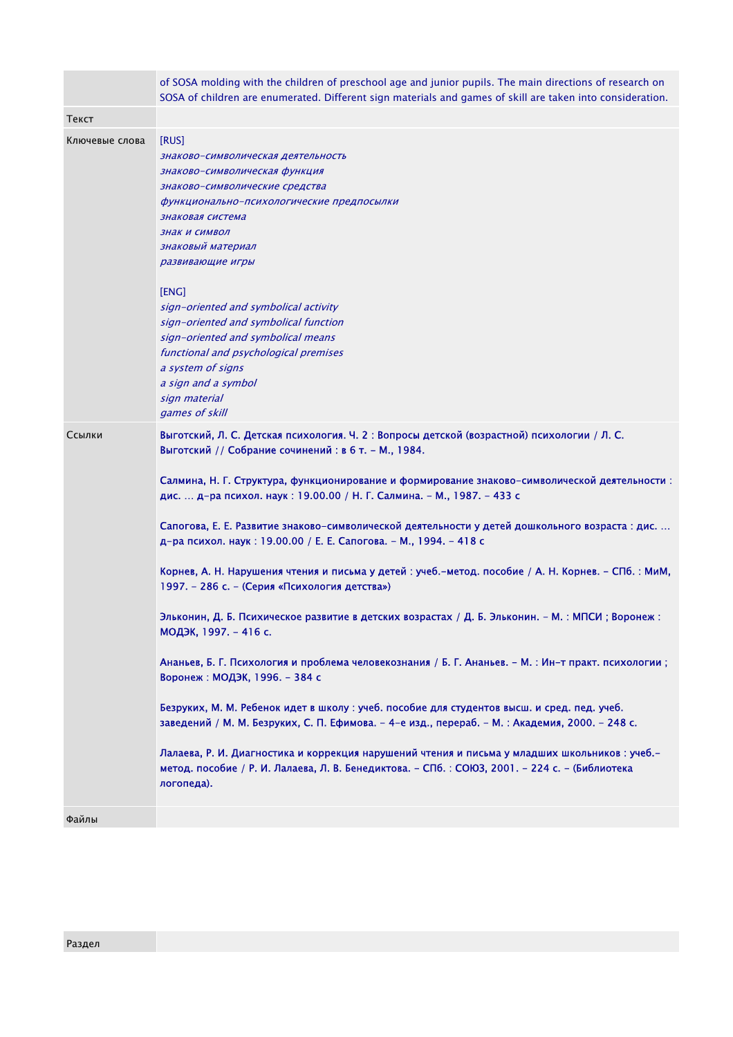|                | of SOSA molding with the children of preschool age and junior pupils. The main directions of research on<br>SOSA of children are enumerated. Different sign materials and games of skill are taken into consideration.                                                                                                                                                                                                                                                                                                                                                                                                                                                                                                                                                                                                                                                                                                                                                                                                                                                                                                                                                                                                                                                                                                                                      |
|----------------|-------------------------------------------------------------------------------------------------------------------------------------------------------------------------------------------------------------------------------------------------------------------------------------------------------------------------------------------------------------------------------------------------------------------------------------------------------------------------------------------------------------------------------------------------------------------------------------------------------------------------------------------------------------------------------------------------------------------------------------------------------------------------------------------------------------------------------------------------------------------------------------------------------------------------------------------------------------------------------------------------------------------------------------------------------------------------------------------------------------------------------------------------------------------------------------------------------------------------------------------------------------------------------------------------------------------------------------------------------------|
| Текст          |                                                                                                                                                                                                                                                                                                                                                                                                                                                                                                                                                                                                                                                                                                                                                                                                                                                                                                                                                                                                                                                                                                                                                                                                                                                                                                                                                             |
| Ключевые слова | [RUS]<br>знаково-символическая деятельность<br>знаково-символическая функция<br>знаково-символические средства<br>функционально-психологические предпосылки<br>знаковая система<br>ЗНАК И СИМВОЛ<br>знаковый материал<br>развивающие игры<br>[ENG]<br>sign-oriented and symbolical activity<br>sign-oriented and symbolical function<br>sign-oriented and symbolical means<br>functional and psychological premises<br>a system of signs<br>a sign and a symbol<br>sign material<br>games of skill                                                                                                                                                                                                                                                                                                                                                                                                                                                                                                                                                                                                                                                                                                                                                                                                                                                          |
| Ссылки         | Выготский, Л. С. Детская психология. Ч. 2 : Вопросы детской (возрастной) психологии / Л. С.<br>Выготский // Собрание сочинений : в 6 т. - М., 1984.<br>Салмина, Н. Г. Структура, функционирование и формирование знаково-символической деятельности:<br>дис.  д-ра психол. наук: 19.00.00 / Н. Г. Салмина. - М., 1987. - 433 с<br>Сапогова, Е. Е. Развитие знаково-символической деятельности у детей дошкольного возраста : дис.<br>д-ра психол. наук: 19.00.00 / Е. Е. Сапогова. - М., 1994. - 418 с<br>Корнев, А. Н. Нарушения чтения и письма у детей : учеб.-метод. пособие / А. Н. Корнев. - СПб. : МиМ,<br>1997. – 286 с. – (Серия «Психология детства»)<br>Эльконин, Д. Б. Психическое развитие в детских возрастах / Д. Б. Эльконин. - М. : МПСИ ; Воронеж :<br>МОДЭК, 1997. - 416 с.<br>Ананьев, Б. Г. Психология и проблема человекознания / Б. Г. Ананьев. - М. : Ин-т практ. психологии ;<br>Воронеж: МОДЭК, 1996. - 384 с<br>Безруких, М. М. Ребенок идет в школу : учеб. пособие для студентов высш. и сред. пед. учеб.<br>заведений / М. М. Безруких, С. П. Ефимова. - 4-е изд., перераб. - М. : Академия, 2000. - 248 с.<br>Лалаева, Р. И. Диагностика и коррекция нарушений чтения и письма у младших школьников : учеб.-<br>метод. пособие / Р. И. Лалаева, Л. В. Бенедиктова. - СПб. : СОЮЗ, 2001. - 224 с. - (Библиотека<br>логопеда). |
| Файлы          |                                                                                                                                                                                                                                                                                                                                                                                                                                                                                                                                                                                                                                                                                                                                                                                                                                                                                                                                                                                                                                                                                                                                                                                                                                                                                                                                                             |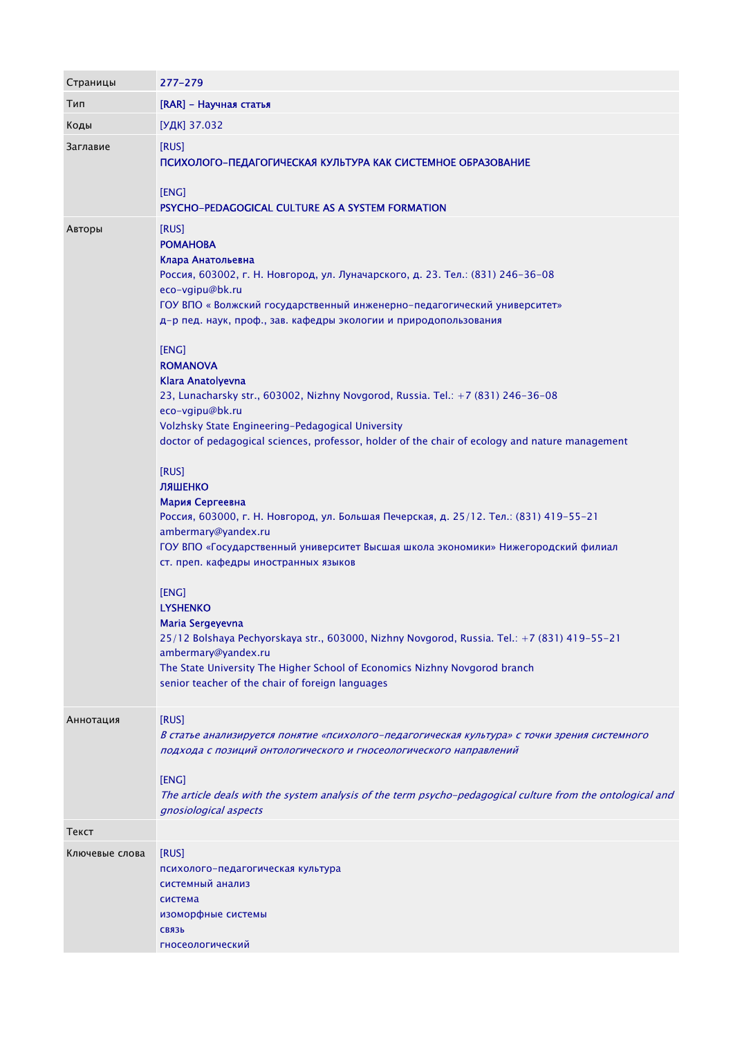| Страницы       | 277-279                                                                                                                                                                                                                                                                                                                                                                                                                                                                                                                                                                                                                                                                                                                                                                                                                                                                                                                           |
|----------------|-----------------------------------------------------------------------------------------------------------------------------------------------------------------------------------------------------------------------------------------------------------------------------------------------------------------------------------------------------------------------------------------------------------------------------------------------------------------------------------------------------------------------------------------------------------------------------------------------------------------------------------------------------------------------------------------------------------------------------------------------------------------------------------------------------------------------------------------------------------------------------------------------------------------------------------|
| Тип            | [RAR] - Научная статья                                                                                                                                                                                                                                                                                                                                                                                                                                                                                                                                                                                                                                                                                                                                                                                                                                                                                                            |
| Коды           | [УДК] 37.032                                                                                                                                                                                                                                                                                                                                                                                                                                                                                                                                                                                                                                                                                                                                                                                                                                                                                                                      |
| Заглавие       | [RUS]<br>ПСИХОЛОГО-ПЕДАГОГИЧЕСКАЯ КУЛЬТУРА КАК СИСТЕМНОЕ ОБРАЗОВАНИЕ<br>[ENG]<br>PSYCHO-PEDAGOGICAL CULTURE AS A SYSTEM FORMATION                                                                                                                                                                                                                                                                                                                                                                                                                                                                                                                                                                                                                                                                                                                                                                                                 |
| Авторы         | [RUS]<br><b>POMAHOBA</b><br>Клара Анатольевна<br>Россия, 603002, г. Н. Новгород, ул. Луначарского, д. 23. Тел.: (831) 246-36-08<br>eco-vgipu@bk.ru<br>ГОУ ВПО «Волжский государственный инженерно-педагогический университет»<br>д-р пед. наук, проф., зав. кафедры экологии и природопользования<br>[ENG]<br><b>ROMANOVA</b><br>Klara Anatolyevna<br>23, Lunacharsky str., 603002, Nizhny Novgorod, Russia. Tel.: +7 (831) 246-36-08<br>eco-vgipu@bk.ru<br>Volzhsky State Engineering-Pedagogical University<br>doctor of pedagogical sciences, professor, holder of the chair of ecology and nature management<br>[RUS]<br>ЛЯШЕНКО<br>Мария Сергеевна<br>Россия, 603000, г. Н. Новгород, ул. Большая Печерская, д. 25/12. Тел.: (831) 419-55-21<br>ambermary@yandex.ru<br>ГОУ ВПО «Государственный университет Высшая школа экономики» Нижегородский филиал<br>ст. преп. кафедры иностранных языков<br>[ENG]<br><b>LYSHENKO</b> |
|                | Maria Sergeyevna<br>25/12 Bolshaya Pechyorskaya str., 603000, Nizhny Novgorod, Russia. Tel.: +7 (831) 419-55-21<br>ambermary@yandex.ru<br>The State University The Higher School of Economics Nizhny Novgorod branch<br>senior teacher of the chair of foreign languages                                                                                                                                                                                                                                                                                                                                                                                                                                                                                                                                                                                                                                                          |
| Аннотация      | [RUS]<br>В статье анализируется понятие «психолого-педагогическая культура» с точки зрения системного<br>подхода с позиций онтологического и гносеологического направлений<br>[ENG]<br>The article deals with the system analysis of the term psycho-pedagogical culture from the ontological and<br>gnosiological aspects                                                                                                                                                                                                                                                                                                                                                                                                                                                                                                                                                                                                        |
| Текст          |                                                                                                                                                                                                                                                                                                                                                                                                                                                                                                                                                                                                                                                                                                                                                                                                                                                                                                                                   |
| Ключевые слова | [RUS]<br>психолого-педагогическая культура<br>системный анализ<br>система<br>изоморфные системы<br><b>СВЯЗЬ</b><br>гносеологический                                                                                                                                                                                                                                                                                                                                                                                                                                                                                                                                                                                                                                                                                                                                                                                               |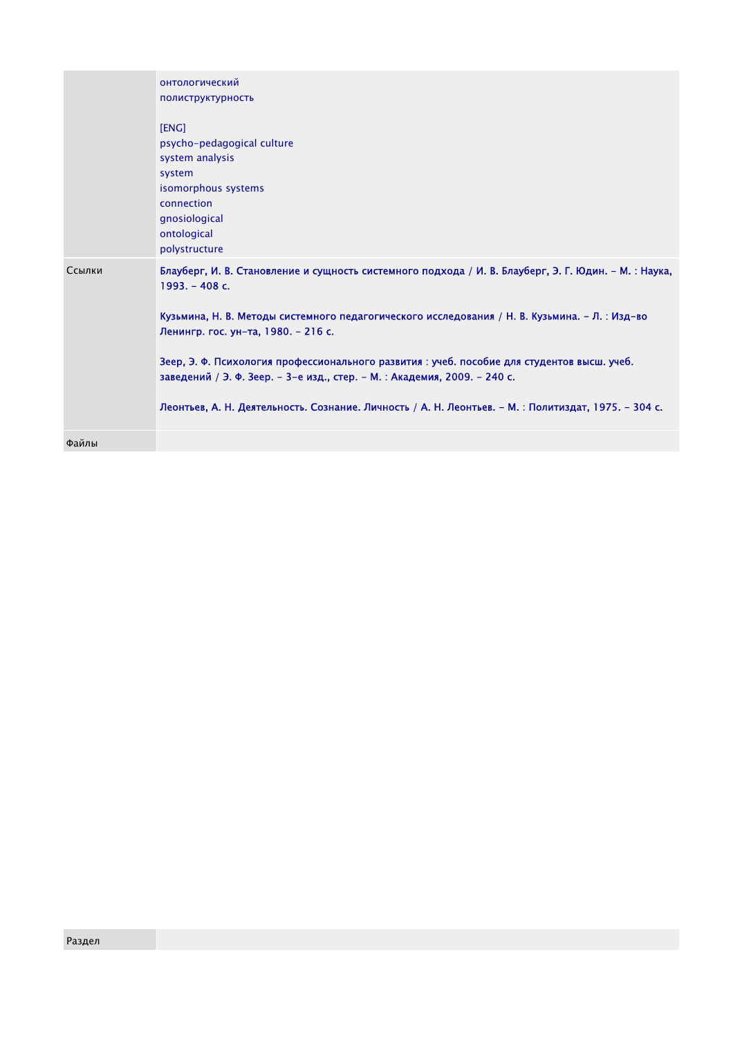|        | онтологический                                                                                                                                                           |
|--------|--------------------------------------------------------------------------------------------------------------------------------------------------------------------------|
|        | полиструктурность                                                                                                                                                        |
|        | [ENG]<br>psycho-pedagogical culture<br>system analysis<br>system<br>isomorphous systems<br>connection<br>gnosiological<br>ontological<br>polystructure                   |
| Ссылки | Блауберг, И. В. Становление и сущность системного подхода / И. В. Блауберг, Э. Г. Юдин. - М. : Наука,<br>$1993. - 408c.$                                                 |
|        | Кузьмина, Н. В. Методы системного педагогического исследования / Н. В. Кузьмина. – Л. : Изд-во<br>Ленингр. гос. ун-та, 1980. - 216 с.                                    |
|        | Зеер, Э. Ф. Психология профессионального развития : учеб. пособие для студентов высш. учеб.<br>заведений / Э. Ф. Зеер. - 3-е изд., стер. - М. : Академия, 2009. - 240 с. |
|        | Леонтьев, А. Н. Деятельность. Сознание. Личность / А. Н. Леонтьев. - М. : Политиздат, 1975. - 304 с.                                                                     |
|        |                                                                                                                                                                          |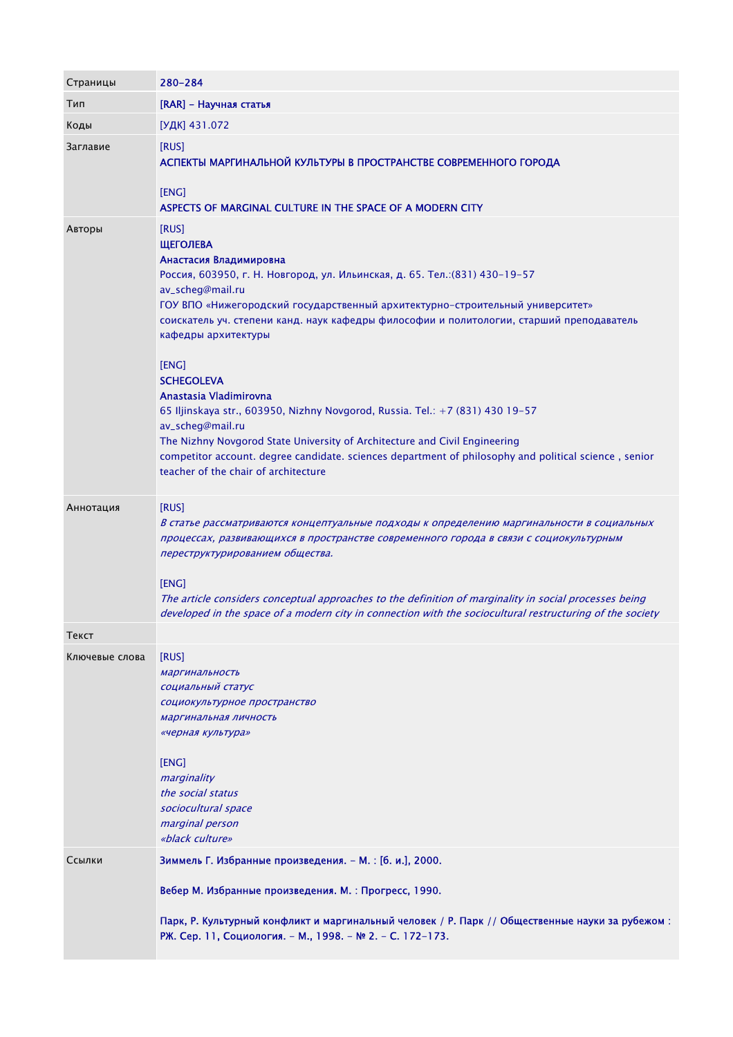| Страницы       | 280-284                                                                                                                                                                                                                                                                                                                                                                                                                                                                                                                                                                                                                                                                                                                                               |
|----------------|-------------------------------------------------------------------------------------------------------------------------------------------------------------------------------------------------------------------------------------------------------------------------------------------------------------------------------------------------------------------------------------------------------------------------------------------------------------------------------------------------------------------------------------------------------------------------------------------------------------------------------------------------------------------------------------------------------------------------------------------------------|
| Тип            | [RAR] - Научная статья                                                                                                                                                                                                                                                                                                                                                                                                                                                                                                                                                                                                                                                                                                                                |
| Коды           | [УДК] 431.072                                                                                                                                                                                                                                                                                                                                                                                                                                                                                                                                                                                                                                                                                                                                         |
| Заглавие       | [RUS]<br>АСПЕКТЫ МАРГИНАЛЬНОЙ КУЛЬТУРЫ В ПРОСТРАНСТВЕ СОВРЕМЕННОГО ГОРОДА<br>[ENG]                                                                                                                                                                                                                                                                                                                                                                                                                                                                                                                                                                                                                                                                    |
|                | ASPECTS OF MARGINAL CULTURE IN THE SPACE OF A MODERN CITY                                                                                                                                                                                                                                                                                                                                                                                                                                                                                                                                                                                                                                                                                             |
| Авторы         | [RUS]<br><b>ЩЕГОЛЕВА</b><br>Анастасия Владимировна<br>Россия, 603950, г. Н. Новгород, ул. Ильинская, д. 65. Тел.: (831) 430-19-57<br>av_scheg@mail.ru<br>ГОУ ВПО «Нижегородский государственный архитектурно-строительный университет»<br>соискатель уч. степени канд. наук кафедры философии и политологии, старший преподаватель<br>кафедры архитектуры<br>[ENG]<br><b>SCHEGOLEVA</b><br>Anastasia Vladimirovna<br>65 Iljinskaya str., 603950, Nizhny Novgorod, Russia. Tel.: +7 (831) 430 19-57<br>av_scheq@mail.ru<br>The Nizhny Novgorod State University of Architecture and Civil Engineering<br>competitor account. degree candidate. sciences department of philosophy and political science, senior<br>teacher of the chair of architecture |
| Аннотация      | [RUS]<br>В статье рассматриваются концептуальные подходы к определению маргинальности в социальных<br>процессах, развивающихся в пространстве современного города в связи с социокультурным<br>переструктурированием общества.<br>[ENG]<br>The article considers conceptual approaches to the definition of marginality in social processes being<br>developed in the space of a modern city in connection with the sociocultural restructuring of the society                                                                                                                                                                                                                                                                                        |
| Текст          |                                                                                                                                                                                                                                                                                                                                                                                                                                                                                                                                                                                                                                                                                                                                                       |
| Ключевые слова | [RUS]<br>маргинальность<br>социальный статус<br>социокультурное пространство<br>маргинальная личность<br>«черная культура»<br>[ENG]<br>marginality<br>the social status<br>sociocultural space<br>marginal person<br>«black culture»                                                                                                                                                                                                                                                                                                                                                                                                                                                                                                                  |
| Ссылки         | Зиммель Г. Избранные произведения. - М. : [б. и.], 2000.                                                                                                                                                                                                                                                                                                                                                                                                                                                                                                                                                                                                                                                                                              |
|                | Вебер М. Избранные произведения. М. : Прогресс, 1990.<br>Парк, Р. Культурный конфликт и маргинальный человек / Р. Парк // Общественные науки за рубежом:<br>РЖ. Сер. 11, Социология. - М., 1998. - № 2. - С. 172-173.                                                                                                                                                                                                                                                                                                                                                                                                                                                                                                                                 |
|                |                                                                                                                                                                                                                                                                                                                                                                                                                                                                                                                                                                                                                                                                                                                                                       |

m.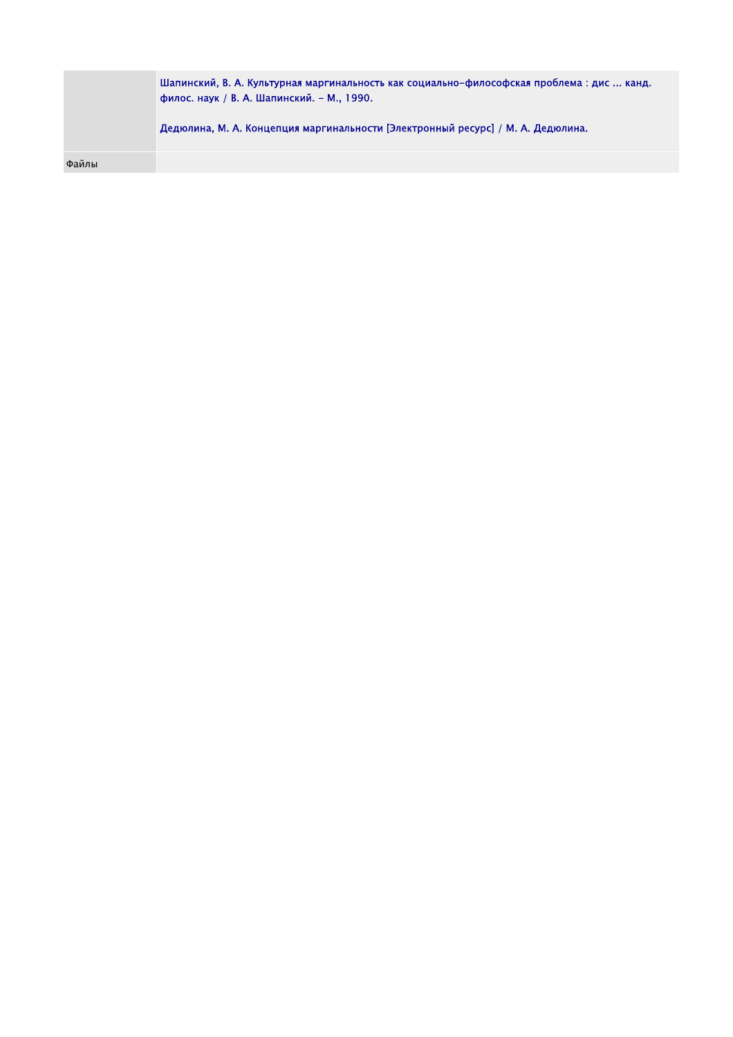Шапинский, В. А. Культурная маргинальность как социально-философская проблема : дис ... канд. филос. наук / В. А. Шапинский. - М., 1990. Дедюлина, М. А. Концепция маргинальности [Электронный ресурс] / М. А. Дедюлина.

Файлы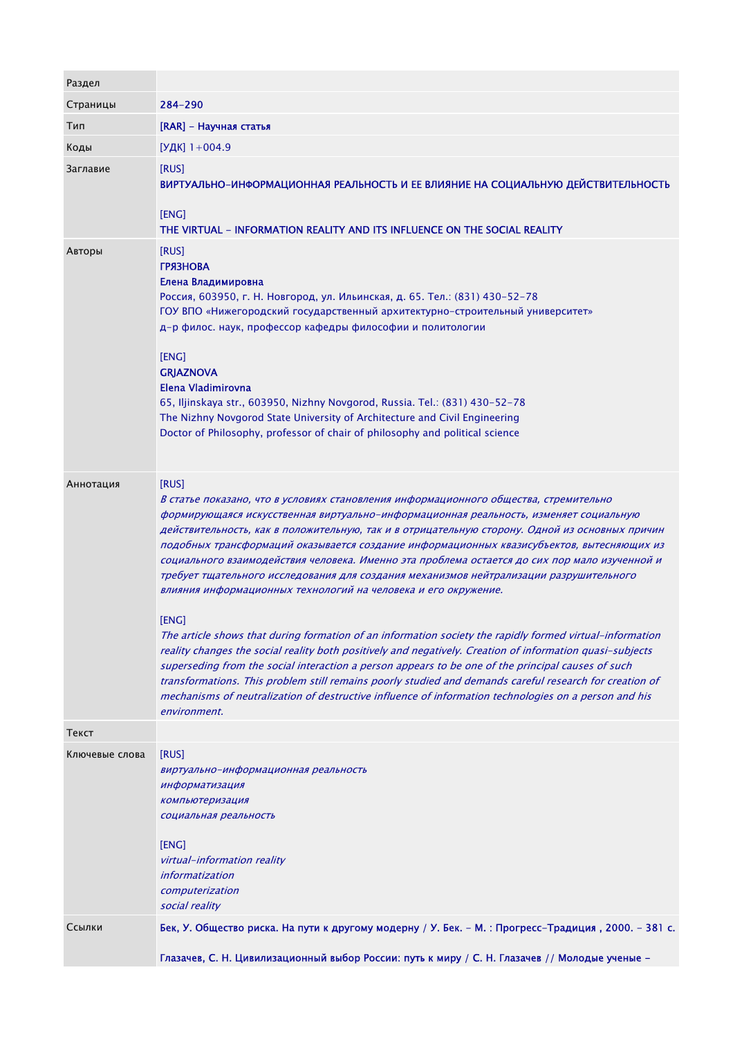| Раздел         |                                                                                                                                                                                                                                                                                                                                                                                                                                                                                                                                                                                                                                                                                                                                                                                                                                                                                                                                                                                                                                                                                                                                                                                                                                |
|----------------|--------------------------------------------------------------------------------------------------------------------------------------------------------------------------------------------------------------------------------------------------------------------------------------------------------------------------------------------------------------------------------------------------------------------------------------------------------------------------------------------------------------------------------------------------------------------------------------------------------------------------------------------------------------------------------------------------------------------------------------------------------------------------------------------------------------------------------------------------------------------------------------------------------------------------------------------------------------------------------------------------------------------------------------------------------------------------------------------------------------------------------------------------------------------------------------------------------------------------------|
| Страницы       | 284-290                                                                                                                                                                                                                                                                                                                                                                                                                                                                                                                                                                                                                                                                                                                                                                                                                                                                                                                                                                                                                                                                                                                                                                                                                        |
| Тип            | [RAR] – Научная статья                                                                                                                                                                                                                                                                                                                                                                                                                                                                                                                                                                                                                                                                                                                                                                                                                                                                                                                                                                                                                                                                                                                                                                                                         |
| Коды           | [УДК] $1+004.9$                                                                                                                                                                                                                                                                                                                                                                                                                                                                                                                                                                                                                                                                                                                                                                                                                                                                                                                                                                                                                                                                                                                                                                                                                |
| Заглавие       | [RUS]<br>ВИРТУАЛЬНО-ИНФОРМАЦИОННАЯ РЕАЛЬНОСТЬ И ЕЕ ВЛИЯНИЕ НА СОЦИАЛЬНУЮ ДЕЙСТВИТЕЛЬНОСТЬ<br>[ENG]<br>THE VIRTUAL - INFORMATION REALITY AND ITS INFLUENCE ON THE SOCIAL REALITY                                                                                                                                                                                                                                                                                                                                                                                                                                                                                                                                                                                                                                                                                                                                                                                                                                                                                                                                                                                                                                                |
| Авторы         | [RUS]<br><b>ГРЯЗНОВА</b><br>Елена Владимировна<br>Россия, 603950, г. Н. Новгород, ул. Ильинская, д. 65. Тел.: (831) 430-52-78<br>ГОУ ВПО «Нижегородский государственный архитектурно-строительный университет»<br>д-р филос. наук, профессор кафедры философии и политологии<br>[ENG]<br><b>GRJAZNOVA</b><br>Elena Vladimirovna<br>65, Iljinskaya str., 603950, Nizhny Novgorod, Russia. Tel.: (831) 430-52-78<br>The Nizhny Novgorod State University of Architecture and Civil Engineering<br>Doctor of Philosophy, professor of chair of philosophy and political science                                                                                                                                                                                                                                                                                                                                                                                                                                                                                                                                                                                                                                                   |
| Аннотация      | [RUS]<br>В статье показано, что в условиях становления информационного общества, стремительно<br>формирующаяся искусственная виртуально-информационная реальность, изменяет социальную<br>действительность, как в положительную, так и в отрицательную сторону. Одной из основных причин<br>подобных трансформаций оказывается создание информационных квазисубъектов, вытесняющих из<br>социального взаимодействия человека. Именно эта проблема остается до сих пор мало изученной и<br>требует тщательного исследования для создания механизмов нейтрализации разрушительного<br>влияния информационных технологий на человека и его окружение.<br>[ENG]<br>The article shows that during formation of an information society the rapidly formed virtual-information<br>reality changes the social reality both positively and negatively. Creation of information quasi-subjects<br>superseding from the social interaction a person appears to be one of the principal causes of such<br>transformations. This problem still remains poorly studied and demands careful research for creation of<br>mechanisms of neutralization of destructive influence of information technologies on a person and his<br>environment. |
| Текст          |                                                                                                                                                                                                                                                                                                                                                                                                                                                                                                                                                                                                                                                                                                                                                                                                                                                                                                                                                                                                                                                                                                                                                                                                                                |
| Ключевые слова | [RUS]<br>виртуально-информационная реальность<br>информатизация<br>компьютеризация<br>социальная реальность<br>[ENG]<br>virtual-information reality<br>informatization<br>computerization<br>social reality                                                                                                                                                                                                                                                                                                                                                                                                                                                                                                                                                                                                                                                                                                                                                                                                                                                                                                                                                                                                                    |
| Ссылки         | Бек, У. Общество риска. На пути к другому модерну / У. Бек. - М. : Прогресс-Традиция, 2000. - 381 с.<br>Глазачев, С. Н. Цивилизационный выбор России: путь к миру / С. Н. Глазачев // Молодые ученые -                                                                                                                                                                                                                                                                                                                                                                                                                                                                                                                                                                                                                                                                                                                                                                                                                                                                                                                                                                                                                         |